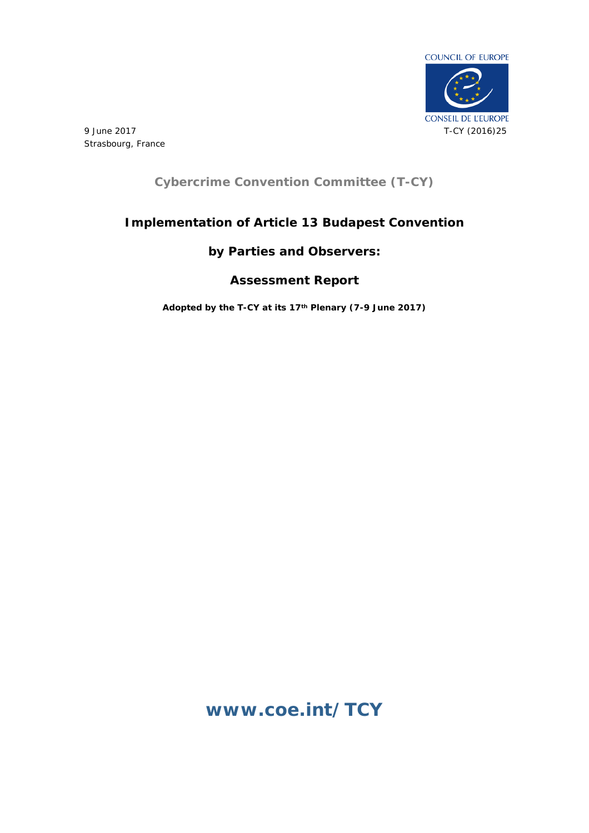

9 June 2017 Strasbourg, France

# **Cybercrime Convention Committee (T-CY)**

# **Implementation of Article 13 Budapest Convention**

# **by Parties and Observers:**

# **Assessment Report**

**Adopted by the T-CY at its 17th Plenary (7-9 June 2017)** 

# **[www.coe.int/TCY](http://www.coe.int/TCY)**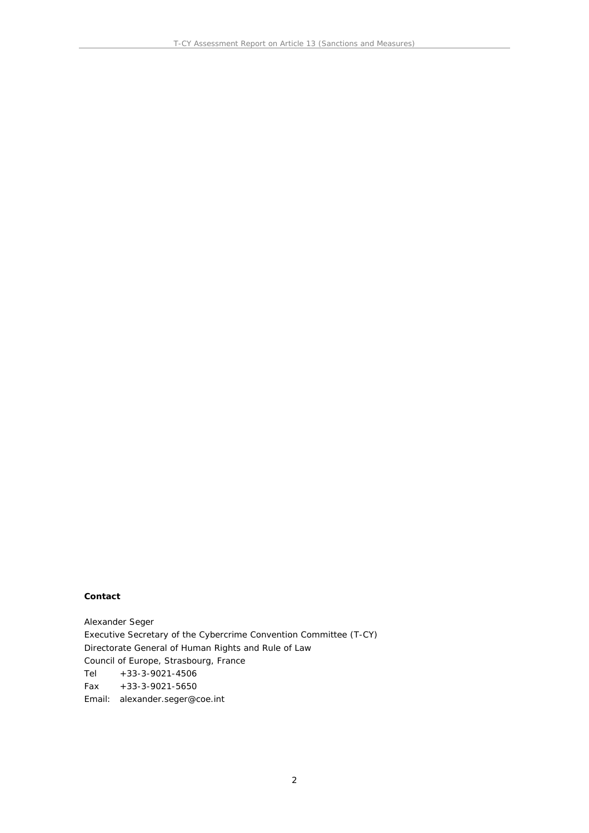**Contact**

Alexander Seger Executive Secretary of the Cybercrime Convention Committee (T-CY) Directorate General of Human Rights and Rule of Law Council of Europe, Strasbourg, France Tel +33-3-9021-4506 Fax +33-3-9021-5650 Email: alexander.seger@coe.int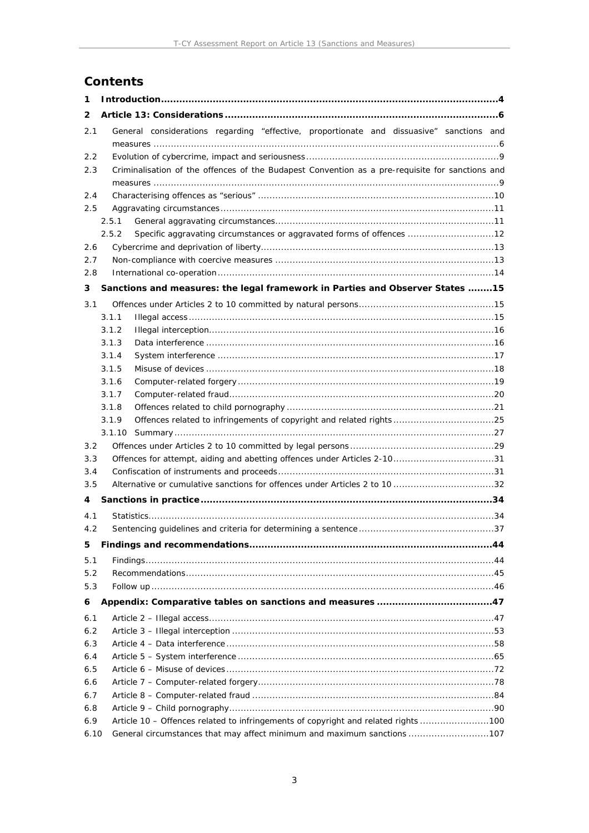# **Contents**

| 1                                                                                                |                                                                                                 |  |  |  |  |  |
|--------------------------------------------------------------------------------------------------|-------------------------------------------------------------------------------------------------|--|--|--|--|--|
| 2                                                                                                |                                                                                                 |  |  |  |  |  |
| 2.1                                                                                              | General considerations regarding "effective, proportionate and dissuasive" sanctions and        |  |  |  |  |  |
| 2.2                                                                                              |                                                                                                 |  |  |  |  |  |
| 2.3                                                                                              | Criminalisation of the offences of the Budapest Convention as a pre-requisite for sanctions and |  |  |  |  |  |
| 2.4                                                                                              |                                                                                                 |  |  |  |  |  |
| 2.5                                                                                              |                                                                                                 |  |  |  |  |  |
|                                                                                                  | 2.5.1                                                                                           |  |  |  |  |  |
|                                                                                                  | Specific aggravating circumstances or aggravated forms of offences 12<br>2.5.2                  |  |  |  |  |  |
| 2.6                                                                                              |                                                                                                 |  |  |  |  |  |
| 2.7                                                                                              |                                                                                                 |  |  |  |  |  |
| 2.8                                                                                              |                                                                                                 |  |  |  |  |  |
| 3                                                                                                | Sanctions and measures: the legal framework in Parties and Observer States 15                   |  |  |  |  |  |
| 3.1                                                                                              |                                                                                                 |  |  |  |  |  |
|                                                                                                  | 3.1.1                                                                                           |  |  |  |  |  |
|                                                                                                  | 3.1.2                                                                                           |  |  |  |  |  |
|                                                                                                  | 3.1.3<br>3.1.4                                                                                  |  |  |  |  |  |
|                                                                                                  | 3.1.5                                                                                           |  |  |  |  |  |
|                                                                                                  | 3.1.6                                                                                           |  |  |  |  |  |
|                                                                                                  | 3.1.7                                                                                           |  |  |  |  |  |
|                                                                                                  | 3.1.8                                                                                           |  |  |  |  |  |
|                                                                                                  | 3.1.9                                                                                           |  |  |  |  |  |
|                                                                                                  | 3.1.10                                                                                          |  |  |  |  |  |
| 3.2                                                                                              |                                                                                                 |  |  |  |  |  |
| 3.3                                                                                              | Offences for attempt, aiding and abetting offences under Articles 2-1031                        |  |  |  |  |  |
| 3.4                                                                                              |                                                                                                 |  |  |  |  |  |
| 3.5                                                                                              | Alternative or cumulative sanctions for offences under Articles 2 to 10 32                      |  |  |  |  |  |
| 4                                                                                                |                                                                                                 |  |  |  |  |  |
|                                                                                                  | 4.1                                                                                             |  |  |  |  |  |
| 4.2                                                                                              |                                                                                                 |  |  |  |  |  |
| 5                                                                                                |                                                                                                 |  |  |  |  |  |
| 5.1                                                                                              |                                                                                                 |  |  |  |  |  |
| 5.2                                                                                              |                                                                                                 |  |  |  |  |  |
| 5.3                                                                                              |                                                                                                 |  |  |  |  |  |
| 6                                                                                                |                                                                                                 |  |  |  |  |  |
| 6.1                                                                                              |                                                                                                 |  |  |  |  |  |
| 6.2                                                                                              |                                                                                                 |  |  |  |  |  |
|                                                                                                  | 6.3                                                                                             |  |  |  |  |  |
| 6.4                                                                                              |                                                                                                 |  |  |  |  |  |
| 6.5                                                                                              |                                                                                                 |  |  |  |  |  |
| 6.6                                                                                              |                                                                                                 |  |  |  |  |  |
| 6.7                                                                                              |                                                                                                 |  |  |  |  |  |
| 6.8<br>Article 10 - Offences related to infringements of copyright and related rights 100<br>6.9 |                                                                                                 |  |  |  |  |  |
| 6.10                                                                                             | General circumstances that may affect minimum and maximum sanctions 107                         |  |  |  |  |  |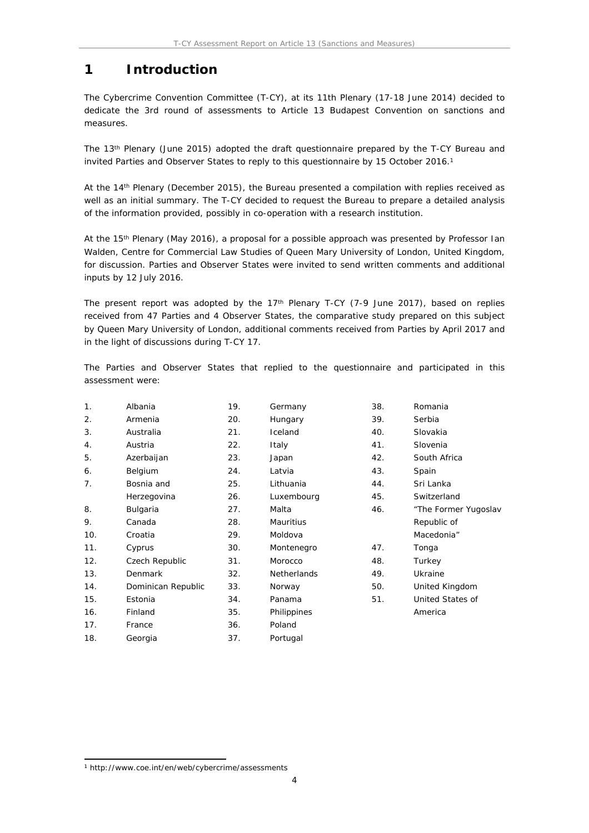# <span id="page-3-0"></span>**1 Introduction**

The Cybercrime Convention Committee (T-CY), at its 11th Plenary (17-18 June 2014) decided to dedicate the 3rd round of assessments to Article 13 Budapest Convention on sanctions and measures.

The 13th Plenary (June 2015) adopted the draft questionnaire prepared by the T-CY Bureau and invited Parties and Observer States to reply to this questionnaire by 15 October 2016.<sup>1</sup>

At the 14th Plenary (December 2015), the Bureau presented a compilation with replies received as well as an initial summary. The T-CY decided to request the Bureau to prepare a detailed analysis of the information provided, possibly in co-operation with a research institution.

At the 15th Plenary (May 2016), a proposal for a possible approach was presented by Professor Ian Walden, Centre for Commercial Law Studies of Queen Mary University of London, United Kingdom, for discussion. Parties and Observer States were invited to send written comments and additional inputs by 12 July 2016.

The present report was adopted by the 17<sup>th</sup> Plenary T-CY (7-9 June 2017), based on replies received from 47 Parties and 4 Observer States, the comparative study prepared on this subject by Queen Mary University of London, additional comments received from Parties by April 2017 and in the light of discussions during T-CY 17.

The Parties and Observer States that replied to the questionnaire and participated in this assessment were:

| $\mathbf{1}$ . | Albania            | 19. | Germany            | 38. | Romania              |
|----------------|--------------------|-----|--------------------|-----|----------------------|
| 2.             | Armenia            | 20. | Hungary            | 39. | Serbia               |
| 3.             | Australia          | 21. | Iceland            | 40. | Slovakia             |
| 4.             | Austria            | 22. | Italy              | 41. | Slovenia             |
| 5.             | Azerbaijan         | 23. | Japan              | 42. | South Africa         |
| 6.             | Belgium            | 24. | Latvia             | 43. | Spain                |
| 7.             | Bosnia and         | 25. | Lithuania          | 44. | Sri Lanka            |
|                | Herzegovina        | 26. | Luxembourg         | 45. | Switzerland          |
| 8.             | Bulgaria           | 27. | Malta              | 46. | "The Former Yugoslav |
| 9.             | Canada             | 28. | <b>Mauritius</b>   |     | Republic of          |
| 10.            | Croatia            | 29. | Moldova            |     | Macedonia"           |
| 11.            | Cyprus             | 30. | Montenegro         | 47. | Tonga                |
| 12.            | Czech Republic     | 31. | Morocco            | 48. | Turkey               |
| 13.            | Denmark            | 32. | <b>Netherlands</b> | 49. | Ukraine              |
| 14.            | Dominican Republic | 33. | Norway             | 50. | United Kingdom       |
| 15.            | Estonia            | 34. | Panama             | 51. | United States of     |
| 16.            | Finland            | 35. | Philippines        |     | America              |
| 17.            | France             | 36. | Poland             |     |                      |
| 18.            | Georgia            | 37. | Portugal           |     |                      |

<sup>1</sup> http://www.coe.int/en/web/cybercrime/assessments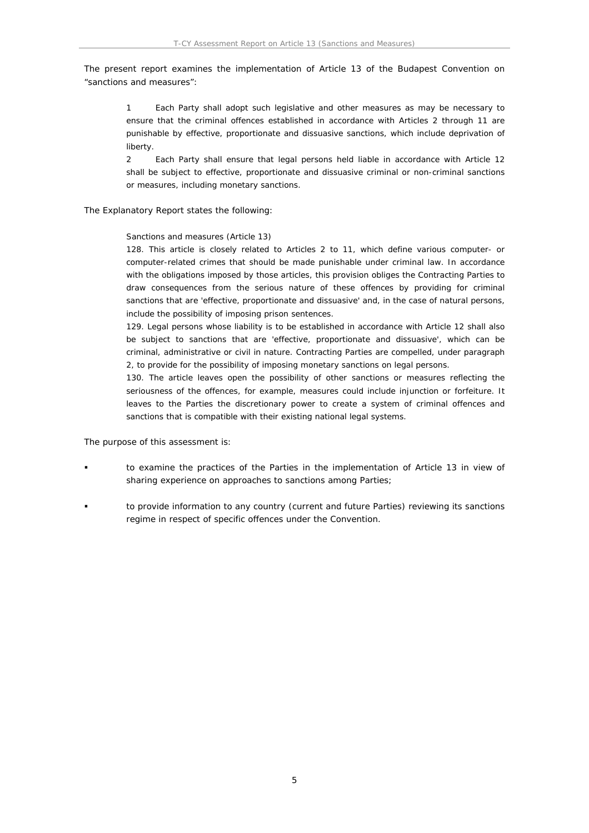The present report examines the implementation of Article 13 of the Budapest Convention on "sanctions and measures":

1 Each Party shall adopt such legislative and other measures as may be necessary to ensure that the criminal offences established in accordance with Articles 2 through 11 are punishable by effective, proportionate and dissuasive sanctions, which include deprivation of liberty.

2 Each Party shall ensure that legal persons held liable in accordance with Article 12 shall be subject to effective, proportionate and dissuasive criminal or non-criminal sanctions or measures, including monetary sanctions.

The Explanatory Report states the following:

Sanctions and measures (Article 13)

128. This article is closely related to Articles 2 to 11, which define various computer- or computer-related crimes that should be made punishable under criminal law. In accordance with the obligations imposed by those articles, this provision obliges the Contracting Parties to draw consequences from the serious nature of these offences by providing for criminal sanctions that are 'effective, proportionate and dissuasive' and, in the case of natural persons, include the possibility of imposing prison sentences.

129. Legal persons whose liability is to be established in accordance with Article 12 shall also be subject to sanctions that are 'effective, proportionate and dissuasive', which can be criminal, administrative or civil in nature. Contracting Parties are compelled, under paragraph 2, to provide for the possibility of imposing monetary sanctions on legal persons.

130. The article leaves open the possibility of other sanctions or measures reflecting the seriousness of the offences, for example, measures could include injunction or forfeiture. It leaves to the Parties the discretionary power to create a system of criminal offences and sanctions that is compatible with their existing national legal systems.

The purpose of this assessment is:

- to examine the practices of the Parties in the implementation of Article 13 in view of sharing experience on approaches to sanctions among Parties;
- to provide information to any country (current and future Parties) reviewing its sanctions regime in respect of specific offences under the Convention.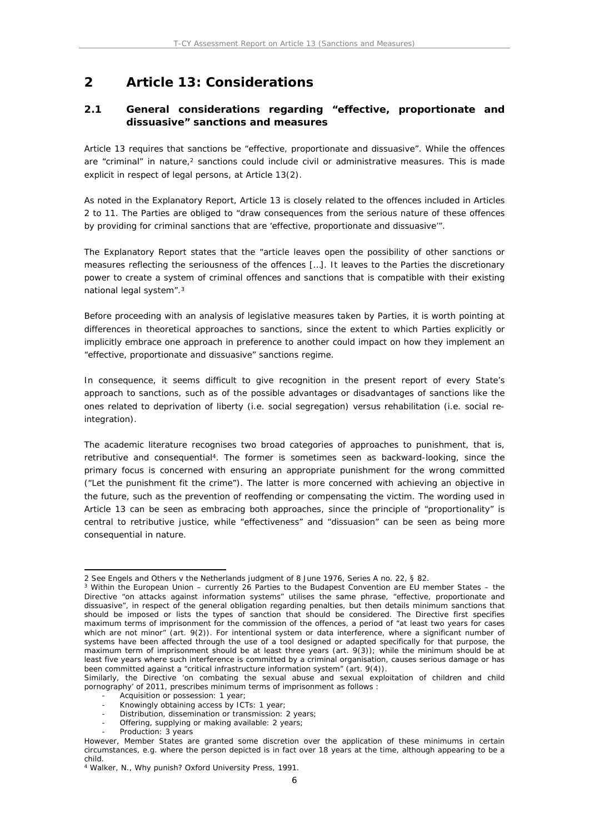# <span id="page-5-0"></span>**2 Article 13: Considerations**

# <span id="page-5-1"></span>**2.1 General considerations regarding "effective, proportionate and dissuasive" sanctions and measures**

Article 13 requires that sanctions be "effective, proportionate and dissuasive". While the offences are "criminal" in nature,<sup>2</sup> sanctions could include civil or administrative measures. This is made explicit in respect of legal persons, at Article 13(2).

As noted in the Explanatory Report, Article 13 is closely related to the offences included in Articles 2 to 11. The Parties are obliged to "draw consequences from the serious nature of these offences by providing for criminal sanctions that are 'effective, proportionate and dissuasive'".

The Explanatory Report states that the "article leaves open the possibility of other sanctions or measures reflecting the seriousness of the offences […]. It leaves to the Parties the discretionary power to create a system of criminal offences and sanctions that is compatible with their existing national legal system".<sup>3</sup>

Before proceeding with an analysis of legislative measures taken by Parties, it is worth pointing at differences in theoretical approaches to sanctions, since the extent to which Parties explicitly or implicitly embrace one approach in preference to another could impact on how they implement an "effective, proportionate and dissuasive" sanctions regime.

In consequence, it seems difficult to give recognition in the present report of every State's approach to sanctions, such as of the possible advantages or disadvantages of sanctions like the ones related to deprivation of liberty (i.e. social segregation) versus rehabilitation (i.e. social reintegration).

The academic literature recognises two broad categories of approaches to punishment, that is, retributive and consequential<sup>4</sup>. The former is sometimes seen as backward-looking, since the primary focus is concerned with ensuring an appropriate punishment for the wrong committed ("Let the punishment fit the crime"). The latter is more concerned with achieving an objective in the future, such as the prevention of reoffending or compensating the victim. The wording used in Article 13 can be seen as embracing both approaches, since the principle of "proportionality" is central to retributive justice, while "effectiveness" and "dissuasion" can be seen as being more consequential in nature.

Distribution, dissemination or transmission: 2 years;

<sup>2</sup> See *Engels and Others v the Netherlands* judgment of 8 June 1976, Series A no. 22, § 82.

<sup>3</sup> Within the European Union – currently 26 Parties to the Budapest Convention are EU member States – the Directive "on attacks against information systems" utilises the same phrase, "effective, proportionate and dissuasive", in respect of the general obligation regarding penalties, but then details minimum sanctions that should be imposed or lists the types of sanction that should be considered. The Directive first specifies maximum terms of imprisonment for the commission of the offences, a period of "at least two years for cases which are not minor" (art. 9(2)). For intentional system or data interference, where a significant number of systems have been affected through the use of a tool designed or adapted specifically for that purpose, the maximum term of imprisonment should be at least three years (art. 9(3)); while the minimum should be at least five years where such interference is committed by a criminal organisation, causes serious damage or has been committed against a "critical infrastructure information system" (art. 9(4)).

Similarly, the Directive 'on combating the sexual abuse and sexual exploitation of children and child pornography' of 2011, prescribes minimum terms of imprisonment as follows :

Acquisition or possession: 1 year;

Knowingly obtaining access by ICTs: 1 year;

Offering, supplying or making available: 2 years;

Production: 3 years

However, Member States are granted some discretion over the application of these minimums in certain circumstances, e.g. where the person depicted is in fact over 18 years at the time, although appearing to be a child.

<sup>4</sup> Walker, N., *Why punish?* Oxford University Press, 1991.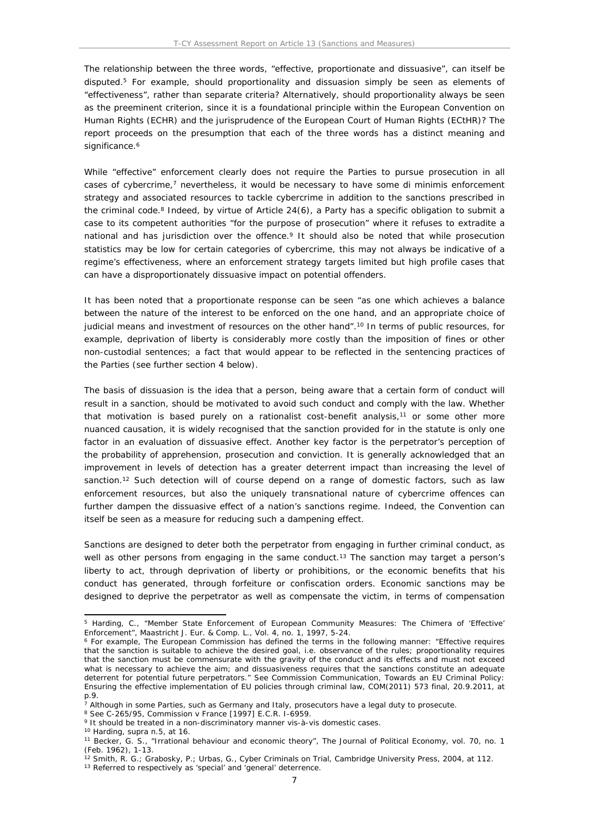The relationship between the three words, "effective, proportionate and dissuasive", can itself be disputed.<sup>5</sup> For example, should proportionality and dissuasion simply be seen as elements of "effectiveness", rather than separate criteria? Alternatively, should proportionality always be seen as the preeminent criterion, since it is a foundational principle within the European Convention on Human Rights (ECHR) and the jurisprudence of the European Court of Human Rights (ECtHR)? The report proceeds on the presumption that each of the three words has a distinct meaning and significance.<sup>6</sup>

While "effective" enforcement clearly does not require the Parties to pursue prosecution in all cases of cybercrime,<sup>7</sup> nevertheless, it would be necessary to have some *di minimis* enforcement strategy and associated resources to tackle cybercrime in addition to the sanctions prescribed in the criminal code.<sup>8</sup> Indeed, by virtue of Article  $24(6)$ , a Party has a specific obligation to submit a case to its competent authorities "for the purpose of prosecution" where it refuses to extradite a national and has jurisdiction over the offence.<sup>9</sup> It should also be noted that while prosecution statistics may be low for certain categories of cybercrime, this may not always be indicative of a regime's effectiveness, where an enforcement strategy targets limited but high profile cases that can have a disproportionately dissuasive impact on potential offenders.

It has been noted that a proportionate response can be seen "as one which achieves a balance between the nature of the interest to be enforced on the one hand, and an appropriate choice of judicial means and investment of resources on the other hand".<sup>10</sup> In terms of public resources, for example, deprivation of liberty is considerably more costly than the imposition of fines or other non-custodial sentences; a fact that would appear to be reflected in the sentencing practices of the Parties (see further section 4 below).

The basis of dissuasion is the idea that a person, being aware that a certain form of conduct will result in a sanction, should be motivated to avoid such conduct and comply with the law. Whether that motivation is based purely on a rationalist cost-benefit analysis, $11$  or some other more nuanced causation, it is widely recognised that the sanction provided for in the statute is only one factor in an evaluation of dissuasive effect. Another key factor is the perpetrator's perception of the probability of apprehension, prosecution and conviction. It is generally acknowledged that an improvement in levels of detection has a greater deterrent impact than increasing the level of sanction.<sup>12</sup> Such detection will of course depend on a range of domestic factors, such as law enforcement resources, but also the uniquely transnational nature of cybercrime offences can further dampen the dissuasive effect of a nation's sanctions regime. Indeed, the Convention can itself be seen as a measure for reducing such a dampening effect.

Sanctions are designed to deter both the perpetrator from engaging in further criminal conduct, as well as other persons from engaging in the same conduct.<sup>13</sup> The sanction may target a person's liberty to act, through deprivation of liberty or prohibitions, or the economic benefits that his conduct has generated, through forfeiture or confiscation orders. Economic sanctions may be designed to deprive the perpetrator as well as compensate the victim, in terms of compensation

<sup>10</sup> Harding, supra n.5, at 16.

<sup>5</sup> Harding, C., "Member State Enforcement of European Community Measures: The Chimera of 'Effective' Enforcement", *Maastricht J. Eur. & Comp. L.*, Vol. 4, no. 1, 1997, 5-24.

<sup>6</sup> For example, The European Commission has defined the terms in the following manner: "*Effective* requires that the sanction is suitable to achieve the desired goal, i.e. observance of the rules; *proportionality* requires that the sanction must be commensurate with the gravity of the conduct and its effects and must not exceed what is necessary to achieve the aim; and *dissuasiveness* requires that the sanctions constitute an adequate deterrent for potential future perpetrators." See Commission Communication, *Towards an EU Criminal Policy: Ensuring the effective implementation of EU policies through criminal law*, COM(2011) 573 final, 20.9.2011, at p.9.

<sup>&</sup>lt;sup>7</sup> Although in some Parties, such as Germany and Italy, prosecutors have a legal duty to prosecute.

<sup>8</sup> See C-265/95, *Commission v France* [1997] E.C.R. I-6959.

<sup>9</sup> It should be treated in a non-discriminatory manner vis-à-vis domestic cases.

<sup>11</sup> Becker, G. S., "Irrational behaviour and economic theory", *The Journal of Political Economy*, vol. 70, no. 1 (Feb. 1962), 1-13.

<sup>12</sup> Smith, R. G.; Grabosky, P.; Urbas, G., *Cyber Criminals on Trial*, Cambridge University Press, 2004, at 112. <sup>13</sup> Referred to respectively as 'special' and 'general' deterrence.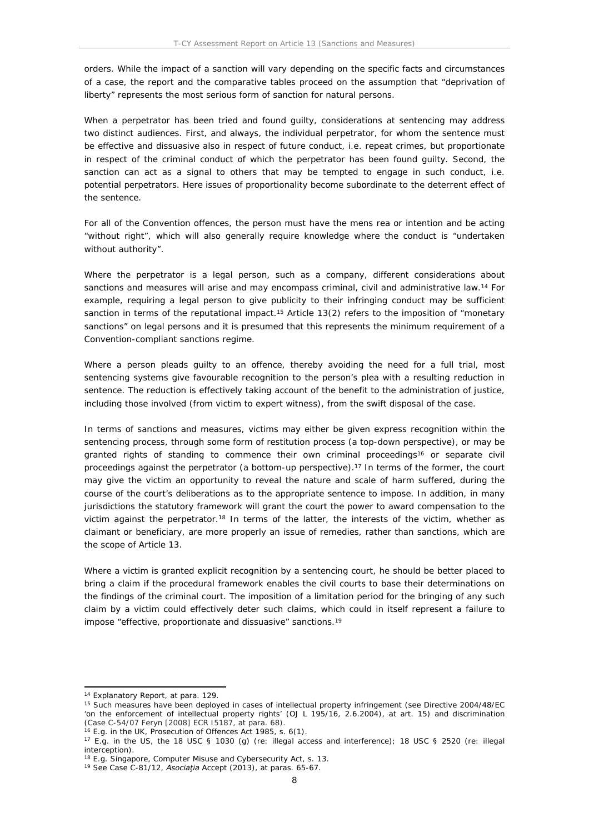orders. While the impact of a sanction will vary depending on the specific facts and circumstances of a case, the report and the comparative tables proceed on the assumption that "deprivation of liberty" represents the most serious form of sanction for natural persons.

When a perpetrator has been tried and found guilty, considerations at sentencing may address two distinct audiences. First, and always, the individual perpetrator, for whom the sentence must be effective and dissuasive also in respect of future conduct, i.e. repeat crimes, but proportionate in respect of the criminal conduct of which the perpetrator has been found guilty. Second, the sanction can act as a signal to others that may be tempted to engage in such conduct, i.e. potential perpetrators. Here issues of proportionality become subordinate to the deterrent effect of the sentence.

For all of the Convention offences, the person must have the *mens rea* or intention and be acting "without right", which will also generally require knowledge where the conduct is "undertaken without authority".

Where the perpetrator is a legal person, such as a company, different considerations about sanctions and measures will arise and may encompass criminal, civil and administrative law.<sup>14</sup> For example, requiring a legal person to give publicity to their infringing conduct may be sufficient sanction in terms of the reputational impact.<sup>15</sup> Article 13(2) refers to the imposition of "monetary sanctions" on legal persons and it is presumed that this represents the minimum requirement of a Convention-compliant sanctions regime.

Where a person pleads guilty to an offence, thereby avoiding the need for a full trial, most sentencing systems give favourable recognition to the person's plea with a resulting reduction in sentence. The reduction is effectively taking account of the benefit to the administration of justice, including those involved (from victim to expert witness), from the swift disposal of the case.

In terms of sanctions and measures, victims may either be given express recognition within the sentencing process, through some form of restitution process (a top-down perspective), or may be granted rights of standing to commence their own criminal proceedings<sup>16</sup> or separate civil proceedings against the perpetrator (a bottom-up perspective).<sup>17</sup> In terms of the former, the court may give the victim an opportunity to reveal the nature and scale of harm suffered, during the course of the court's deliberations as to the appropriate sentence to impose. In addition, in many jurisdictions the statutory framework will grant the court the power to award compensation to the victim against the perpetrator.<sup>18</sup> In terms of the latter, the interests of the victim, whether as claimant or beneficiary, are more properly an issue of remedies, rather than sanctions, which are the scope of Article 13.

Where a victim is granted explicit recognition by a sentencing court, he should be better placed to bring a claim if the procedural framework enables the civil courts to base their determinations on the findings of the criminal court. The imposition of a limitation period for the bringing of any such claim by a victim could effectively deter such claims, which could in itself represent a failure to impose "effective, proportionate and dissuasive" sanctions.<sup>19</sup>

<sup>14</sup> Explanatory Report, at para. 129.

<sup>15</sup> Such measures have been deployed in cases of intellectual property infringement (see Directive 2004/48/EC 'on the enforcement of intellectual property rights' (OJ L 195/16, 2.6.2004), at art. 15) and discrimination (Case C-54/07 *Feryn* [2008] ECR I5187, at para. 68).

<sup>16</sup> E.g. in the UK, Prosecution of Offences Act 1985, s. 6(1).

<sup>17</sup> E.g. in the US, the 18 USC § 1030 (g) (re: illegal access and interference); 18 USC § 2520 (re: illegal interception).

<sup>&</sup>lt;sup>18</sup> E.g. Singapore, Computer Misuse and Cybersecurity Act, s. 13.

<sup>19</sup> See Case C-81/12, *Asociaţia Accept* (2013), at paras. 65-67.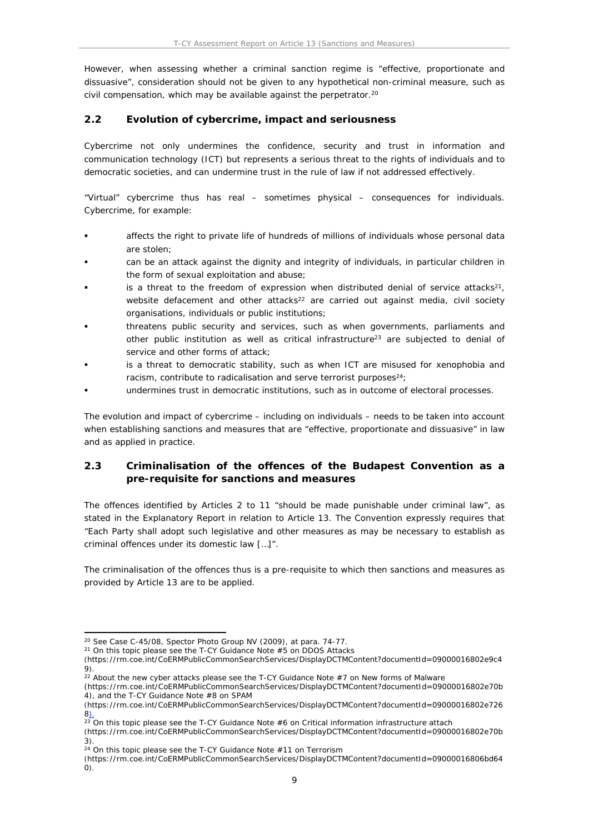However, when assessing whether a criminal sanction regime is "effective, proportionate and dissuasive", consideration should not be given to any hypothetical non-criminal measure, such as civil compensation, which may be available against the perpetrator.<sup>20</sup>

# <span id="page-8-0"></span>**2.2 Evolution of cybercrime, impact and seriousness**

Cybercrime not only undermines the confidence, security and trust in information and communication technology (ICT) but represents a serious threat to the rights of individuals and to democratic societies, and can undermine trust in the rule of law if not addressed effectively.

"Virtual" cybercrime thus has real – sometimes physical – consequences for individuals. Cybercrime, for example:

- affects the right to private life of hundreds of millions of individuals whose personal data are stolen;
- can be an attack against the dignity and integrity of individuals, in particular children in the form of sexual exploitation and abuse;
- is a threat to the freedom of expression when distributed denial of service attacks<sup>21</sup>, website defacement and other attacks<sup>22</sup> are carried out against media, civil society organisations, individuals or public institutions;
- threatens public security and services, such as when governments, parliaments and other public institution as well as critical infrastructure<sup>23</sup> are subjected to denial of service and other forms of attack;
- is a threat to democratic stability, such as when ICT are misused for xenophobia and racism, contribute to radicalisation and serve terrorist purposes<sup>24</sup>;
- undermines trust in democratic institutions, such as in outcome of electoral processes.

The evolution and impact of cybercrime – including on individuals – needs to be taken into account when establishing sanctions and measures that are "effective, proportionate and dissuasive" in law and as applied in practice.

# <span id="page-8-1"></span>**2.3 Criminalisation of the offences of the Budapest Convention as a pre-requisite for sanctions and measures**

The offences identified by Articles 2 to 11 "should be made punishable under criminal law", as stated in the Explanatory Report in relation to Article 13. The Convention expressly requires that "Each Party shall adopt such legislative and other measures as may be necessary to establish as criminal offences under its domestic law […]".

The criminalisation of the offences thus is a pre-requisite to which then sanctions and measures as provided by Article 13 are to be applied.

<sup>20</sup> See Case C-45/08, *Spector Photo Group NV* (2009), at para. 74-77.

 $21$  On this topic please see the T-CY Guidance Note  $#5$  on DDOS Attacks

<sup>(</sup>https://rm.coe.int/CoERMPublicCommonSearchServices/DisplayDCTMContent?documentId=09000016802e9c4 9).

<sup>&</sup>lt;sup>22</sup> About the new cyber attacks please see the T-CY Guidance Note  $#7$  on New forms of Malware

<sup>(</sup>https://rm.coe.int/CoERMPublicCommonSearchServices/DisplayDCTMContent?documentId=09000016802e70b 4), and the T-CY Guidance Note #8 on SPAM

<sup>(</sup>https://rm.coe.int/CoERMPublicCommonSearchServices/DisplayDCTMContent?documentId=09000016802e726 8).

 $\frac{22}{23}$  On this topic please see the T-CY Guidance Note #6 on Critical information infrastructure attach

<sup>(</sup>https://rm.coe.int/CoERMPublicCommonSearchServices/DisplayDCTMContent?documentId=09000016802e70b 3).

 $24$  On this topic please see the T-CY Guidance Note #11 on Terrorism

<sup>(</sup>https://rm.coe.int/CoERMPublicCommonSearchServices/DisplayDCTMContent?documentId=09000016806bd64 0).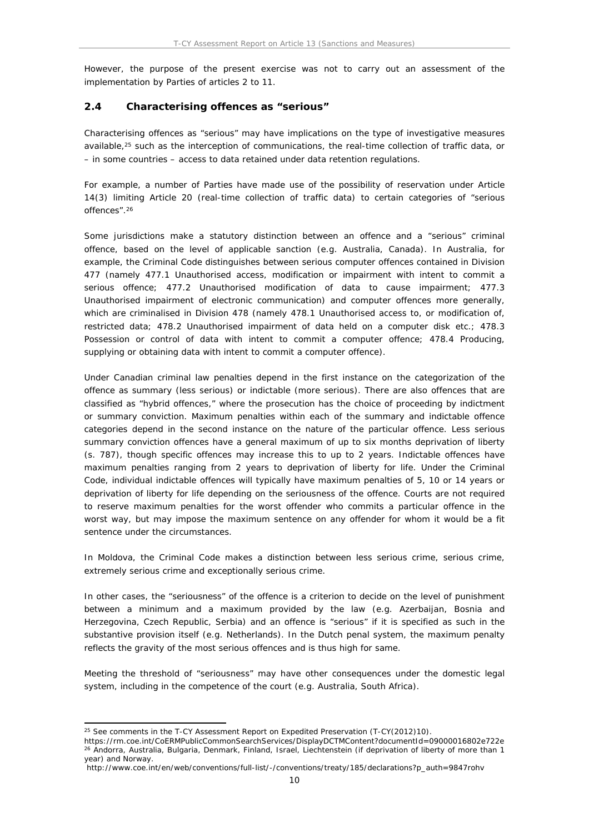However, the purpose of the present exercise was not to carry out an assessment of the implementation by Parties of articles 2 to 11.

### <span id="page-9-0"></span>**2.4 Characterising offences as "serious"**

Characterising offences as "serious" may have implications on the type of investigative measures available,<sup>25</sup> such as the interception of communications, the real-time collection of traffic data, or – in some countries – access to data retained under data retention regulations.

For example, a number of Parties have made use of the possibility of reservation under Article 14(3) limiting Article 20 (real-time collection of traffic data) to certain categories of "serious offences".<sup>26</sup>

Some jurisdictions make a statutory distinction between an offence and a "serious" criminal offence, based on the level of applicable sanction (e.g. Australia, Canada). In Australia, for example, the Criminal Code distinguishes between serious computer offences contained in Division 477 (namely 477.1 Unauthorised access, modification or impairment with intent to commit a serious offence; 477.2 Unauthorised modification of data to cause impairment; 477.3 Unauthorised impairment of electronic communication) and computer offences more generally, which are criminalised in Division 478 (namely 478.1 Unauthorised access to, or modification of, restricted data; 478.2 Unauthorised impairment of data held on a computer disk etc.; 478.3 Possession or control of data with intent to commit a computer offence; 478.4 Producing, supplying or obtaining data with intent to commit a computer offence).

Under Canadian criminal law penalties depend in the first instance on the categorization of the offence as summary (less serious) or indictable (more serious). There are also offences that are classified as "hybrid offences," where the prosecution has the choice of proceeding by indictment or summary conviction. Maximum penalties within each of the summary and indictable offence categories depend in the second instance on the nature of the particular offence. Less serious summary conviction offences have a general maximum of up to six months deprivation of liberty (s. 787), though specific offences may increase this to up to 2 years. Indictable offences have maximum penalties ranging from 2 years to deprivation of liberty for life. Under the *Criminal Code*, individual indictable offences will typically have maximum penalties of 5, 10 or 14 years or deprivation of liberty for life depending on the seriousness of the offence. Courts are not required to reserve maximum penalties for the worst offender who commits a particular offence in the worst way, but may impose the maximum sentence on any offender for whom it would be a fit sentence under the circumstances.

In Moldova, the Criminal Code makes a distinction between less serious crime, serious crime, extremely serious crime and exceptionally serious crime.

In other cases, the "seriousness" of the offence is a criterion to decide on the level of punishment between a minimum and a maximum provided by the law (e.g. Azerbaijan, Bosnia and Herzegovina, Czech Republic, Serbia) and an offence is "serious" if it is specified as such in the substantive provision itself (e.g. Netherlands). In the Dutch penal system, the maximum penalty reflects the gravity of the most serious offences and is thus high for same.

Meeting the threshold of "seriousness" may have other consequences under the domestic legal system, including in the competence of the court (e.g. Australia, South Africa).

<sup>25</sup> See comments in the T-CY Assessment Report on Expedited Preservation (T-CY(2012)10).

https://rm.coe.int/CoERMPublicCommonSearchServices/DisplayDCTMContent?documentId=09000016802e722e <sup>26</sup> Andorra, Australia, Bulgaria, Denmark, Finland, Israel, Liechtenstein (if deprivation of liberty of more than 1 year) and Norway.

http://www.coe.int/en/web/conventions/full-list/-/conventions/treaty/185/declarations?p\_auth=9847rohv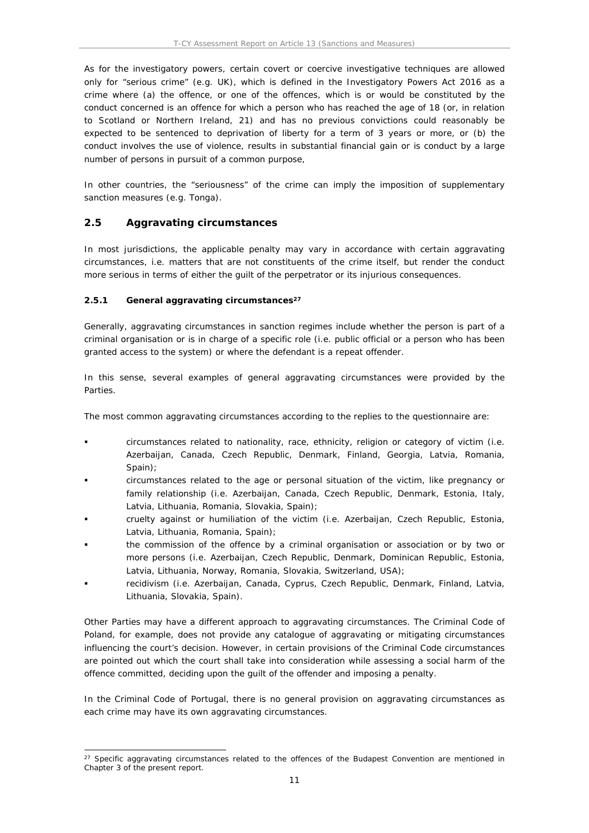As for the investigatory powers, certain covert or coercive investigative techniques are allowed only for "serious crime" (e.g. UK), which is defined in the Investigatory Powers Act 2016 as a crime where (a) the offence, or one of the offences, which is or would be constituted by the conduct concerned is an offence for which a person who has reached the age of 18 (or, in relation to Scotland or Northern Ireland, 21) and has no previous convictions could reasonably be expected to be sentenced to deprivation of liberty for a term of 3 years or more, or (b) the conduct involves the use of violence, results in substantial financial gain or is conduct by a large number of persons in pursuit of a common purpose,

In other countries, the "seriousness" of the crime can imply the imposition of supplementary sanction measures (e.g. Tonga).

### <span id="page-10-0"></span>**2.5 Aggravating circumstances**

In most jurisdictions, the applicable penalty may vary in accordance with certain aggravating circumstances, i.e. matters that are not constituents of the crime itself, but render the conduct more serious in terms of either the guilt of the perpetrator or its injurious consequences.

#### <span id="page-10-1"></span>**2.5.1 General aggravating circumstances<sup>27</sup>**

Generally, aggravating circumstances in sanction regimes include whether the person is part of a criminal organisation or is in charge of a specific role (i.e. public official or a person who has been granted access to the system) or where the defendant is a repeat offender.

In this sense, several examples of general aggravating circumstances were provided by the Parties.

The most common aggravating circumstances according to the replies to the questionnaire are:

- circumstances related to nationality, race, ethnicity, religion or category of victim (i.e. Azerbaijan, Canada, Czech Republic, Denmark, Finland, Georgia, Latvia, Romania, Spain);
- circumstances related to the age or personal situation of the victim, like pregnancy or family relationship (i.e. Azerbaijan, Canada, Czech Republic, Denmark, Estonia, Italy, Latvia, Lithuania, Romania, Slovakia, Spain);
- cruelty against or humiliation of the victim (i.e. Azerbaijan, Czech Republic, Estonia, Latvia, Lithuania, Romania, Spain);
- the commission of the offence by a criminal organisation or association or by two or more persons (i.e. Azerbaijan, Czech Republic, Denmark, Dominican Republic, Estonia, Latvia, Lithuania, Norway, Romania, Slovakia, Switzerland, USA);
- recidivism (i.e. Azerbaijan, Canada, Cyprus, Czech Republic, Denmark, Finland, Latvia, Lithuania, Slovakia, Spain).

Other Parties may have a different approach to aggravating circumstances. The Criminal Code of Poland, for example, does not provide any catalogue of aggravating or mitigating circumstances influencing the court's decision. However, in certain provisions of the Criminal Code circumstances are pointed out which the court shall take into consideration while assessing a social harm of the offence committed, deciding upon the guilt of the offender and imposing a penalty.

In the Criminal Code of Portugal, there is no general provision on aggravating circumstances as each crime may have its own aggravating circumstances.

<sup>&</sup>lt;sup>27</sup> Specific aggravating circumstances related to the offences of the Budapest Convention are mentioned in Chapter 3 of the present report.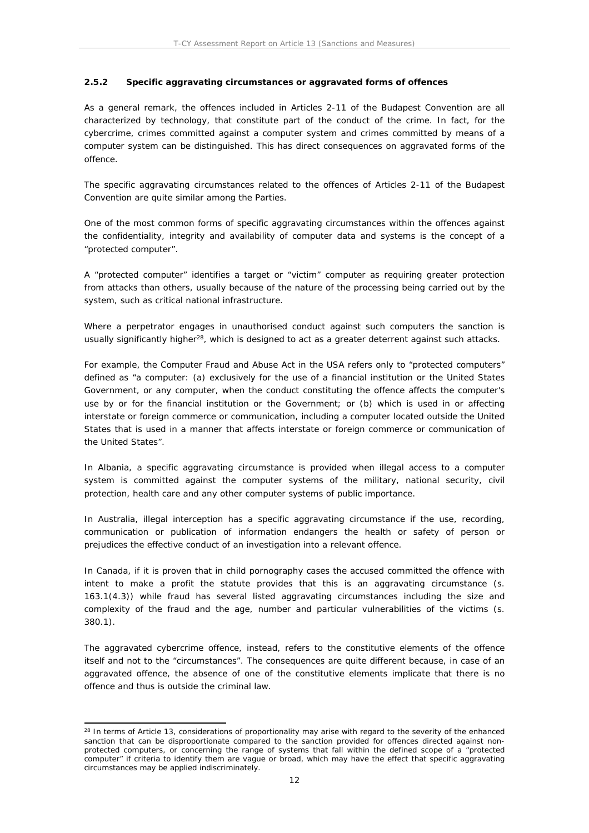#### <span id="page-11-0"></span>**2.5.2 Specific aggravating circumstances or aggravated forms of offences**

As a general remark, the offences included in Articles 2-11 of the Budapest Convention are all characterized by technology, that constitute part of the conduct of the crime. In fact, for the cybercrime, crimes committed against a computer system and crimes committed by means of a computer system can be distinguished. This has direct consequences on aggravated forms of the offence.

The specific aggravating circumstances related to the offences of Articles 2-11 of the Budapest Convention are quite similar among the Parties.

One of the most common forms of specific aggravating circumstances within the offences against the confidentiality, integrity and availability of computer data and systems is the concept of a "protected computer".

A "protected computer" identifies a target or "victim" computer as requiring greater protection from attacks than others, usually because of the nature of the processing being carried out by the system, such as critical national infrastructure.

Where a perpetrator engages in unauthorised conduct against such computers the sanction is usually significantly higher<sup>28</sup>, which is designed to act as a greater deterrent against such attacks.

For example, the Computer Fraud and Abuse Act in the USA refers only to "protected computers" defined as "a computer: (a) exclusively for the use of a financial institution or the United States Government, or any computer, when the conduct constituting the offence affects the computer's use by or for the financial institution or the Government; or (b) which is used in or affecting interstate or foreign commerce or communication, including a computer located outside the United States that is used in a manner that affects interstate or foreign commerce or communication of the United States".

In Albania, a specific aggravating circumstance is provided when illegal access to a computer system is committed against the computer systems of the military, national security, civil protection, health care and any other computer systems of public importance.

In Australia, illegal interception has a specific aggravating circumstance if the use, recording, communication or publication of information endangers the health or safety of person or prejudices the effective conduct of an investigation into a relevant offence.

In Canada, if it is proven that in child pornography cases the accused committed the offence with intent to make a profit the statute provides that this is an aggravating circumstance (s. 163.1(4.3)) while fraud has several listed aggravating circumstances including the size and complexity of the fraud and the age, number and particular vulnerabilities of the victims (s. 380.1).

The aggravated cybercrime offence, instead, refers to the constitutive elements of the offence itself and not to the "circumstances". The consequences are quite different because, in case of an aggravated offence, the absence of one of the constitutive elements implicate that there is no offence and thus is outside the criminal law.

<sup>&</sup>lt;sup>28</sup> In terms of Article 13, considerations of proportionality may arise with regard to the severity of the enhanced sanction that can be disproportionate compared to the sanction provided for offences directed against nonprotected computers, or concerning the range of systems that fall within the defined scope of a "protected computer" if criteria to identify them are vague or broad, which may have the effect that specific aggravating circumstances may be applied indiscriminately.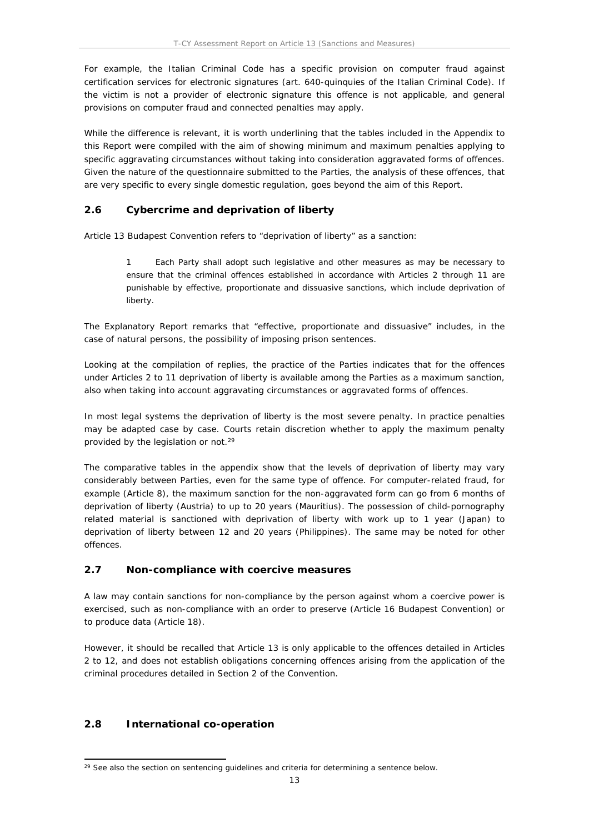For example, the Italian Criminal Code has a specific provision on computer fraud against certification services for electronic signatures (art. 640-quinquies of the Italian Criminal Code). If the victim is not a provider of electronic signature this offence is not applicable, and general provisions on computer fraud and connected penalties may apply.

While the difference is relevant, it is worth underlining that the tables included in the Appendix to this Report were compiled with the aim of showing minimum and maximum penalties applying to specific aggravating circumstances without taking into consideration aggravated forms of offences. Given the nature of the questionnaire submitted to the Parties, the analysis of these offences, that are very specific to every single domestic regulation, goes beyond the aim of this Report.

### <span id="page-12-0"></span>**2.6 Cybercrime and deprivation of liberty**

Article 13 Budapest Convention refers to "deprivation of liberty" as a sanction:

1 Each Party shall adopt such legislative and other measures as may be necessary to ensure that the criminal offences established in accordance with Articles 2 through 11 are punishable by effective, proportionate and dissuasive sanctions, which include deprivation of liberty.

The Explanatory Report remarks that "effective, proportionate and dissuasive" includes, in the case of natural persons, the possibility of imposing prison sentences.

Looking at the compilation of replies, the practice of the Parties indicates that for the offences under Articles 2 to 11 deprivation of liberty is available among the Parties as a maximum sanction, also when taking into account aggravating circumstances or aggravated forms of offences.

In most legal systems the deprivation of liberty is the most severe penalty. In practice penalties may be adapted case by case. Courts retain discretion whether to apply the maximum penalty provided by the legislation or not.<sup>29</sup>

The comparative tables in the appendix show that the levels of deprivation of liberty may vary considerably between Parties, even for the same type of offence. For computer-related fraud, for example (Article 8), the maximum sanction for the non-aggravated form can go from 6 months of deprivation of liberty (Austria) to up to 20 years (Mauritius). The possession of child-pornography related material is sanctioned with deprivation of liberty with work up to 1 year (Japan) to deprivation of liberty between 12 and 20 years (Philippines). The same may be noted for other offences.

### <span id="page-12-1"></span>**2.7 Non-compliance with coercive measures**

A law may contain sanctions for non-compliance by the person against whom a coercive power is exercised, such as non-compliance with an order to preserve (Article 16 Budapest Convention) or to produce data (Article 18).

However, it should be recalled that Article 13 is only applicable to the offences detailed in Articles 2 to 12, and does not establish obligations concerning offences arising from the application of the criminal procedures detailed in Section 2 of the Convention.

### <span id="page-12-2"></span>**2.8 International co-operation**

<sup>&</sup>lt;sup>29</sup> See also the section on sentencing guidelines and criteria for determining a sentence below.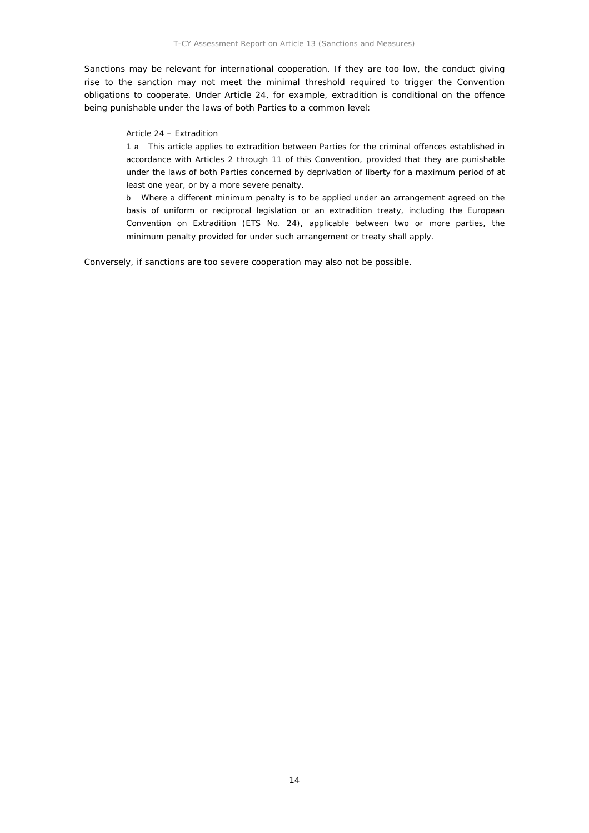Sanctions may be relevant for international cooperation. If they are too low, the conduct giving rise to the sanction may not meet the minimal threshold required to trigger the Convention obligations to cooperate. Under Article 24, for example, extradition is conditional on the offence being punishable under the laws of both Parties to a common level:

Article 24 – Extradition

1 a This article applies to extradition between Parties for the criminal offences established in accordance with Articles 2 through 11 of this Convention, provided that they are punishable under the laws of both Parties concerned by deprivation of liberty for a maximum period of at least one year, or by a more severe penalty.

b Where a different minimum penalty is to be applied under an arrangement agreed on the basis of uniform or reciprocal legislation or an extradition treaty, including the European Convention on Extradition (ETS No. 24), applicable between two or more parties, the minimum penalty provided for under such arrangement or treaty shall apply.

Conversely, if sanctions are too severe cooperation may also not be possible.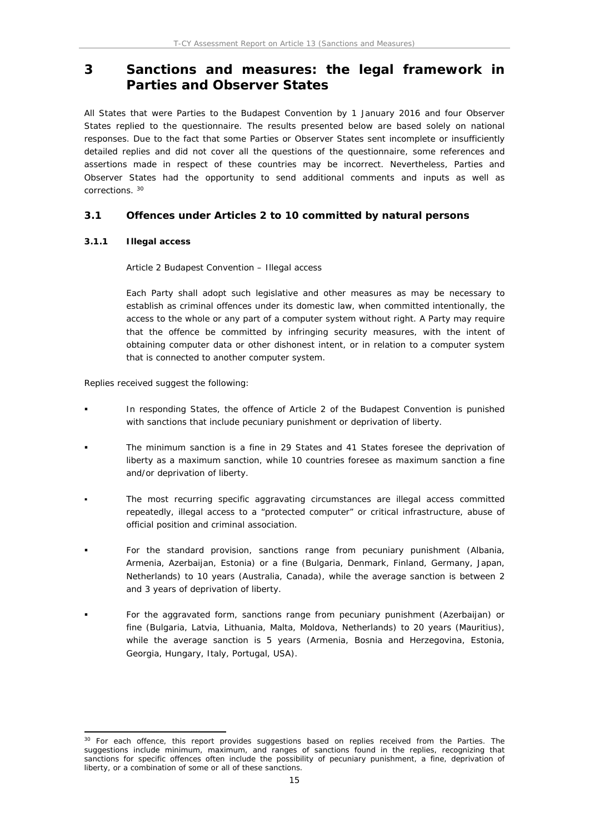# <span id="page-14-0"></span>**3 Sanctions and measures: the legal framework in Parties and Observer States**

All States that were Parties to the Budapest Convention by 1 January 2016 and four Observer States replied to the questionnaire. The results presented below are based solely on national responses. Due to the fact that some Parties or Observer States sent incomplete or insufficiently detailed replies and did not cover all the questions of the questionnaire, some references and assertions made in respect of these countries may be incorrect. Nevertheless, Parties and Observer States had the opportunity to send additional comments and inputs as well as corrections. <sup>30</sup>

### <span id="page-14-1"></span>**3.1 Offences under Articles 2 to 10 committed by natural persons**

#### <span id="page-14-2"></span>**3.1.1 Illegal access**

Article 2 Budapest Convention – Illegal access

Each Party shall adopt such legislative and other measures as may be necessary to establish as criminal offences under its domestic law, when committed intentionally, the access to the whole or any part of a computer system without right. A Party may require that the offence be committed by infringing security measures, with the intent of obtaining computer data or other dishonest intent, or in relation to a computer system that is connected to another computer system.

Replies received suggest the following:

- In responding States, the offence of Article 2 of the Budapest Convention is punished with sanctions that include pecuniary punishment or deprivation of liberty.
- The minimum sanction is a fine in 29 States and 41 States foresee the deprivation of liberty as a maximum sanction, while 10 countries foresee as maximum sanction a fine and/or deprivation of liberty.
- The most recurring specific aggravating circumstances are illegal access committed repeatedly, illegal access to a "protected computer" or critical infrastructure, abuse of official position and criminal association.
- For the standard provision, sanctions range from pecuniary punishment (Albania, Armenia, Azerbaijan, Estonia) or a fine (Bulgaria, Denmark, Finland, Germany, Japan, Netherlands) to 10 years (Australia, Canada), while the average sanction is between 2 and 3 years of deprivation of liberty.
- For the aggravated form, sanctions range from pecuniary punishment (Azerbaijan) or fine (Bulgaria, Latvia, Lithuania, Malta, Moldova, Netherlands) to 20 years (Mauritius), while the average sanction is 5 years (Armenia, Bosnia and Herzegovina, Estonia, Georgia, Hungary, Italy, Portugal, USA).

<sup>&</sup>lt;sup>30</sup> For each offence, this report provides suggestions based on replies received from the Parties. The suggestions include minimum, maximum, and ranges of sanctions found in the replies, recognizing that sanctions for specific offences often include the possibility of pecuniary punishment, a fine, deprivation of liberty, or a combination of some or all of these sanctions.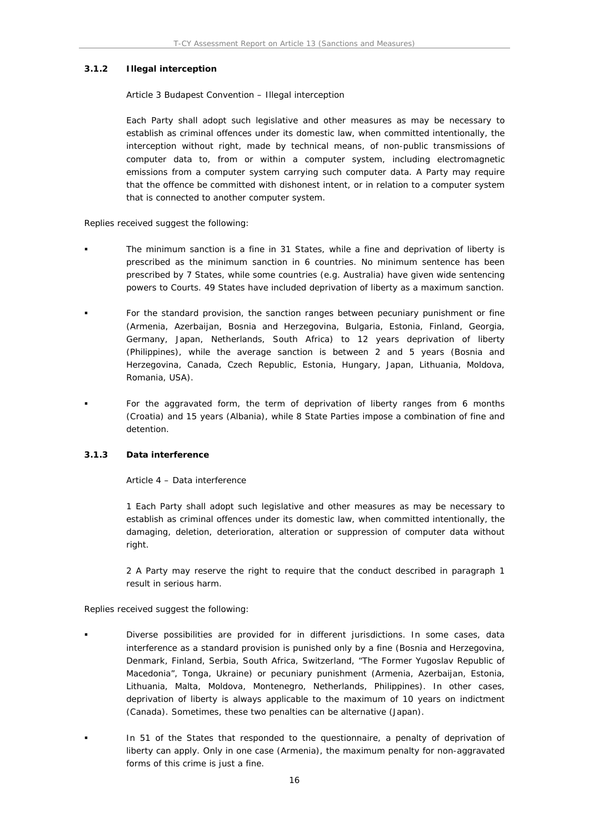#### <span id="page-15-0"></span>**3.1.2 Illegal interception**

#### Article 3 Budapest Convention – Illegal interception

Each Party shall adopt such legislative and other measures as may be necessary to establish as criminal offences under its domestic law, when committed intentionally, the interception without right, made by technical means, of non-public transmissions of computer data to, from or within a computer system, including electromagnetic emissions from a computer system carrying such computer data. A Party may require that the offence be committed with dishonest intent, or in relation to a computer system that is connected to another computer system.

Replies received suggest the following:

- The minimum sanction is a fine in 31 States, while a fine and deprivation of liberty is prescribed as the minimum sanction in 6 countries. No minimum sentence has been prescribed by 7 States, while some countries (e.g. Australia) have given wide sentencing powers to Courts. 49 States have included deprivation of liberty as a maximum sanction.
- For the standard provision, the sanction ranges between pecuniary punishment or fine (Armenia, Azerbaijan, Bosnia and Herzegovina, Bulgaria, Estonia, Finland, Georgia, Germany, Japan, Netherlands, South Africa) to 12 years deprivation of liberty (Philippines), while the average sanction is between 2 and 5 years (Bosnia and Herzegovina, Canada, Czech Republic, Estonia, Hungary, Japan, Lithuania, Moldova, Romania, USA).
- For the aggravated form, the term of deprivation of liberty ranges from 6 months (Croatia) and 15 years (Albania), while 8 State Parties impose a combination of fine and detention.

#### <span id="page-15-1"></span>**3.1.3 Data interference**

Article 4 – Data interference

1 Each Party shall adopt such legislative and other measures as may be necessary to establish as criminal offences under its domestic law, when committed intentionally, the damaging, deletion, deterioration, alteration or suppression of computer data without right.

2 A Party may reserve the right to require that the conduct described in paragraph 1 result in serious harm.

Replies received suggest the following:

- Diverse possibilities are provided for in different jurisdictions. In some cases, data interference as a standard provision is punished only by a fine (Bosnia and Herzegovina, Denmark, Finland, Serbia, South Africa, Switzerland, "The Former Yugoslav Republic of Macedonia", Tonga, Ukraine) or pecuniary punishment (Armenia, Azerbaijan, Estonia, Lithuania, Malta, Moldova, Montenegro, Netherlands, Philippines). In other cases, deprivation of liberty is always applicable to the maximum of 10 years on indictment (Canada). Sometimes, these two penalties can be alternative (Japan).
- In 51 of the States that responded to the questionnaire, a penalty of deprivation of liberty can apply. Only in one case (Armenia), the maximum penalty for non-aggravated forms of this crime is just a fine.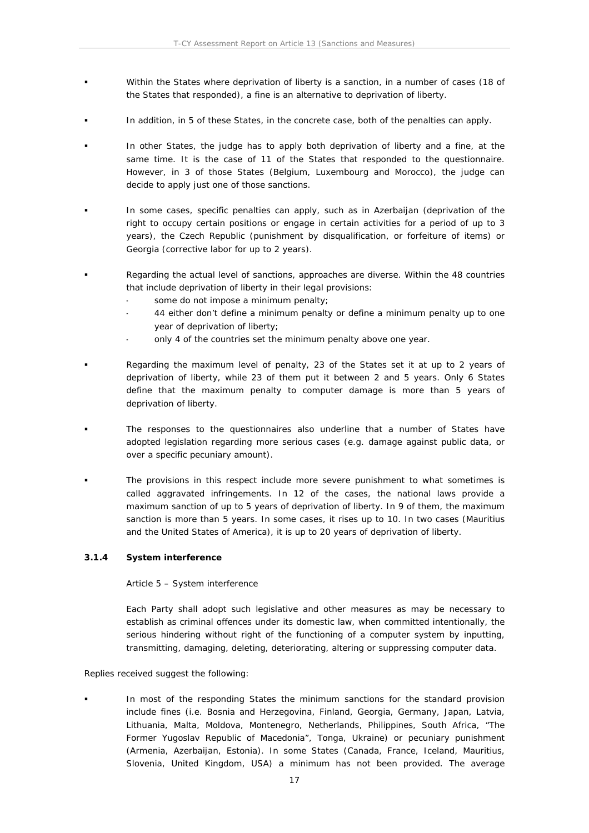- Within the States where deprivation of liberty is a sanction, in a number of cases (18 of the States that responded), a fine is an alternative to deprivation of liberty.
- In addition, in 5 of these States, in the concrete case, both of the penalties can apply.
- In other States, the judge has to apply both deprivation of liberty and a fine, at the same time. It is the case of 11 of the States that responded to the questionnaire. However, in 3 of those States (Belgium, Luxembourg and Morocco), the judge can decide to apply just one of those sanctions.
- In some cases, specific penalties can apply, such as in Azerbaijan (deprivation of the right to occupy certain positions or engage in certain activities for a period of up to 3 years), the Czech Republic (punishment by disqualification, or forfeiture of items) or Georgia (corrective labor for up to 2 years).
- Regarding the actual level of sanctions, approaches are diverse. Within the 48 countries that include deprivation of liberty in their legal provisions:
	- some do not impose a minimum penalty;
	- 44 either don't define a minimum penalty or define a minimum penalty up to one year of deprivation of liberty;
	- only 4 of the countries set the minimum penalty above one year.
- Regarding the maximum level of penalty, 23 of the States set it at up to 2 years of deprivation of liberty, while 23 of them put it between 2 and 5 years. Only 6 States define that the maximum penalty to computer damage is more than 5 years of deprivation of liberty.
- The responses to the questionnaires also underline that a number of States have adopted legislation regarding more serious cases (e.g. damage against public data, or over a specific pecuniary amount).
- The provisions in this respect include more severe punishment to what sometimes is called aggravated infringements. In 12 of the cases, the national laws provide a maximum sanction of up to 5 years of deprivation of liberty. In 9 of them, the maximum sanction is more than 5 years. In some cases, it rises up to 10. In two cases (Mauritius and the United States of America), it is up to 20 years of deprivation of liberty.
- <span id="page-16-0"></span>**3.1.4 System interference**

Article 5 – System interference

Each Party shall adopt such legislative and other measures as may be necessary to establish as criminal offences under its domestic law, when committed intentionally, the serious hindering without right of the functioning of a computer system by inputting, transmitting, damaging, deleting, deteriorating, altering or suppressing computer data.

Replies received suggest the following:

 In most of the responding States the minimum sanctions for the standard provision include fines (i.e. Bosnia and Herzegovina, Finland, Georgia, Germany, Japan, Latvia, Lithuania, Malta, Moldova, Montenegro, Netherlands, Philippines, South Africa, "The Former Yugoslav Republic of Macedonia", Tonga, Ukraine) or pecuniary punishment (Armenia, Azerbaijan, Estonia). In some States (Canada, France, Iceland, Mauritius, Slovenia, United Kingdom, USA) a minimum has not been provided. The average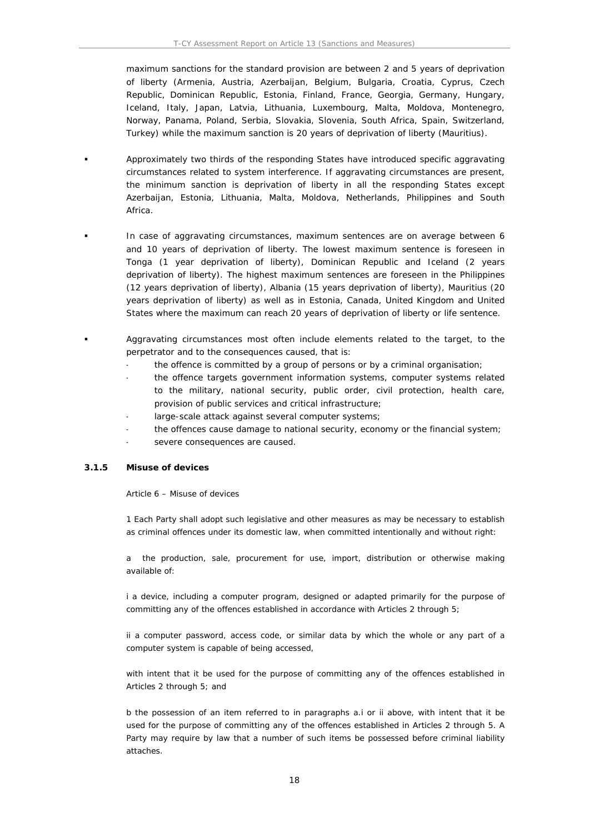maximum sanctions for the standard provision are between 2 and 5 years of deprivation of liberty (Armenia, Austria, Azerbaijan, Belgium, Bulgaria, Croatia, Cyprus, Czech Republic, Dominican Republic, Estonia, Finland, France, Georgia, Germany, Hungary, Iceland, Italy, Japan, Latvia, Lithuania, Luxembourg, Malta, Moldova, Montenegro, Norway, Panama, Poland, Serbia, Slovakia, Slovenia, South Africa, Spain, Switzerland, Turkey) while the maximum sanction is 20 years of deprivation of liberty (Mauritius).

- Approximately two thirds of the responding States have introduced specific aggravating circumstances related to system interference. If aggravating circumstances are present, the minimum sanction is deprivation of liberty in all the responding States except Azerbaijan, Estonia, Lithuania, Malta, Moldova, Netherlands, Philippines and South Africa.
- In case of aggravating circumstances, maximum sentences are on average between 6 and 10 years of deprivation of liberty. The lowest maximum sentence is foreseen in Tonga (1 year deprivation of liberty), Dominican Republic and Iceland (2 years deprivation of liberty). The highest maximum sentences are foreseen in the Philippines (12 years deprivation of liberty), Albania (15 years deprivation of liberty), Mauritius (20 years deprivation of liberty) as well as in Estonia, Canada, United Kingdom and United States where the maximum can reach 20 years of deprivation of liberty or life sentence.
- Aggravating circumstances most often include elements related to the target, to the perpetrator and to the consequences caused, that is:
	- the offence is committed by a group of persons or by a criminal organisation;
	- the offence targets government information systems, computer systems related to the military, national security, public order, civil protection, health care, provision of public services and critical infrastructure;
	- large-scale attack against several computer systems;
	- the offences cause damage to national security, economy or the financial system;
	- severe consequences are caused.

#### <span id="page-17-0"></span>**3.1.5 Misuse of devices**

#### Article 6 – Misuse of devices

1 Each Party shall adopt such legislative and other measures as may be necessary to establish as criminal offences under its domestic law, when committed intentionally and without right:

a the production, sale, procurement for use, import, distribution or otherwise making available of:

i a device, including a computer program, designed or adapted primarily for the purpose of committing any of the offences established in accordance with Articles 2 through 5;

ii a computer password, access code, or similar data by which the whole or any part of a computer system is capable of being accessed,

with intent that it be used for the purpose of committing any of the offences established in Articles 2 through 5; and

b the possession of an item referred to in paragraphs a.i or ii above, with intent that it be used for the purpose of committing any of the offences established in Articles 2 through 5. A Party may require by law that a number of such items be possessed before criminal liability attaches.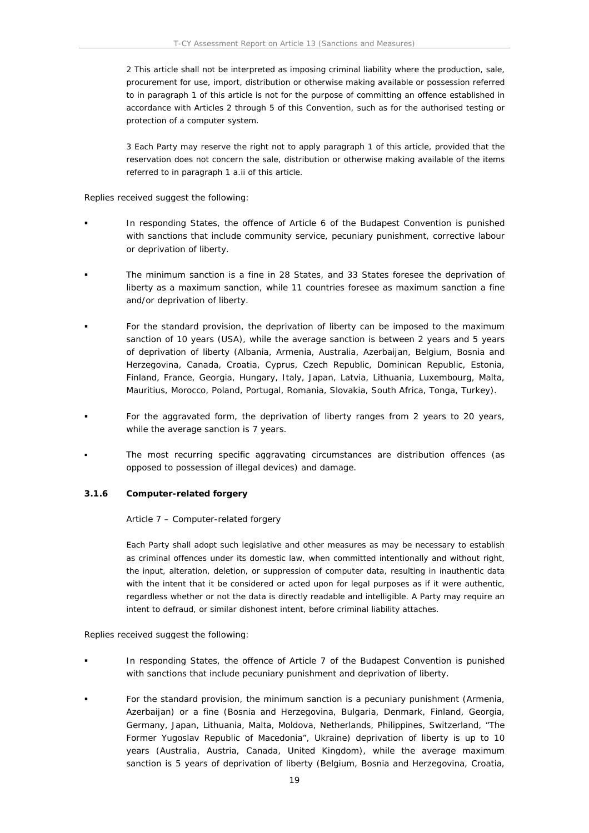2 This article shall not be interpreted as imposing criminal liability where the production, sale, procurement for use, import, distribution or otherwise making available or possession referred to in paragraph 1 of this article is not for the purpose of committing an offence established in accordance with Articles 2 through 5 of this Convention, such as for the authorised testing or protection of a computer system.

3 Each Party may reserve the right not to apply paragraph 1 of this article, provided that the reservation does not concern the sale, distribution or otherwise making available of the items referred to in paragraph 1 a.ii of this article.

Replies received suggest the following:

- In responding States, the offence of Article 6 of the Budapest Convention is punished with sanctions that include community service, pecuniary punishment, corrective labour or deprivation of liberty.
- The minimum sanction is a fine in 28 States, and 33 States foresee the deprivation of liberty as a maximum sanction, while 11 countries foresee as maximum sanction a fine and/or deprivation of liberty.
- For the standard provision, the deprivation of liberty can be imposed to the maximum sanction of 10 years (USA), while the average sanction is between 2 years and 5 years of deprivation of liberty (Albania, Armenia, Australia, Azerbaijan, Belgium, Bosnia and Herzegovina, Canada, Croatia, Cyprus, Czech Republic, Dominican Republic, Estonia, Finland, France, Georgia, Hungary, Italy, Japan, Latvia, Lithuania, Luxembourg, Malta, Mauritius, Morocco, Poland, Portugal, Romania, Slovakia, South Africa, Tonga, Turkey).
- For the aggravated form, the deprivation of liberty ranges from 2 years to 20 years, while the average sanction is 7 years.
- The most recurring specific aggravating circumstances are distribution offences (as opposed to possession of illegal devices) and damage.
- <span id="page-18-0"></span>**3.1.6 Computer-related forgery**

Article 7 – Computer-related forgery

Each Party shall adopt such legislative and other measures as may be necessary to establish as criminal offences under its domestic law, when committed intentionally and without right, the input, alteration, deletion, or suppression of computer data, resulting in inauthentic data with the intent that it be considered or acted upon for legal purposes as if it were authentic, regardless whether or not the data is directly readable and intelligible. A Party may require an intent to defraud, or similar dishonest intent, before criminal liability attaches.

Replies received suggest the following:

- In responding States, the offence of Article 7 of the Budapest Convention is punished with sanctions that include pecuniary punishment and deprivation of liberty.
- For the standard provision, the minimum sanction is a pecuniary punishment (Armenia, Azerbaijan) or a fine (Bosnia and Herzegovina, Bulgaria, Denmark, Finland, Georgia, Germany, Japan, Lithuania, Malta, Moldova, Netherlands, Philippines, Switzerland, "The Former Yugoslav Republic of Macedonia", Ukraine) deprivation of liberty is up to 10 years (Australia, Austria, Canada, United Kingdom), while the average maximum sanction is 5 years of deprivation of liberty (Belgium, Bosnia and Herzegovina, Croatia,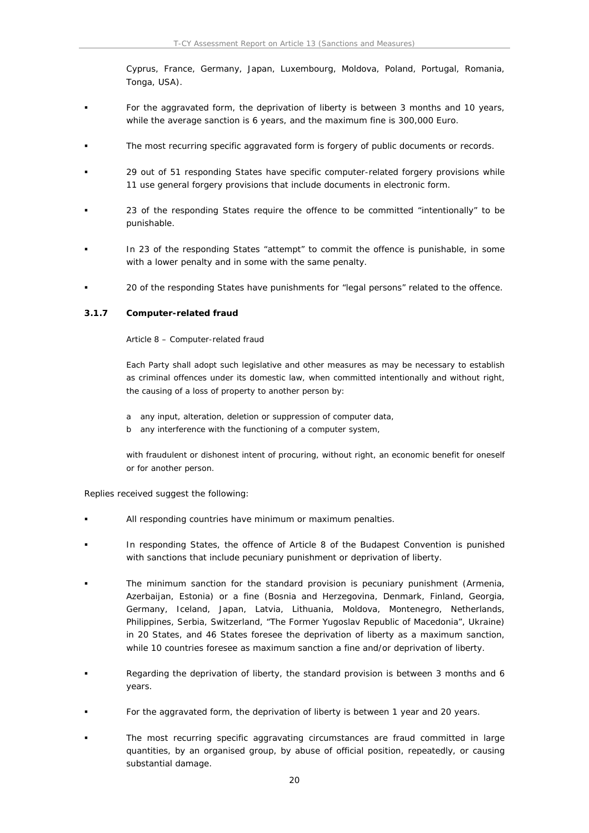Cyprus, France, Germany, Japan, Luxembourg, Moldova, Poland, Portugal, Romania, Tonga, USA).

- For the aggravated form, the deprivation of liberty is between 3 months and 10 years, while the average sanction is 6 years, and the maximum fine is 300,000 Euro.
- The most recurring specific aggravated form is forgery of public documents or records.
- 29 out of 51 responding States have specific computer-related forgery provisions while 11 use general forgery provisions that include documents in electronic form.
- 23 of the responding States require the offence to be committed "intentionally" to be punishable.
- In 23 of the responding States "attempt" to commit the offence is punishable, in some with a lower penalty and in some with the same penalty.
- 20 of the responding States have punishments for "legal persons" related to the offence.
- <span id="page-19-0"></span>**3.1.7 Computer-related fraud**

Article 8 – Computer-related fraud

Each Party shall adopt such legislative and other measures as may be necessary to establish as criminal offences under its domestic law, when committed intentionally and without right, the causing of a loss of property to another person by:

- a any input, alteration, deletion or suppression of computer data,
- b any interference with the functioning of a computer system,

with fraudulent or dishonest intent of procuring, without right, an economic benefit for oneself or for another person.

Replies received suggest the following:

- All responding countries have minimum or maximum penalties.
- In responding States, the offence of Article 8 of the Budapest Convention is punished with sanctions that include pecuniary punishment or deprivation of liberty.
- The minimum sanction for the standard provision is pecuniary punishment (Armenia, Azerbaijan, Estonia) or a fine (Bosnia and Herzegovina, Denmark, Finland, Georgia, Germany, Iceland, Japan, Latvia, Lithuania, Moldova, Montenegro, Netherlands, Philippines, Serbia, Switzerland, "The Former Yugoslav Republic of Macedonia", Ukraine) in 20 States, and 46 States foresee the deprivation of liberty as a maximum sanction, while 10 countries foresee as maximum sanction a fine and/or deprivation of liberty.
- Regarding the deprivation of liberty, the standard provision is between 3 months and 6 years.
- For the aggravated form, the deprivation of liberty is between 1 year and 20 years.
- The most recurring specific aggravating circumstances are fraud committed in large quantities, by an organised group, by abuse of official position, repeatedly, or causing substantial damage.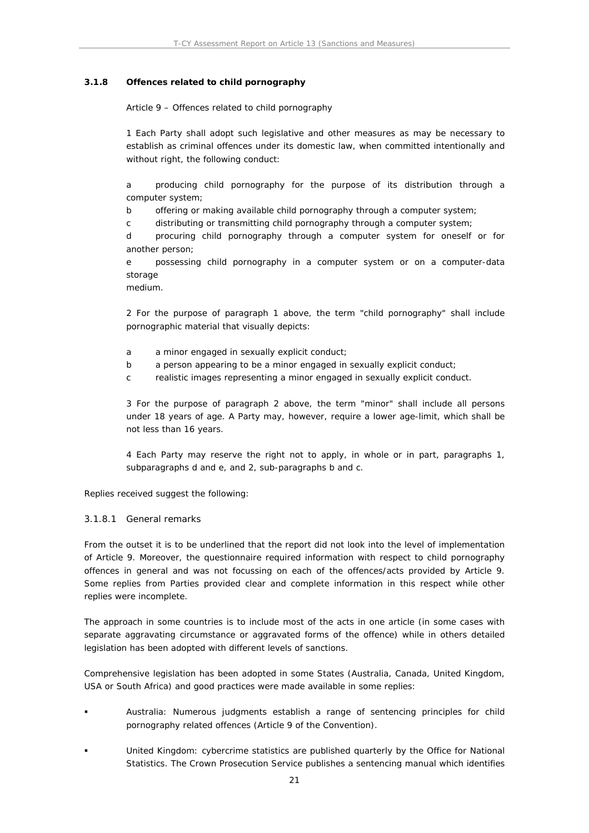#### <span id="page-20-0"></span>**3.1.8 Offences related to child pornography**

Article 9 – Offences related to child pornography

1 Each Party shall adopt such legislative and other measures as may be necessary to establish as criminal offences under its domestic law, when committed intentionally and without right, the following conduct:

a producing child pornography for the purpose of its distribution through a computer system;

b offering or making available child pornography through a computer system;

c distributing or transmitting child pornography through a computer system;

d procuring child pornography through a computer system for oneself or for another person;

e possessing child pornography in a computer system or on a computer-data storage

medium.

2 For the purpose of paragraph 1 above, the term "child pornography" shall include pornographic material that visually depicts:

- a a minor engaged in sexually explicit conduct;
- b a person appearing to be a minor engaged in sexually explicit conduct;
- c realistic images representing a minor engaged in sexually explicit conduct.

3 For the purpose of paragraph 2 above, the term "minor" shall include all persons under 18 years of age. A Party may, however, require a lower age-limit, which shall be not less than 16 years.

4 Each Party may reserve the right not to apply, in whole or in part, paragraphs 1, subparagraphs d and e, and 2, sub-paragraphs b and c.

Replies received suggest the following:

#### 3.1.8.1 General remarks

From the outset it is to be underlined that the report did not look into the level of implementation of Article 9. Moreover, the questionnaire required information with respect to child pornography offences in general and was not focussing on each of the offences/acts provided by Article 9. Some replies from Parties provided clear and complete information in this respect while other replies were incomplete.

The approach in some countries is to include most of the acts in one article (in some cases with separate aggravating circumstance or aggravated forms of the offence) while in others detailed legislation has been adopted with different levels of sanctions.

Comprehensive legislation has been adopted in some States (Australia, Canada, United Kingdom, USA or South Africa) and good practices were made available in some replies:

- Australia: Numerous judgments establish a range of sentencing principles for child pornography related offences (Article 9 of the Convention).
- United Kingdom: cybercrime statistics are published quarterly by the Office for National Statistics. The Crown Prosecution Service publishes a sentencing manual which identifies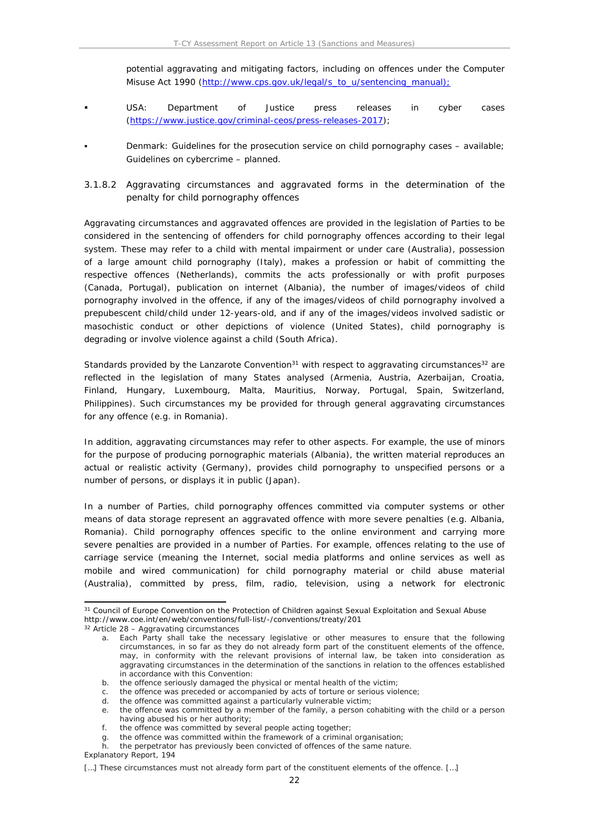potential aggravating and mitigating factors, including on offences under the Computer Misuse Act 1990 [\(http://www.cps.gov.uk/legal/s\\_to\\_u/sentencing\\_manual](http://www.cps.gov.uk/legal/s_to_u/sentencing_manual));

- USA: Department of Justice press releases in cyber cases [\(https://www.justice.gov/criminal-ceos/press-releases-2017](https://www.justice.gov/criminal-ceos/press-releases-2017));
- Denmark: Guidelines for the prosecution service on child pornography cases available; Guidelines on cybercrime – planned.
- 3.1.8.2 Aggravating circumstances and aggravated forms in the determination of the penalty for child pornography offences

Aggravating circumstances and aggravated offences are provided in the legislation of Parties to be considered in the sentencing of offenders for child pornography offences according to their legal system. These may refer to a child with mental impairment or under care (Australia), possession of a large amount child pornography (Italy), makes a profession or habit of committing the respective offences (Netherlands), commits the acts professionally or with profit purposes (Canada, Portugal), publication on internet (Albania), the number of images/videos of child pornography involved in the offence, if any of the images/videos of child pornography involved a prepubescent child/child under 12-years-old, and if any of the images/videos involved sadistic or masochistic conduct or other depictions of violence (United States), child pornography is degrading or involve violence against a child (South Africa).

Standards provided by the Lanzarote Convention<sup>31</sup> with respect to aggravating circumstances<sup>32</sup> are reflected in the legislation of many States analysed (Armenia, Austria, Azerbaijan, Croatia, Finland, Hungary, Luxembourg, Malta, Mauritius, Norway, Portugal, Spain, Switzerland, Philippines). Such circumstances my be provided for through general aggravating circumstances for any offence (e.g. in Romania).

In addition, aggravating circumstances may refer to other aspects. For example, the use of minors for the purpose of producing pornographic materials (Albania), the written material reproduces an actual or realistic activity (Germany), provides child pornography to unspecified persons or a number of persons, or displays it in public (Japan).

In a number of Parties, child pornography offences committed via computer systems or other means of data storage represent an aggravated offence with more severe penalties (e.g. Albania, Romania). Child pornography offences specific to the online environment and carrying more severe penalties are provided in a number of Parties. For example, offences relating to the use of carriage service (meaning the Internet, social media platforms and online services as well as mobile and wired communication) for child pornography material or child abuse material (Australia), committed by press, film, radio, television, using a network for electronic

<sup>&</sup>lt;sup>31</sup> Council of Europe Convention on the Protection of Children against Sexual Exploitation and Sexual Abuse http://www.coe.int/en/web/conventions/full-list/-/conventions/treaty/201

<sup>32</sup> Article 28 – Aggravating circumstances

Each Party shall take the necessary legislative or other measures to ensure that the following circumstances, in so far as they do not already form part of the constituent elements of the offence, may, in conformity with the relevant provisions of internal law, be taken into consideration as aggravating circumstances in the determination of the sanctions in relation to the offences established in accordance with this Convention:

b. the offence seriously damaged the physical or mental health of the victim;

c. the offence was preceded or accompanied by acts of torture or serious violence;

d. the offence was committed against a particularly vulnerable victim;

e. the offence was committed by a member of the family, a person cohabiting with the child or a person having abused his or her authority;

f. the offence was committed by several people acting together;

g. the offence was committed within the framework of a criminal organisation;

h. the perpetrator has previously been convicted of offences of the same nature.

Explanatory Report, 194

<sup>[...]</sup> These circumstances must not already form part of the constituent elements of the offence. [...]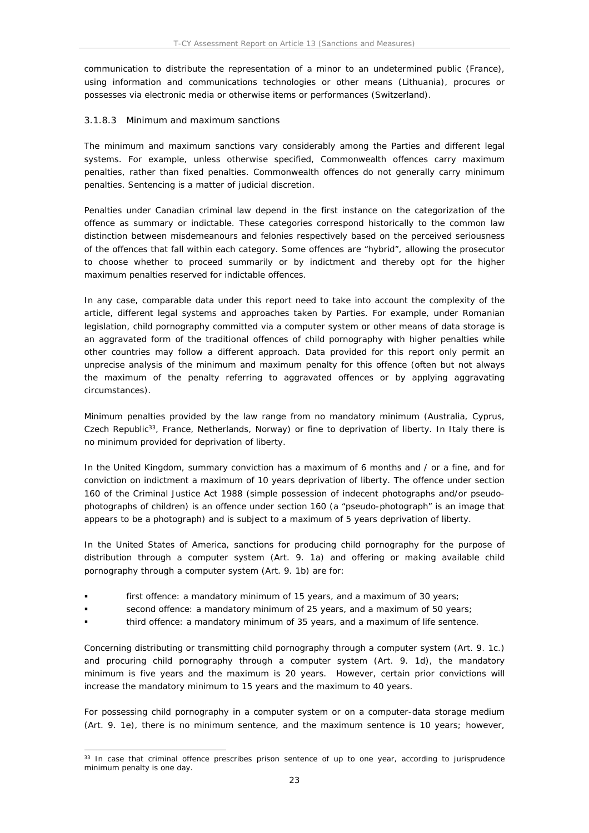communication to distribute the representation of a minor to an undetermined public (France), using information and communications technologies or other means (Lithuania), procures or possesses via electronic media or otherwise items or performances (Switzerland).

#### 3.1.8.3 Minimum and maximum sanctions

The minimum and maximum sanctions vary considerably among the Parties and different legal systems. For example, unless otherwise specified, Commonwealth offences carry maximum penalties, rather than fixed penalties. Commonwealth offences do not generally carry minimum penalties. Sentencing is a matter of judicial discretion.

Penalties under Canadian criminal law depend in the first instance on the categorization of the offence as summary or indictable. These categories correspond historically to the common law distinction between misdemeanours and felonies respectively based on the perceived seriousness of the offences that fall within each category. Some offences are "hybrid", allowing the prosecutor to choose whether to proceed summarily or by indictment and thereby opt for the higher maximum penalties reserved for indictable offences.

In any case, comparable data under this report need to take into account the complexity of the article, different legal systems and approaches taken by Parties. For example, under Romanian legislation, child pornography committed via a computer system or other means of data storage is an aggravated form of the traditional offences of child pornography with higher penalties while other countries may follow a different approach. Data provided for this report only permit an unprecise analysis of the minimum and maximum penalty for this offence (often but not always the maximum of the penalty referring to aggravated offences or by applying aggravating circumstances).

Minimum penalties provided by the law range from no mandatory minimum (Australia, Cyprus, Czech Republic<sup>33</sup>, France, Netherlands, Norway) or fine to deprivation of liberty. In Italy there is no minimum provided for deprivation of liberty.

In the United Kingdom, summary conviction has a maximum of 6 months and / or a fine, and for conviction on indictment a maximum of 10 years deprivation of liberty. The offence under section 160 of the Criminal Justice Act 1988 (simple possession of indecent photographs and/or pseudophotographs of children) is an offence under section 160 (a "pseudo-photograph" is an image that appears to be a photograph) and is subject to a maximum of 5 years deprivation of liberty.

In the United States of America, sanctions for producing child pornography for the purpose of distribution through a computer system (Art. 9. 1a) and offering or making available child pornography through a computer system (Art. 9. 1b) are for:

- first offence: a mandatory minimum of 15 years, and a maximum of 30 years;
- second offence: a mandatory minimum of 25 years, and a maximum of 50 years;
- third offence: a mandatory minimum of 35 years, and a maximum of life sentence.

Concerning distributing or transmitting child pornography through a computer system (Art. 9. 1c.) and procuring child pornography through a computer system (Art. 9. 1d), the mandatory minimum is five years and the maximum is 20 years. However, certain prior convictions will increase the mandatory minimum to 15 years and the maximum to 40 years.

For possessing child pornography in a computer system or on a computer-data storage medium (Art. 9. 1e), there is no minimum sentence, and the maximum sentence is 10 years; however,

<sup>&</sup>lt;sup>33</sup> In case that criminal offence prescribes prison sentence of up to one year, according to jurisprudence minimum penalty is one day.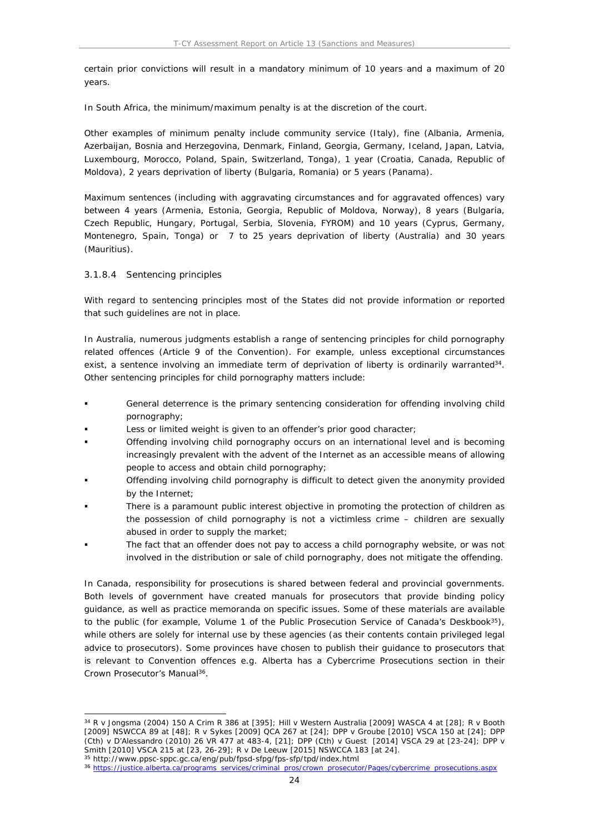certain prior convictions will result in a mandatory minimum of 10 years and a maximum of 20 years.

In South Africa, the minimum/maximum penalty is at the discretion of the court.

Other examples of minimum penalty include community service (Italy), fine (Albania, Armenia, Azerbaijan, Bosnia and Herzegovina, Denmark, Finland, Georgia, Germany, Iceland, Japan, Latvia, Luxembourg, Morocco, Poland, Spain, Switzerland, Tonga), 1 year (Croatia, Canada, Republic of Moldova), 2 years deprivation of liberty (Bulgaria, Romania) or 5 years (Panama).

Maximum sentences (including with aggravating circumstances and for aggravated offences) vary between 4 years (Armenia, Estonia, Georgia, Republic of Moldova, Norway), 8 years (Bulgaria, Czech Republic, Hungary, Portugal, Serbia, Slovenia, FYROM) and 10 years (Cyprus, Germany, Montenegro, Spain, Tonga) or 7 to 25 years deprivation of liberty (Australia) and 30 years (Mauritius).

#### 3.1.8.4 Sentencing principles

With regard to sentencing principles most of the States did not provide information or reported that such guidelines are not in place.

In Australia, numerous judgments establish a range of sentencing principles for child pornography related offences (Article 9 of the Convention). For example, unless exceptional circumstances exist, a sentence involving an immediate term of deprivation of liberty is ordinarily warranted<sup>34</sup>. Other sentencing principles for child pornography matters include:

- General deterrence is the primary sentencing consideration for offending involving child pornography;
- Less or limited weight is given to an offender's prior good character;
- Offending involving child pornography occurs on an international level and is becoming increasingly prevalent with the advent of the Internet as an accessible means of allowing people to access and obtain child pornography;
- Offending involving child pornography is difficult to detect given the anonymity provided by the Internet;
- There is a paramount public interest objective in promoting the protection of children as the possession of child pornography is not a victimless crime – children are sexually abused in order to supply the market;
- The fact that an offender does not pay to access a child pornography website, or was not involved in the distribution or sale of child pornography, does not mitigate the offending.

In Canada, responsibility for prosecutions is shared between federal and provincial governments. Both levels of government have created manuals for prosecutors that provide binding policy guidance, as well as practice memoranda on specific issues. Some of these materials are available to the public (for example, Volume 1 of the Public Prosecution Service of Canada's Deskbook<sup>35</sup>), while others are solely for internal use by these agencies (as their contents contain privileged legal advice to prosecutors). Some provinces have chosen to publish their guidance to prosecutors that is relevant to Convention offences e.g. Alberta has a Cybercrime Prosecutions section in their Crown Prosecutor's Manual<sup>36</sup>.

<sup>34</sup> *R v Jongsma* (2004) 150 A Crim R 386 at [395]; *Hill v Western Australia* [2009] WASCA 4 at [28]; *R v Booth* [2009] NSWCCA 89 at [48]; *R v Sykes* [2009] QCA 267 at [24]; *DPP v Groube* [2010] VSCA 150 at [24*]; DPP (Cth) v D'Alessandro* (2010) 26 VR 477 at 483-4, [21]; *DPP (Cth) v Guest* [2014] VSCA 29 at [23-24]; *DPP v Smith* [2010] VSCA 215 at [23, 26-29]; *R v De Leeuw* [2015] NSWCCA 183 [at 24].

<sup>35</sup> http://www.ppsc-sppc.gc.ca/eng/pub/fpsd-sfpg/fps-sfp/tpd/index.html

<sup>36</sup> [https://justice.alberta.ca/programs\\_services/criminal\\_pros/crown\\_prosecutor/Pages/cybercrime\\_prosecutions.aspx](https://justice.alberta.ca/programs_services/criminal_pros/crown_prosecutor/Pages/cybercrime_prosecutions.aspx)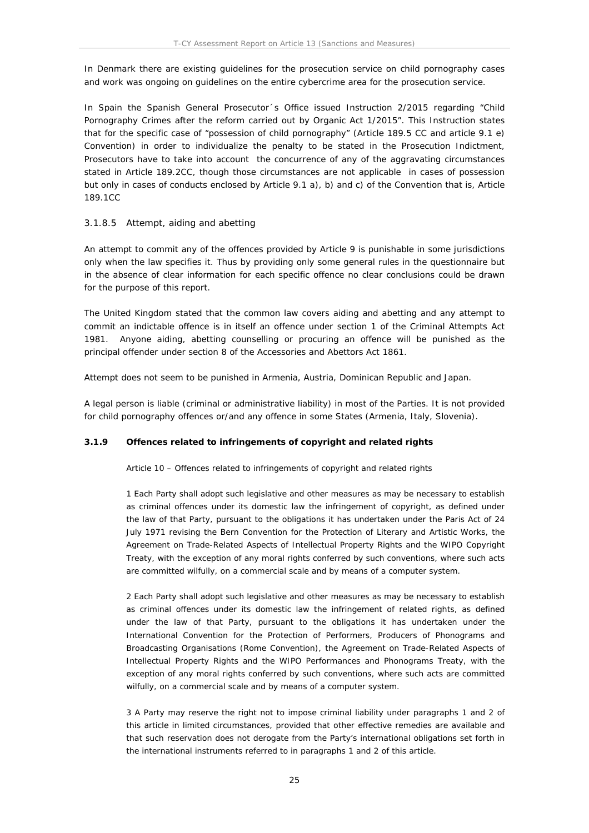In Denmark there are existing guidelines for the prosecution service on child pornography cases and work was ongoing on guidelines on the entire cybercrime area for the prosecution service.

In Spain the Spanish General Prosecutor´s Office issued Instruction 2/2015 regarding "Child Pornography Crimes after the reform carried out by Organic Act 1/2015". This Instruction states that for the specific case of "possession of child pornography" (Article 189.5 CC and article 9.1 e) Convention) in order to individualize the penalty to be stated in the Prosecution Indictment, Prosecutors have to take into account the concurrence of any of the aggravating circumstances stated in Article 189.2CC, though those circumstances are not applicable in cases of possession but only in cases of conducts enclosed by Article 9.1 a), b) and c) of the Convention that is, Article 189.1CC

#### 3.1.8.5 Attempt, aiding and abetting

An attempt to commit any of the offences provided by Article 9 is punishable in some jurisdictions only when the law specifies it. Thus by providing only some general rules in the questionnaire but in the absence of clear information for each specific offence no clear conclusions could be drawn for the purpose of this report.

The United Kingdom stated that the common law covers aiding and abetting and any attempt to commit an indictable offence is in itself an offence under section 1 of the Criminal Attempts Act 1981. Anyone aiding, abetting counselling or procuring an offence will be punished as the principal offender under section 8 of the Accessories and Abettors Act 1861.

Attempt does not seem to be punished in Armenia, Austria, Dominican Republic and Japan.

A legal person is liable (criminal or administrative liability) in most of the Parties. It is not provided for child pornography offences or/and any offence in some States (Armenia, Italy, Slovenia).

#### <span id="page-24-0"></span>**3.1.9 Offences related to infringements of copyright and related rights**

Article 10 – Offences related to infringements of copyright and related rights

1 Each Party shall adopt such legislative and other measures as may be necessary to establish as criminal offences under its domestic law the infringement of copyright, as defined under the law of that Party, pursuant to the obligations it has undertaken under the Paris Act of 24 July 1971 revising the Bern Convention for the Protection of Literary and Artistic Works, the Agreement on Trade-Related Aspects of Intellectual Property Rights and the WIPO Copyright Treaty, with the exception of any moral rights conferred by such conventions, where such acts are committed wilfully, on a commercial scale and by means of a computer system.

2 Each Party shall adopt such legislative and other measures as may be necessary to establish as criminal offences under its domestic law the infringement of related rights, as defined under the law of that Party, pursuant to the obligations it has undertaken under the International Convention for the Protection of Performers, Producers of Phonograms and Broadcasting Organisations (Rome Convention), the Agreement on Trade-Related Aspects of Intellectual Property Rights and the WIPO Performances and Phonograms Treaty, with the exception of any moral rights conferred by such conventions, where such acts are committed wilfully, on a commercial scale and by means of a computer system.

3 A Party may reserve the right not to impose criminal liability under paragraphs 1 and 2 of this article in limited circumstances, provided that other effective remedies are available and that such reservation does not derogate from the Party's international obligations set forth in the international instruments referred to in paragraphs 1 and 2 of this article.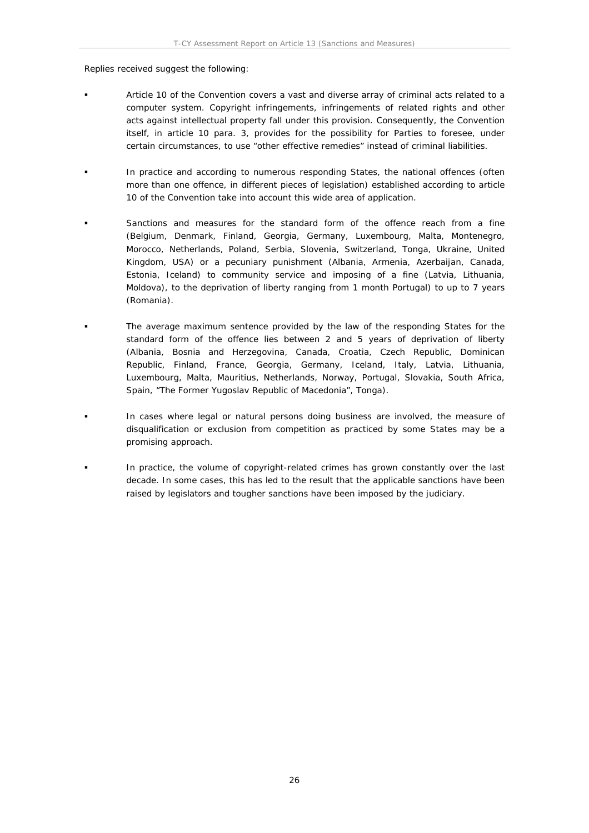Replies received suggest the following:

- Article 10 of the Convention covers a vast and diverse array of criminal acts related to a computer system. Copyright infringements, infringements of related rights and other acts against intellectual property fall under this provision. Consequently, the Convention itself, in article 10 para. 3, provides for the possibility for Parties to foresee, under certain circumstances, to use "other effective remedies" instead of criminal liabilities.
- In practice and according to numerous responding States, the national offences (often more than one offence, in different pieces of legislation) established according to article 10 of the Convention take into account this wide area of application.
- Sanctions and measures for the standard form of the offence reach from a fine (Belgium, Denmark, Finland, Georgia, Germany, Luxembourg, Malta, Montenegro, Morocco, Netherlands, Poland, Serbia, Slovenia, Switzerland, Tonga, Ukraine, United Kingdom, USA) or a pecuniary punishment (Albania, Armenia, Azerbaijan, Canada, Estonia, Iceland) to community service and imposing of a fine (Latvia, Lithuania, Moldova), to the deprivation of liberty ranging from 1 month Portugal) to up to 7 years (Romania).
- The average maximum sentence provided by the law of the responding States for the standard form of the offence lies between 2 and 5 years of deprivation of liberty (Albania, Bosnia and Herzegovina, Canada, Croatia, Czech Republic, Dominican Republic, Finland, France, Georgia, Germany, Iceland, Italy, Latvia, Lithuania, Luxembourg, Malta, Mauritius, Netherlands, Norway, Portugal, Slovakia, South Africa, Spain, "The Former Yugoslav Republic of Macedonia", Tonga).
- In cases where legal or natural persons doing business are involved, the measure of disqualification or exclusion from competition as practiced by some States may be a promising approach.
- In practice, the volume of copyright-related crimes has grown constantly over the last decade. In some cases, this has led to the result that the applicable sanctions have been raised by legislators and tougher sanctions have been imposed by the judiciary.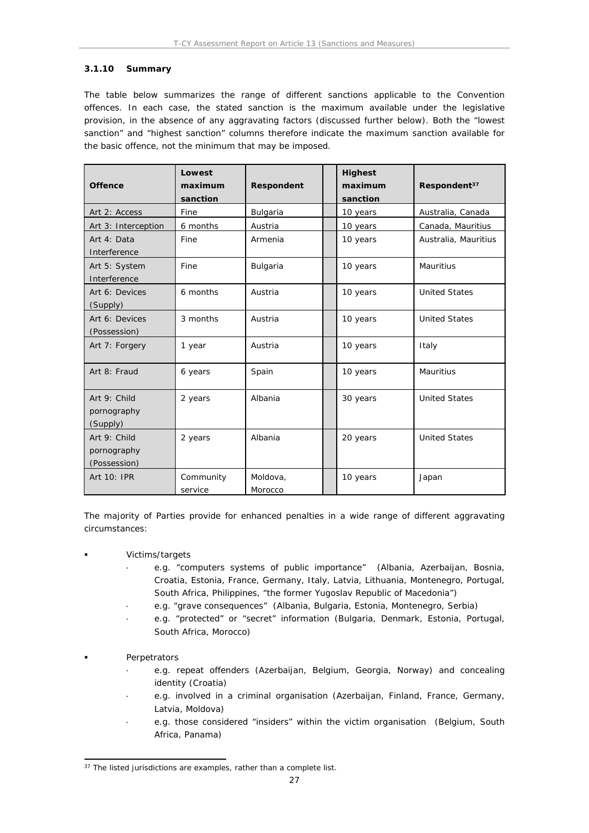#### <span id="page-26-0"></span>**3.1.10 Summary**

The table below summarizes the range of different sanctions applicable to the Convention offences. In each case, the stated sanction is the maximum available under the legislative provision, in the absence of any aggravating factors (discussed further below). Both the "lowest sanction" and "highest sanction" columns therefore indicate the maximum sanction available for the basic offence, *not* the minimum that may be imposed.

| Offence                                     | Lowest<br>maximum<br>sanction | Respondent          | Highest<br>maximum<br>sanction | Respondent <sup>37</sup> |
|---------------------------------------------|-------------------------------|---------------------|--------------------------------|--------------------------|
| Art 2: Access                               | Fine                          | Bulgaria            | 10 years                       | Australia, Canada        |
| Art 3: Interception                         | 6 months                      | Austria             | 10 years                       | Canada, Mauritius        |
| Art 4: Data<br>Interference                 | Fine                          | Armenia             | 10 years                       | Australia, Mauritius     |
| Art 5: System<br>Interference               | Fine                          | Bulgaria            | 10 years                       | Mauritius                |
| Art 6: Devices<br>(Supply)                  | 6 months                      | Austria             | 10 years                       | <b>United States</b>     |
| Art 6: Devices<br>(Possession)              | 3 months                      | Austria             | 10 years                       | <b>United States</b>     |
| Art 7: Forgery                              | 1 year                        | Austria             | 10 years                       | Italy                    |
| Art 8: Fraud                                | 6 years                       | Spain               | 10 years                       | Mauritius                |
| Art 9: Child<br>pornography<br>(Supply)     | 2 years                       | Albania             | 30 years                       | <b>United States</b>     |
| Art 9: Child<br>pornography<br>(Possession) | 2 years                       | Albania             | 20 years                       | <b>United States</b>     |
| Art 10: IPR                                 | Community<br>service          | Moldova,<br>Morocco | 10 years                       | Japan                    |

The majority of Parties provide for enhanced penalties in a wide range of different aggravating circumstances:

- Victims/targets
	- e.g. "computers systems of public importance" (Albania, Azerbaijan, Bosnia, Croatia, Estonia, France, Germany, Italy, Latvia, Lithuania, Montenegro, Portugal, South Africa, Philippines, "the former Yugoslav Republic of Macedonia")
	- e.g. "grave consequences" (Albania, Bulgaria, Estonia, Montenegro, Serbia)
	- e.g. "protected" or "secret" information (Bulgaria, Denmark, Estonia, Portugal, South Africa, Morocco)
- Perpetrators
	- e.g. repeat offenders (Azerbaijan, Belgium, Georgia, Norway) and concealing identity (Croatia)
	- e.g. involved in a criminal organisation (Azerbaijan, Finland, France, Germany, Latvia, Moldova)
	- e.g. those considered "insiders" within the victim organisation (Belgium, South Africa, Panama)

 $37$  The listed jurisdictions are examples, rather than a complete list.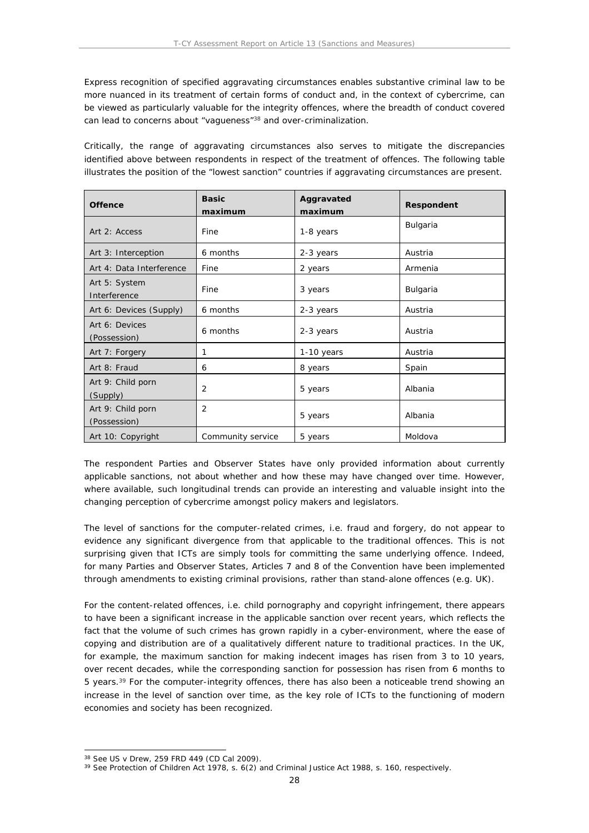Express recognition of specified aggravating circumstances enables substantive criminal law to be more nuanced in its treatment of certain forms of conduct and, in the context of cybercrime, can be viewed as particularly valuable for the integrity offences, where the breadth of conduct covered can lead to concerns about "vagueness"<sup>38</sup> and over-criminalization.

Critically, the range of aggravating circumstances also serves to mitigate the discrepancies identified above between respondents in respect of the treatment of offences. The following table illustrates the position of the "lowest sanction" countries if aggravating circumstances are present.

| Offence                           | <b>Basic</b><br>maximum | Aggravated<br>maximum | Respondent |
|-----------------------------------|-------------------------|-----------------------|------------|
| Art 2: Access                     | Fine                    | 1-8 years             | Bulgaria   |
| Art 3: Interception               | 6 months                | 2-3 years             | Austria    |
| Art 4: Data Interference          | Fine                    | 2 years               | Armenia    |
| Art 5: System<br>Interference     | Fine                    | 3 years               | Bulgaria   |
| Art 6: Devices (Supply)           | 6 months                | 2-3 years             | Austria    |
| Art 6: Devices<br>(Possession)    | 6 months                | 2-3 years             | Austria    |
| Art 7: Forgery                    | 1                       | 1-10 years            | Austria    |
| Art 8: Fraud                      | 6                       | 8 years               | Spain      |
| Art 9: Child porn<br>(Supply)     | 2                       | 5 years               | Albania    |
| Art 9: Child porn<br>(Possession) | $\overline{2}$          | 5 years               | Albania    |
| Art 10: Copyright                 | Community service       | 5 years               | Moldova    |

The respondent Parties and Observer States have only provided information about currently applicable sanctions, not about whether and how these may have changed over time. However, where available, such longitudinal trends can provide an interesting and valuable insight into the changing perception of cybercrime amongst policy makers and legislators.

The level of sanctions for the computer-related crimes, i.e. fraud and forgery, do not appear to evidence any significant divergence from that applicable to the traditional offences. This is not surprising given that ICTs are simply tools for committing the same underlying offence. Indeed, for many Parties and Observer States, Articles 7 and 8 of the Convention have been implemented through amendments to existing criminal provisions, rather than stand-alone offences (e.g. UK).

For the content-related offences, i.e. child pornography and copyright infringement, there appears to have been a significant increase in the applicable sanction over recent years, which reflects the fact that the volume of such crimes has grown rapidly in a cyber-environment, where the ease of copying and distribution are of a qualitatively different nature to traditional practices. In the UK, for example, the maximum sanction for making indecent images has risen from 3 to 10 years, over recent decades, while the corresponding sanction for possession has risen from 6 months to 5 years.<sup>39</sup> For the computer-integrity offences, there has also been a noticeable trend showing an increase in the level of sanction over time, as the key role of ICTs to the functioning of modern economies and society has been recognized.

<sup>38</sup> See *US v Drew*, 259 FRD 449 (CD Cal 2009).

<sup>&</sup>lt;sup>39</sup> See Protection of Children Act 1978, s. 6(2) and Criminal Justice Act 1988, s. 160, respectively.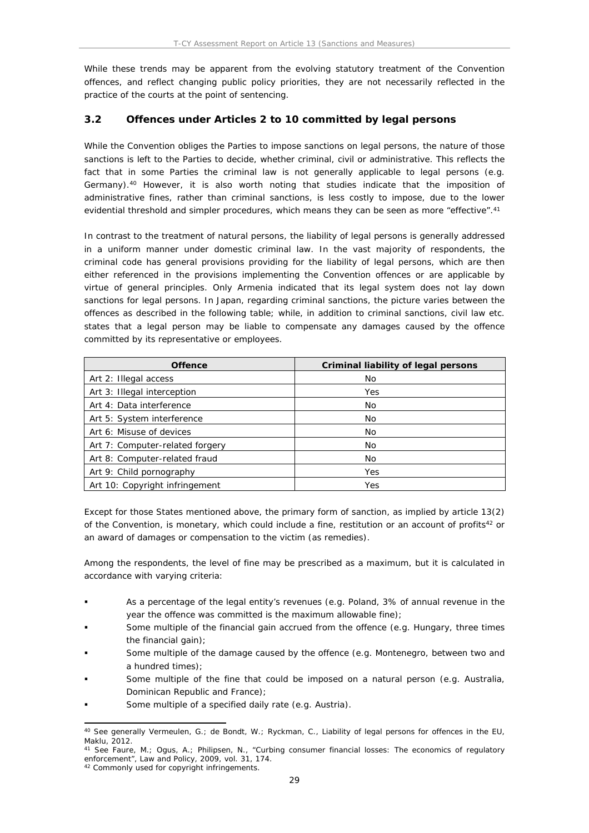While these trends may be apparent from the evolving statutory treatment of the Convention offences, and reflect changing public policy priorities, they are not necessarily reflected in the practice of the courts at the point of sentencing.

### <span id="page-28-0"></span>**3.2 Offences under Articles 2 to 10 committed by legal persons**

While the Convention obliges the Parties to impose sanctions on legal persons, the nature of those sanctions is left to the Parties to decide, whether criminal, civil or administrative. This reflects the fact that in some Parties the criminal law is not generally applicable to legal persons (e.g. Germany).<sup>40</sup> However, it is also worth noting that studies indicate that the imposition of administrative fines, rather than criminal sanctions, is less costly to impose, due to the lower evidential threshold and simpler procedures, which means they can be seen as more "effective".<sup>41</sup>

In contrast to the treatment of natural persons, the liability of legal persons is generally addressed in a uniform manner under domestic criminal law. In the vast majority of respondents, the criminal code has general provisions providing for the liability of legal persons, which are then either referenced in the provisions implementing the Convention offences or are applicable by virtue of general principles. Only Armenia indicated that its legal system does not lay down sanctions for legal persons. In Japan, regarding criminal sanctions, the picture varies between the offences as described in the following table; while, in addition to criminal sanctions, civil law etc. states that a legal person may be liable to compensate any damages caused by the offence committed by its representative or employees.

| Offence                         | Criminal liability of legal persons |
|---------------------------------|-------------------------------------|
| Art 2: Illegal access           | No                                  |
| Art 3: Illegal interception     | Yes                                 |
| Art 4: Data interference        | No                                  |
| Art 5: System interference      | No                                  |
| Art 6: Misuse of devices        | No                                  |
| Art 7: Computer-related forgery | No                                  |
| Art 8: Computer-related fraud   | No                                  |
| Art 9: Child pornography        | Yes                                 |
| Art 10: Copyright infringement  | Yes                                 |

Except for those States mentioned above, the primary form of sanction, as implied by article 13(2) of the Convention, is monetary, which could include a fine, restitution or an account of profits<sup>42</sup> or an award of damages or compensation to the victim (as remedies).

Among the respondents, the level of fine may be prescribed as a maximum, but it is calculated in accordance with varying criteria:

- As a percentage of the legal entity's revenues (e.g. Poland, 3% of annual revenue in the year the offence was committed is the maximum allowable fine);
- Some multiple of the financial gain accrued from the offence (e.g. Hungary, three times the financial gain);
- Some multiple of the damage caused by the offence (e.g. Montenegro, between two and a hundred times);
- Some multiple of the fine that could be imposed on a natural person (e.g. Australia, Dominican Republic and France);
- Some multiple of a specified daily rate (e.g. Austria).

<sup>40</sup> See generally Vermeulen, G.; de Bondt, W.; Ryckman, C., *Liability of legal persons for offences in the EU*, Maklu, 2012.

<sup>41</sup> See Faure, M.; Ogus, A.; Philipsen, N., "Curbing consumer financial losses: The economics of regulatory enforcement", *Law and Policy,* 2009, vol. 31, 174.

<sup>42</sup> Commonly used for copyright infringements.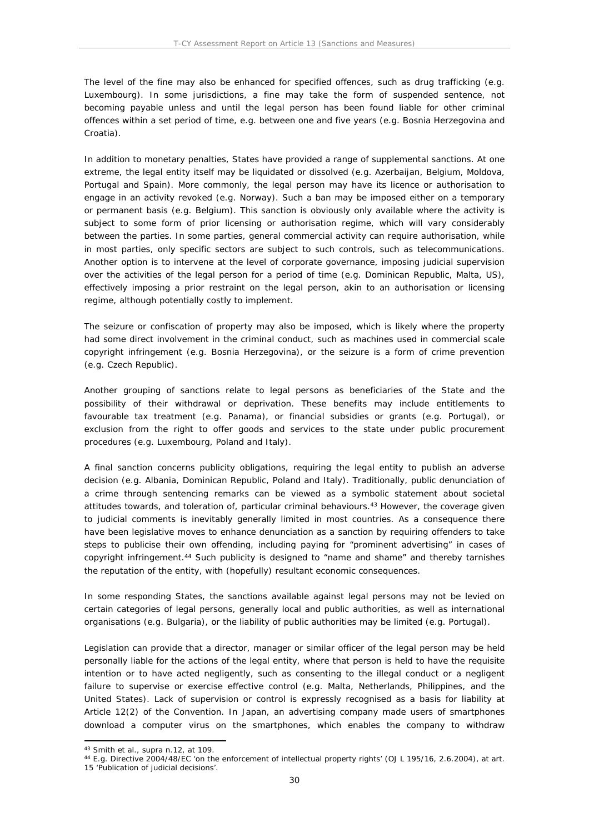The level of the fine may also be enhanced for specified offences, such as drug trafficking (e.g. Luxembourg). In some jurisdictions, a fine may take the form of suspended sentence, not becoming payable unless and until the legal person has been found liable for other criminal offences within a set period of time, e.g. between one and five years (e.g. Bosnia Herzegovina and Croatia).

In addition to monetary penalties, States have provided a range of supplemental sanctions. At one extreme, the legal entity itself may be liquidated or dissolved (e.g. Azerbaijan, Belgium, Moldova, Portugal and Spain). More commonly, the legal person may have its licence or authorisation to engage in an activity revoked (e.g. Norway). Such a ban may be imposed either on a temporary or permanent basis (e.g. Belgium). This sanction is obviously only available where the activity is subject to some form of prior licensing or authorisation regime, which will vary considerably between the parties. In some parties, general commercial activity can require authorisation, while in most parties, only specific sectors are subject to such controls, such as telecommunications. Another option is to intervene at the level of corporate governance, imposing judicial supervision over the activities of the legal person for a period of time (e.g. Dominican Republic, Malta, US), effectively imposing a prior restraint on the legal person, akin to an authorisation or licensing regime, although potentially costly to implement.

The seizure or confiscation of property may also be imposed, which is likely where the property had some direct involvement in the criminal conduct, such as machines used in commercial scale copyright infringement (e.g. Bosnia Herzegovina), or the seizure is a form of crime prevention (e.g. Czech Republic).

Another grouping of sanctions relate to legal persons as beneficiaries of the State and the possibility of their withdrawal or deprivation. These benefits may include entitlements to favourable tax treatment (e.g. Panama), or financial subsidies or grants (e.g. Portugal), or exclusion from the right to offer goods and services to the state under public procurement procedures (e.g. Luxembourg, Poland and Italy).

A final sanction concerns publicity obligations, requiring the legal entity to publish an adverse decision (e.g. Albania, Dominican Republic, Poland and Italy). Traditionally, public denunciation of a crime through sentencing remarks can be viewed as a symbolic statement about societal attitudes towards, and toleration of, particular criminal behaviours.<sup>43</sup> However, the coverage given to judicial comments is inevitably generally limited in most countries. As a consequence there have been legislative moves to enhance denunciation as a sanction by requiring offenders to take steps to publicise their own offending, including paying for "prominent advertising" in cases of copyright infringement.<sup>44</sup> Such publicity is designed to "name and shame" and thereby tarnishes the reputation of the entity, with (hopefully) resultant economic consequences.

In some responding States, the sanctions available against legal persons may not be levied on certain categories of legal persons, generally local and public authorities, as well as international organisations (e.g. Bulgaria), or the liability of public authorities may be limited (e.g. Portugal).

Legislation can provide that a director, manager or similar officer of the legal person may be held personally liable for the actions of the legal entity, where that person is held to have the requisite intention or to have acted negligently, such as consenting to the illegal conduct or a negligent failure to supervise or exercise effective control (e.g. Malta, Netherlands, Philippines, and the United States). Lack of supervision or control is expressly recognised as a basis for liability at Article 12(2) of the Convention. In Japan, an advertising company made users of smartphones download a computer virus on the smartphones, which enables the company to withdraw

<sup>43</sup> Smith et al., supra n.12, at 109.

<sup>44</sup> E.g. Directive 2004/48/EC 'on the enforcement of intellectual property rights' (OJ L 195/16, 2.6.2004), at art. 15 'Publication of judicial decisions'.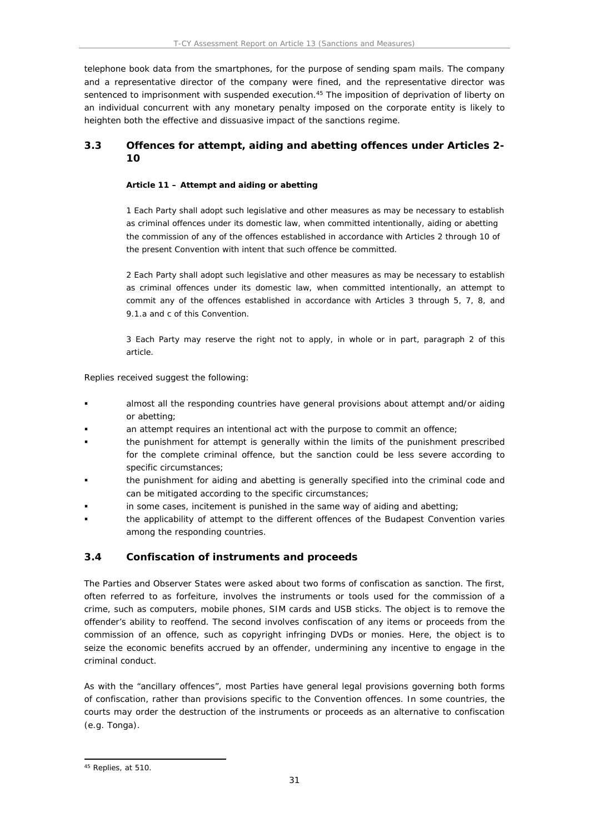telephone book data from the smartphones, for the purpose of sending spam mails. The company and a representative director of the company were fined, and the representative director was sentenced to imprisonment with suspended execution.<sup>45</sup> The imposition of deprivation of liberty on an individual concurrent with any monetary penalty imposed on the corporate entity is likely to heighten both the effective and dissuasive impact of the sanctions regime.

# <span id="page-30-0"></span>**3.3 Offences for attempt, aiding and abetting offences under Articles 2- 10**

**Article 11 – Attempt and aiding or abetting**

1 Each Party shall adopt such legislative and other measures as may be necessary to establish as criminal offences under its domestic law, when committed intentionally, aiding or abetting the commission of any of the offences established in accordance with Articles 2 through 10 of the present Convention with intent that such offence be committed.

2 Each Party shall adopt such legislative and other measures as may be necessary to establish as criminal offences under its domestic law, when committed intentionally, an attempt to commit any of the offences established in accordance with Articles 3 through 5, 7, 8, and 9.1.a and c of this Convention.

3 Each Party may reserve the right not to apply, in whole or in part, paragraph 2 of this article.

Replies received suggest the following:

- almost all the responding countries have general provisions about attempt and/or aiding or abetting;
- an attempt requires an intentional act with the purpose to commit an offence;
- the punishment for attempt is generally within the limits of the punishment prescribed for the complete criminal offence, but the sanction could be less severe according to specific circumstances;
- the punishment for aiding and abetting is generally specified into the criminal code and can be mitigated according to the specific circumstances;
- in some cases, incitement is punished in the same way of aiding and abetting;
- the applicability of attempt to the different offences of the Budapest Convention varies among the responding countries.

### <span id="page-30-1"></span>**3.4 Confiscation of instruments and proceeds**

The Parties and Observer States were asked about two forms of confiscation as sanction. The first, often referred to as forfeiture, involves the instruments or tools used for the commission of a crime, such as computers, mobile phones, SIM cards and USB sticks. The object is to remove the offender's ability to reoffend. The second involves confiscation of any items or proceeds from the commission of an offence, such as copyright infringing DVDs or monies. Here, the object is to seize the economic benefits accrued by an offender, undermining any incentive to engage in the criminal conduct.

As with the "ancillary offences", most Parties have general legal provisions governing both forms of confiscation, rather than provisions specific to the Convention offences. In some countries, the courts may order the destruction of the instruments or proceeds as an alternative to confiscation (e.g. Tonga).

<sup>45</sup> Replies, at 510.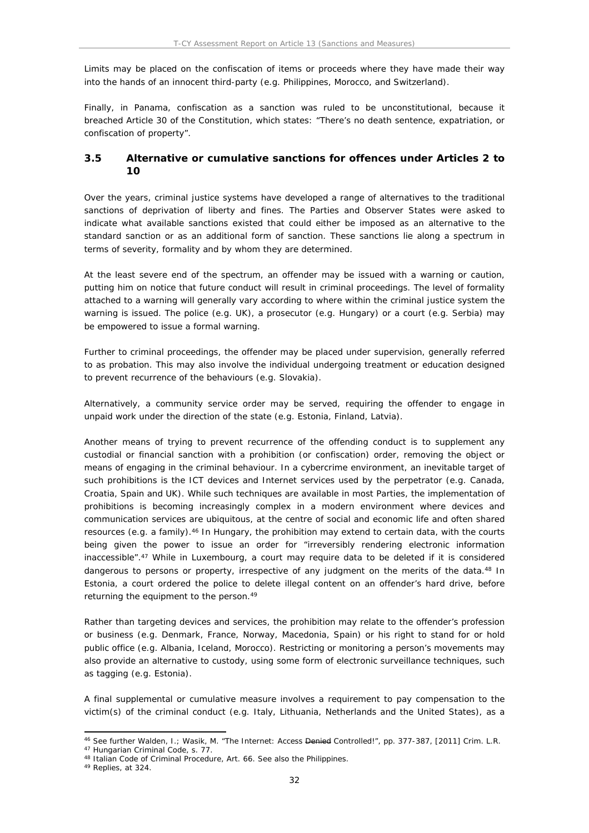Limits may be placed on the confiscation of items or proceeds where they have made their way into the hands of an innocent third-party (e.g. Philippines, Morocco, and Switzerland).

Finally, in Panama, confiscation as a sanction was ruled to be unconstitutional, because it breached Article 30 of the Constitution, which states: "There's no death sentence, expatriation, or confiscation of property".

### <span id="page-31-0"></span>**3.5 Alternative or cumulative sanctions for offences under Articles 2 to 10**

Over the years, criminal justice systems have developed a range of alternatives to the traditional sanctions of deprivation of liberty and fines. The Parties and Observer States were asked to indicate what available sanctions existed that could either be imposed as an alternative to the standard sanction or as an additional form of sanction. These sanctions lie along a spectrum in terms of severity, formality and by whom they are determined.

At the least severe end of the spectrum, an offender may be issued with a warning or caution, putting him on notice that future conduct will result in criminal proceedings. The level of formality attached to a warning will generally vary according to where within the criminal justice system the warning is issued. The police (e.g. UK), a prosecutor (e.g. Hungary) or a court (e.g. Serbia) may be empowered to issue a formal warning.

Further to criminal proceedings, the offender may be placed under supervision, generally referred to as probation. This may also involve the individual undergoing treatment or education designed to prevent recurrence of the behaviours (e.g. Slovakia).

Alternatively, a community service order may be served, requiring the offender to engage in unpaid work under the direction of the state (e.g. Estonia, Finland, Latvia).

Another means of trying to prevent recurrence of the offending conduct is to supplement any custodial or financial sanction with a prohibition (or confiscation) order, removing the object or means of engaging in the criminal behaviour. In a cybercrime environment, an inevitable target of such prohibitions is the ICT devices and Internet services used by the perpetrator (e.g. Canada, Croatia, Spain and UK). While such techniques are available in most Parties, the implementation of prohibitions is becoming increasingly complex in a modern environment where devices and communication services are ubiquitous, at the centre of social and economic life and often shared resources (e.g. a family).<sup>46</sup> In Hungary, the prohibition may extend to certain data, with the courts being given the power to issue an order for "irreversibly rendering electronic information inaccessible".<sup>47</sup> While in Luxembourg, a court may require data to be deleted if it is considered dangerous to persons or property, irrespective of any judgment on the merits of the data.<sup>48</sup> In Estonia, a court ordered the police to delete illegal content on an offender's hard drive, before returning the equipment to the person.<sup>49</sup>

Rather than targeting devices and services, the prohibition may relate to the offender's profession or business (e.g. Denmark, France, Norway, Macedonia, Spain) or his right to stand for or hold public office (e.g. Albania, Iceland, Morocco). Restricting or monitoring a person's movements may also provide an alternative to custody, using some form of electronic surveillance techniques, such as tagging (e.g. Estonia).

A final supplemental or cumulative measure involves a requirement to pay compensation to the victim(s) of the criminal conduct (e.g. Italy, Lithuania, Netherlands and the United States), as a

<sup>46</sup> See further Walden, I.; Wasik, M. "The Internet: Access Denied Controlled!", pp. 377-387, [2011] *Crim. L.R.*

<sup>47</sup> Hungarian Criminal Code, s. 77.

<sup>48</sup> Italian Code of Criminal Procedure, Art. 66. See also the Philippines.

<sup>49</sup> Replies, at 324.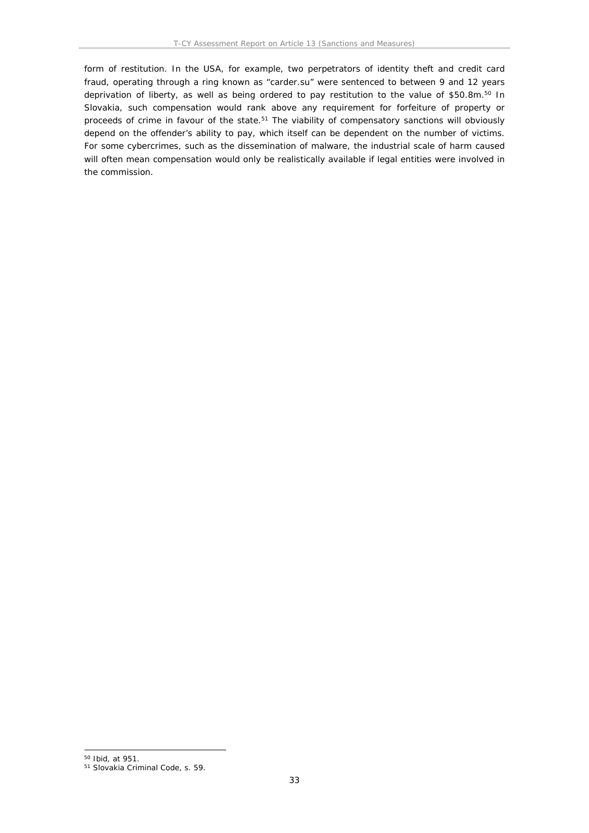form of restitution. In the USA, for example, two perpetrators of identity theft and credit card fraud, operating through a ring known as "carder.su" were sentenced to between 9 and 12 years deprivation of liberty, as well as being ordered to pay restitution to the value of \$50.8m.<sup>50</sup> In Slovakia, such compensation would rank above any requirement for forfeiture of property or proceeds of crime in favour of the state.<sup>51</sup> The viability of compensatory sanctions will obviously depend on the offender's ability to pay, which itself can be dependent on the number of victims. For some cybercrimes, such as the dissemination of malware, the industrial scale of harm caused will often mean compensation would only be realistically available if legal entities were involved in the commission.

<sup>50</sup> Ibid, at 951.

<sup>51</sup> Slovakia Criminal Code, s. 59.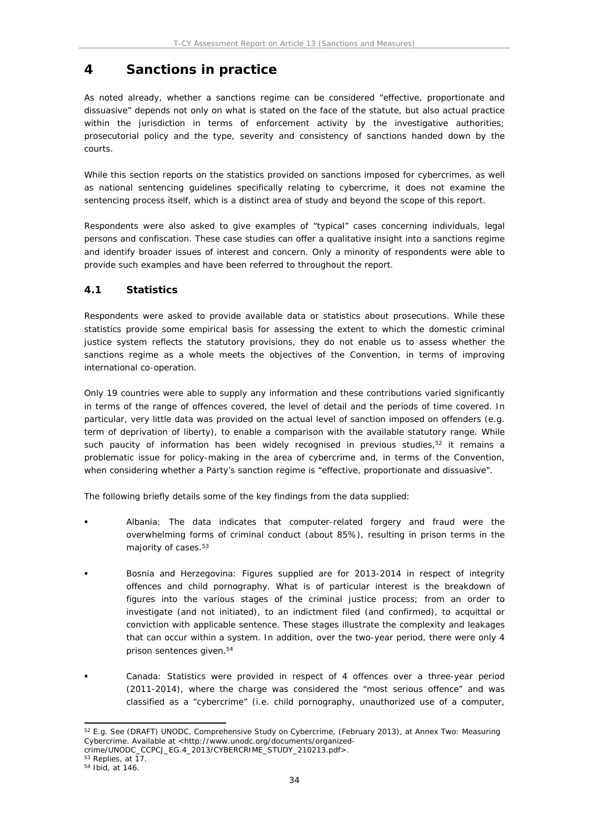# <span id="page-33-0"></span>**4 Sanctions in practice**

As noted already, whether a sanctions regime can be considered "effective, proportionate and dissuasive" depends not only on what is stated on the face of the statute, but also actual practice within the jurisdiction in terms of enforcement activity by the investigative authorities; prosecutorial policy and the type, severity and consistency of sanctions handed down by the courts.

While this section reports on the statistics provided on sanctions imposed for cybercrimes, as well as national sentencing guidelines specifically relating to cybercrime, it does not examine the sentencing process itself, which is a distinct area of study and beyond the scope of this report.

Respondents were also asked to give examples of "typical" cases concerning individuals, legal persons and confiscation. These case studies can offer a qualitative insight into a sanctions regime and identify broader issues of interest and concern. Only a minority of respondents were able to provide such examples and have been referred to throughout the report.

# <span id="page-33-1"></span>**4.1 Statistics**

Respondents were asked to provide available data or statistics about prosecutions. While these statistics provide some empirical basis for assessing the extent to which the domestic criminal justice system reflects the statutory provisions, they do not enable us to assess whether the sanctions regime as a whole meets the objectives of the Convention, in terms of improving international co-operation.

Only 19 countries were able to supply any information and these contributions varied significantly in terms of the range of offences covered, the level of detail and the periods of time covered. In particular, very little data was provided on the actual level of sanction imposed on offenders (e.g. term of deprivation of liberty), to enable a comparison with the available statutory range. While such paucity of information has been widely recognised in previous studies, $52$  it remains a problematic issue for policy-making in the area of cybercrime and, in terms of the Convention, when considering whether a Party's sanction regime is "effective, proportionate and dissuasive".

The following briefly details some of the key findings from the data supplied:

- *Albania*: The data indicates that computer-related forgery and fraud were the overwhelming forms of criminal conduct (about 85%), resulting in prison terms in the majority of cases.<sup>53</sup>
- *Bosnia and Herzegovina*: Figures supplied are for 2013-2014 in respect of integrity offences and child pornography. What is of particular interest is the breakdown of figures into the various stages of the criminal justice process; from an order to investigate (and not initiated), to an indictment filed (and confirmed), to acquittal or conviction with applicable sentence. These stages illustrate the complexity and leakages that can occur within a system. In addition, over the two-year period, there were only 4 prison sentences given.<sup>54</sup>
- *Canada*: Statistics were provided in respect of 4 offences over a three-year period (2011-2014), where the charge was considered the "most serious offence" and was classified as a "cybercrime" (i.e. child pornography, unauthorized use of a computer,

<sup>52</sup> E.g. See (DRAFT) UNODC, *Comprehensive Study on Cybercrime*, (February 2013), at Annex Two: Measuring Cybercrime. Available at <http://www.unodc.org/documents/organized-

crime/UNODC\_CCPCJ\_EG.4\_2013/CYBERCRIME\_STUDY\_210213.pdf>.

<sup>53</sup> Replies, at 17.

<sup>54</sup> Ibid, at 146.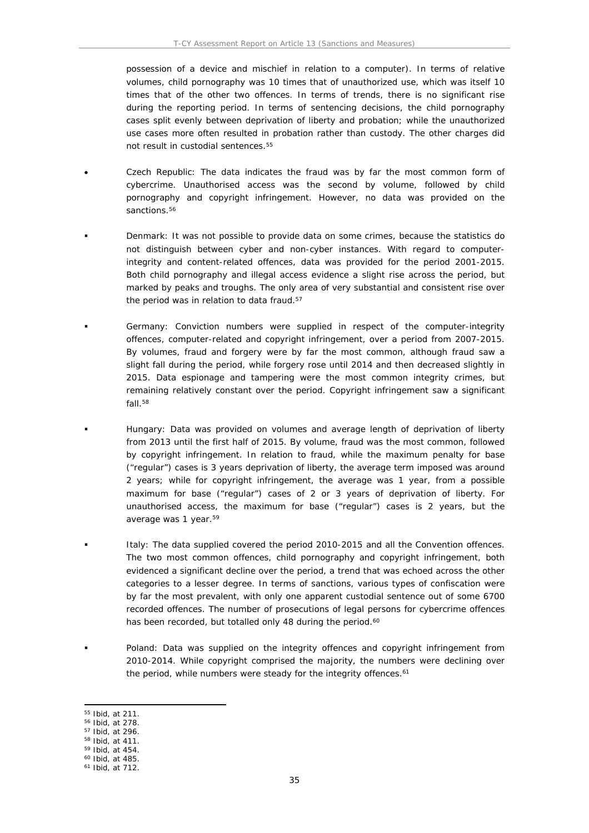possession of a device and mischief in relation to a computer). In terms of relative volumes, child pornography was 10 times that of unauthorized use, which was itself 10 times that of the other two offences. In terms of trends, there is no significant rise during the reporting period. In terms of sentencing decisions, the child pornography cases split evenly between deprivation of liberty and probation; while the unauthorized use cases more often resulted in probation rather than custody. The other charges did not result in custodial sentences.<sup>55</sup>

- *C*z*ech Republic*: The data indicates the fraud was by far the most common form of cybercrime. Unauthorised access was the second by volume, followed by child pornography and copyright infringement. However, no data was provided on the sanctions.<sup>56</sup>
- *Denmark*: It was not possible to provide data on some crimes, because the statistics do not distinguish between cyber and non-cyber instances. With regard to computerintegrity and content-related offences, data was provided for the period 2001-2015. Both child pornography and illegal access evidence a slight rise across the period, but marked by peaks and troughs. The only area of very substantial and consistent rise over the period was in relation to data fraud.<sup>57</sup>
- *Germany*: Conviction numbers were supplied in respect of the computer-integrity offences, computer-related and copyright infringement, over a period from 2007-2015. By volumes, fraud and forgery were by far the most common, although fraud saw a slight fall during the period, while forgery rose until 2014 and then decreased slightly in 2015. Data espionage and tampering were the most common integrity crimes, but remaining relatively constant over the period. Copyright infringement saw a significant fall.<sup>58</sup>
- *Hungary*: Data was provided on volumes and average length of deprivation of liberty from 2013 until the first half of 2015. By volume, fraud was the most common, followed by copyright infringement. In relation to fraud, while the maximum penalty for base ("regular") cases is 3 years deprivation of liberty, the average term imposed was around 2 years; while for copyright infringement, the average was 1 year, from a possible maximum for base ("regular") cases of 2 or 3 years of deprivation of liberty. For unauthorised access, the maximum for base ("regular") cases is 2 years, but the average was 1 year.<sup>59</sup>
- *Italy*: The data supplied covered the period 2010-2015 and all the Convention offences. The two most common offences, child pornography and copyright infringement, both evidenced a significant decline over the period, a trend that was echoed across the other categories to a lesser degree. In terms of sanctions, various types of confiscation were by far the most prevalent, with only one apparent custodial sentence out of some 6700 recorded offences. The number of prosecutions of legal persons for cybercrime offences has been recorded, but totalled only 48 during the period.<sup>60</sup>
- *Poland*: Data was supplied on the integrity offences and copyright infringement from 2010-2014. While copyright comprised the majority, the numbers were declining over the period, while numbers were steady for the integrity offences.<sup>61</sup>

<sup>55</sup> Ibid, at 211.

<sup>56</sup> Ibid, at 278.

<sup>57</sup> Ibid, at 296.

<sup>58</sup> Ibid, at 411.

<sup>59</sup> Ibid, at 454. <sup>60</sup> Ibid, at 485.

<sup>61</sup> Ibid, at 712.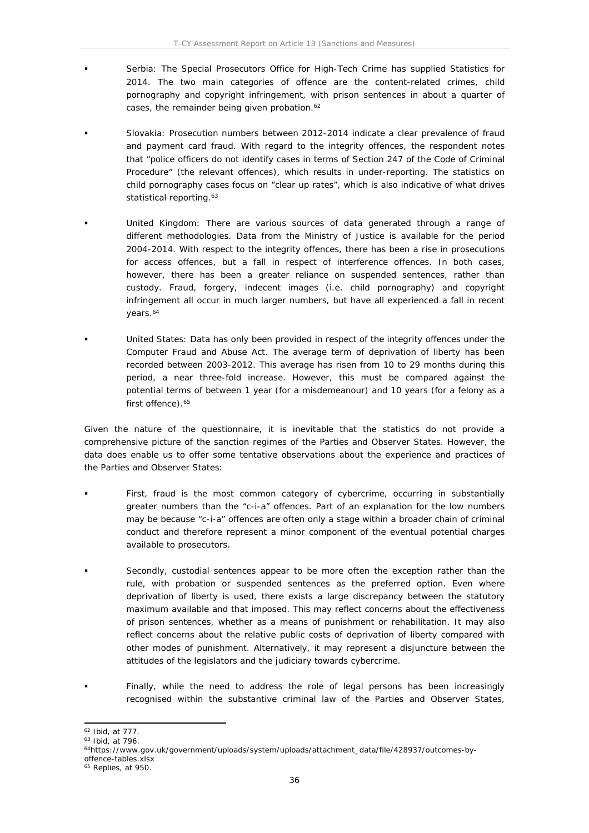- *Serbia*: The Special Prosecutors Office for High-Tech Crime has supplied Statistics for 2014. The two main categories of offence are the content-related crimes, child pornography and copyright infringement, with prison sentences in about a quarter of cases, the remainder being given probation.<sup>62</sup>
- *Slovakia*: Prosecution numbers between 2012-2014 indicate a clear prevalence of fraud and payment card fraud. With regard to the integrity offences, the respondent notes that "police officers do not identify cases in terms of Section 247 of the Code of Criminal Procedure" (the relevant offences), which results in under-reporting. The statistics on child pornography cases focus on "clear up rates", which is also indicative of what drives statistical reporting.<sup>63</sup>
- *United Kingdom*: There are various sources of data generated through a range of different methodologies. Data from the Ministry of Justice is available for the period 2004-2014. With respect to the integrity offences, there has been a rise in prosecutions for access offences, but a fall in respect of interference offences. In both cases, however, there has been a greater reliance on suspended sentences, rather than custody. Fraud, forgery, indecent images (i.e. child pornography) and copyright infringement all occur in much larger numbers, but have all experienced a fall in recent years.<sup>64</sup>
- *United States*: Data has only been provided in respect of the integrity offences under the Computer Fraud and Abuse Act. The average term of deprivation of liberty has been recorded between 2003-2012. This average has risen from 10 to 29 months during this period, a near three-fold increase. However, this must be compared against the potential terms of between 1 year (for a misdemeanour) and 10 years (for a felony as a first offence).<sup>65</sup>

Given the nature of the questionnaire, it is inevitable that the statistics do not provide a comprehensive picture of the sanction regimes of the Parties and Observer States. However, the data does enable us to offer some tentative observations about the experience and practices of the Parties and Observer States:

- First, fraud is the most common category of cybercrime, occurring in substantially greater numbers than the "c-i-a" offences. Part of an explanation for the low numbers may be because "c-i-a" offences are often only a stage within a broader chain of criminal conduct and therefore represent a minor component of the eventual potential charges available to prosecutors.
- Secondly, custodial sentences appear to be more often the exception rather than the rule, with probation or suspended sentences as the preferred option. Even where deprivation of liberty is used, there exists a large discrepancy between the statutory maximum available and that imposed. This may reflect concerns about the effectiveness of prison sentences, whether as a means of punishment or rehabilitation. It may also reflect concerns about the relative public costs of deprivation of liberty compared with other modes of punishment. Alternatively, it may represent a disjuncture between the attitudes of the legislators and the judiciary towards cybercrime.
- Finally, while the need to address the role of legal persons has been increasingly recognised within the substantive criminal law of the Parties and Observer States,

<sup>62</sup> Ibid, at 777.

<sup>63</sup> Ibid, at 796.

<sup>64</sup>[https://www.gov.uk/government/uploads/system/uploads/attachment\\_data/file/428937/outcomes-by](https://www.gov.uk/government/uploads/system/uploads/attachment_data/file/428937/outcomes-by-offence-tables.xlsx)[offence-tables.xlsx](https://www.gov.uk/government/uploads/system/uploads/attachment_data/file/428937/outcomes-by-offence-tables.xlsx)

<sup>65</sup> Replies, at 950.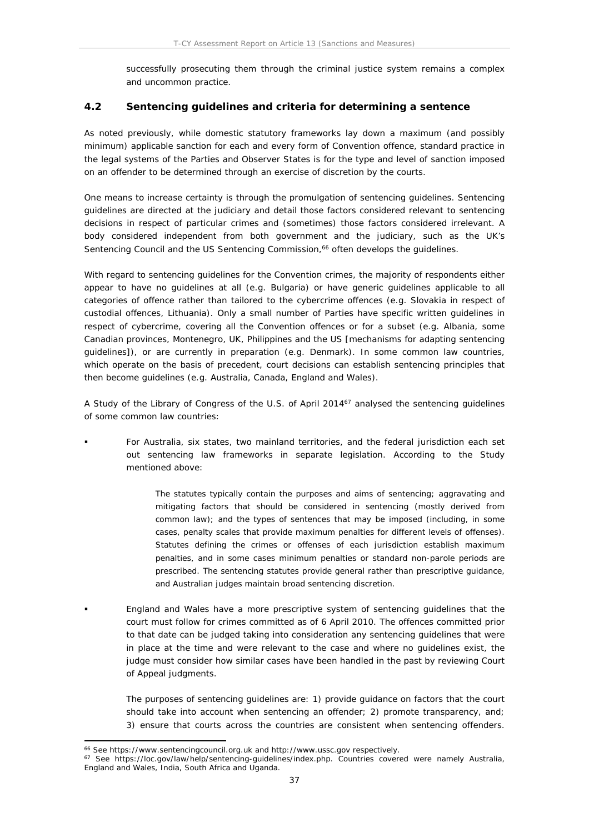successfully prosecuting them through the criminal justice system remains a complex and uncommon practice.

### **4.2 Sentencing guidelines and criteria for determining a sentence**

As noted previously, while domestic statutory frameworks lay down a maximum (and possibly minimum) applicable sanction for each and every form of Convention offence, standard practice in the legal systems of the Parties and Observer States is for the type and level of sanction imposed on an offender to be determined through an exercise of discretion by the courts.

One means to increase certainty is through the promulgation of sentencing guidelines. Sentencing guidelines are directed at the judiciary and detail those factors considered relevant to sentencing decisions in respect of particular crimes and (sometimes) those factors considered irrelevant. A body considered independent from both government and the judiciary, such as the UK's Sentencing Council and the US Sentencing Commission,<sup>66</sup> often develops the guidelines.

With regard to sentencing guidelines for the Convention crimes, the majority of respondents either appear to have no guidelines at all (e.g. Bulgaria) or have generic guidelines applicable to all categories of offence rather than tailored to the cybercrime offences (e.g. Slovakia in respect of custodial offences, Lithuania). Only a small number of Parties have specific written guidelines in respect of cybercrime, covering all the Convention offences or for a subset (e.g. Albania, some Canadian provinces, Montenegro, UK, Philippines and the US [mechanisms for adapting sentencing guidelines]), or are currently in preparation (e.g. Denmark). In some common law countries, which operate on the basis of precedent, court decisions can establish sentencing principles that then become guidelines (e.g. Australia, Canada, England and Wales).

A Study of the Library of Congress of the U.S. of April 2014<sup>67</sup> analysed the sentencing guidelines of some common law countries:

 For Australia, six states, two mainland territories, and the federal jurisdiction each set out sentencing law frameworks in separate legislation. According to the Study mentioned above:

> The statutes typically contain the purposes and aims of sentencing; aggravating and mitigating factors that should be considered in sentencing (mostly derived from common law); and the types of sentences that may be imposed (including, in some cases, penalty scales that provide maximum penalties for different levels of offenses). Statutes defining the crimes or offenses of each jurisdiction establish maximum penalties, and in some cases minimum penalties or standard non-parole periods are prescribed. The sentencing statutes provide general rather than prescriptive guidance, and Australian judges maintain broad sentencing discretion.

 England and Wales have a more prescriptive system of sentencing guidelines that the court must follow for crimes committed as of 6 April 2010. The offences committed prior to that date can be judged taking into consideration any sentencing guidelines that were in place at the time and were relevant to the case and where no guidelines exist, the judge must consider how similar cases have been handled in the past by reviewing Court of Appeal judgments.

The purposes of sentencing guidelines are: 1) provide guidance on factors that the court should take into account when sentencing an offender; 2) promote transparency, and; 3) ensure that courts across the countries are consistent when sentencing offenders.

<sup>66</sup> See https://www.sentencingcouncil.org.uk and http://www.ussc.gov respectively.

<sup>67</sup> See https://loc.gov/law/help/sentencing-guidelines/index.php. Countries covered were namely Australia, England and Wales, India, South Africa and Uganda.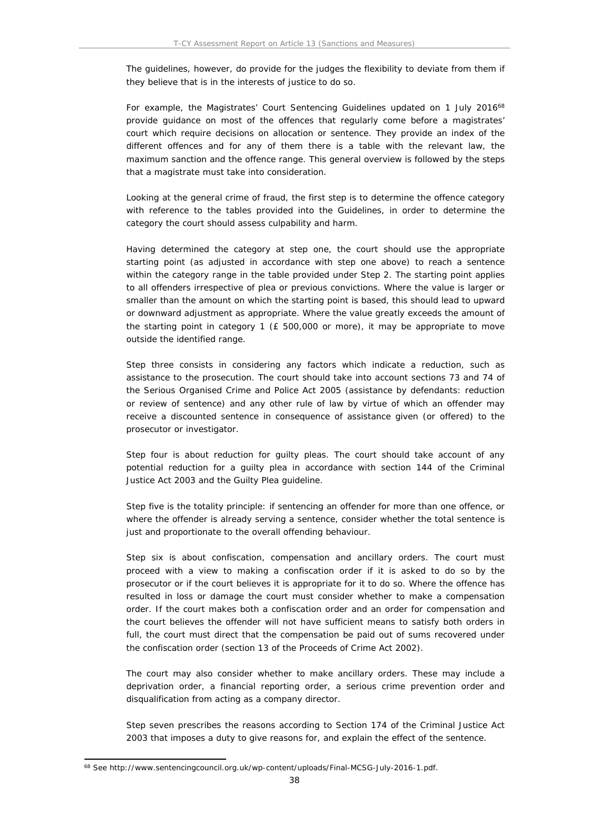The guidelines, however, do provide for the judges the flexibility to deviate from them if they believe that is in the interests of justice to do so.

For example, the Magistrates' Court Sentencing Guidelines updated on 1 July 2016<sup>68</sup> provide guidance on most of the offences that regularly come before a magistrates' court which require decisions on allocation or sentence. They provide an index of the different offences and for any of them there is a table with the relevant law, the maximum sanction and the offence range. This general overview is followed by the steps that a magistrate must take into consideration.

Looking at the general crime of fraud, the first step is to determine the offence category with reference to the tables provided into the Guidelines, in order to determine the category the court should assess culpability and harm.

Having determined the category at step one, the court should use the appropriate starting point (as adjusted in accordance with step one above) to reach a sentence within the category range in the table provided under Step 2. The starting point applies to all offenders irrespective of plea or previous convictions. Where the value is larger or smaller than the amount on which the starting point is based, this should lead to upward or downward adjustment as appropriate. Where the value greatly exceeds the amount of the starting point in category 1 (£ 500,000 or more), it may be appropriate to move outside the identified range.

Step three consists in considering any factors which indicate a reduction, such as assistance to the prosecution. The court should take into account sections 73 and 74 of the Serious Organised Crime and Police Act 2005 (assistance by defendants: reduction or review of sentence) and any other rule of law by virtue of which an offender may receive a discounted sentence in consequence of assistance given (or offered) to the prosecutor or investigator.

Step four is about reduction for guilty pleas. The court should take account of any potential reduction for a guilty plea in accordance with section 144 of the Criminal Justice Act 2003 and the Guilty Plea guideline.

Step five is the totality principle: if sentencing an offender for more than one offence, or where the offender is already serving a sentence, consider whether the total sentence is just and proportionate to the overall offending behaviour.

Step six is about confiscation, compensation and ancillary orders. The court must proceed with a view to making a confiscation order if it is asked to do so by the prosecutor or if the court believes it is appropriate for it to do so. Where the offence has resulted in loss or damage the court must consider whether to make a compensation order. If the court makes both a confiscation order and an order for compensation and the court believes the offender will not have sufficient means to satisfy both orders in full, the court must direct that the compensation be paid out of sums recovered under the confiscation order (section 13 of the Proceeds of Crime Act 2002).

The court may also consider whether to make ancillary orders. These may include a deprivation order, a financial reporting order, a serious crime prevention order and disqualification from acting as a company director.

Step seven prescribes the reasons according to Section 174 of the Criminal Justice Act 2003 that imposes a duty to give reasons for, and explain the effect of the sentence.

<sup>68</sup> See http://www.sentencingcouncil.org.uk/wp-content/uploads/Final-MCSG-July-2016-1.pdf.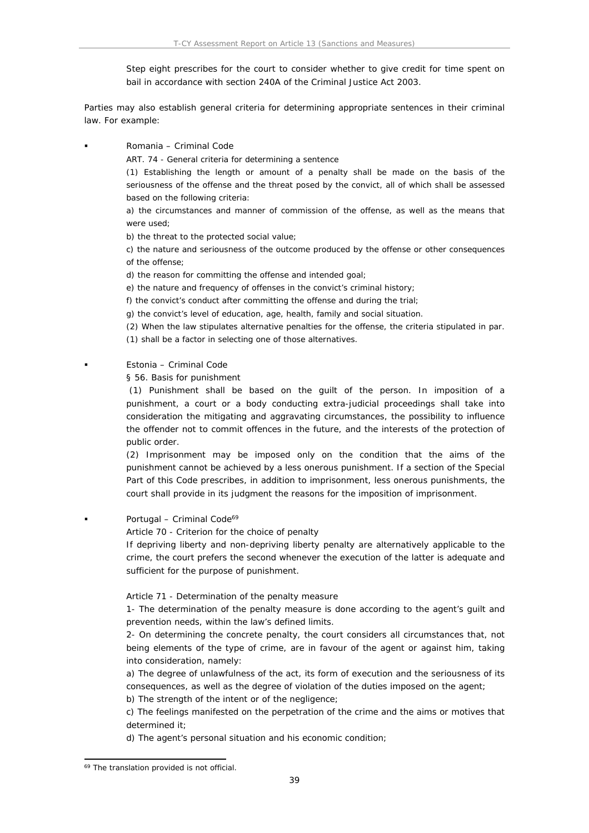Step eight prescribes for the court to consider whether to give credit for time spent on bail in accordance with section 240A of the Criminal Justice Act 2003.

Parties may also establish general criteria for determining appropriate sentences in their criminal law. For example:

Romania – Criminal Code

ART. 74 - General criteria for determining a sentence

(1) Establishing the length or amount of a penalty shall be made on the basis of the seriousness of the offense and the threat posed by the convict, all of which shall be assessed based on the following criteria:

a) the circumstances and manner of commission of the offense, as well as the means that were used;

b) the threat to the protected social value;

c) the nature and seriousness of the outcome produced by the offense or other consequences of the offense;

d) the reason for committing the offense and intended goal;

e) the nature and frequency of offenses in the convict's criminal history;

f) the convict's conduct after committing the offense and during the trial;

g) the convict's level of education, age, health, family and social situation.

(2) When the law stipulates alternative penalties for the offense, the criteria stipulated in par.

(1) shall be a factor in selecting one of those alternatives.

### Estonia – Criminal Code

§ 56. Basis for punishment

 (1) Punishment shall be based on the guilt of the person. In imposition of a punishment, a court or a body conducting extra-judicial proceedings shall take into consideration the mitigating and aggravating circumstances, the possibility to influence the offender not to commit offences in the future, and the interests of the protection of public order.

(2) Imprisonment may be imposed only on the condition that the aims of the punishment cannot be achieved by a less onerous punishment. If a section of the Special Part of this Code prescribes, in addition to imprisonment, less onerous punishments, the court shall provide in its judgment the reasons for the imposition of imprisonment.

Portugal – Criminal Code<sup>69</sup>

Article 70 - Criterion for the choice of penalty

If depriving liberty and non-depriving liberty penalty are alternatively applicable to the crime, the court prefers the second whenever the execution of the latter is adequate and sufficient for the purpose of punishment.

Article 71 - Determination of the penalty measure

1- The determination of the penalty measure is done according to the agent's guilt and prevention needs, within the law's defined limits.

2- On determining the concrete penalty, the court considers all circumstances that, not being elements of the type of crime, are in favour of the agent or against him, taking into consideration, namely:

a) The degree of unlawfulness of the act, its form of execution and the seriousness of its consequences, as well as the degree of violation of the duties imposed on the agent;

b) The strength of the intent or of the negligence;

c) The feelings manifested on the perpetration of the crime and the aims or motives that determined it;

d) The agent's personal situation and his economic condition;

<sup>&</sup>lt;sup>69</sup> The translation provided is not official.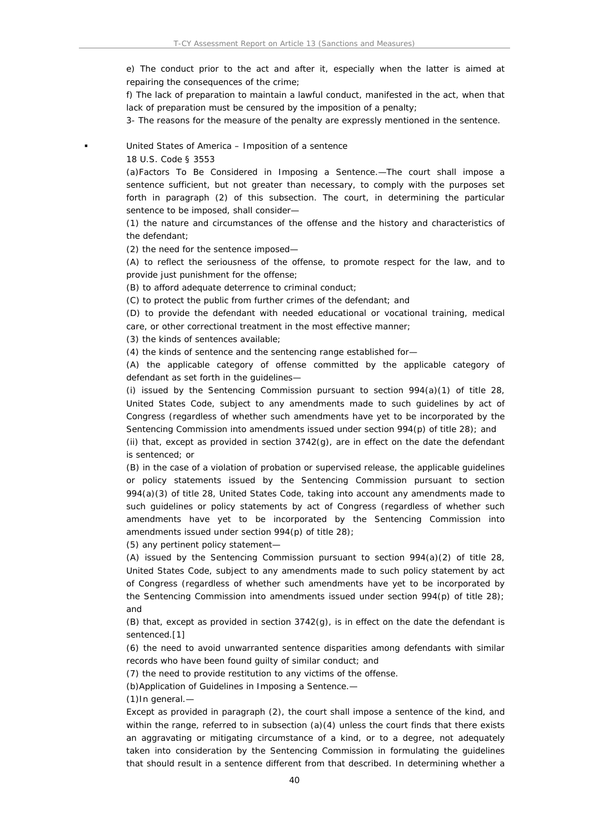e) The conduct prior to the act and after it, especially when the latter is aimed at repairing the consequences of the crime;

f) The lack of preparation to maintain a lawful conduct, manifested in the act, when that lack of preparation must be censured by the imposition of a penalty;

3- The reasons for the measure of the penalty are expressly mentioned in the sentence.

United States of America – Imposition of a sentence

18 U.S. Code § 3553

(a)Factors To Be Considered in Imposing a Sentence.—The court shall impose a sentence sufficient, but not greater than necessary, to comply with the purposes set forth in paragraph (2) of this subsection. The court, in determining the particular sentence to be imposed, shall consider—

(1) the nature and circumstances of the offense and the history and characteristics of the defendant;

(2) the need for the sentence imposed—

(A) to reflect the seriousness of the offense, to promote respect for the law, and to provide just punishment for the offense;

(B) to afford adequate deterrence to criminal conduct;

(C) to protect the public from further crimes of the defendant; and

(D) to provide the defendant with needed educational or vocational training, medical care, or other correctional treatment in the most effective manner;

(3) the kinds of sentences available;

(4) the kinds of sentence and the sentencing range established for—

(A) the applicable category of offense committed by the applicable category of defendant as set forth in the guidelines—

(i) issued by the Sentencing Commission pursuant to section  $994(a)(1)$  of title 28, United States Code, subject to any amendments made to such guidelines by act of Congress (regardless of whether such amendments have yet to be incorporated by the Sentencing Commission into amendments issued under section  $994(p)$  of title 28); and

(ii) that, except as provided in section 3742(g), are in effect on the date the defendant is sentenced; or

(B) in the case of a violation of probation or supervised release, the applicable guidelines or policy statements issued by the Sentencing Commission pursuant to section 994(a)(3) of title 28, United States Code, taking into account any amendments made to such guidelines or policy statements by act of Congress (regardless of whether such amendments have yet to be incorporated by the Sentencing Commission into amendments issued under section 994(p) of title 28);

(5) any pertinent policy statement—

(A) issued by the Sentencing Commission pursuant to section  $994(a)(2)$  of title 28, United States Code, subject to any amendments made to such policy statement by act of Congress (regardless of whether such amendments have yet to be incorporated by the Sentencing Commission into amendments issued under section 994(p) of title 28); and

(B) that, except as provided in section  $3742(q)$ , is in effect on the date the defendant is sentenced.[1]

(6) the need to avoid unwarranted sentence disparities among defendants with similar records who have been found guilty of similar conduct; and

(7) the need to provide restitution to any victims of the offense.

(b)Application of Guidelines in Imposing a Sentence.—

(1)In general.—

Except as provided in paragraph (2), the court shall impose a sentence of the kind, and within the range, referred to in subsection  $(a)(4)$  unless the court finds that there exists an aggravating or mitigating circumstance of a kind, or to a degree, not adequately taken into consideration by the Sentencing Commission in formulating the guidelines that should result in a sentence different from that described. In determining whether a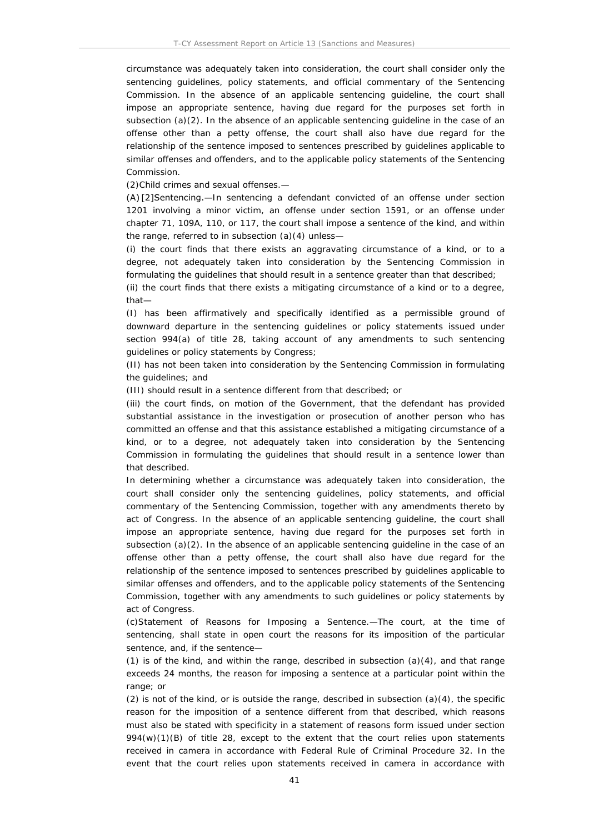circumstance was adequately taken into consideration, the court shall consider only the sentencing guidelines, policy statements, and official commentary of the Sentencing Commission. In the absence of an applicable sentencing guideline, the court shall impose an appropriate sentence, having due regard for the purposes set forth in subsection  $(a)(2)$ . In the absence of an applicable sentencing guideline in the case of an offense other than a petty offense, the court shall also have due regard for the relationship of the sentence imposed to sentences prescribed by guidelines applicable to similar offenses and offenders, and to the applicable policy statements of the Sentencing Commission.

(2)Child crimes and sexual offenses.—

(A) [2]Sentencing.—In sentencing a defendant convicted of an offense under section 1201 involving a minor victim, an offense under section 1591, or an offense under chapter 71, 109A, 110, or 117, the court shall impose a sentence of the kind, and within the range, referred to in subsection (a)(4) unless—

(i) the court finds that there exists an aggravating circumstance of a kind, or to a degree, not adequately taken into consideration by the Sentencing Commission in formulating the guidelines that should result in a sentence greater than that described;

(ii) the court finds that there exists a mitigating circumstance of a kind or to a degree, that—

(I) has been affirmatively and specifically identified as a permissible ground of downward departure in the sentencing guidelines or policy statements issued under section 994(a) of title 28, taking account of any amendments to such sentencing guidelines or policy statements by Congress;

(II) has not been taken into consideration by the Sentencing Commission in formulating the guidelines; and

(III) should result in a sentence different from that described; or

(iii) the court finds, on motion of the Government, that the defendant has provided substantial assistance in the investigation or prosecution of another person who has committed an offense and that this assistance established a mitigating circumstance of a kind, or to a degree, not adequately taken into consideration by the Sentencing Commission in formulating the guidelines that should result in a sentence lower than that described.

In determining whether a circumstance was adequately taken into consideration, the court shall consider only the sentencing guidelines, policy statements, and official commentary of the Sentencing Commission, together with any amendments thereto by act of Congress. In the absence of an applicable sentencing guideline, the court shall impose an appropriate sentence, having due regard for the purposes set forth in subsection  $(a)(2)$ . In the absence of an applicable sentencing guideline in the case of an offense other than a petty offense, the court shall also have due regard for the relationship of the sentence imposed to sentences prescribed by guidelines applicable to similar offenses and offenders, and to the applicable policy statements of the Sentencing Commission, together with any amendments to such guidelines or policy statements by act of Congress.

(c)Statement of Reasons for Imposing a Sentence.—The court, at the time of sentencing, shall state in open court the reasons for its imposition of the particular sentence, and, if the sentence—

(1) is of the kind, and within the range, described in subsection  $(a)(4)$ , and that range exceeds 24 months, the reason for imposing a sentence at a particular point within the range; or

 $(2)$  is not of the kind, or is outside the range, described in subsection  $(a)(4)$ , the specific reason for the imposition of a sentence different from that described, which reasons must also be stated with specificity in a statement of reasons form issued under section  $994(w)(1)(B)$  of title 28, except to the extent that the court relies upon statements received in camera in accordance with Federal Rule of Criminal Procedure 32. In the event that the court relies upon statements received in camera in accordance with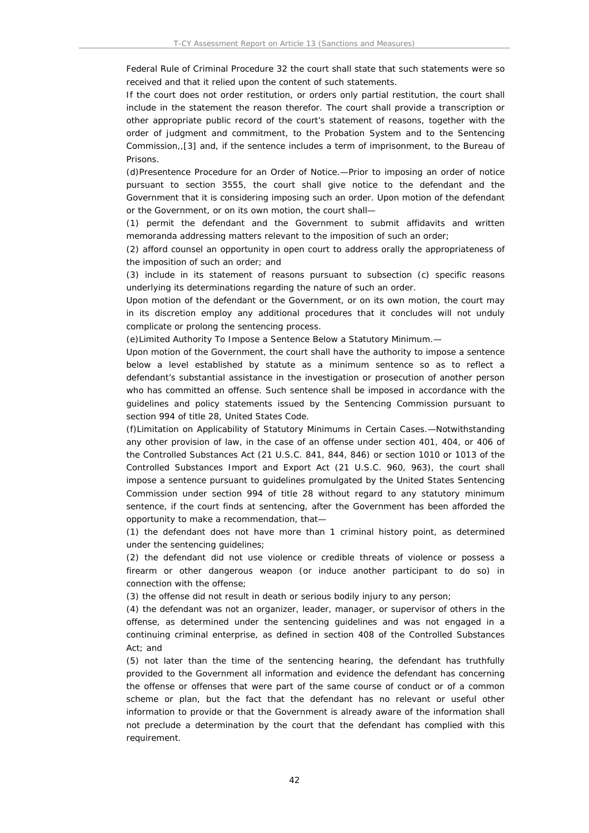Federal Rule of Criminal Procedure 32 the court shall state that such statements were so received and that it relied upon the content of such statements.

If the court does not order restitution, or orders only partial restitution, the court shall include in the statement the reason therefor. The court shall provide a transcription or other appropriate public record of the court's statement of reasons, together with the order of judgment and commitment, to the Probation System and to the Sentencing Commission,,[3] and, if the sentence includes a term of imprisonment, to the Bureau of Prisons.

(d)Presentence Procedure for an Order of Notice.—Prior to imposing an order of notice pursuant to section 3555, the court shall give notice to the defendant and the Government that it is considering imposing such an order. Upon motion of the defendant or the Government, or on its own motion, the court shall—

(1) permit the defendant and the Government to submit affidavits and written memoranda addressing matters relevant to the imposition of such an order;

(2) afford counsel an opportunity in open court to address orally the appropriateness of the imposition of such an order; and

(3) include in its statement of reasons pursuant to subsection (c) specific reasons underlying its determinations regarding the nature of such an order.

Upon motion of the defendant or the Government, or on its own motion, the court may in its discretion employ any additional procedures that it concludes will not unduly complicate or prolong the sentencing process.

(e)Limited Authority To Impose a Sentence Below a Statutory Minimum.—

Upon motion of the Government, the court shall have the authority to impose a sentence below a level established by statute as a minimum sentence so as to reflect a defendant's substantial assistance in the investigation or prosecution of another person who has committed an offense. Such sentence shall be imposed in accordance with the guidelines and policy statements issued by the Sentencing Commission pursuant to section 994 of title 28, United States Code.

(f)Limitation on Applicability of Statutory Minimums in Certain Cases.—Notwithstanding any other provision of law, in the case of an offense under section 401, 404, or 406 of the Controlled Substances Act (21 U.S.C. 841, 844, 846) or section 1010 or 1013 of the Controlled Substances Import and Export Act (21 U.S.C. 960, 963), the court shall impose a sentence pursuant to guidelines promulgated by the United States Sentencing Commission under section 994 of title 28 without regard to any statutory minimum sentence, if the court finds at sentencing, after the Government has been afforded the opportunity to make a recommendation, that—

(1) the defendant does not have more than 1 criminal history point, as determined under the sentencing guidelines;

(2) the defendant did not use violence or credible threats of violence or possess a firearm or other dangerous weapon (or induce another participant to do so) in connection with the offense;

(3) the offense did not result in death or serious bodily injury to any person;

(4) the defendant was not an organizer, leader, manager, or supervisor of others in the offense, as determined under the sentencing guidelines and was not engaged in a continuing criminal enterprise, as defined in section 408 of the Controlled Substances Act; and

(5) not later than the time of the sentencing hearing, the defendant has truthfully provided to the Government all information and evidence the defendant has concerning the offense or offenses that were part of the same course of conduct or of a common scheme or plan, but the fact that the defendant has no relevant or useful other information to provide or that the Government is already aware of the information shall not preclude a determination by the court that the defendant has complied with this requirement.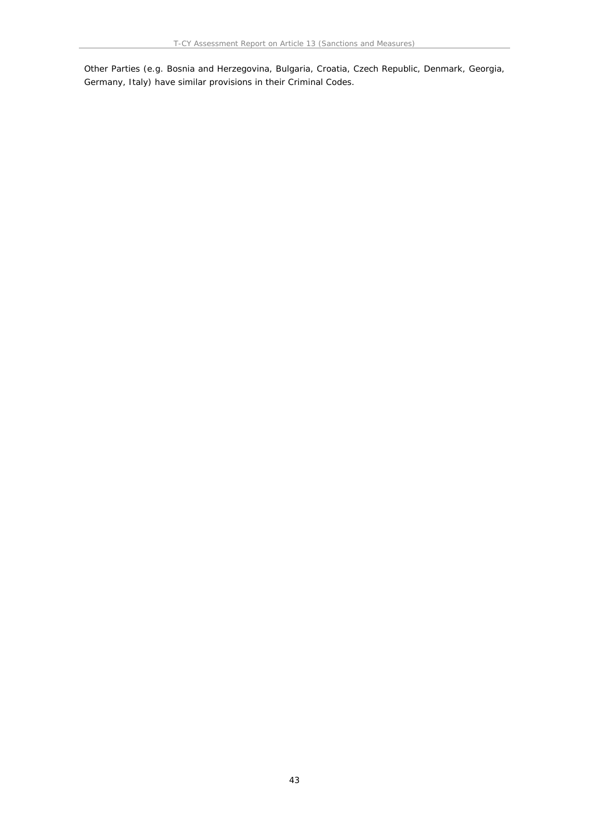Other Parties (e.g. Bosnia and Herzegovina, Bulgaria, Croatia, Czech Republic, Denmark, Georgia, Germany, Italy) have similar provisions in their Criminal Codes.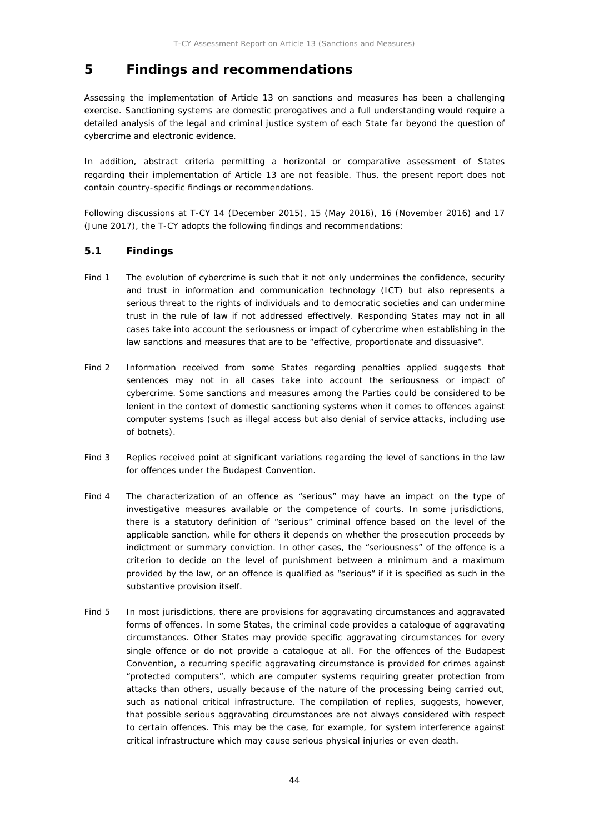## **5 Findings and recommendations**

Assessing the implementation of Article 13 on sanctions and measures has been a challenging exercise. Sanctioning systems are domestic prerogatives and a full understanding would require a detailed analysis of the legal and criminal justice system of each State far beyond the question of cybercrime and electronic evidence.

In addition, abstract criteria permitting a horizontal or comparative assessment of States regarding their implementation of Article 13 are not feasible. Thus, the present report does not contain country-specific findings or recommendations.

Following discussions at T-CY 14 (December 2015), 15 (May 2016), 16 (November 2016) and 17 (June 2017), the T-CY adopts the following findings and recommendations:

### **5.1 Findings**

- Find 1 The evolution of cybercrime is such that it not only undermines the confidence, security and trust in information and communication technology (ICT) but also represents a serious threat to the rights of individuals and to democratic societies and can undermine trust in the rule of law if not addressed effectively. Responding States may not in all cases take into account the seriousness or impact of cybercrime when establishing in the law sanctions and measures that are to be "effective, proportionate and dissuasive".
- Find 2 Information received from some States regarding penalties applied suggests that sentences may not in all cases take into account the seriousness or impact of cybercrime. Some sanctions and measures among the Parties could be considered to be lenient in the context of domestic sanctioning systems when it comes to offences against computer systems (such as illegal access but also denial of service attacks, including use of botnets).
- Find 3 Replies received point at significant variations regarding the level of sanctions in the law for offences under the Budapest Convention.
- Find 4 The characterization of an offence as "serious" may have an impact on the type of investigative measures available or the competence of courts. In some jurisdictions, there is a statutory definition of "serious" criminal offence based on the level of the applicable sanction, while for others it depends on whether the prosecution proceeds by indictment or summary conviction. In other cases, the "seriousness" of the offence is a criterion to decide on the level of punishment between a minimum and a maximum provided by the law, or an offence is qualified as "serious" if it is specified as such in the substantive provision itself.
- Find 5 In most jurisdictions, there are provisions for aggravating circumstances and aggravated forms of offences. In some States, the criminal code provides a catalogue of aggravating circumstances. Other States may provide specific aggravating circumstances for every single offence or do not provide a catalogue at all. For the offences of the Budapest Convention, a recurring specific aggravating circumstance is provided for crimes against "protected computers", which are computer systems requiring greater protection from attacks than others, usually because of the nature of the processing being carried out, such as national critical infrastructure. The compilation of replies, suggests, however, that possible serious aggravating circumstances are not always considered with respect to certain offences. This may be the case, for example, for system interference against critical infrastructure which may cause serious physical injuries or even death.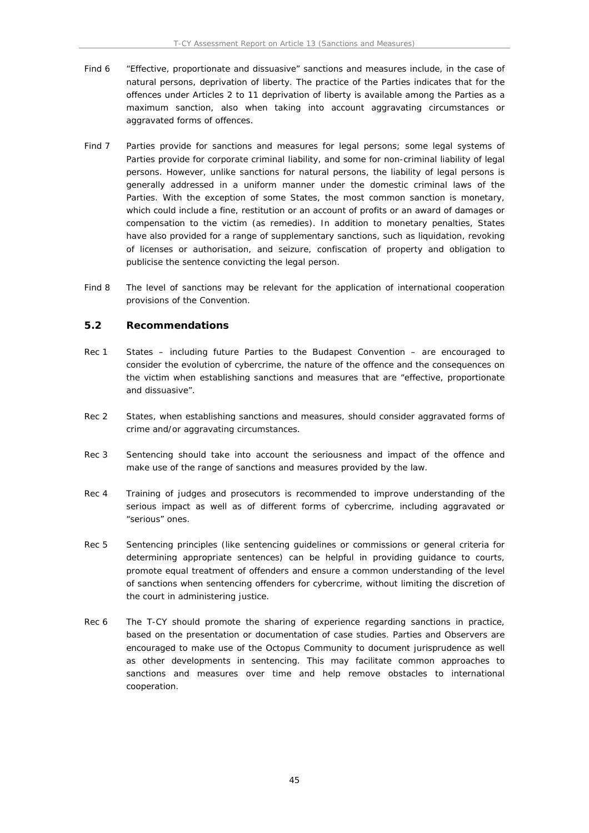- Find 6 "Effective, proportionate and dissuasive" sanctions and measures include, in the case of natural persons, deprivation of liberty. The practice of the Parties indicates that for the offences under Articles 2 to 11 deprivation of liberty is available among the Parties as a maximum sanction, also when taking into account aggravating circumstances or aggravated forms of offences.
- Find 7 Parties provide for sanctions and measures for legal persons; some legal systems of Parties provide for corporate criminal liability, and some for non-criminal liability of legal persons. However, unlike sanctions for natural persons, the liability of legal persons is generally addressed in a uniform manner under the domestic criminal laws of the Parties. With the exception of some States, the most common sanction is monetary, which could include a fine, restitution or an account of profits or an award of damages or compensation to the victim (as remedies). In addition to monetary penalties, States have also provided for a range of supplementary sanctions, such as liquidation, revoking of licenses or authorisation, and seizure, confiscation of property and obligation to publicise the sentence convicting the legal person.
- Find 8 The level of sanctions may be relevant for the application of international cooperation provisions of the Convention.

#### **5.2 Recommendations**

- Rec 1 States including future Parties to the Budapest Convention are encouraged to consider the evolution of cybercrime, the nature of the offence and the consequences on the victim when establishing sanctions and measures that are "effective, proportionate and dissuasive".
- Rec 2 States, when establishing sanctions and measures, should consider aggravated forms of crime and/or aggravating circumstances.
- Rec 3 Sentencing should take into account the seriousness and impact of the offence and make use of the range of sanctions and measures provided by the law.
- Rec 4 Training of judges and prosecutors is recommended to improve understanding of the serious impact as well as of different forms of cybercrime, including aggravated or "serious" ones.
- Rec 5 Sentencing principles (like sentencing guidelines or commissions or general criteria for determining appropriate sentences) can be helpful in providing guidance to courts, promote equal treatment of offenders and ensure a common understanding of the level of sanctions when sentencing offenders for cybercrime, without limiting the discretion of the court in administering justice.
- Rec 6 The T-CY should promote the sharing of experience regarding sanctions in practice, based on the presentation or documentation of case studies. Parties and Observers are encouraged to make use of the Octopus Community to document jurisprudence as well as other developments in sentencing. This may facilitate common approaches to sanctions and measures over time and help remove obstacles to international cooperation.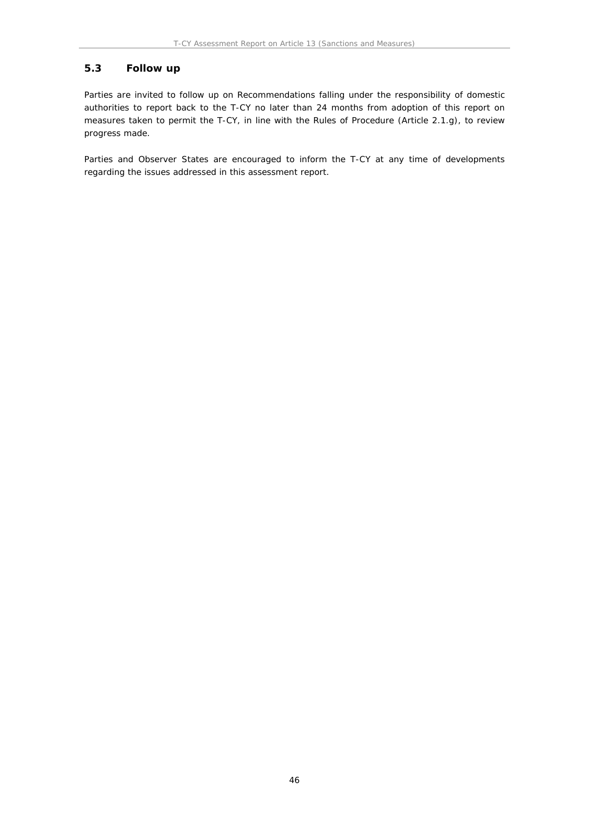### **5.3 Follow up**

Parties are invited to follow up on Recommendations falling under the responsibility of domestic authorities to report back to the T-CY no later than 24 months from adoption of this report on measures taken to permit the T-CY, in line with the Rules of Procedure (Article 2.1.g), to review progress made.

Parties and Observer States are encouraged to inform the T-CY at any time of developments regarding the issues addressed in this assessment report.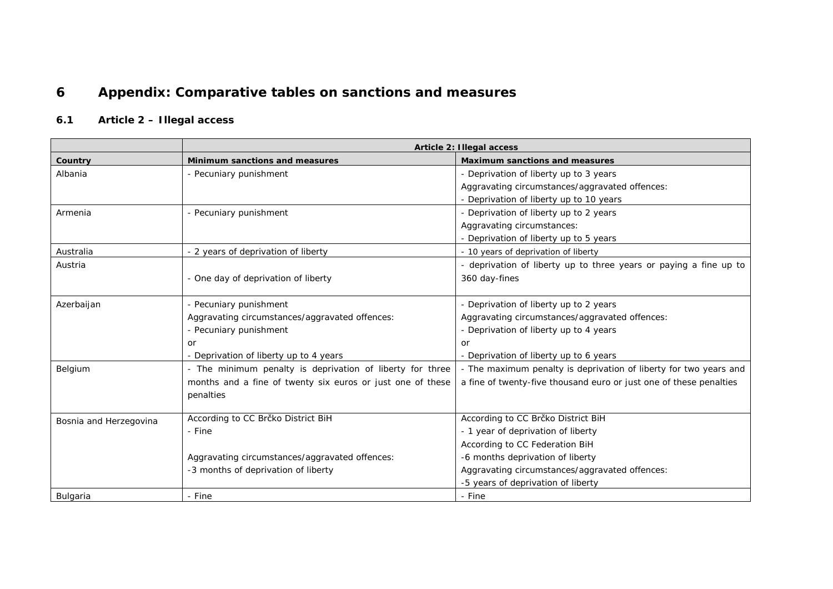# **6 Appendix: Comparative tables on sanctions and measures**

# **6.1 Article 2 – Illegal access**

|                        | Article 2: Illegal access                                  |                                                                    |
|------------------------|------------------------------------------------------------|--------------------------------------------------------------------|
| Country                | Minimum sanctions and measures                             | Maximum sanctions and measures                                     |
| Albania                | - Pecuniary punishment                                     | - Deprivation of liberty up to 3 years                             |
|                        |                                                            | Aggravating circumstances/aggravated offences:                     |
|                        |                                                            | - Deprivation of liberty up to 10 years                            |
| Armenia                | - Pecuniary punishment                                     | - Deprivation of liberty up to 2 years                             |
|                        |                                                            | Aggravating circumstances:                                         |
|                        |                                                            | - Deprivation of liberty up to 5 years                             |
| Australia              | - 2 years of deprivation of liberty                        | - 10 years of deprivation of liberty                               |
| Austria                |                                                            | - deprivation of liberty up to three years or paying a fine up to  |
|                        | - One day of deprivation of liberty                        | 360 day-fines                                                      |
|                        |                                                            |                                                                    |
| Azerbaijan             | - Pecuniary punishment                                     | - Deprivation of liberty up to 2 years                             |
|                        | Aggravating circumstances/aggravated offences:             | Aggravating circumstances/aggravated offences:                     |
|                        | - Pecuniary punishment                                     | - Deprivation of liberty up to 4 years                             |
|                        | or                                                         | or                                                                 |
|                        | - Deprivation of liberty up to 4 years                     | - Deprivation of liberty up to 6 years                             |
| Belgium                | - The minimum penalty is deprivation of liberty for three  | - The maximum penalty is deprivation of liberty for two years and  |
|                        | months and a fine of twenty six euros or just one of these | a fine of twenty-five thousand euro or just one of these penalties |
|                        | penalties                                                  |                                                                    |
|                        |                                                            |                                                                    |
| Bosnia and Herzegovina | According to CC Brčko District BiH                         | According to CC Brčko District BiH                                 |
|                        | - Fine                                                     | - 1 year of deprivation of liberty                                 |
|                        |                                                            | According to CC Federation BiH                                     |
|                        | Aggravating circumstances/aggravated offences:             | -6 months deprivation of liberty                                   |
|                        | -3 months of deprivation of liberty                        | Aggravating circumstances/aggravated offences:                     |
|                        |                                                            | -5 years of deprivation of liberty                                 |
| Bulgaria               | - Fine                                                     | - Fine                                                             |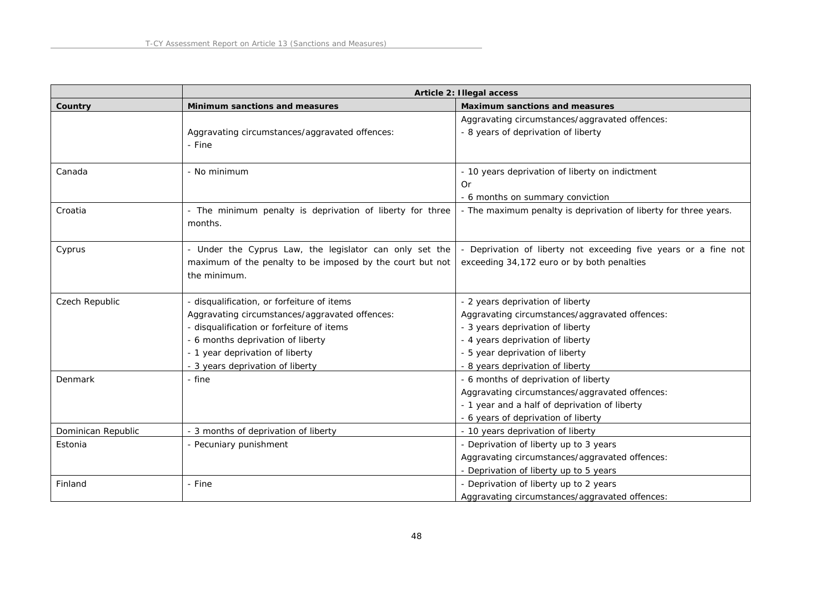|                    | Article 2: Illegal access                                                                                                                                                                                                                             |                                                                                                                                                                                                                                   |
|--------------------|-------------------------------------------------------------------------------------------------------------------------------------------------------------------------------------------------------------------------------------------------------|-----------------------------------------------------------------------------------------------------------------------------------------------------------------------------------------------------------------------------------|
| Country            | Minimum sanctions and measures                                                                                                                                                                                                                        | Maximum sanctions and measures                                                                                                                                                                                                    |
|                    | Aggravating circumstances/aggravated offences:<br>- Fine                                                                                                                                                                                              | Aggravating circumstances/aggravated offences:<br>- 8 years of deprivation of liberty                                                                                                                                             |
| Canada             | - No minimum                                                                                                                                                                                                                                          | - 10 years deprivation of liberty on indictment<br>Or<br>- 6 months on summary conviction                                                                                                                                         |
| Croatia            | - The minimum penalty is deprivation of liberty for three<br>months.                                                                                                                                                                                  | - The maximum penalty is deprivation of liberty for three years.                                                                                                                                                                  |
| Cyprus             | - Under the Cyprus Law, the legislator can only set the<br>maximum of the penalty to be imposed by the court but not<br>the minimum.                                                                                                                  | Deprivation of liberty not exceeding five years or a fine not<br>exceeding 34,172 euro or by both penalties                                                                                                                       |
| Czech Republic     | - disqualification, or forfeiture of items<br>Aggravating circumstances/aggravated offences:<br>- disqualification or forfeiture of items<br>- 6 months deprivation of liberty<br>- 1 year deprivation of liberty<br>- 3 years deprivation of liberty | - 2 years deprivation of liberty<br>Aggravating circumstances/aggravated offences:<br>- 3 years deprivation of liberty<br>- 4 years deprivation of liberty<br>- 5 year deprivation of liberty<br>- 8 years deprivation of liberty |
| Denmark            | - fine                                                                                                                                                                                                                                                | - 6 months of deprivation of liberty<br>Aggravating circumstances/aggravated offences:<br>- 1 year and a half of deprivation of liberty<br>- 6 years of deprivation of liberty                                                    |
| Dominican Republic | - 3 months of deprivation of liberty                                                                                                                                                                                                                  | - 10 years deprivation of liberty                                                                                                                                                                                                 |
| Estonia            | - Pecuniary punishment                                                                                                                                                                                                                                | - Deprivation of liberty up to 3 years<br>Aggravating circumstances/aggravated offences:<br>- Deprivation of liberty up to 5 years                                                                                                |
| Finland            | - Fine                                                                                                                                                                                                                                                | - Deprivation of liberty up to 2 years<br>Aggravating circumstances/aggravated offences:                                                                                                                                          |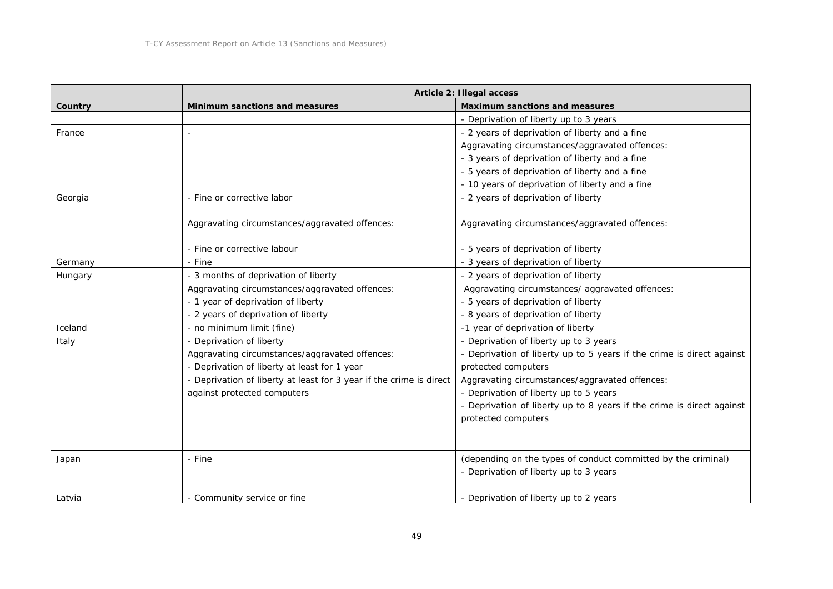|         | Article 2: Illegal access                                           |                                                                       |
|---------|---------------------------------------------------------------------|-----------------------------------------------------------------------|
| Country | Minimum sanctions and measures                                      | Maximum sanctions and measures                                        |
|         |                                                                     | - Deprivation of liberty up to 3 years                                |
| France  |                                                                     | - 2 years of deprivation of liberty and a fine                        |
|         |                                                                     | Aggravating circumstances/aggravated offences:                        |
|         |                                                                     | - 3 years of deprivation of liberty and a fine                        |
|         |                                                                     | - 5 years of deprivation of liberty and a fine                        |
|         |                                                                     | - 10 years of deprivation of liberty and a fine                       |
| Georgia | - Fine or corrective labor                                          | - 2 years of deprivation of liberty                                   |
|         |                                                                     |                                                                       |
|         | Aggravating circumstances/aggravated offences:                      | Aggravating circumstances/aggravated offences:                        |
|         |                                                                     |                                                                       |
|         | - Fine or corrective labour                                         | - 5 years of deprivation of liberty                                   |
| Germany | - Fine                                                              | - 3 years of deprivation of liberty                                   |
| Hungary | - 3 months of deprivation of liberty                                | - 2 years of deprivation of liberty                                   |
|         | Aggravating circumstances/aggravated offences:                      | Aggravating circumstances/ aggravated offences:                       |
|         | - 1 year of deprivation of liberty                                  | - 5 years of deprivation of liberty                                   |
|         | - 2 years of deprivation of liberty                                 | - 8 years of deprivation of liberty                                   |
| Iceland | - no minimum limit (fine)                                           | -1 year of deprivation of liberty                                     |
| Italy   | - Deprivation of liberty                                            | - Deprivation of liberty up to 3 years                                |
|         | Aggravating circumstances/aggravated offences:                      | - Deprivation of liberty up to 5 years if the crime is direct against |
|         | - Deprivation of liberty at least for 1 year                        | protected computers                                                   |
|         | - Deprivation of liberty at least for 3 year if the crime is direct | Aggravating circumstances/aggravated offences:                        |
|         | against protected computers                                         | - Deprivation of liberty up to 5 years                                |
|         |                                                                     | - Deprivation of liberty up to 8 years if the crime is direct against |
|         |                                                                     | protected computers                                                   |
|         |                                                                     |                                                                       |
|         |                                                                     |                                                                       |
| Japan   | - Fine                                                              | (depending on the types of conduct committed by the criminal)         |
|         |                                                                     | - Deprivation of liberty up to 3 years                                |
|         |                                                                     |                                                                       |
| Latvia  | - Community service or fine                                         | - Deprivation of liberty up to 2 years                                |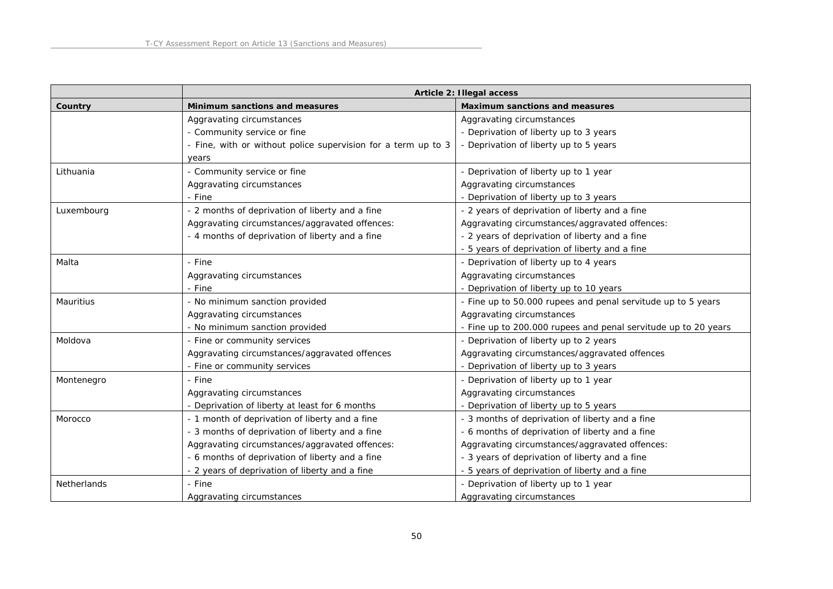|             | Article 2: Illegal access                                     |                                                                |
|-------------|---------------------------------------------------------------|----------------------------------------------------------------|
| Country     | Minimum sanctions and measures                                | Maximum sanctions and measures                                 |
|             | Aggravating circumstances                                     | Aggravating circumstances                                      |
|             | - Community service or fine                                   | - Deprivation of liberty up to 3 years                         |
|             | - Fine, with or without police supervision for a term up to 3 | - Deprivation of liberty up to 5 years                         |
|             | years                                                         |                                                                |
| Lithuania   | - Community service or fine                                   | - Deprivation of liberty up to 1 year                          |
|             | Aggravating circumstances                                     | Aggravating circumstances                                      |
|             | - Fine                                                        | - Deprivation of liberty up to 3 years                         |
| Luxembourg  | - 2 months of deprivation of liberty and a fine               | - 2 years of deprivation of liberty and a fine                 |
|             | Aggravating circumstances/aggravated offences:                | Aggravating circumstances/aggravated offences:                 |
|             | - 4 months of deprivation of liberty and a fine               | - 2 years of deprivation of liberty and a fine                 |
|             |                                                               | - 5 years of deprivation of liberty and a fine                 |
| Malta       | - Fine                                                        | - Deprivation of liberty up to 4 years                         |
|             | Aggravating circumstances                                     | Aggravating circumstances                                      |
|             | - Fine                                                        | - Deprivation of liberty up to 10 years                        |
| Mauritius   | - No minimum sanction provided                                | - Fine up to 50.000 rupees and penal servitude up to 5 years   |
|             | Aggravating circumstances                                     | Aggravating circumstances                                      |
|             | - No minimum sanction provided                                | - Fine up to 200.000 rupees and penal servitude up to 20 years |
| Moldova     | - Fine or community services                                  | - Deprivation of liberty up to 2 years                         |
|             | Aggravating circumstances/aggravated offences                 | Aggravating circumstances/aggravated offences                  |
|             | - Fine or community services                                  | - Deprivation of liberty up to 3 years                         |
| Montenegro  | - Fine                                                        | - Deprivation of liberty up to 1 year                          |
|             | Aggravating circumstances                                     | Aggravating circumstances                                      |
|             | - Deprivation of liberty at least for 6 months                | - Deprivation of liberty up to 5 years                         |
| Morocco     | - 1 month of deprivation of liberty and a fine                | - 3 months of deprivation of liberty and a fine                |
|             | - 3 months of deprivation of liberty and a fine               | - 6 months of deprivation of liberty and a fine                |
|             | Aggravating circumstances/aggravated offences:                | Aggravating circumstances/aggravated offences:                 |
|             | - 6 months of deprivation of liberty and a fine               | - 3 years of deprivation of liberty and a fine                 |
|             | - 2 years of deprivation of liberty and a fine                | - 5 years of deprivation of liberty and a fine                 |
| Netherlands | - Fine                                                        | - Deprivation of liberty up to 1 year                          |
|             | Aggravating circumstances                                     | Aggravating circumstances                                      |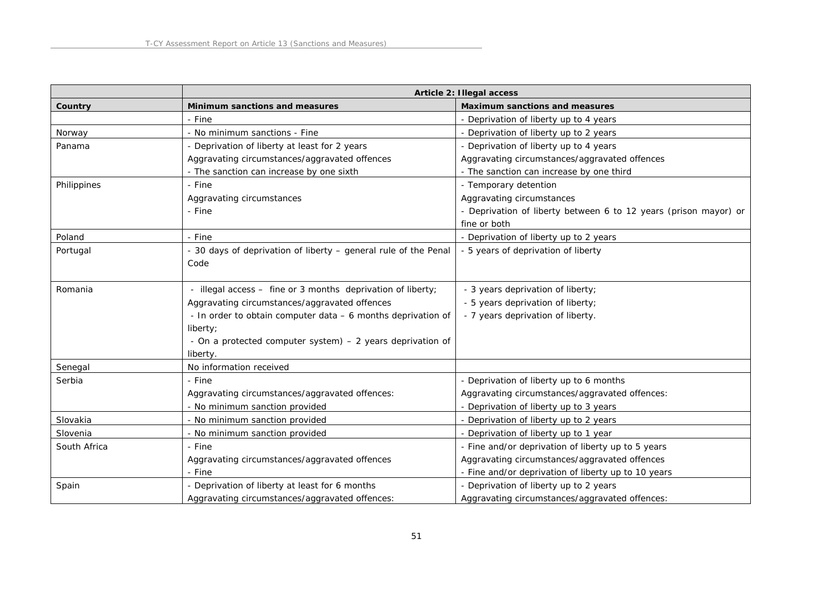|              |                                                                         | Article 2: Illegal access                                        |
|--------------|-------------------------------------------------------------------------|------------------------------------------------------------------|
| Country      | Minimum sanctions and measures                                          | Maximum sanctions and measures                                   |
|              | - Fine                                                                  | - Deprivation of liberty up to 4 years                           |
| Norway       | - No minimum sanctions - Fine                                           | - Deprivation of liberty up to 2 years                           |
| Panama       | - Deprivation of liberty at least for 2 years                           | - Deprivation of liberty up to 4 years                           |
|              | Aggravating circumstances/aggravated offences                           | Aggravating circumstances/aggravated offences                    |
|              | - The sanction can increase by one sixth                                | - The sanction can increase by one third                         |
| Philippines  | - Fine                                                                  | - Temporary detention                                            |
|              | Aggravating circumstances                                               | Aggravating circumstances                                        |
|              | - Fine                                                                  | - Deprivation of liberty between 6 to 12 years (prison mayor) or |
|              |                                                                         | fine or both                                                     |
| Poland       | - Fine                                                                  | - Deprivation of liberty up to 2 years                           |
| Portugal     | - 30 days of deprivation of liberty - general rule of the Penal<br>Code | - 5 years of deprivation of liberty                              |
| Romania      | - illegal access - fine or 3 months deprivation of liberty;             | - 3 years deprivation of liberty;                                |
|              | Aggravating circumstances/aggravated offences                           | - 5 years deprivation of liberty;                                |
|              | - In order to obtain computer data - 6 months deprivation of            | - 7 years deprivation of liberty.                                |
|              | liberty;                                                                |                                                                  |
|              | - On a protected computer system) - 2 years deprivation of              |                                                                  |
|              | liberty.                                                                |                                                                  |
| Senegal      | No information received                                                 |                                                                  |
| Serbia       | - Fine                                                                  | - Deprivation of liberty up to 6 months                          |
|              | Aggravating circumstances/aggravated offences:                          | Aggravating circumstances/aggravated offences:                   |
|              | - No minimum sanction provided                                          | - Deprivation of liberty up to 3 years                           |
| Slovakia     | - No minimum sanction provided                                          | - Deprivation of liberty up to 2 years                           |
| Slovenia     | - No minimum sanction provided                                          | - Deprivation of liberty up to 1 year                            |
| South Africa | - Fine                                                                  | - Fine and/or deprivation of liberty up to 5 years               |
|              | Aggravating circumstances/aggravated offences                           | Aggravating circumstances/aggravated offences                    |
|              | - Fine                                                                  | - Fine and/or deprivation of liberty up to 10 years              |
| Spain        | - Deprivation of liberty at least for 6 months                          | - Deprivation of liberty up to 2 years                           |
|              | Aggravating circumstances/aggravated offences:                          | Aggravating circumstances/aggravated offences:                   |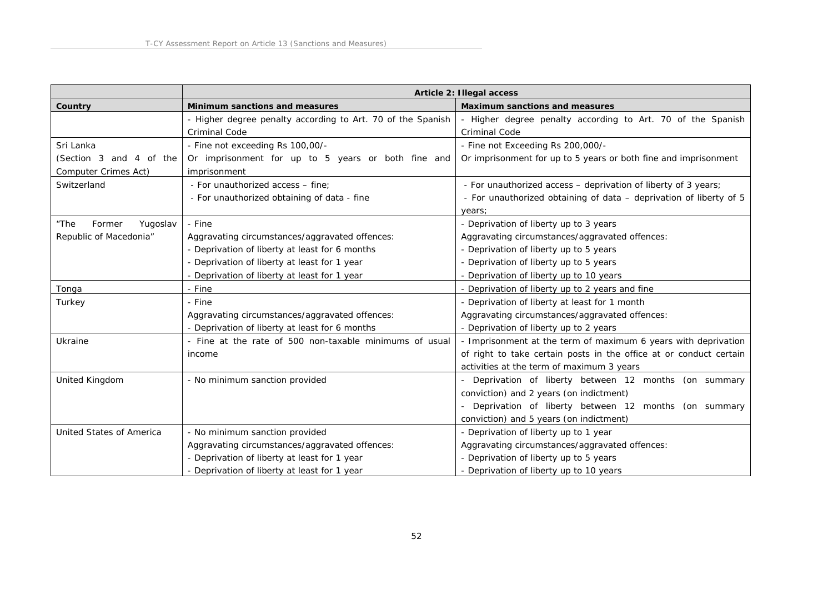|                            |                                                             | Article 2: Illegal access                                          |
|----------------------------|-------------------------------------------------------------|--------------------------------------------------------------------|
| Country                    | Minimum sanctions and measures                              | Maximum sanctions and measures                                     |
|                            | - Higher degree penalty according to Art. 70 of the Spanish | - Higher degree penalty according to Art. 70 of the Spanish        |
|                            | <b>Criminal Code</b>                                        | <b>Criminal Code</b>                                               |
| Sri Lanka                  | - Fine not exceeding Rs 100,00/-                            | - Fine not Exceeding Rs 200,000/-                                  |
| (Section 3 and 4 of the    | Or imprisonment for up to 5 years or both fine and          | Or imprisonment for up to 5 years or both fine and imprisonment    |
| Computer Crimes Act)       | imprisonment                                                |                                                                    |
| Switzerland                | - For unauthorized access - fine;                           | - For unauthorized access - deprivation of liberty of 3 years;     |
|                            | - For unauthorized obtaining of data - fine                 | - For unauthorized obtaining of data - deprivation of liberty of 5 |
|                            |                                                             | years;                                                             |
| "The<br>Former<br>Yugoslav | - Fine                                                      | - Deprivation of liberty up to 3 years                             |
| Republic of Macedonia"     | Aggravating circumstances/aggravated offences:              | Aggravating circumstances/aggravated offences:                     |
|                            | - Deprivation of liberty at least for 6 months              | - Deprivation of liberty up to 5 years                             |
|                            | - Deprivation of liberty at least for 1 year                | - Deprivation of liberty up to 5 years                             |
|                            | - Deprivation of liberty at least for 1 year                | - Deprivation of liberty up to 10 years                            |
| Tonga                      | - Fine                                                      | - Deprivation of liberty up to 2 years and fine                    |
| Turkey                     | - Fine                                                      | - Deprivation of liberty at least for 1 month                      |
|                            | Aggravating circumstances/aggravated offences:              | Aggravating circumstances/aggravated offences:                     |
|                            | - Deprivation of liberty at least for 6 months              | - Deprivation of liberty up to 2 years                             |
| Ukraine                    | - Fine at the rate of 500 non-taxable minimums of usual     | - Imprisonment at the term of maximum 6 years with deprivation     |
|                            | income                                                      | of right to take certain posts in the office at or conduct certain |
|                            |                                                             | activities at the term of maximum 3 years                          |
| United Kingdom             | - No minimum sanction provided                              | - Deprivation of liberty between 12 months (on summary             |
|                            |                                                             | conviction) and 2 years (on indictment)                            |
|                            |                                                             | - Deprivation of liberty between 12 months (on summary             |
|                            |                                                             | conviction) and 5 years (on indictment)                            |
| United States of America   | - No minimum sanction provided                              | - Deprivation of liberty up to 1 year                              |
|                            | Aggravating circumstances/aggravated offences:              | Aggravating circumstances/aggravated offences:                     |
|                            | - Deprivation of liberty at least for 1 year                | - Deprivation of liberty up to 5 years                             |
|                            | - Deprivation of liberty at least for 1 year                | - Deprivation of liberty up to 10 years                            |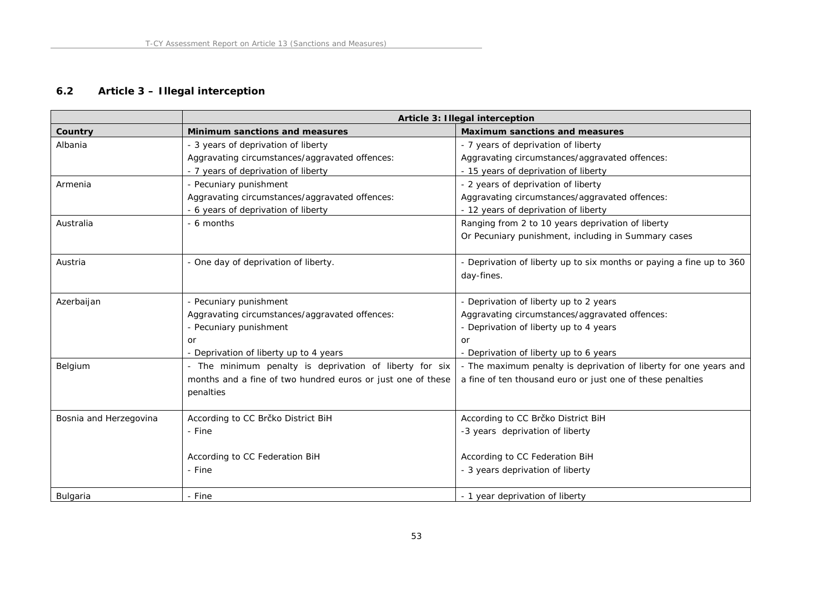## **6.2 Article 3 – Illegal interception**

|                        | Article 3: Illegal interception                             |                                                                      |
|------------------------|-------------------------------------------------------------|----------------------------------------------------------------------|
| Country                | Minimum sanctions and measures                              | Maximum sanctions and measures                                       |
| Albania                | - 3 years of deprivation of liberty                         | - 7 years of deprivation of liberty                                  |
|                        | Aggravating circumstances/aggravated offences:              | Aggravating circumstances/aggravated offences:                       |
|                        | - 7 years of deprivation of liberty                         | - 15 years of deprivation of liberty                                 |
| Armenia                | - Pecuniary punishment                                      | - 2 years of deprivation of liberty                                  |
|                        | Aggravating circumstances/aggravated offences:              | Aggravating circumstances/aggravated offences:                       |
|                        | - 6 years of deprivation of liberty                         | - 12 years of deprivation of liberty                                 |
| Australia              | - 6 months                                                  | Ranging from 2 to 10 years deprivation of liberty                    |
|                        |                                                             | Or Pecuniary punishment, including in Summary cases                  |
| Austria                | - One day of deprivation of liberty.                        | - Deprivation of liberty up to six months or paying a fine up to 360 |
|                        |                                                             | day-fines.                                                           |
| Azerbaijan             | - Pecuniary punishment                                      | - Deprivation of liberty up to 2 years                               |
|                        | Aggravating circumstances/aggravated offences:              | Aggravating circumstances/aggravated offences:                       |
|                        | - Pecuniary punishment                                      | - Deprivation of liberty up to 4 years                               |
|                        | or                                                          | or                                                                   |
|                        | - Deprivation of liberty up to 4 years                      | - Deprivation of liberty up to 6 years                               |
| Belgium                | - The minimum penalty is deprivation of liberty for six     | - The maximum penalty is deprivation of liberty for one years and    |
|                        | months and a fine of two hundred euros or just one of these | a fine of ten thousand euro or just one of these penalties           |
|                        | penalties                                                   |                                                                      |
| Bosnia and Herzegovina | According to CC Brčko District BiH                          | According to CC Brčko District BiH                                   |
|                        | - Fine                                                      | -3 years deprivation of liberty                                      |
|                        | According to CC Federation BiH                              | According to CC Federation BiH                                       |
|                        | - Fine                                                      |                                                                      |
|                        |                                                             | - 3 years deprivation of liberty                                     |
| <b>Bulgaria</b>        | - Fine                                                      | - 1 year deprivation of liberty                                      |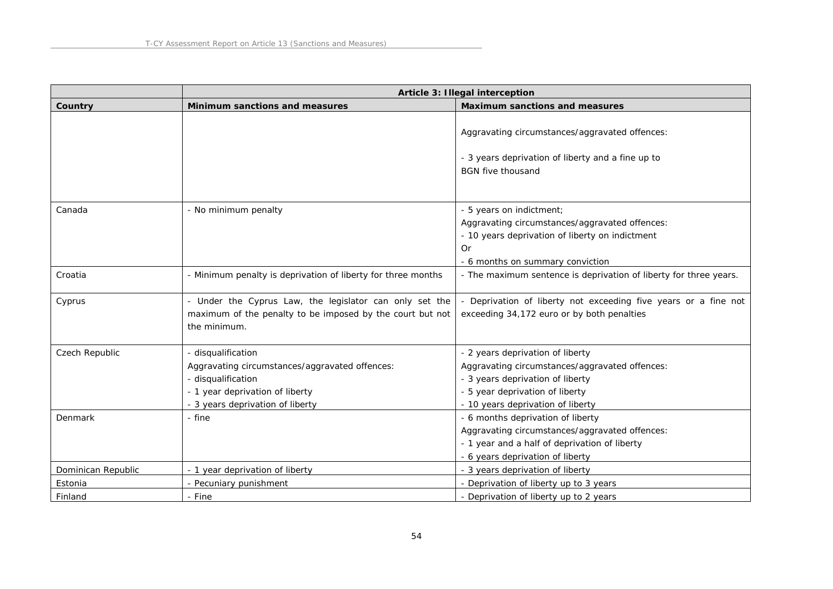|                    | Article 3: Illegal interception                                                                                                                                   |                                                                                                                                                                                                |
|--------------------|-------------------------------------------------------------------------------------------------------------------------------------------------------------------|------------------------------------------------------------------------------------------------------------------------------------------------------------------------------------------------|
| Country            | Minimum sanctions and measures                                                                                                                                    | Maximum sanctions and measures                                                                                                                                                                 |
|                    |                                                                                                                                                                   | Aggravating circumstances/aggravated offences:<br>- 3 years deprivation of liberty and a fine up to<br><b>BGN</b> five thousand                                                                |
| Canada             | - No minimum penalty                                                                                                                                              | - 5 years on indictment;<br>Aggravating circumstances/aggravated offences:<br>- 10 years deprivation of liberty on indictment<br>Or<br>- 6 months on summary conviction                        |
| Croatia            | - Minimum penalty is deprivation of liberty for three months                                                                                                      | - The maximum sentence is deprivation of liberty for three years.                                                                                                                              |
| Cyprus             | - Under the Cyprus Law, the legislator can only set the<br>maximum of the penalty to be imposed by the court but not<br>the minimum.                              | Deprivation of liberty not exceeding five years or a fine not<br>exceeding 34,172 euro or by both penalties                                                                                    |
| Czech Republic     | - disqualification<br>Aggravating circumstances/aggravated offences:<br>- disqualification<br>- 1 year deprivation of liberty<br>- 3 years deprivation of liberty | - 2 years deprivation of liberty<br>Aggravating circumstances/aggravated offences:<br>- 3 years deprivation of liberty<br>- 5 year deprivation of liberty<br>- 10 years deprivation of liberty |
| Denmark            | - fine                                                                                                                                                            | - 6 months deprivation of liberty<br>Aggravating circumstances/aggravated offences:<br>- 1 year and a half of deprivation of liberty<br>- 6 years deprivation of liberty                       |
| Dominican Republic | - 1 year deprivation of liberty                                                                                                                                   | - 3 years deprivation of liberty                                                                                                                                                               |
| Estonia            | - Pecuniary punishment                                                                                                                                            | - Deprivation of liberty up to 3 years                                                                                                                                                         |
| Finland            | - Fine                                                                                                                                                            | - Deprivation of liberty up to 2 years                                                                                                                                                         |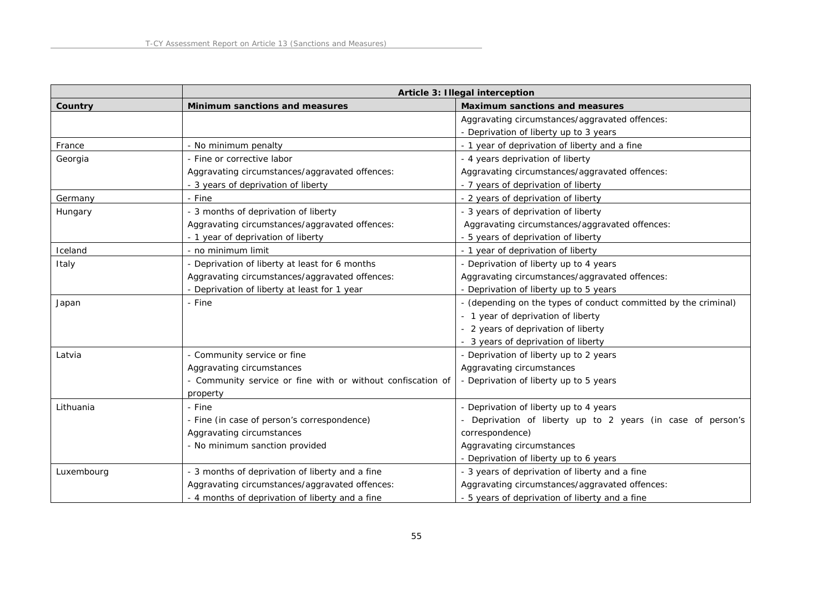|            | Article 3: Illegal interception                             |                                                                 |
|------------|-------------------------------------------------------------|-----------------------------------------------------------------|
| Country    | Minimum sanctions and measures                              | Maximum sanctions and measures                                  |
|            |                                                             | Aggravating circumstances/aggravated offences:                  |
|            |                                                             | - Deprivation of liberty up to 3 years                          |
| France     | - No minimum penalty                                        | - 1 year of deprivation of liberty and a fine                   |
| Georgia    | - Fine or corrective labor                                  | - 4 years deprivation of liberty                                |
|            | Aggravating circumstances/aggravated offences:              | Aggravating circumstances/aggravated offences:                  |
|            | - 3 years of deprivation of liberty                         | - 7 years of deprivation of liberty                             |
| Germany    | - Fine                                                      | - 2 years of deprivation of liberty                             |
| Hungary    | - 3 months of deprivation of liberty                        | - 3 years of deprivation of liberty                             |
|            | Aggravating circumstances/aggravated offences:              | Aggravating circumstances/aggravated offences:                  |
|            | - 1 year of deprivation of liberty                          | - 5 years of deprivation of liberty                             |
| Iceland    | - no minimum limit                                          | - 1 year of deprivation of liberty                              |
| Italy      | - Deprivation of liberty at least for 6 months              | - Deprivation of liberty up to 4 years                          |
|            | Aggravating circumstances/aggravated offences:              | Aggravating circumstances/aggravated offences:                  |
|            | - Deprivation of liberty at least for 1 year                | - Deprivation of liberty up to 5 years                          |
| Japan      | - Fine                                                      | - (depending on the types of conduct committed by the criminal) |
|            |                                                             | - 1 year of deprivation of liberty                              |
|            |                                                             | - 2 years of deprivation of liberty                             |
|            |                                                             | - 3 years of deprivation of liberty                             |
| Latvia     | - Community service or fine                                 | - Deprivation of liberty up to 2 years                          |
|            | Aggravating circumstances                                   | Aggravating circumstances                                       |
|            | - Community service or fine with or without confiscation of | - Deprivation of liberty up to 5 years                          |
|            | property                                                    |                                                                 |
| Lithuania  | - Fine                                                      | - Deprivation of liberty up to 4 years                          |
|            | - Fine (in case of person's correspondence)                 | - Deprivation of liberty up to 2 years (in case of person's     |
|            | Aggravating circumstances                                   | correspondence)                                                 |
|            | - No minimum sanction provided                              | Aggravating circumstances                                       |
|            |                                                             | - Deprivation of liberty up to 6 years                          |
| Luxembourg | - 3 months of deprivation of liberty and a fine             | - 3 years of deprivation of liberty and a fine                  |
|            | Aggravating circumstances/aggravated offences:              | Aggravating circumstances/aggravated offences:                  |
|            | - 4 months of deprivation of liberty and a fine             | - 5 years of deprivation of liberty and a fine                  |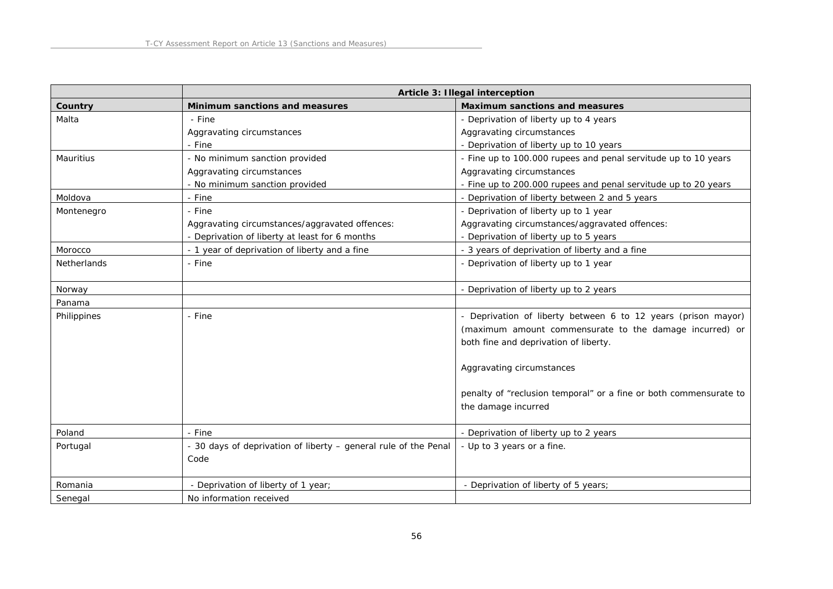|             | Article 3: Illegal interception                                 |                                                                   |
|-------------|-----------------------------------------------------------------|-------------------------------------------------------------------|
| Country     | Minimum sanctions and measures                                  | Maximum sanctions and measures                                    |
| Malta       | - Fine                                                          | - Deprivation of liberty up to 4 years                            |
|             | Aggravating circumstances                                       | Aggravating circumstances                                         |
|             | - Fine                                                          | - Deprivation of liberty up to 10 years                           |
| Mauritius   | - No minimum sanction provided                                  | - Fine up to 100.000 rupees and penal servitude up to 10 years    |
|             | Aggravating circumstances                                       | Aggravating circumstances                                         |
|             | - No minimum sanction provided                                  | - Fine up to 200.000 rupees and penal servitude up to 20 years    |
| Moldova     | - Fine                                                          | - Deprivation of liberty between 2 and 5 years                    |
| Montenegro  | - Fine                                                          | - Deprivation of liberty up to 1 year                             |
|             | Aggravating circumstances/aggravated offences:                  | Aggravating circumstances/aggravated offences:                    |
|             | - Deprivation of liberty at least for 6 months                  | - Deprivation of liberty up to 5 years                            |
| Morocco     | - 1 year of deprivation of liberty and a fine                   | - 3 years of deprivation of liberty and a fine                    |
| Netherlands | - Fine                                                          | - Deprivation of liberty up to 1 year                             |
|             |                                                                 |                                                                   |
| Norway      |                                                                 | - Deprivation of liberty up to 2 years                            |
| Panama      |                                                                 |                                                                   |
| Philippines | - Fine                                                          | - Deprivation of liberty between 6 to 12 years (prison mayor)     |
|             |                                                                 | (maximum amount commensurate to the damage incurred) or           |
|             |                                                                 | both fine and deprivation of liberty.                             |
|             |                                                                 |                                                                   |
|             |                                                                 | Aggravating circumstances                                         |
|             |                                                                 |                                                                   |
|             |                                                                 | penalty of "reclusion temporal" or a fine or both commensurate to |
|             |                                                                 | the damage incurred                                               |
|             |                                                                 |                                                                   |
| Poland      | - Fine                                                          | - Deprivation of liberty up to 2 years                            |
| Portugal    | - 30 days of deprivation of liberty - general rule of the Penal | - Up to 3 years or a fine.                                        |
|             | Code                                                            |                                                                   |
|             |                                                                 |                                                                   |
| Romania     | - Deprivation of liberty of 1 year;                             | - Deprivation of liberty of 5 years;                              |
| Senegal     | No information received                                         |                                                                   |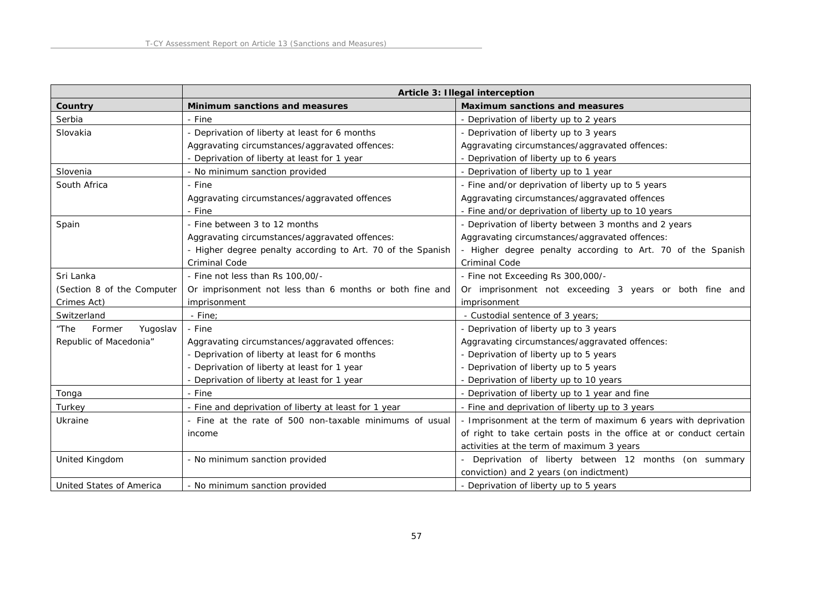|                            | Article 3: Illegal interception                             |                                                                    |
|----------------------------|-------------------------------------------------------------|--------------------------------------------------------------------|
| Country                    | Minimum sanctions and measures                              | Maximum sanctions and measures                                     |
| Serbia                     | - Fine                                                      | - Deprivation of liberty up to 2 years                             |
| Slovakia                   | - Deprivation of liberty at least for 6 months              | - Deprivation of liberty up to 3 years                             |
|                            | Aggravating circumstances/aggravated offences:              | Aggravating circumstances/aggravated offences:                     |
|                            | - Deprivation of liberty at least for 1 year                | - Deprivation of liberty up to 6 years                             |
| Slovenia                   | - No minimum sanction provided                              | - Deprivation of liberty up to 1 year                              |
| South Africa               | - Fine                                                      | - Fine and/or deprivation of liberty up to 5 years                 |
|                            | Aggravating circumstances/aggravated offences               | Aggravating circumstances/aggravated offences                      |
|                            | - Fine                                                      | - Fine and/or deprivation of liberty up to 10 years                |
| Spain                      | - Fine between 3 to 12 months                               | - Deprivation of liberty between 3 months and 2 years              |
|                            | Aggravating circumstances/aggravated offences:              | Aggravating circumstances/aggravated offences:                     |
|                            | - Higher degree penalty according to Art. 70 of the Spanish | - Higher degree penalty according to Art. 70 of the Spanish        |
|                            | Criminal Code                                               | <b>Criminal Code</b>                                               |
| Sri Lanka                  | - Fine not less than Rs 100,00/-                            | - Fine not Exceeding Rs 300,000/-                                  |
| (Section 8 of the Computer | Or imprisonment not less than 6 months or both fine and     | Or imprisonment not exceeding 3 years or both fine and             |
| Crimes Act)                | imprisonment                                                | imprisonment                                                       |
| Switzerland                | - Fine:                                                     | - Custodial sentence of 3 years;                                   |
| "The<br>Former<br>Yugoslav | - Fine                                                      | - Deprivation of liberty up to 3 years                             |
| Republic of Macedonia"     | Aggravating circumstances/aggravated offences:              | Aggravating circumstances/aggravated offences:                     |
|                            | - Deprivation of liberty at least for 6 months              | - Deprivation of liberty up to 5 years                             |
|                            | - Deprivation of liberty at least for 1 year                | - Deprivation of liberty up to 5 years                             |
|                            | Deprivation of liberty at least for 1 year                  | - Deprivation of liberty up to 10 years                            |
| Tonga                      | - Fine                                                      | - Deprivation of liberty up to 1 year and fine                     |
| Turkey                     | - Fine and deprivation of liberty at least for 1 year       | - Fine and deprivation of liberty up to 3 years                    |
| Ukraine                    | - Fine at the rate of 500 non-taxable minimums of usual     | - Imprisonment at the term of maximum 6 years with deprivation     |
|                            | income                                                      | of right to take certain posts in the office at or conduct certain |
|                            |                                                             | activities at the term of maximum 3 years                          |
| United Kingdom             | - No minimum sanction provided                              | - Deprivation of liberty between 12 months (on summary             |
|                            |                                                             | conviction) and 2 years (on indictment)                            |
| United States of America   | - No minimum sanction provided                              | - Deprivation of liberty up to 5 years                             |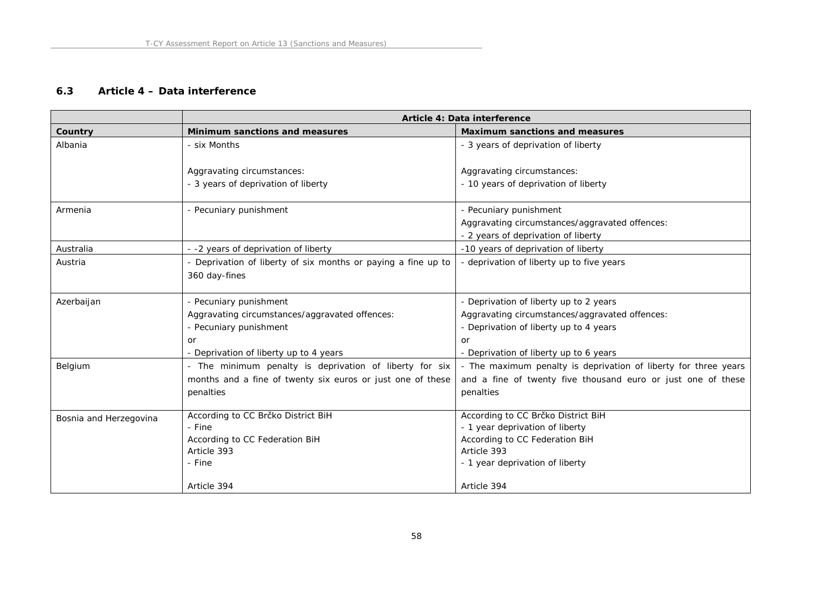### **6.3 Article 4 – Data interference**

|                        | Article 4: Data interference                                                   |                                                                 |
|------------------------|--------------------------------------------------------------------------------|-----------------------------------------------------------------|
| Country                | Minimum sanctions and measures                                                 | Maximum sanctions and measures                                  |
| Albania                | - six Months                                                                   | - 3 years of deprivation of liberty                             |
|                        | Aggravating circumstances:                                                     | Aggravating circumstances:                                      |
|                        | - 3 years of deprivation of liberty                                            | - 10 years of deprivation of liberty                            |
| Armenia                | - Pecuniary punishment                                                         | - Pecuniary punishment                                          |
|                        |                                                                                | Aggravating circumstances/aggravated offences:                  |
|                        |                                                                                | - 2 years of deprivation of liberty                             |
| Australia              | - -2 years of deprivation of liberty                                           | -10 years of deprivation of liberty                             |
| Austria                | - Deprivation of liberty of six months or paying a fine up to<br>360 day-fines | - deprivation of liberty up to five years                       |
| Azerbaijan             | - Pecuniary punishment                                                         | - Deprivation of liberty up to 2 years                          |
|                        | Aggravating circumstances/aggravated offences:                                 | Aggravating circumstances/aggravated offences:                  |
|                        | - Pecuniary punishment                                                         | - Deprivation of liberty up to 4 years                          |
|                        | or                                                                             | or                                                              |
|                        | - Deprivation of liberty up to 4 years                                         | - Deprivation of liberty up to 6 years                          |
| Belgium                | - The minimum penalty is deprivation of liberty for six                        | - The maximum penalty is deprivation of liberty for three years |
|                        | months and a fine of twenty six euros or just one of these                     | and a fine of twenty five thousand euro or just one of these    |
|                        | penalties                                                                      | penalties                                                       |
| Bosnia and Herzegovina | According to CC Brčko District BiH                                             | According to CC Brčko District BiH                              |
|                        | - Fine                                                                         | - 1 year deprivation of liberty                                 |
|                        | According to CC Federation BiH                                                 | According to CC Federation BiH                                  |
|                        | Article 393                                                                    | Article 393                                                     |
|                        | - Fine                                                                         | - 1 year deprivation of liberty                                 |
|                        | Article 394                                                                    | Article 394                                                     |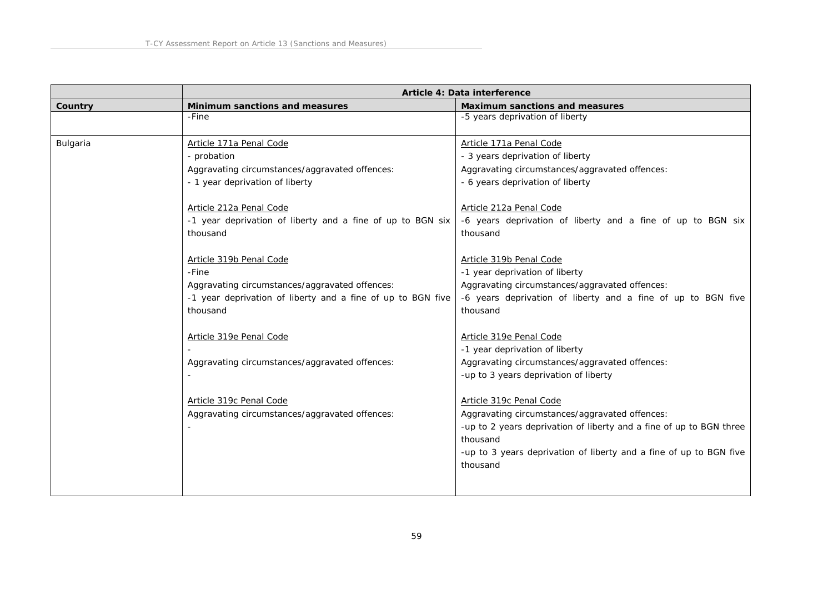|          | Article 4: Data interference                                                                                                                                                                                                                                                                                                                                                                                                 |                                                                                                                                                                                                                                                                                                                                                                                                                                                                                                                 |
|----------|------------------------------------------------------------------------------------------------------------------------------------------------------------------------------------------------------------------------------------------------------------------------------------------------------------------------------------------------------------------------------------------------------------------------------|-----------------------------------------------------------------------------------------------------------------------------------------------------------------------------------------------------------------------------------------------------------------------------------------------------------------------------------------------------------------------------------------------------------------------------------------------------------------------------------------------------------------|
| Country  | Minimum sanctions and measures                                                                                                                                                                                                                                                                                                                                                                                               | Maximum sanctions and measures                                                                                                                                                                                                                                                                                                                                                                                                                                                                                  |
|          | -Fine                                                                                                                                                                                                                                                                                                                                                                                                                        | -5 years deprivation of liberty                                                                                                                                                                                                                                                                                                                                                                                                                                                                                 |
| Bulgaria | Article 171a Penal Code<br>- probation<br>Aggravating circumstances/aggravated offences:<br>- 1 year deprivation of liberty<br>Article 212a Penal Code<br>-1 year deprivation of liberty and a fine of up to BGN six<br>thousand<br>Article 319b Penal Code<br>-Fine<br>Aggravating circumstances/aggravated offences:<br>-1 year deprivation of liberty and a fine of up to BGN five<br>thousand<br>Article 319e Penal Code | Article 171a Penal Code<br>- 3 years deprivation of liberty<br>Aggravating circumstances/aggravated offences:<br>- 6 years deprivation of liberty<br>Article 212a Penal Code<br>-6 years deprivation of liberty and a fine of up to BGN six<br>thousand<br>Article 319b Penal Code<br>-1 year deprivation of liberty<br>Aggravating circumstances/aggravated offences:<br>-6 years deprivation of liberty and a fine of up to BGN five<br>thousand<br>Article 319e Penal Code<br>-1 year deprivation of liberty |
|          | Aggravating circumstances/aggravated offences:<br>Article 319c Penal Code<br>Aggravating circumstances/aggravated offences:                                                                                                                                                                                                                                                                                                  | Aggravating circumstances/aggravated offences:<br>-up to 3 years deprivation of liberty<br>Article 319c Penal Code<br>Aggravating circumstances/aggravated offences:<br>-up to 2 years deprivation of liberty and a fine of up to BGN three<br>thousand<br>-up to 3 years deprivation of liberty and a fine of up to BGN five<br>thousand                                                                                                                                                                       |
|          |                                                                                                                                                                                                                                                                                                                                                                                                                              |                                                                                                                                                                                                                                                                                                                                                                                                                                                                                                                 |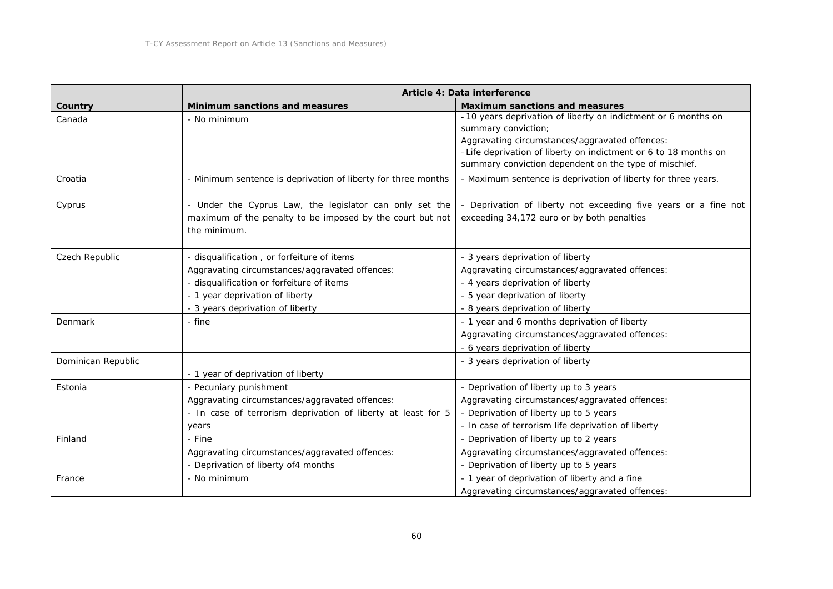|                    | Article 4: Data interference                                                                                                                                                                                     |                                                                                                                                                                                                                                                                      |
|--------------------|------------------------------------------------------------------------------------------------------------------------------------------------------------------------------------------------------------------|----------------------------------------------------------------------------------------------------------------------------------------------------------------------------------------------------------------------------------------------------------------------|
| Country            | Minimum sanctions and measures                                                                                                                                                                                   | Maximum sanctions and measures                                                                                                                                                                                                                                       |
| Canada             | - No minimum                                                                                                                                                                                                     | - 10 years deprivation of liberty on indictment or 6 months on<br>summary conviction;<br>Aggravating circumstances/aggravated offences:<br>- Life deprivation of liberty on indictment or 6 to 18 months on<br>summary conviction dependent on the type of mischief. |
| Croatia            | - Minimum sentence is deprivation of liberty for three months                                                                                                                                                    | - Maximum sentence is deprivation of liberty for three years.                                                                                                                                                                                                        |
| Cyprus             | - Under the Cyprus Law, the legislator can only set the<br>maximum of the penalty to be imposed by the court but not<br>the minimum.                                                                             | - Deprivation of liberty not exceeding five years or a fine not<br>exceeding 34,172 euro or by both penalties                                                                                                                                                        |
| Czech Republic     | - disqualification, or forfeiture of items<br>Aggravating circumstances/aggravated offences:<br>- disqualification or forfeiture of items<br>- 1 year deprivation of liberty<br>- 3 years deprivation of liberty | - 3 years deprivation of liberty<br>Aggravating circumstances/aggravated offences:<br>- 4 years deprivation of liberty<br>- 5 year deprivation of liberty<br>- 8 years deprivation of liberty                                                                        |
| Denmark            | - fine                                                                                                                                                                                                           | - 1 year and 6 months deprivation of liberty<br>Aggravating circumstances/aggravated offences:<br>- 6 years deprivation of liberty                                                                                                                                   |
| Dominican Republic | - 1 year of deprivation of liberty                                                                                                                                                                               | - 3 years deprivation of liberty                                                                                                                                                                                                                                     |
| Estonia            | - Pecuniary punishment<br>Aggravating circumstances/aggravated offences:<br>- In case of terrorism deprivation of liberty at least for 5<br>years                                                                | - Deprivation of liberty up to 3 years<br>Aggravating circumstances/aggravated offences:<br>- Deprivation of liberty up to 5 years<br>- In case of terrorism life deprivation of liberty                                                                             |
| Finland            | - Fine<br>Aggravating circumstances/aggravated offences:<br>- Deprivation of liberty of4 months                                                                                                                  | - Deprivation of liberty up to 2 years<br>Aggravating circumstances/aggravated offences:<br>- Deprivation of liberty up to 5 years                                                                                                                                   |
| France             | - No minimum                                                                                                                                                                                                     | - 1 year of deprivation of liberty and a fine<br>Aggravating circumstances/aggravated offences:                                                                                                                                                                      |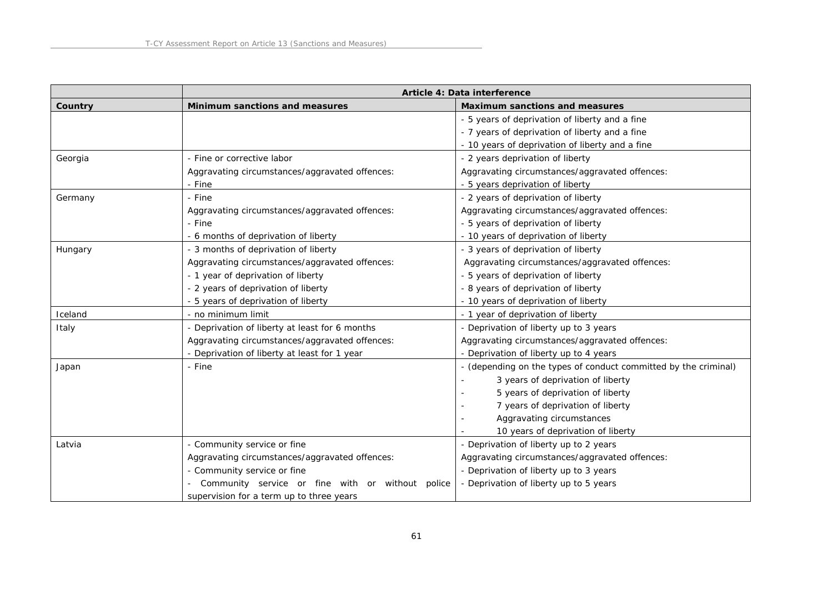|         | Article 4: Data interference                     |                                                                 |
|---------|--------------------------------------------------|-----------------------------------------------------------------|
| Country | Minimum sanctions and measures                   | Maximum sanctions and measures                                  |
|         |                                                  | - 5 years of deprivation of liberty and a fine                  |
|         |                                                  | - 7 years of deprivation of liberty and a fine                  |
|         |                                                  | - 10 years of deprivation of liberty and a fine                 |
| Georgia | - Fine or corrective labor                       | - 2 years deprivation of liberty                                |
|         | Aggravating circumstances/aggravated offences:   | Aggravating circumstances/aggravated offences:                  |
|         | - Fine                                           | - 5 years deprivation of liberty                                |
| Germany | - Fine                                           | - 2 years of deprivation of liberty                             |
|         | Aggravating circumstances/aggravated offences:   | Aggravating circumstances/aggravated offences:                  |
|         | - Fine                                           | - 5 years of deprivation of liberty                             |
|         | - 6 months of deprivation of liberty             | - 10 years of deprivation of liberty                            |
| Hungary | - 3 months of deprivation of liberty             | - 3 years of deprivation of liberty                             |
|         | Aggravating circumstances/aggravated offences:   | Aggravating circumstances/aggravated offences:                  |
|         | - 1 year of deprivation of liberty               | - 5 years of deprivation of liberty                             |
|         | - 2 years of deprivation of liberty              | - 8 years of deprivation of liberty                             |
|         | - 5 years of deprivation of liberty              | - 10 years of deprivation of liberty                            |
| Iceland | - no minimum limit                               | - 1 year of deprivation of liberty                              |
| Italy   | - Deprivation of liberty at least for 6 months   | - Deprivation of liberty up to 3 years                          |
|         | Aggravating circumstances/aggravated offences:   | Aggravating circumstances/aggravated offences:                  |
|         | - Deprivation of liberty at least for 1 year     | - Deprivation of liberty up to 4 years                          |
| Japan   | - Fine                                           | - (depending on the types of conduct committed by the criminal) |
|         |                                                  | 3 years of deprivation of liberty                               |
|         |                                                  | 5 years of deprivation of liberty                               |
|         |                                                  | 7 years of deprivation of liberty                               |
|         |                                                  | Aggravating circumstances                                       |
|         |                                                  | 10 years of deprivation of liberty                              |
| Latvia  | - Community service or fine                      | - Deprivation of liberty up to 2 years                          |
|         | Aggravating circumstances/aggravated offences:   | Aggravating circumstances/aggravated offences:                  |
|         | - Community service or fine                      | - Deprivation of liberty up to 3 years                          |
|         | Community service or fine with or without police | - Deprivation of liberty up to 5 years                          |
|         | supervision for a term up to three years         |                                                                 |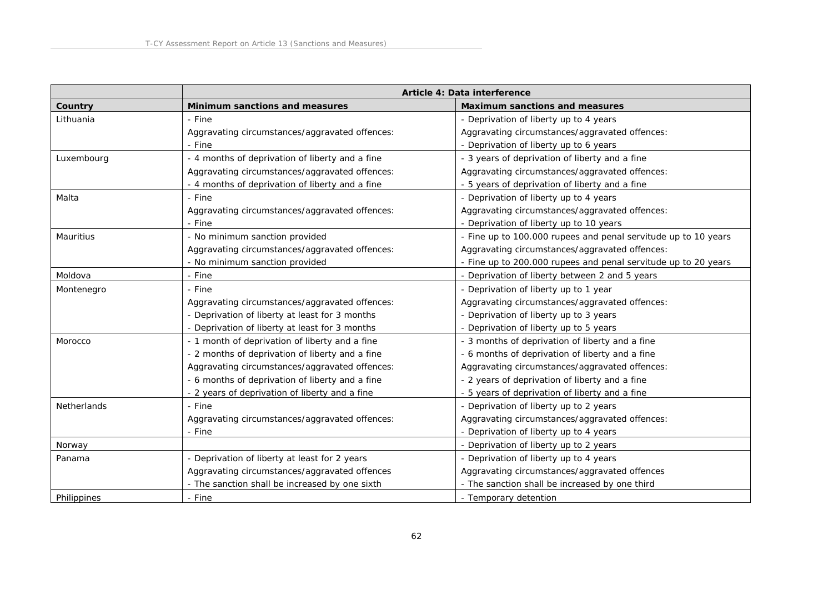|                    | Article 4: Data interference                    |                                                                |
|--------------------|-------------------------------------------------|----------------------------------------------------------------|
| Country            | Minimum sanctions and measures                  | Maximum sanctions and measures                                 |
| Lithuania          | - Fine                                          | - Deprivation of liberty up to 4 years                         |
|                    | Aggravating circumstances/aggravated offences:  | Aggravating circumstances/aggravated offences:                 |
|                    | - Fine                                          | - Deprivation of liberty up to 6 years                         |
| Luxembourg         | - 4 months of deprivation of liberty and a fine | - 3 years of deprivation of liberty and a fine                 |
|                    | Aggravating circumstances/aggravated offences:  | Aggravating circumstances/aggravated offences:                 |
|                    | - 4 months of deprivation of liberty and a fine | 5 years of deprivation of liberty and a fine                   |
| Malta              | - Fine                                          | - Deprivation of liberty up to 4 years                         |
|                    | Aggravating circumstances/aggravated offences:  | Aggravating circumstances/aggravated offences:                 |
|                    | - Fine                                          | - Deprivation of liberty up to 10 years                        |
| Mauritius          | - No minimum sanction provided                  | - Fine up to 100.000 rupees and penal servitude up to 10 years |
|                    | Aggravating circumstances/aggravated offences:  | Aggravating circumstances/aggravated offences:                 |
|                    | - No minimum sanction provided                  | - Fine up to 200.000 rupees and penal servitude up to 20 years |
| Moldova            | - Fine                                          | - Deprivation of liberty between 2 and 5 years                 |
| Montenegro         | - Fine                                          | - Deprivation of liberty up to 1 year                          |
|                    | Aggravating circumstances/aggravated offences:  | Aggravating circumstances/aggravated offences:                 |
|                    | - Deprivation of liberty at least for 3 months  | - Deprivation of liberty up to 3 years                         |
|                    | - Deprivation of liberty at least for 3 months  | - Deprivation of liberty up to 5 years                         |
| Morocco            | - 1 month of deprivation of liberty and a fine  | - 3 months of deprivation of liberty and a fine                |
|                    | - 2 months of deprivation of liberty and a fine | - 6 months of deprivation of liberty and a fine                |
|                    | Aggravating circumstances/aggravated offences:  | Aggravating circumstances/aggravated offences:                 |
|                    | - 6 months of deprivation of liberty and a fine | - 2 years of deprivation of liberty and a fine                 |
|                    | - 2 years of deprivation of liberty and a fine  | - 5 years of deprivation of liberty and a fine                 |
| <b>Netherlands</b> | - Fine                                          | - Deprivation of liberty up to 2 years                         |
|                    | Aggravating circumstances/aggravated offences:  | Aggravating circumstances/aggravated offences:                 |
|                    | - Fine                                          | - Deprivation of liberty up to 4 years                         |
| Norway             |                                                 | - Deprivation of liberty up to 2 years                         |
| Panama             | - Deprivation of liberty at least for 2 years   | - Deprivation of liberty up to 4 years                         |
|                    | Aggravating circumstances/aggravated offences   | Aggravating circumstances/aggravated offences                  |
|                    | - The sanction shall be increased by one sixth  | - The sanction shall be increased by one third                 |
| Philippines        | - Fine                                          | - Temporary detention                                          |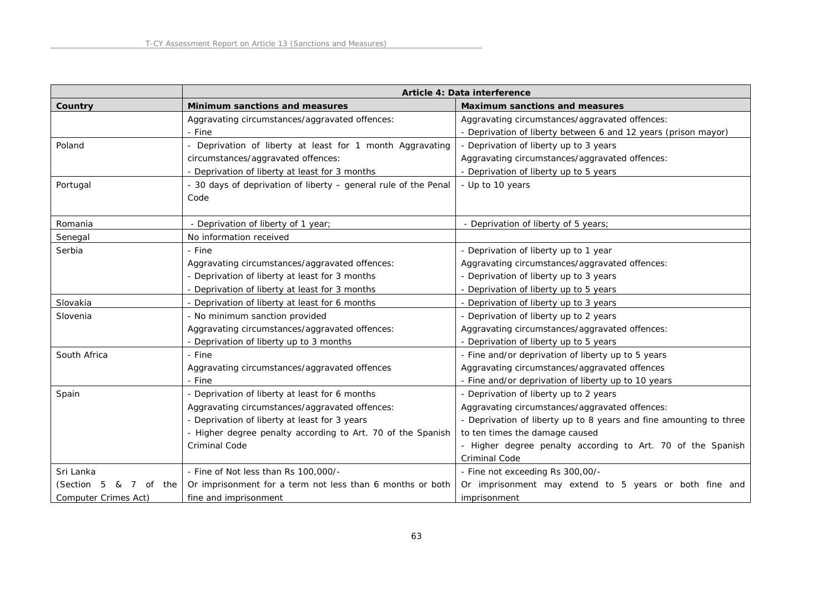|                                   | Article 4: Data interference                                    |                                                                    |
|-----------------------------------|-----------------------------------------------------------------|--------------------------------------------------------------------|
| Country                           | Minimum sanctions and measures                                  | Maximum sanctions and measures                                     |
|                                   | Aggravating circumstances/aggravated offences:                  | Aggravating circumstances/aggravated offences:                     |
|                                   | - Fine                                                          | - Deprivation of liberty between 6 and 12 years (prison mayor)     |
| Poland                            | - Deprivation of liberty at least for 1 month Aggravating       | - Deprivation of liberty up to 3 years                             |
|                                   | circumstances/aggravated offences:                              | Aggravating circumstances/aggravated offences:                     |
|                                   | - Deprivation of liberty at least for 3 months                  | - Deprivation of liberty up to 5 years                             |
| Portugal                          | - 30 days of deprivation of liberty - general rule of the Penal | - Up to 10 years                                                   |
|                                   | Code                                                            |                                                                    |
|                                   |                                                                 |                                                                    |
| Romania                           | - Deprivation of liberty of 1 year;                             | - Deprivation of liberty of 5 years;                               |
| Senegal                           | No information received                                         |                                                                    |
| Serbia                            | - Fine                                                          | - Deprivation of liberty up to 1 year                              |
|                                   | Aggravating circumstances/aggravated offences:                  | Aggravating circumstances/aggravated offences:                     |
|                                   | - Deprivation of liberty at least for 3 months                  | - Deprivation of liberty up to 3 years                             |
|                                   | - Deprivation of liberty at least for 3 months                  | - Deprivation of liberty up to 5 years                             |
| Slovakia                          | - Deprivation of liberty at least for 6 months                  | - Deprivation of liberty up to 3 years                             |
| Slovenia                          | - No minimum sanction provided                                  | - Deprivation of liberty up to 2 years                             |
|                                   | Aggravating circumstances/aggravated offences:                  | Aggravating circumstances/aggravated offences:                     |
|                                   | - Deprivation of liberty up to 3 months                         | - Deprivation of liberty up to 5 years                             |
| South Africa                      | - Fine                                                          | - Fine and/or deprivation of liberty up to 5 years                 |
|                                   | Aggravating circumstances/aggravated offences                   | Aggravating circumstances/aggravated offences                      |
|                                   | - Fine                                                          | - Fine and/or deprivation of liberty up to 10 years                |
| Spain                             | - Deprivation of liberty at least for 6 months                  | - Deprivation of liberty up to 2 years                             |
|                                   | Aggravating circumstances/aggravated offences:                  | Aggravating circumstances/aggravated offences:                     |
|                                   | - Deprivation of liberty at least for 3 years                   | - Deprivation of liberty up to 8 years and fine amounting to three |
|                                   | - Higher degree penalty according to Art. 70 of the Spanish     | to ten times the damage caused                                     |
|                                   | Criminal Code                                                   | - Higher degree penalty according to Art. 70 of the Spanish        |
|                                   |                                                                 | Criminal Code                                                      |
| Sri Lanka                         | - Fine of Not less than Rs 100,000/-                            | - Fine not exceeding Rs 300,00/-                                   |
| (Section 5<br>&<br>7<br>of<br>the | Or imprisonment for a term not less than 6 months or both       | Or imprisonment may extend to 5 years or both fine and             |
| Computer Crimes Act)              | fine and imprisonment                                           | imprisonment                                                       |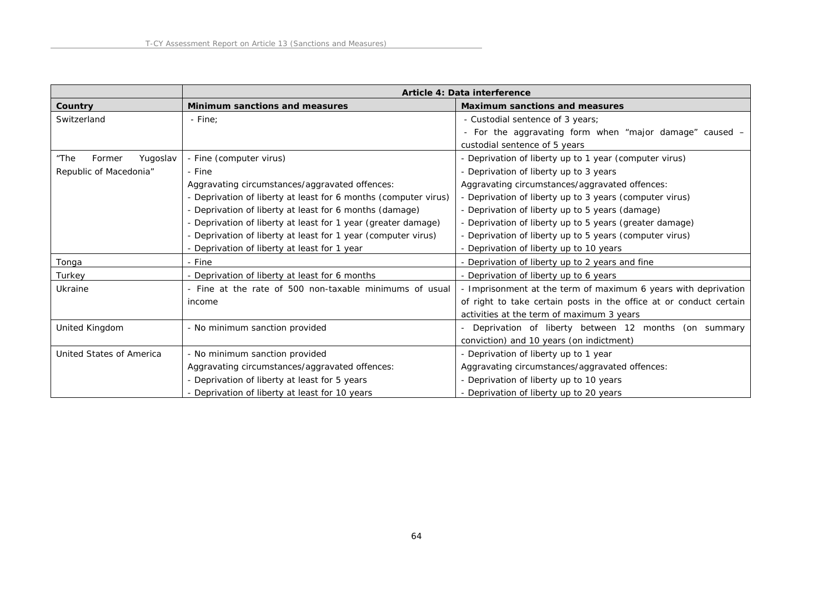|                            |                                                                 | Article 4: Data interference                                       |
|----------------------------|-----------------------------------------------------------------|--------------------------------------------------------------------|
| Country                    | Minimum sanctions and measures                                  | Maximum sanctions and measures                                     |
| Switzerland                | - Fine:                                                         | - Custodial sentence of 3 years;                                   |
|                            |                                                                 | - For the aggravating form when "major damage" caused -            |
|                            |                                                                 | custodial sentence of 5 years                                      |
| Yugoslav<br>"The<br>Former | - Fine (computer virus)                                         | - Deprivation of liberty up to 1 year (computer virus)             |
| Republic of Macedonia"     | - Fine                                                          | - Deprivation of liberty up to 3 years                             |
|                            | Aggravating circumstances/aggravated offences:                  | Aggravating circumstances/aggravated offences:                     |
|                            | - Deprivation of liberty at least for 6 months (computer virus) | - Deprivation of liberty up to 3 years (computer virus)            |
|                            | - Deprivation of liberty at least for 6 months (damage)         | - Deprivation of liberty up to 5 years (damage)                    |
|                            | - Deprivation of liberty at least for 1 year (greater damage)   | - Deprivation of liberty up to 5 years (greater damage)            |
|                            | - Deprivation of liberty at least for 1 year (computer virus)   | - Deprivation of liberty up to 5 years (computer virus)            |
|                            | - Deprivation of liberty at least for 1 year                    | - Deprivation of liberty up to 10 years                            |
| Tonga                      | - Fine                                                          | - Deprivation of liberty up to 2 years and fine                    |
| Turkey                     | - Deprivation of liberty at least for 6 months                  | - Deprivation of liberty up to 6 years                             |
| Ukraine                    | - Fine at the rate of 500 non-taxable minimums of usual         | - Imprisonment at the term of maximum 6 years with deprivation     |
|                            | income                                                          | of right to take certain posts in the office at or conduct certain |
|                            |                                                                 | activities at the term of maximum 3 years                          |
| United Kingdom             | - No minimum sanction provided                                  | Deprivation of liberty between 12 months (on summary               |
|                            |                                                                 | conviction) and 10 years (on indictment)                           |
| United States of America   | - No minimum sanction provided                                  | - Deprivation of liberty up to 1 year                              |
|                            | Aggravating circumstances/aggravated offences:                  | Aggravating circumstances/aggravated offences:                     |
|                            | - Deprivation of liberty at least for 5 years                   | - Deprivation of liberty up to 10 years                            |
|                            | - Deprivation of liberty at least for 10 years                  | - Deprivation of liberty up to 20 years                            |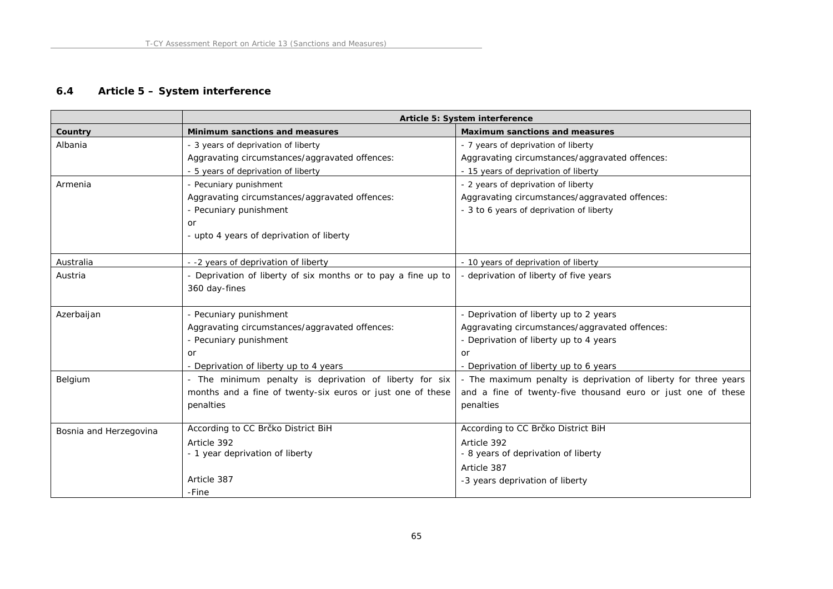## **6.4 Article 5 – System interference**

|                        | Article 5: System interference                                |                                                                 |
|------------------------|---------------------------------------------------------------|-----------------------------------------------------------------|
| Country                | Minimum sanctions and measures                                | Maximum sanctions and measures                                  |
| Albania                | - 3 years of deprivation of liberty                           | - 7 years of deprivation of liberty                             |
|                        | Aggravating circumstances/aggravated offences:                | Aggravating circumstances/aggravated offences:                  |
|                        | - 5 years of deprivation of liberty                           | - 15 years of deprivation of liberty                            |
| Armenia                | - Pecuniary punishment                                        | - 2 years of deprivation of liberty                             |
|                        | Aggravating circumstances/aggravated offences:                | Aggravating circumstances/aggravated offences:                  |
|                        | - Pecuniary punishment                                        | - 3 to 6 years of deprivation of liberty                        |
|                        | or                                                            |                                                                 |
|                        | - upto 4 years of deprivation of liberty                      |                                                                 |
| Australia              | --2 years of deprivation of liberty                           | - 10 years of deprivation of liberty                            |
| Austria                | - Deprivation of liberty of six months or to pay a fine up to | - deprivation of liberty of five years                          |
|                        | 360 day-fines                                                 |                                                                 |
|                        |                                                               |                                                                 |
| Azerbaijan             | - Pecuniary punishment                                        | - Deprivation of liberty up to 2 years                          |
|                        | Aggravating circumstances/aggravated offences:                | Aggravating circumstances/aggravated offences:                  |
|                        | - Pecuniary punishment                                        | - Deprivation of liberty up to 4 years                          |
|                        | or                                                            | or                                                              |
|                        | - Deprivation of liberty up to 4 years                        | - Deprivation of liberty up to 6 years                          |
| Belgium                | - The minimum penalty is deprivation of liberty for six       | - The maximum penalty is deprivation of liberty for three years |
|                        | months and a fine of twenty-six euros or just one of these    | and a fine of twenty-five thousand euro or just one of these    |
|                        | penalties                                                     | penalties                                                       |
| Bosnia and Herzegovina | According to CC Brčko District BiH                            | According to CC Brčko District BiH                              |
|                        | Article 392                                                   | Article 392                                                     |
|                        | - 1 year deprivation of liberty                               | - 8 years of deprivation of liberty                             |
|                        |                                                               | Article 387                                                     |
|                        | Article 387                                                   | -3 years deprivation of liberty                                 |
|                        | -Fine                                                         |                                                                 |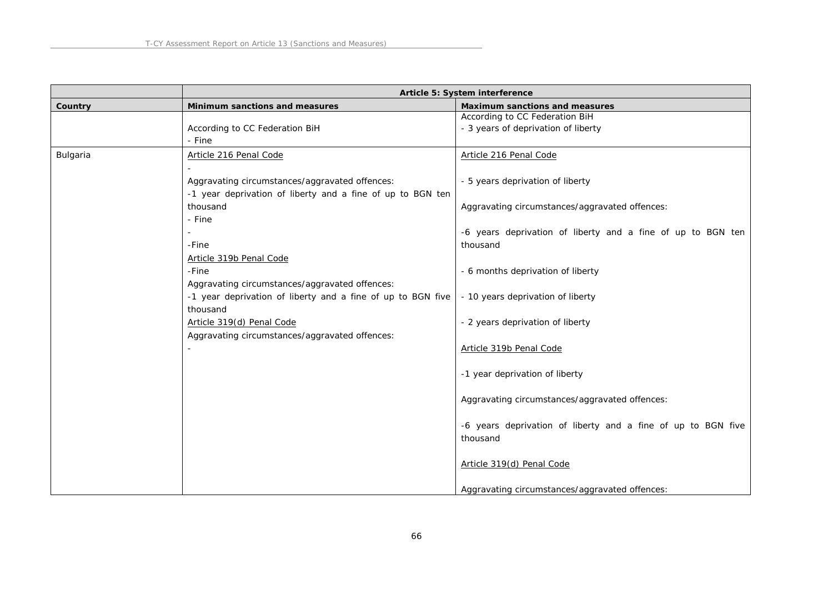|          | Article 5: System interference                              |                                                              |
|----------|-------------------------------------------------------------|--------------------------------------------------------------|
| Country  | Minimum sanctions and measures                              | Maximum sanctions and measures                               |
|          |                                                             | According to CC Federation BiH                               |
|          | According to CC Federation BiH                              | - 3 years of deprivation of liberty                          |
|          | - Fine                                                      |                                                              |
| Bulgaria | Article 216 Penal Code                                      | Article 216 Penal Code                                       |
|          |                                                             |                                                              |
|          | Aggravating circumstances/aggravated offences:              | - 5 years deprivation of liberty                             |
|          | -1 year deprivation of liberty and a fine of up to BGN ten  |                                                              |
|          | thousand                                                    | Aggravating circumstances/aggravated offences:               |
|          | - Fine                                                      |                                                              |
|          |                                                             | -6 years deprivation of liberty and a fine of up to BGN ten  |
|          | -Fine                                                       | thousand                                                     |
|          | Article 319b Penal Code                                     |                                                              |
|          | -Fine                                                       | - 6 months deprivation of liberty                            |
|          | Aggravating circumstances/aggravated offences:              |                                                              |
|          | -1 year deprivation of liberty and a fine of up to BGN five | - 10 years deprivation of liberty                            |
|          | thousand                                                    |                                                              |
|          | Article 319(d) Penal Code                                   | - 2 years deprivation of liberty                             |
|          | Aggravating circumstances/aggravated offences:              |                                                              |
|          |                                                             | Article 319b Penal Code                                      |
|          |                                                             |                                                              |
|          |                                                             | -1 year deprivation of liberty                               |
|          |                                                             |                                                              |
|          |                                                             | Aggravating circumstances/aggravated offences:               |
|          |                                                             |                                                              |
|          |                                                             | -6 years deprivation of liberty and a fine of up to BGN five |
|          |                                                             | thousand                                                     |
|          |                                                             |                                                              |
|          |                                                             | Article 319(d) Penal Code                                    |
|          |                                                             |                                                              |
|          |                                                             | Aggravating circumstances/aggravated offences:               |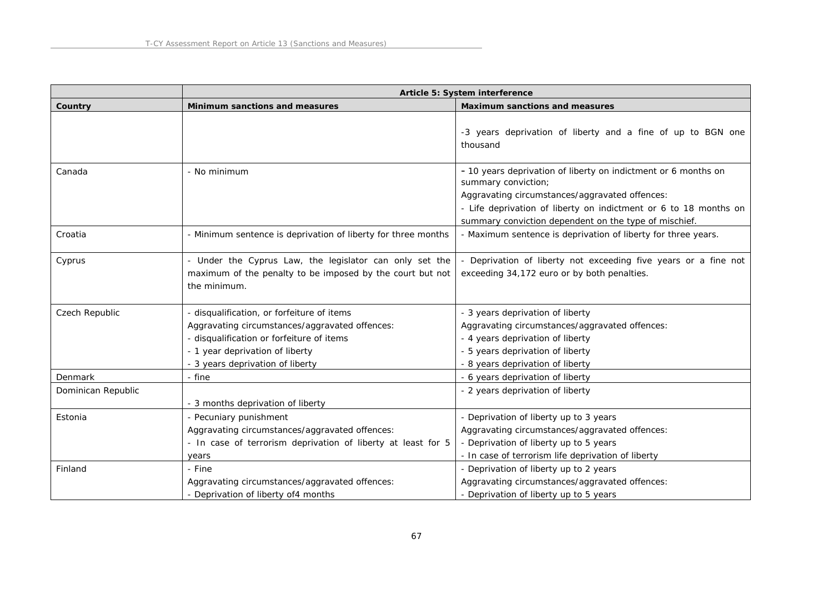|                    | Article 5: System interference                                                                                                                                                                                   |                                                                                                                                                                                                                                                                      |
|--------------------|------------------------------------------------------------------------------------------------------------------------------------------------------------------------------------------------------------------|----------------------------------------------------------------------------------------------------------------------------------------------------------------------------------------------------------------------------------------------------------------------|
| Country            | Minimum sanctions and measures                                                                                                                                                                                   | Maximum sanctions and measures                                                                                                                                                                                                                                       |
|                    |                                                                                                                                                                                                                  | -3 years deprivation of liberty and a fine of up to BGN one<br>thousand                                                                                                                                                                                              |
| Canada             | - No minimum                                                                                                                                                                                                     | - 10 years deprivation of liberty on indictment or 6 months on<br>summary conviction;<br>Aggravating circumstances/aggravated offences:<br>- Life deprivation of liberty on indictment or 6 to 18 months on<br>summary conviction dependent on the type of mischief. |
| Croatia            | - Minimum sentence is deprivation of liberty for three months                                                                                                                                                    | - Maximum sentence is deprivation of liberty for three years.                                                                                                                                                                                                        |
| Cyprus             | - Under the Cyprus Law, the legislator can only set the<br>maximum of the penalty to be imposed by the court but not<br>the minimum.                                                                             | Deprivation of liberty not exceeding five years or a fine not<br>exceeding 34,172 euro or by both penalties.                                                                                                                                                         |
| Czech Republic     | - disqualification, or forfeiture of items<br>Aggravating circumstances/aggravated offences:<br>- disqualification or forfeiture of items<br>- 1 year deprivation of liberty<br>- 3 years deprivation of liberty | - 3 years deprivation of liberty<br>Aggravating circumstances/aggravated offences:<br>- 4 years deprivation of liberty<br>- 5 years deprivation of liberty<br>- 8 years deprivation of liberty                                                                       |
| Denmark            | - fine                                                                                                                                                                                                           | - 6 years deprivation of liberty                                                                                                                                                                                                                                     |
| Dominican Republic | - 3 months deprivation of liberty                                                                                                                                                                                | - 2 years deprivation of liberty                                                                                                                                                                                                                                     |
| Estonia            | - Pecuniary punishment<br>Aggravating circumstances/aggravated offences:<br>- In case of terrorism deprivation of liberty at least for 5<br>years                                                                | - Deprivation of liberty up to 3 years<br>Aggravating circumstances/aggravated offences:<br>- Deprivation of liberty up to 5 years<br>- In case of terrorism life deprivation of liberty                                                                             |
| Finland            | - Fine<br>Aggravating circumstances/aggravated offences:<br>- Deprivation of liberty of4 months                                                                                                                  | - Deprivation of liberty up to 2 years<br>Aggravating circumstances/aggravated offences:<br>- Deprivation of liberty up to 5 years                                                                                                                                   |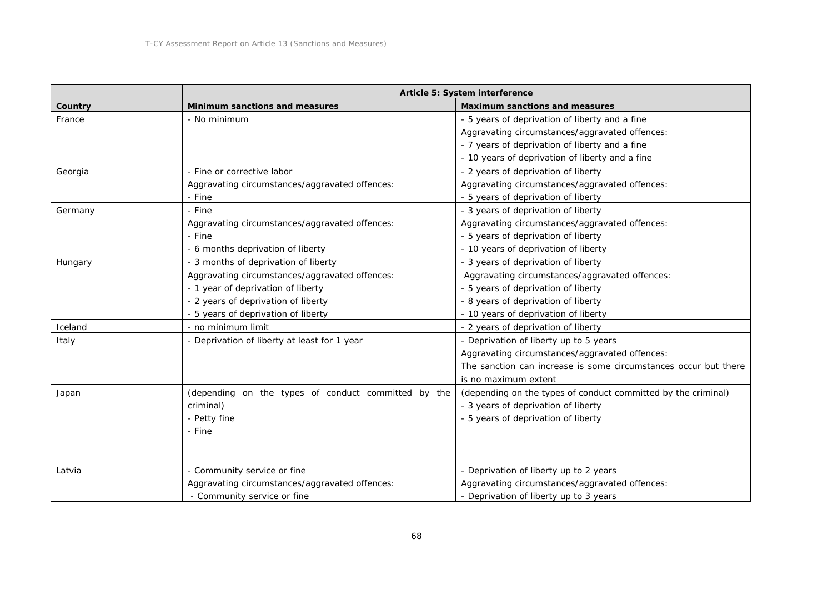|         | Article 5: System interference                      |                                                                 |
|---------|-----------------------------------------------------|-----------------------------------------------------------------|
| Country | Minimum sanctions and measures                      | Maximum sanctions and measures                                  |
| France  | - No minimum                                        | - 5 years of deprivation of liberty and a fine                  |
|         |                                                     | Aggravating circumstances/aggravated offences:                  |
|         |                                                     | - 7 years of deprivation of liberty and a fine                  |
|         |                                                     | - 10 years of deprivation of liberty and a fine                 |
| Georgia | - Fine or corrective labor                          | - 2 years of deprivation of liberty                             |
|         | Aggravating circumstances/aggravated offences:      | Aggravating circumstances/aggravated offences:                  |
|         | - Fine                                              | - 5 years of deprivation of liberty                             |
| Germany | - Fine                                              | - 3 years of deprivation of liberty                             |
|         | Aggravating circumstances/aggravated offences:      | Aggravating circumstances/aggravated offences:                  |
|         | - Fine                                              | - 5 years of deprivation of liberty                             |
|         | - 6 months deprivation of liberty                   | - 10 years of deprivation of liberty                            |
| Hungary | - 3 months of deprivation of liberty                | - 3 years of deprivation of liberty                             |
|         | Aggravating circumstances/aggravated offences:      | Aggravating circumstances/aggravated offences:                  |
|         | - 1 year of deprivation of liberty                  | - 5 years of deprivation of liberty                             |
|         | - 2 years of deprivation of liberty                 | - 8 years of deprivation of liberty                             |
|         | - 5 years of deprivation of liberty                 | - 10 years of deprivation of liberty                            |
| Iceland | - no minimum limit                                  | - 2 years of deprivation of liberty                             |
| Italy   | - Deprivation of liberty at least for 1 year        | - Deprivation of liberty up to 5 years                          |
|         |                                                     | Aggravating circumstances/aggravated offences:                  |
|         |                                                     | The sanction can increase is some circumstances occur but there |
|         |                                                     | is no maximum extent                                            |
| Japan   | (depending on the types of conduct committed by the | (depending on the types of conduct committed by the criminal)   |
|         | criminal)                                           | - 3 years of deprivation of liberty                             |
|         | - Petty fine                                        | - 5 years of deprivation of liberty                             |
|         | - Fine                                              |                                                                 |
|         |                                                     |                                                                 |
|         |                                                     |                                                                 |
| Latvia  | - Community service or fine                         | - Deprivation of liberty up to 2 years                          |
|         | Aggravating circumstances/aggravated offences:      | Aggravating circumstances/aggravated offences:                  |
|         | - Community service or fine                         | - Deprivation of liberty up to 3 years                          |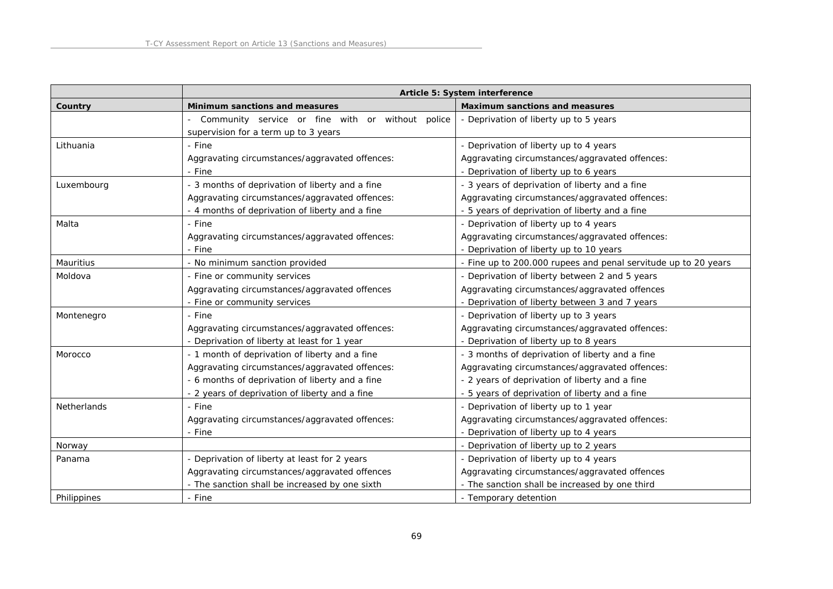|                    |                                                                                          | Article 5: System interference                               |
|--------------------|------------------------------------------------------------------------------------------|--------------------------------------------------------------|
| Country            | Minimum sanctions and measures                                                           | Maximum sanctions and measures                               |
|                    | Community service or fine with or without police<br>supervision for a term up to 3 years | - Deprivation of liberty up to 5 years                       |
| Lithuania          | - Fine                                                                                   | - Deprivation of liberty up to 4 years                       |
|                    | Aggravating circumstances/aggravated offences:                                           | Aggravating circumstances/aggravated offences:               |
|                    | - Fine                                                                                   | - Deprivation of liberty up to 6 years                       |
| Luxembourg         | - 3 months of deprivation of liberty and a fine                                          | - 3 years of deprivation of liberty and a fine               |
|                    | Aggravating circumstances/aggravated offences:                                           | Aggravating circumstances/aggravated offences:               |
|                    | - 4 months of deprivation of liberty and a fine                                          | - 5 years of deprivation of liberty and a fine               |
| Malta              | - Fine                                                                                   | - Deprivation of liberty up to 4 years                       |
|                    | Aggravating circumstances/aggravated offences:                                           | Aggravating circumstances/aggravated offences:               |
|                    | - Fine                                                                                   | - Deprivation of liberty up to 10 years                      |
| Mauritius          | - No minimum sanction provided                                                           | Fine up to 200.000 rupees and penal servitude up to 20 years |
| Moldova            | - Fine or community services                                                             | - Deprivation of liberty between 2 and 5 years               |
|                    | Aggravating circumstances/aggravated offences                                            | Aggravating circumstances/aggravated offences                |
|                    | - Fine or community services                                                             | Deprivation of liberty between 3 and 7 years                 |
| Montenegro         | - Fine                                                                                   | - Deprivation of liberty up to 3 years                       |
|                    | Aggravating circumstances/aggravated offences:                                           | Aggravating circumstances/aggravated offences:               |
|                    | - Deprivation of liberty at least for 1 year                                             | - Deprivation of liberty up to 8 years                       |
| Morocco            | - 1 month of deprivation of liberty and a fine                                           | - 3 months of deprivation of liberty and a fine              |
|                    | Aggravating circumstances/aggravated offences:                                           | Aggravating circumstances/aggravated offences:               |
|                    | - 6 months of deprivation of liberty and a fine                                          | - 2 years of deprivation of liberty and a fine               |
|                    | - 2 years of deprivation of liberty and a fine                                           | - 5 years of deprivation of liberty and a fine               |
| <b>Netherlands</b> | - Fine                                                                                   | - Deprivation of liberty up to 1 year                        |
|                    | Aggravating circumstances/aggravated offences:                                           | Aggravating circumstances/aggravated offences:               |
|                    | - Fine                                                                                   | - Deprivation of liberty up to 4 years                       |
| Norway             |                                                                                          | - Deprivation of liberty up to 2 years                       |
| Panama             | - Deprivation of liberty at least for 2 years                                            | - Deprivation of liberty up to 4 years                       |
|                    | Aggravating circumstances/aggravated offences                                            | Aggravating circumstances/aggravated offences                |
|                    | - The sanction shall be increased by one sixth                                           | - The sanction shall be increased by one third               |
| Philippines        | - Fine                                                                                   | - Temporary detention                                        |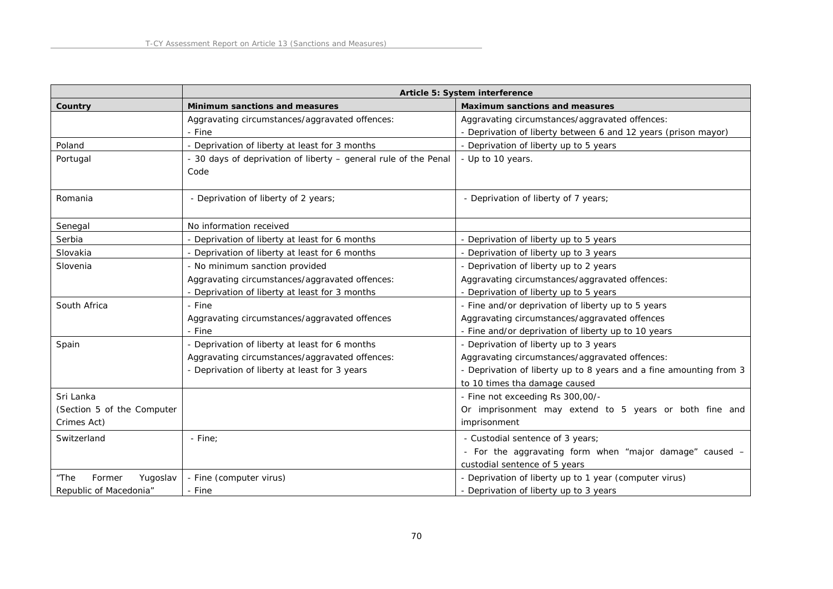|                            | Article 5: System interference                                          |                                                                    |
|----------------------------|-------------------------------------------------------------------------|--------------------------------------------------------------------|
| Country                    | Minimum sanctions and measures                                          | Maximum sanctions and measures                                     |
|                            | Aggravating circumstances/aggravated offences:                          | Aggravating circumstances/aggravated offences:                     |
|                            | - Fine                                                                  | - Deprivation of liberty between 6 and 12 years (prison mayor)     |
| Poland                     | - Deprivation of liberty at least for 3 months                          | - Deprivation of liberty up to 5 years                             |
| Portugal                   | - 30 days of deprivation of liberty - general rule of the Penal<br>Code | - Up to 10 years.                                                  |
| Romania                    | - Deprivation of liberty of 2 years;                                    | - Deprivation of liberty of 7 years;                               |
| Senegal                    | No information received                                                 |                                                                    |
| Serbia                     | - Deprivation of liberty at least for 6 months                          | - Deprivation of liberty up to 5 years                             |
| Slovakia                   | - Deprivation of liberty at least for 6 months                          | - Deprivation of liberty up to 3 years                             |
| Slovenia                   | - No minimum sanction provided                                          | - Deprivation of liberty up to 2 years                             |
|                            | Aggravating circumstances/aggravated offences:                          | Aggravating circumstances/aggravated offences:                     |
|                            | - Deprivation of liberty at least for 3 months                          | - Deprivation of liberty up to 5 years                             |
| South Africa               | - Fine                                                                  | - Fine and/or deprivation of liberty up to 5 years                 |
|                            | Aggravating circumstances/aggravated offences                           | Aggravating circumstances/aggravated offences                      |
|                            | - Fine                                                                  | - Fine and/or deprivation of liberty up to 10 years                |
| Spain                      | - Deprivation of liberty at least for 6 months                          | - Deprivation of liberty up to 3 years                             |
|                            | Aggravating circumstances/aggravated offences:                          | Aggravating circumstances/aggravated offences:                     |
|                            | - Deprivation of liberty at least for 3 years                           | - Deprivation of liberty up to 8 years and a fine amounting from 3 |
|                            |                                                                         | to 10 times tha damage caused                                      |
| Sri Lanka                  |                                                                         | - Fine not exceeding Rs 300,00/-                                   |
| (Section 5 of the Computer |                                                                         | Or imprisonment may extend to 5 years or both fine and             |
| Crimes Act)                |                                                                         | imprisonment                                                       |
| Switzerland                | - Fine:                                                                 | - Custodial sentence of 3 years;                                   |
|                            |                                                                         | - For the aggravating form when "major damage" caused -            |
|                            |                                                                         | custodial sentence of 5 years                                      |
| "The<br>Former<br>Yugoslav | - Fine (computer virus)                                                 | - Deprivation of liberty up to 1 year (computer virus)             |
| Republic of Macedonia"     | - Fine                                                                  | - Deprivation of liberty up to 3 years                             |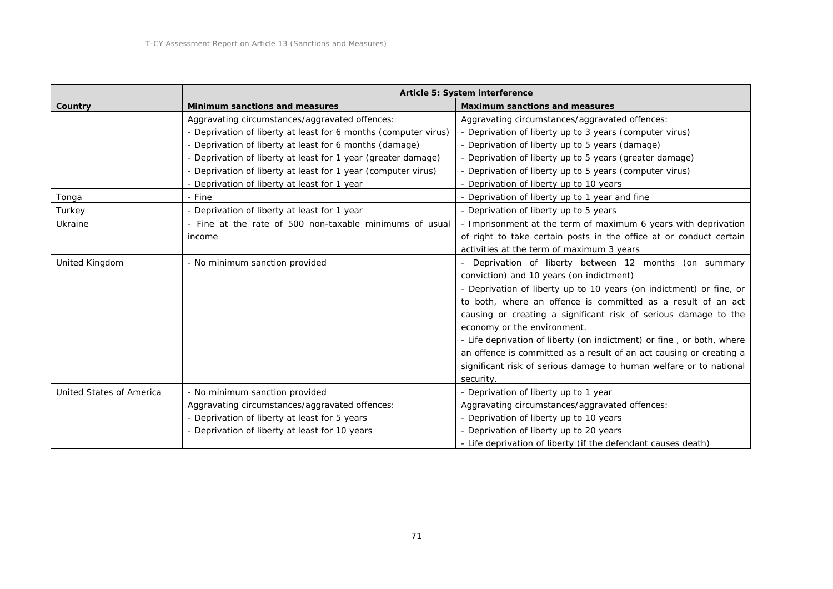|                          | Article 5: System interference                                  |                                                                       |
|--------------------------|-----------------------------------------------------------------|-----------------------------------------------------------------------|
| Country                  | Minimum sanctions and measures                                  | Maximum sanctions and measures                                        |
|                          | Aggravating circumstances/aggravated offences:                  | Aggravating circumstances/aggravated offences:                        |
|                          | - Deprivation of liberty at least for 6 months (computer virus) | - Deprivation of liberty up to 3 years (computer virus)               |
|                          | - Deprivation of liberty at least for 6 months (damage)         | - Deprivation of liberty up to 5 years (damage)                       |
|                          | - Deprivation of liberty at least for 1 year (greater damage)   | - Deprivation of liberty up to 5 years (greater damage)               |
|                          | - Deprivation of liberty at least for 1 year (computer virus)   | - Deprivation of liberty up to 5 years (computer virus)               |
|                          | - Deprivation of liberty at least for 1 year                    | - Deprivation of liberty up to 10 years                               |
| Tonga                    | - Fine                                                          | - Deprivation of liberty up to 1 year and fine                        |
| Turkey                   | - Deprivation of liberty at least for 1 year                    | - Deprivation of liberty up to 5 years                                |
| Ukraine                  | - Fine at the rate of 500 non-taxable minimums of usual         | - Imprisonment at the term of maximum 6 years with deprivation        |
|                          | income                                                          | of right to take certain posts in the office at or conduct certain    |
|                          |                                                                 | activities at the term of maximum 3 years                             |
| United Kingdom           | - No minimum sanction provided                                  | Deprivation of liberty between 12 months (on summary                  |
|                          |                                                                 | conviction) and 10 years (on indictment)                              |
|                          |                                                                 | - Deprivation of liberty up to 10 years (on indictment) or fine, or   |
|                          |                                                                 | to both, where an offence is committed as a result of an act          |
|                          |                                                                 | causing or creating a significant risk of serious damage to the       |
|                          |                                                                 | economy or the environment.                                           |
|                          |                                                                 | - Life deprivation of liberty (on indictment) or fine, or both, where |
|                          |                                                                 | an offence is committed as a result of an act causing or creating a   |
|                          |                                                                 | significant risk of serious damage to human welfare or to national    |
|                          |                                                                 | security.                                                             |
| United States of America | - No minimum sanction provided                                  | - Deprivation of liberty up to 1 year                                 |
|                          | Aggravating circumstances/aggravated offences:                  | Aggravating circumstances/aggravated offences:                        |
|                          | - Deprivation of liberty at least for 5 years                   | - Deprivation of liberty up to 10 years                               |
|                          | - Deprivation of liberty at least for 10 years                  | - Deprivation of liberty up to 20 years                               |
|                          |                                                                 | - Life deprivation of liberty (if the defendant causes death)         |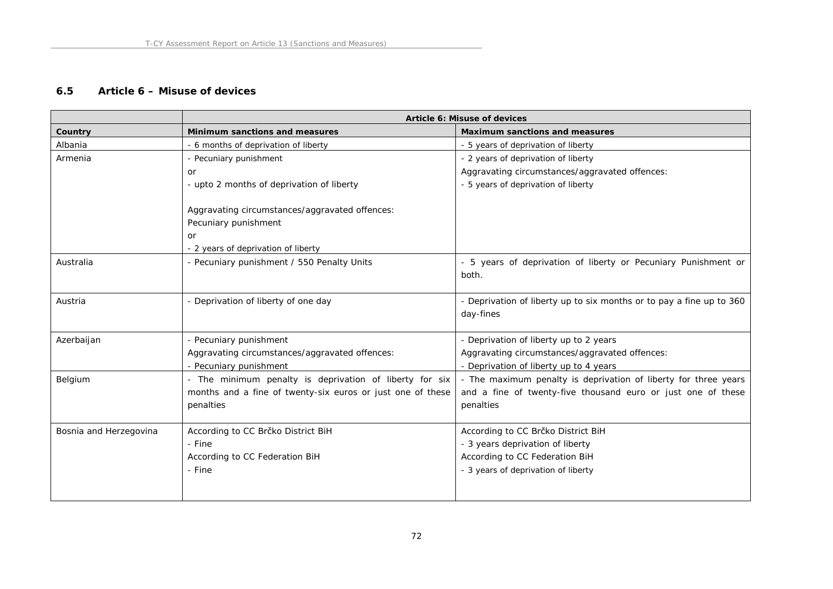### **6.5 Article 6 – Misuse of devices**

|                        | Article 6: Misuse of devices                               |                                                                      |
|------------------------|------------------------------------------------------------|----------------------------------------------------------------------|
| Country                | Minimum sanctions and measures                             | Maximum sanctions and measures                                       |
| Albania                | - 6 months of deprivation of liberty                       | - 5 years of deprivation of liberty                                  |
| Armenia                | - Pecuniary punishment                                     | - 2 years of deprivation of liberty                                  |
|                        | <b>or</b>                                                  | Aggravating circumstances/aggravated offences:                       |
|                        | - upto 2 months of deprivation of liberty                  | - 5 years of deprivation of liberty                                  |
|                        |                                                            |                                                                      |
|                        | Aggravating circumstances/aggravated offences:             |                                                                      |
|                        | Pecuniary punishment                                       |                                                                      |
|                        | or                                                         |                                                                      |
|                        | - 2 years of deprivation of liberty                        |                                                                      |
| Australia              | - Pecuniary punishment / 550 Penalty Units                 | - 5 years of deprivation of liberty or Pecuniary Punishment or       |
|                        |                                                            | both.                                                                |
|                        |                                                            |                                                                      |
| Austria                | - Deprivation of liberty of one day                        | - Deprivation of liberty up to six months or to pay a fine up to 360 |
|                        |                                                            | day-fines                                                            |
| Azerbaijan             | - Pecuniary punishment                                     | - Deprivation of liberty up to 2 years                               |
|                        | Aggravating circumstances/aggravated offences:             | Aggravating circumstances/aggravated offences:                       |
|                        | - Pecuniary punishment                                     | - Deprivation of liberty up to 4 years                               |
| Belgium                | - The minimum penalty is deprivation of liberty for six    | - The maximum penalty is deprivation of liberty for three years      |
|                        | months and a fine of twenty-six euros or just one of these | and a fine of twenty-five thousand euro or just one of these         |
|                        | penalties                                                  | penalties                                                            |
|                        |                                                            |                                                                      |
| Bosnia and Herzegovina | According to CC Brčko District BiH                         | According to CC Brčko District BiH                                   |
|                        | - Fine                                                     | - 3 years deprivation of liberty                                     |
|                        | According to CC Federation BiH                             | According to CC Federation BiH                                       |
|                        | - Fine                                                     | - 3 years of deprivation of liberty                                  |
|                        |                                                            |                                                                      |
|                        |                                                            |                                                                      |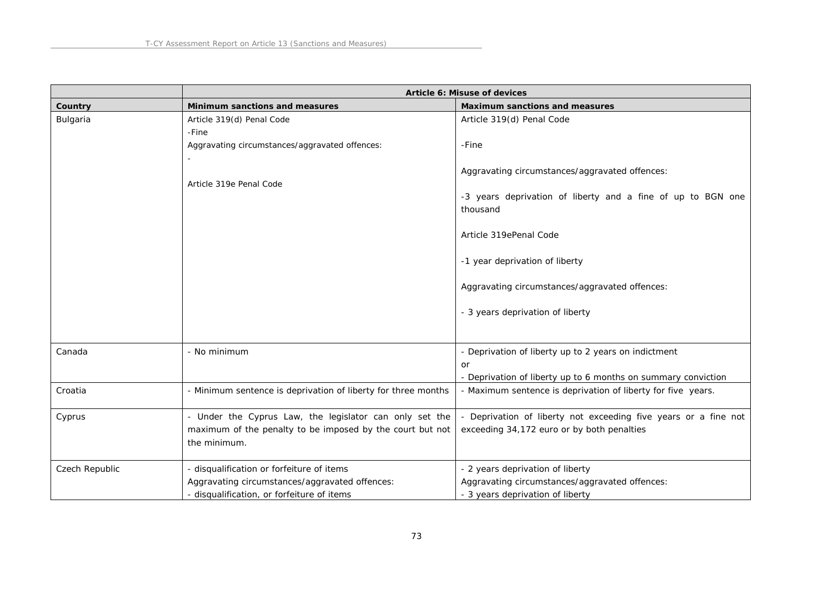|                | Article 6: Misuse of devices                                  |                                                                         |
|----------------|---------------------------------------------------------------|-------------------------------------------------------------------------|
| Country        | Minimum sanctions and measures                                | Maximum sanctions and measures                                          |
| Bulgaria       | Article 319(d) Penal Code                                     | Article 319(d) Penal Code                                               |
|                | -Fine                                                         |                                                                         |
|                | Aggravating circumstances/aggravated offences:                | -Fine                                                                   |
|                |                                                               |                                                                         |
|                |                                                               | Aggravating circumstances/aggravated offences:                          |
|                | Article 319e Penal Code                                       |                                                                         |
|                |                                                               | -3 years deprivation of liberty and a fine of up to BGN one<br>thousand |
|                |                                                               |                                                                         |
|                |                                                               | Article 319ePenal Code                                                  |
|                |                                                               |                                                                         |
|                |                                                               | -1 year deprivation of liberty                                          |
|                |                                                               |                                                                         |
|                |                                                               | Aggravating circumstances/aggravated offences:                          |
|                |                                                               |                                                                         |
|                |                                                               | - 3 years deprivation of liberty                                        |
|                |                                                               |                                                                         |
| Canada         | - No minimum                                                  | - Deprivation of liberty up to 2 years on indictment                    |
|                |                                                               | or                                                                      |
|                |                                                               | - Deprivation of liberty up to 6 months on summary conviction           |
| Croatia        | - Minimum sentence is deprivation of liberty for three months | - Maximum sentence is deprivation of liberty for five years.            |
|                |                                                               |                                                                         |
| Cyprus         | - Under the Cyprus Law, the legislator can only set the       | - Deprivation of liberty not exceeding five years or a fine not         |
|                | maximum of the penalty to be imposed by the court but not     | exceeding 34,172 euro or by both penalties                              |
|                | the minimum.                                                  |                                                                         |
|                |                                                               |                                                                         |
| Czech Republic | - disqualification or forfeiture of items                     | - 2 years deprivation of liberty                                        |
|                | Aggravating circumstances/aggravated offences:                | Aggravating circumstances/aggravated offences:                          |
|                | - disqualification, or forfeiture of items                    | - 3 years deprivation of liberty                                        |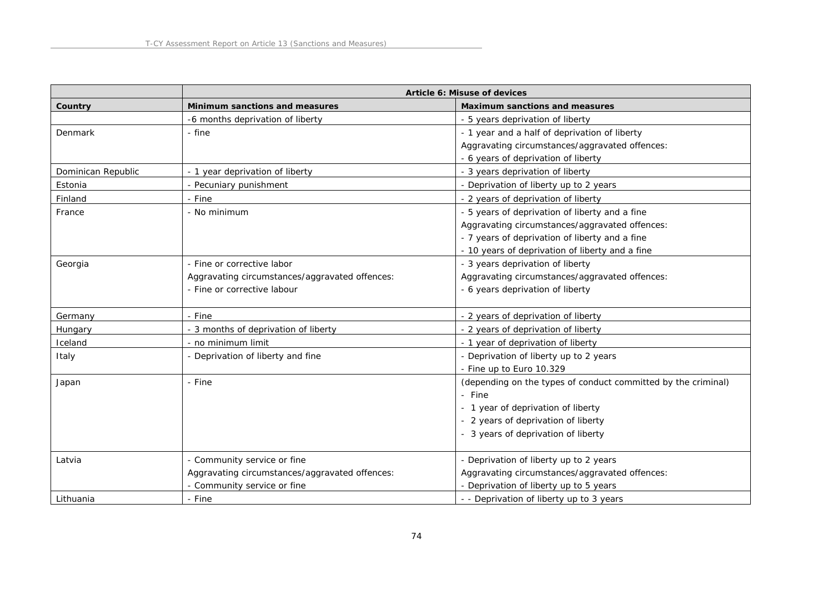|                    | Article 6: Misuse of devices                   |                                                               |
|--------------------|------------------------------------------------|---------------------------------------------------------------|
| Country            | Minimum sanctions and measures                 | Maximum sanctions and measures                                |
|                    | -6 months deprivation of liberty               | - 5 years deprivation of liberty                              |
| Denmark            | - fine                                         | - 1 year and a half of deprivation of liberty                 |
|                    |                                                | Aggravating circumstances/aggravated offences:                |
|                    |                                                | - 6 years of deprivation of liberty                           |
| Dominican Republic | - 1 year deprivation of liberty                | - 3 years deprivation of liberty                              |
| Estonia            | - Pecuniary punishment                         | - Deprivation of liberty up to 2 years                        |
| Finland            | - Fine                                         | - 2 years of deprivation of liberty                           |
| France             | - No minimum                                   | - 5 years of deprivation of liberty and a fine                |
|                    |                                                | Aggravating circumstances/aggravated offences:                |
|                    |                                                | - 7 years of deprivation of liberty and a fine                |
|                    |                                                | - 10 years of deprivation of liberty and a fine               |
| Georgia            | - Fine or corrective labor                     | - 3 years deprivation of liberty                              |
|                    | Aggravating circumstances/aggravated offences: | Aggravating circumstances/aggravated offences:                |
|                    | - Fine or corrective labour                    | - 6 years deprivation of liberty                              |
| Germany            | - Fine                                         | - 2 years of deprivation of liberty                           |
| Hungary            | - 3 months of deprivation of liberty           | - 2 years of deprivation of liberty                           |
| Iceland            | - no minimum limit                             | - 1 year of deprivation of liberty                            |
| Italy              | - Deprivation of liberty and fine              | - Deprivation of liberty up to 2 years                        |
|                    |                                                | - Fine up to Euro 10.329                                      |
| Japan              | - Fine                                         | (depending on the types of conduct committed by the criminal) |
|                    |                                                | - Fine                                                        |
|                    |                                                | - 1 year of deprivation of liberty                            |
|                    |                                                | - 2 years of deprivation of liberty                           |
|                    |                                                | - 3 years of deprivation of liberty                           |
| Latvia             | - Community service or fine                    | - Deprivation of liberty up to 2 years                        |
|                    | Aggravating circumstances/aggravated offences: | Aggravating circumstances/aggravated offences:                |
|                    | - Community service or fine                    | - Deprivation of liberty up to 5 years                        |
| Lithuania          | - Fine                                         | - - Deprivation of liberty up to 3 years                      |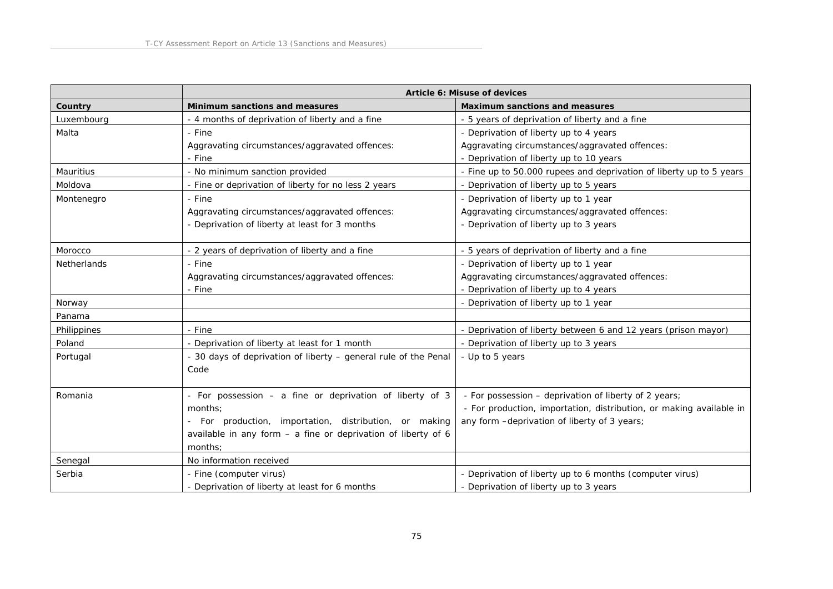|                    | Article 6: Misuse of devices                                    |                                                                     |
|--------------------|-----------------------------------------------------------------|---------------------------------------------------------------------|
| Country            | Minimum sanctions and measures                                  | Maximum sanctions and measures                                      |
| Luxembourg         | - 4 months of deprivation of liberty and a fine                 | - 5 years of deprivation of liberty and a fine                      |
| Malta              | - Fine                                                          | - Deprivation of liberty up to 4 years                              |
|                    | Aggravating circumstances/aggravated offences:                  | Aggravating circumstances/aggravated offences:                      |
|                    | - Fine                                                          | - Deprivation of liberty up to 10 years                             |
| Mauritius          | - No minimum sanction provided                                  | - Fine up to 50.000 rupees and deprivation of liberty up to 5 years |
| Moldova            | - Fine or deprivation of liberty for no less 2 years            | - Deprivation of liberty up to 5 years                              |
| Montenegro         | - Fine                                                          | - Deprivation of liberty up to 1 year                               |
|                    | Aggravating circumstances/aggravated offences:                  | Aggravating circumstances/aggravated offences:                      |
|                    | - Deprivation of liberty at least for 3 months                  | - Deprivation of liberty up to 3 years                              |
|                    |                                                                 |                                                                     |
| Morocco            | - 2 years of deprivation of liberty and a fine                  | - 5 years of deprivation of liberty and a fine                      |
| <b>Netherlands</b> | - Fine                                                          | - Deprivation of liberty up to 1 year                               |
|                    | Aggravating circumstances/aggravated offences:                  | Aggravating circumstances/aggravated offences:                      |
|                    | - Fine                                                          | - Deprivation of liberty up to 4 years                              |
| Norway             |                                                                 | - Deprivation of liberty up to 1 year                               |
| Panama             |                                                                 |                                                                     |
| Philippines        | - Fine                                                          | Deprivation of liberty between 6 and 12 years (prison mayor)        |
| Poland             | - Deprivation of liberty at least for 1 month                   | - Deprivation of liberty up to 3 years                              |
| Portugal           | - 30 days of deprivation of liberty - general rule of the Penal | - Up to 5 years                                                     |
|                    | Code                                                            |                                                                     |
|                    |                                                                 |                                                                     |
| Romania            | - For possession - a fine or deprivation of liberty of 3        | - For possession - deprivation of liberty of 2 years;               |
|                    | months:                                                         | - For production, importation, distribution, or making available in |
|                    | - For production, importation, distribution, or making          | any form -deprivation of liberty of 3 years;                        |
|                    | available in any form $-$ a fine or deprivation of liberty of 6 |                                                                     |
|                    | months:                                                         |                                                                     |
| Senegal            | No information received                                         |                                                                     |
| Serbia             | - Fine (computer virus)                                         | - Deprivation of liberty up to 6 months (computer virus)            |
|                    | - Deprivation of liberty at least for 6 months                  | - Deprivation of liberty up to 3 years                              |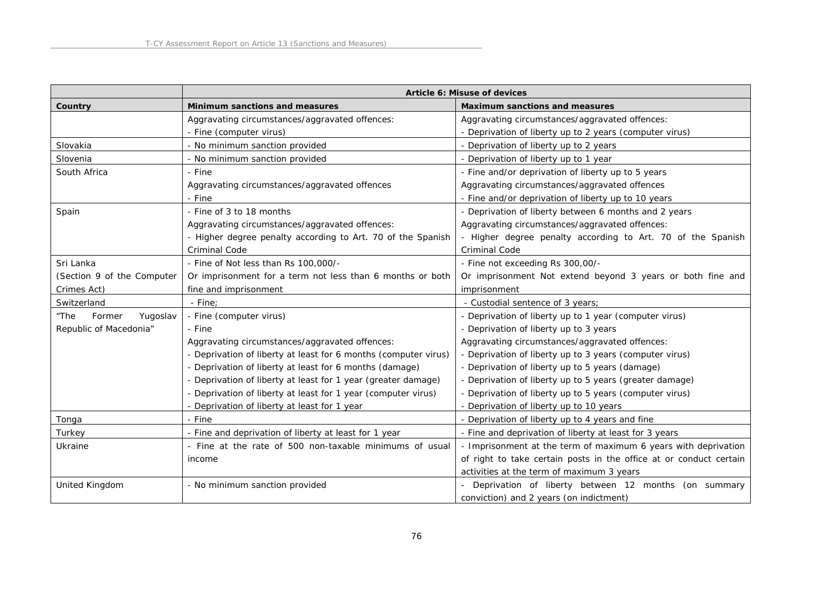|                            | Article 6: Misuse of devices                                    |                                                                    |
|----------------------------|-----------------------------------------------------------------|--------------------------------------------------------------------|
| Country                    | Minimum sanctions and measures                                  | Maximum sanctions and measures                                     |
|                            | Aggravating circumstances/aggravated offences:                  | Aggravating circumstances/aggravated offences:                     |
|                            | - Fine (computer virus)                                         | - Deprivation of liberty up to 2 years (computer virus)            |
| Slovakia                   | - No minimum sanction provided                                  | - Deprivation of liberty up to 2 years                             |
| Slovenia                   | - No minimum sanction provided                                  | - Deprivation of liberty up to 1 year                              |
| South Africa               | - Fine                                                          | - Fine and/or deprivation of liberty up to 5 years                 |
|                            | Aggravating circumstances/aggravated offences                   | Aggravating circumstances/aggravated offences                      |
|                            | - Fine                                                          | - Fine and/or deprivation of liberty up to 10 years                |
| Spain                      | - Fine of 3 to 18 months                                        | - Deprivation of liberty between 6 months and 2 years              |
|                            | Aggravating circumstances/aggravated offences:                  | Aggravating circumstances/aggravated offences:                     |
|                            | - Higher degree penalty according to Art. 70 of the Spanish     | - Higher degree penalty according to Art. 70 of the Spanish        |
|                            | <b>Criminal Code</b>                                            | <b>Criminal Code</b>                                               |
| Sri Lanka                  | - Fine of Not less than Rs 100,000/-                            | - Fine not exceeding Rs 300,00/-                                   |
| (Section 9 of the Computer | Or imprisonment for a term not less than 6 months or both       | Or imprisonment Not extend beyond 3 years or both fine and         |
| Crimes Act)                | fine and imprisonment                                           | imprisonment                                                       |
| Switzerland                | - Fine:                                                         | - Custodial sentence of 3 years;                                   |
| "The<br>Former<br>Yugoslav | - Fine (computer virus)                                         | - Deprivation of liberty up to 1 year (computer virus)             |
| Republic of Macedonia"     | - Fine                                                          | - Deprivation of liberty up to 3 years                             |
|                            | Aggravating circumstances/aggravated offences:                  | Aggravating circumstances/aggravated offences:                     |
|                            | - Deprivation of liberty at least for 6 months (computer virus) | - Deprivation of liberty up to 3 years (computer virus)            |
|                            | - Deprivation of liberty at least for 6 months (damage)         | - Deprivation of liberty up to 5 years (damage)                    |
|                            | - Deprivation of liberty at least for 1 year (greater damage)   | - Deprivation of liberty up to 5 years (greater damage)            |
|                            | - Deprivation of liberty at least for 1 year (computer virus)   | - Deprivation of liberty up to 5 years (computer virus)            |
|                            | - Deprivation of liberty at least for 1 year                    | - Deprivation of liberty up to 10 years                            |
| Tonga                      | - Fine                                                          | - Deprivation of liberty up to 4 years and fine                    |
| Turkey                     | - Fine and deprivation of liberty at least for 1 year           | - Fine and deprivation of liberty at least for 3 years             |
| Ukraine                    | - Fine at the rate of 500 non-taxable minimums of usual         | - Imprisonment at the term of maximum 6 years with deprivation     |
|                            | income                                                          | of right to take certain posts in the office at or conduct certain |
|                            |                                                                 | activities at the term of maximum 3 years                          |
| United Kingdom             | - No minimum sanction provided                                  | Deprivation of liberty between 12 months (on summary               |
|                            |                                                                 | conviction) and 2 years (on indictment)                            |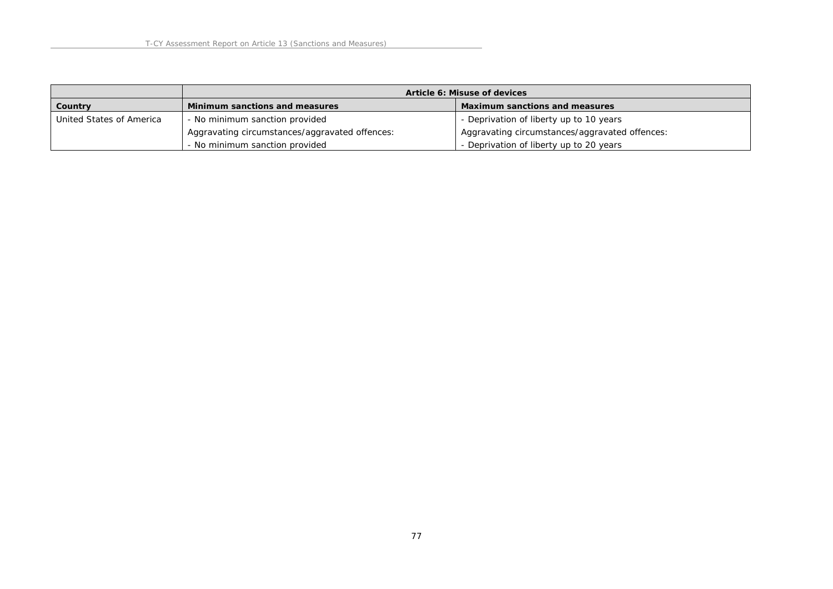|                          | Article 6: Misuse of devices                   |                                                |
|--------------------------|------------------------------------------------|------------------------------------------------|
| Country                  | Minimum sanctions and measures                 | Maximum sanctions and measures                 |
| United States of America | - No minimum sanction provided                 | - Deprivation of liberty up to 10 years        |
|                          | Aggravating circumstances/aggravated offences: | Aggravating circumstances/aggravated offences: |
|                          | - No minimum sanction provided                 | - Deprivation of liberty up to 20 years        |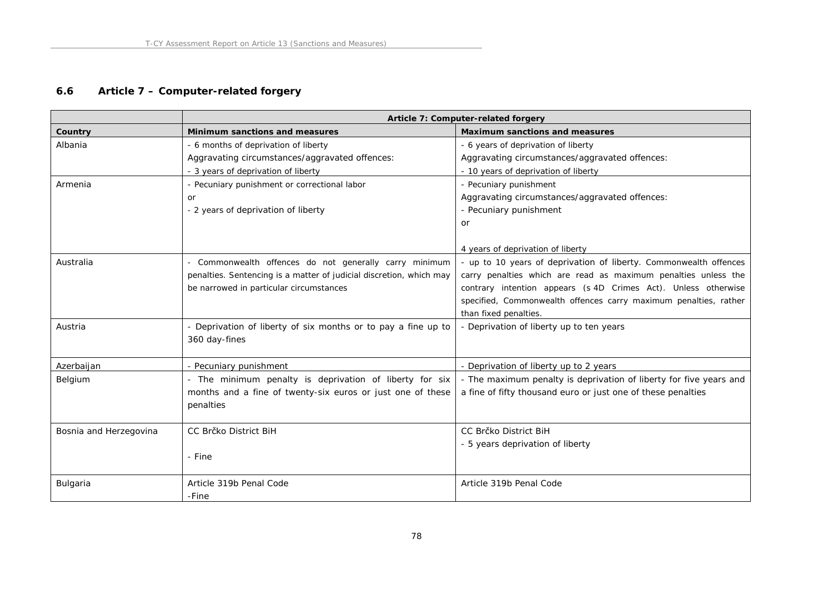# **6.6 Article 7 – Computer-related forgery**

|                        | Article 7: Computer-related forgery                                 |                                                                    |
|------------------------|---------------------------------------------------------------------|--------------------------------------------------------------------|
| Country                | Minimum sanctions and measures                                      | Maximum sanctions and measures                                     |
| Albania                | - 6 months of deprivation of liberty                                | - 6 years of deprivation of liberty                                |
|                        | Aggravating circumstances/aggravated offences:                      | Aggravating circumstances/aggravated offences:                     |
|                        | - 3 years of deprivation of liberty                                 | - 10 years of deprivation of liberty                               |
| Armenia                | - Pecuniary punishment or correctional labor                        | - Pecuniary punishment                                             |
|                        | <b>or</b>                                                           | Aggravating circumstances/aggravated offences:                     |
|                        | - 2 years of deprivation of liberty                                 | - Pecuniary punishment                                             |
|                        |                                                                     | or                                                                 |
|                        |                                                                     |                                                                    |
|                        |                                                                     | 4 years of deprivation of liberty                                  |
| Australia              | - Commonwealth offences do not generally carry minimum              | - up to 10 years of deprivation of liberty. Commonwealth offences  |
|                        | penalties. Sentencing is a matter of judicial discretion, which may | carry penalties which are read as maximum penalties unless the     |
|                        | be narrowed in particular circumstances                             | contrary intention appears (s 4D Crimes Act). Unless otherwise     |
|                        |                                                                     | specified, Commonwealth offences carry maximum penalties, rather   |
|                        |                                                                     | than fixed penalties.                                              |
| Austria                | - Deprivation of liberty of six months or to pay a fine up to       | - Deprivation of liberty up to ten years                           |
|                        | 360 day-fines                                                       |                                                                    |
|                        |                                                                     |                                                                    |
| Azerbaijan             | - Pecuniary punishment                                              | - Deprivation of liberty up to 2 years                             |
| Belgium                | - The minimum penalty is deprivation of liberty for six             | - The maximum penalty is deprivation of liberty for five years and |
|                        | months and a fine of twenty-six euros or just one of these          | a fine of fifty thousand euro or just one of these penalties       |
|                        | penalties                                                           |                                                                    |
|                        |                                                                     |                                                                    |
| Bosnia and Herzegovina | CC Brčko District BiH                                               | CC Brčko District BiH                                              |
|                        |                                                                     | - 5 years deprivation of liberty                                   |
|                        | - Fine                                                              |                                                                    |
|                        |                                                                     |                                                                    |
| Bulgaria               | Article 319b Penal Code                                             | Article 319b Penal Code                                            |
|                        | -Fine                                                               |                                                                    |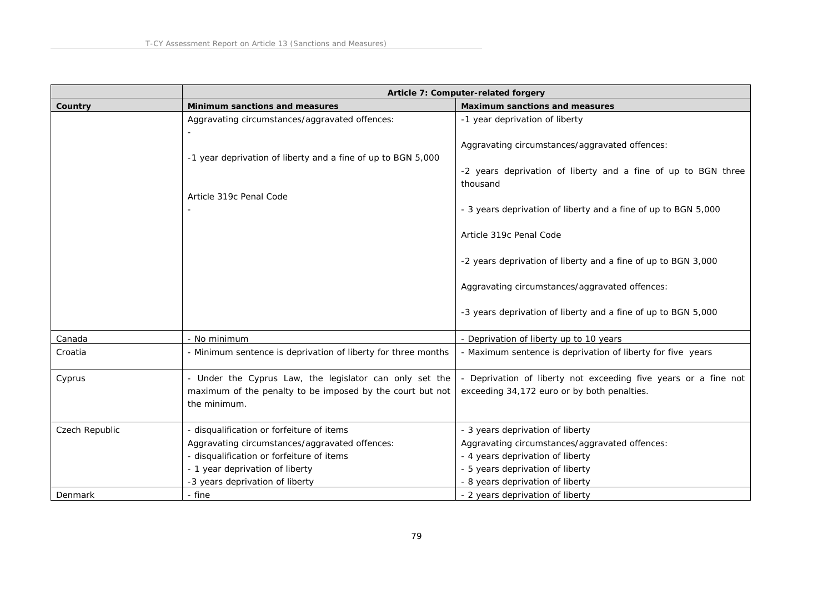|                | Article 7: Computer-related forgery                                       |                                                                           |
|----------------|---------------------------------------------------------------------------|---------------------------------------------------------------------------|
| Country        | Minimum sanctions and measures                                            | Maximum sanctions and measures                                            |
|                | Aggravating circumstances/aggravated offences:                            | -1 year deprivation of liberty                                            |
|                | -1 year deprivation of liberty and a fine of up to BGN 5,000              | Aggravating circumstances/aggravated offences:                            |
|                |                                                                           | -2 years deprivation of liberty and a fine of up to BGN three<br>thousand |
|                | Article 319c Penal Code                                                   |                                                                           |
|                |                                                                           | - 3 years deprivation of liberty and a fine of up to BGN 5,000            |
|                |                                                                           | Article 319c Penal Code                                                   |
|                |                                                                           | -2 years deprivation of liberty and a fine of up to BGN 3,000             |
|                |                                                                           | Aggravating circumstances/aggravated offences:                            |
|                |                                                                           | -3 years deprivation of liberty and a fine of up to BGN 5,000             |
| Canada         | - No minimum                                                              | - Deprivation of liberty up to 10 years                                   |
| Croatia        | - Minimum sentence is deprivation of liberty for three months             | - Maximum sentence is deprivation of liberty for five years               |
| Cyprus         | - Under the Cyprus Law, the legislator can only set the                   | Deprivation of liberty not exceeding five years or a fine not             |
|                | maximum of the penalty to be imposed by the court but not<br>the minimum. | exceeding 34,172 euro or by both penalties.                               |
|                |                                                                           |                                                                           |
| Czech Republic | - disqualification or forfeiture of items                                 | - 3 years deprivation of liberty                                          |
|                | Aggravating circumstances/aggravated offences:                            | Aggravating circumstances/aggravated offences:                            |
|                | - disqualification or forfeiture of items                                 | - 4 years deprivation of liberty                                          |
|                | - 1 year deprivation of liberty                                           | - 5 years deprivation of liberty                                          |
|                | -3 years deprivation of liberty                                           | - 8 years deprivation of liberty                                          |
| Denmark        | - fine                                                                    | - 2 years deprivation of liberty                                          |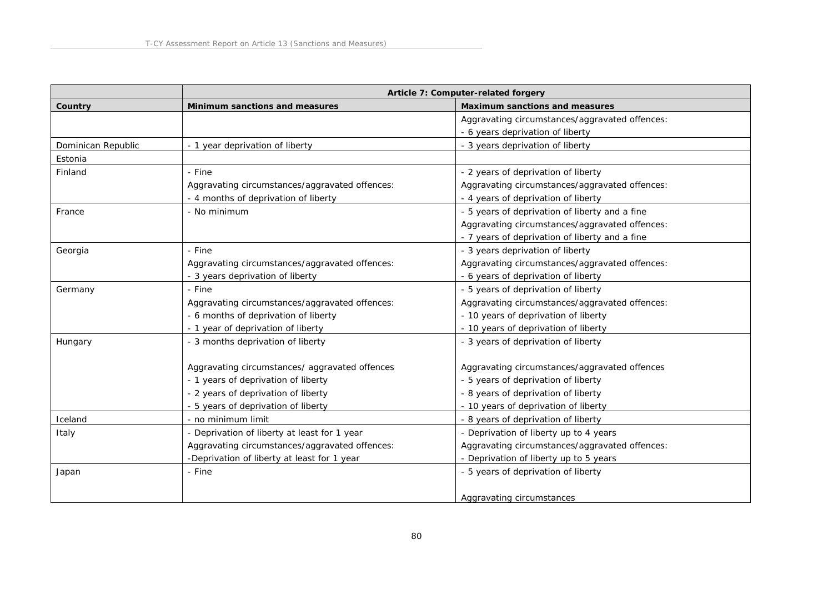|                    | Article 7: Computer-related forgery            |                                                |
|--------------------|------------------------------------------------|------------------------------------------------|
| Country            | Minimum sanctions and measures                 | Maximum sanctions and measures                 |
|                    |                                                | Aggravating circumstances/aggravated offences: |
|                    |                                                | - 6 years deprivation of liberty               |
| Dominican Republic | - 1 year deprivation of liberty                | - 3 years deprivation of liberty               |
| Estonia            |                                                |                                                |
| Finland            | - Fine                                         | - 2 years of deprivation of liberty            |
|                    | Aggravating circumstances/aggravated offences: | Aggravating circumstances/aggravated offences: |
|                    | - 4 months of deprivation of liberty           | - 4 years of deprivation of liberty            |
| France             | - No minimum                                   | - 5 years of deprivation of liberty and a fine |
|                    |                                                | Aggravating circumstances/aggravated offences: |
|                    |                                                | - 7 years of deprivation of liberty and a fine |
| Georgia            | - Fine                                         | - 3 years deprivation of liberty               |
|                    | Aggravating circumstances/aggravated offences: | Aggravating circumstances/aggravated offences: |
|                    | - 3 years deprivation of liberty               | - 6 years of deprivation of liberty            |
| Germany            | - Fine                                         | - 5 years of deprivation of liberty            |
|                    | Aggravating circumstances/aggravated offences: | Aggravating circumstances/aggravated offences: |
|                    | - 6 months of deprivation of liberty           | - 10 years of deprivation of liberty           |
|                    | - 1 year of deprivation of liberty             | - 10 years of deprivation of liberty           |
| Hungary            | - 3 months deprivation of liberty              | - 3 years of deprivation of liberty            |
|                    |                                                |                                                |
|                    | Aggravating circumstances/ aggravated offences | Aggravating circumstances/aggravated offences  |
|                    | - 1 years of deprivation of liberty            | - 5 years of deprivation of liberty            |
|                    | - 2 years of deprivation of liberty            | - 8 years of deprivation of liberty            |
|                    | - 5 years of deprivation of liberty            | - 10 years of deprivation of liberty           |
| Iceland            | - no minimum limit                             | - 8 years of deprivation of liberty            |
| Italy              | - Deprivation of liberty at least for 1 year   | - Deprivation of liberty up to 4 years         |
|                    | Aggravating circumstances/aggravated offences: | Aggravating circumstances/aggravated offences: |
|                    | -Deprivation of liberty at least for 1 year    | - Deprivation of liberty up to 5 years         |
| Japan              | - Fine                                         | - 5 years of deprivation of liberty            |
|                    |                                                |                                                |
|                    |                                                | Aggravating circumstances                      |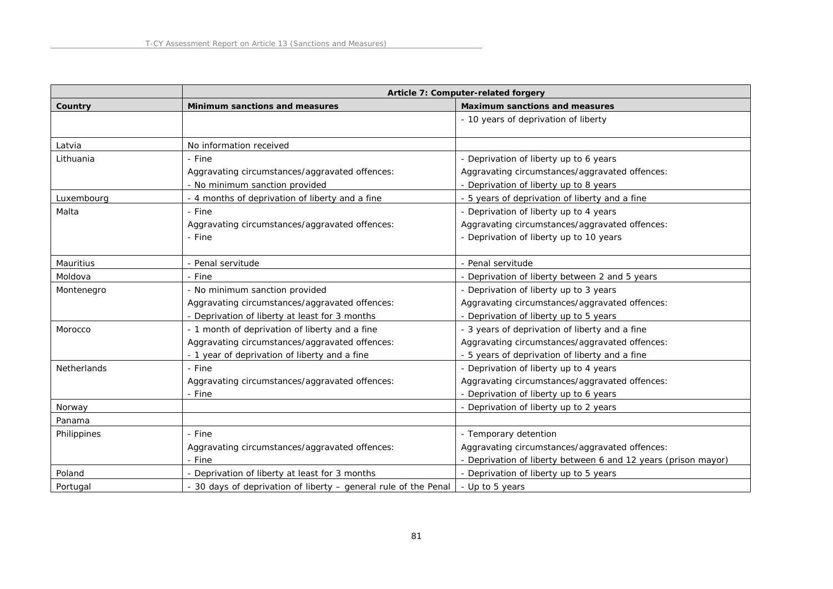|             | Article 7: Computer-related forgery                             |                                                                |
|-------------|-----------------------------------------------------------------|----------------------------------------------------------------|
| Country     | Minimum sanctions and measures                                  | Maximum sanctions and measures                                 |
|             |                                                                 | - 10 years of deprivation of liberty                           |
| Latvia      | No information received                                         |                                                                |
| Lithuania   | - Fine                                                          | - Deprivation of liberty up to 6 years                         |
|             | Aggravating circumstances/aggravated offences:                  | Aggravating circumstances/aggravated offences:                 |
|             | - No minimum sanction provided                                  | - Deprivation of liberty up to 8 years                         |
| Luxembourg  | - 4 months of deprivation of liberty and a fine                 | - 5 years of deprivation of liberty and a fine                 |
| Malta       | - Fine                                                          | - Deprivation of liberty up to 4 years                         |
|             | Aggravating circumstances/aggravated offences:                  | Aggravating circumstances/aggravated offences:                 |
|             | - Fine                                                          | - Deprivation of liberty up to 10 years                        |
|             |                                                                 |                                                                |
| Mauritius   | - Penal servitude                                               | Penal servitude                                                |
| Moldova     | - Fine                                                          | Deprivation of liberty between 2 and 5 years                   |
| Montenegro  | - No minimum sanction provided                                  | - Deprivation of liberty up to 3 years                         |
|             | Aggravating circumstances/aggravated offences:                  | Aggravating circumstances/aggravated offences:                 |
|             | - Deprivation of liberty at least for 3 months                  | - Deprivation of liberty up to 5 years                         |
| Morocco     | - 1 month of deprivation of liberty and a fine                  | - 3 years of deprivation of liberty and a fine                 |
|             | Aggravating circumstances/aggravated offences:                  | Aggravating circumstances/aggravated offences:                 |
|             | - 1 year of deprivation of liberty and a fine                   | - 5 years of deprivation of liberty and a fine                 |
| Netherlands | - Fine                                                          | - Deprivation of liberty up to 4 years                         |
|             | Aggravating circumstances/aggravated offences:                  | Aggravating circumstances/aggravated offences:                 |
|             | - Fine                                                          | Deprivation of liberty up to 6 years                           |
| Norway      |                                                                 | - Deprivation of liberty up to 2 years                         |
| Panama      |                                                                 |                                                                |
| Philippines | - Fine                                                          | - Temporary detention                                          |
|             | Aggravating circumstances/aggravated offences:                  | Aggravating circumstances/aggravated offences:                 |
|             | - Fine                                                          | - Deprivation of liberty between 6 and 12 years (prison mayor) |
| Poland      | - Deprivation of liberty at least for 3 months                  | - Deprivation of liberty up to 5 years                         |
| Portugal    | - 30 days of deprivation of liberty - general rule of the Penal | - Up to 5 years                                                |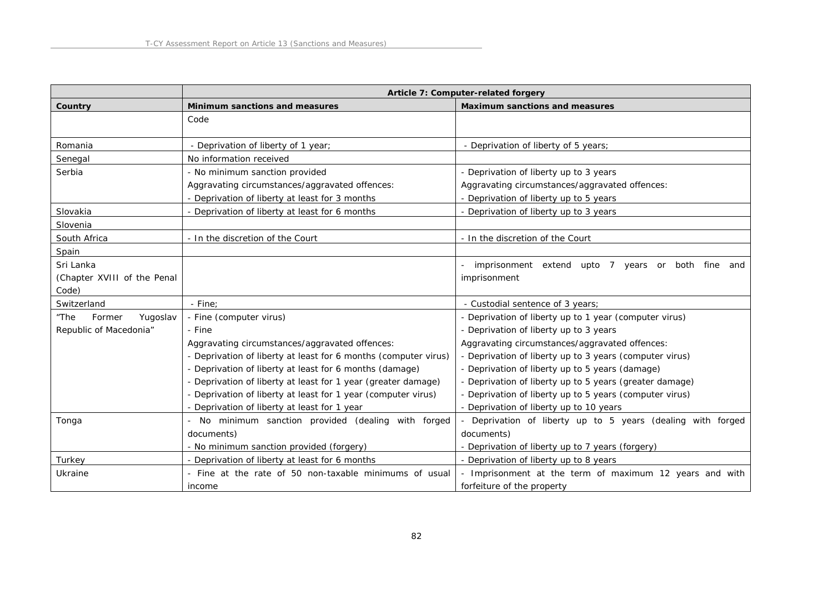|                             | Article 7: Computer-related forgery                             |                                                           |
|-----------------------------|-----------------------------------------------------------------|-----------------------------------------------------------|
| Country                     | Minimum sanctions and measures                                  | Maximum sanctions and measures                            |
|                             | Code                                                            |                                                           |
|                             |                                                                 |                                                           |
| Romania                     | - Deprivation of liberty of 1 year;                             | - Deprivation of liberty of 5 years;                      |
| Senegal                     | No information received                                         |                                                           |
| Serbia                      | - No minimum sanction provided                                  | - Deprivation of liberty up to 3 years                    |
|                             | Aggravating circumstances/aggravated offences:                  | Aggravating circumstances/aggravated offences:            |
|                             | - Deprivation of liberty at least for 3 months                  | - Deprivation of liberty up to 5 years                    |
| Slovakia                    | - Deprivation of liberty at least for 6 months                  | - Deprivation of liberty up to 3 years                    |
| Slovenia                    |                                                                 |                                                           |
| South Africa                | - In the discretion of the Court                                | - In the discretion of the Court                          |
| Spain                       |                                                                 |                                                           |
| Sri Lanka                   |                                                                 | imprisonment extend upto 7 years or<br>both fine and      |
| (Chapter XVIII of the Penal |                                                                 | imprisonment                                              |
| Code)                       |                                                                 |                                                           |
| Switzerland                 | - Fine:                                                         | - Custodial sentence of 3 years;                          |
| Yugoslav<br>"The<br>Former  | - Fine (computer virus)                                         | - Deprivation of liberty up to 1 year (computer virus)    |
| Republic of Macedonia"      | - Fine                                                          | - Deprivation of liberty up to 3 years                    |
|                             | Aggravating circumstances/aggravated offences:                  | Aggravating circumstances/aggravated offences:            |
|                             | - Deprivation of liberty at least for 6 months (computer virus) | - Deprivation of liberty up to 3 years (computer virus)   |
|                             | - Deprivation of liberty at least for 6 months (damage)         | - Deprivation of liberty up to 5 years (damage)           |
|                             | - Deprivation of liberty at least for 1 year (greater damage)   | - Deprivation of liberty up to 5 years (greater damage)   |
|                             | - Deprivation of liberty at least for 1 year (computer virus)   | - Deprivation of liberty up to 5 years (computer virus)   |
|                             | - Deprivation of liberty at least for 1 year                    | - Deprivation of liberty up to 10 years                   |
| Tonga                       | - No minimum sanction provided (dealing with forged             | Deprivation of liberty up to 5 years (dealing with forged |
|                             | documents)                                                      | documents)                                                |
|                             | - No minimum sanction provided (forgery)                        | - Deprivation of liberty up to 7 years (forgery)          |
| Turkey                      | - Deprivation of liberty at least for 6 months                  | - Deprivation of liberty up to 8 years                    |
| Ukraine                     | - Fine at the rate of 50 non-taxable minimums of usual          | - Imprisonment at the term of maximum 12 years and with   |
|                             | income                                                          | forfeiture of the property                                |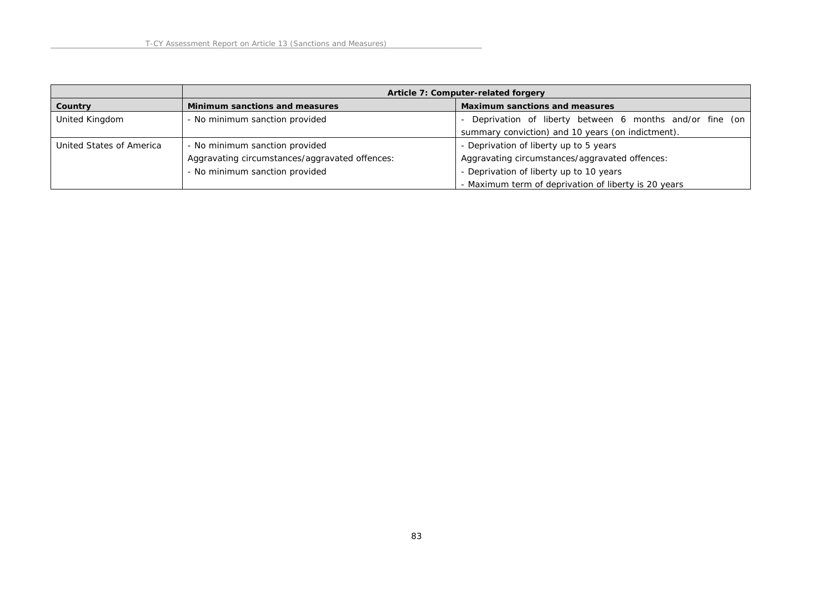|                          | Article 7: Computer-related forgery            |                                                           |
|--------------------------|------------------------------------------------|-----------------------------------------------------------|
| Country                  | Minimum sanctions and measures                 | Maximum sanctions and measures                            |
| United Kingdom           | - No minimum sanction provided                 | - Deprivation of liberty between 6 months and/or fine (on |
|                          |                                                | summary conviction) and 10 years (on indictment).         |
| United States of America | - No minimum sanction provided                 | - Deprivation of liberty up to 5 years                    |
|                          | Aggravating circumstances/aggravated offences: | Aggravating circumstances/aggravated offences:            |
|                          | - No minimum sanction provided                 | - Deprivation of liberty up to 10 years                   |
|                          |                                                | - Maximum term of deprivation of liberty is 20 years      |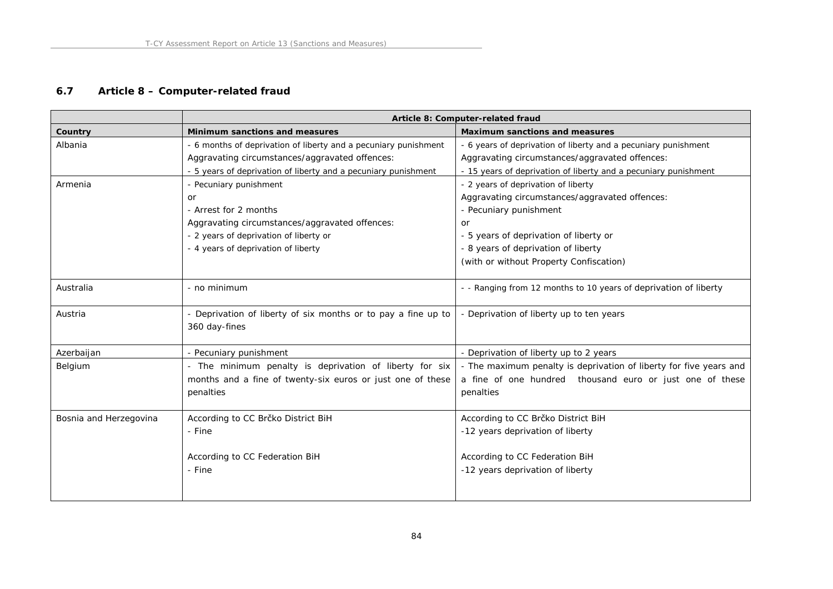# **6.7 Article 8 – Computer-related fraud**

|                        | Article 8: Computer-related fraud                               |                                                                    |
|------------------------|-----------------------------------------------------------------|--------------------------------------------------------------------|
| Country                | Minimum sanctions and measures                                  | Maximum sanctions and measures                                     |
| Albania                | - 6 months of deprivation of liberty and a pecuniary punishment | - 6 years of deprivation of liberty and a pecuniary punishment     |
|                        | Aggravating circumstances/aggravated offences:                  | Aggravating circumstances/aggravated offences:                     |
|                        | - 5 years of deprivation of liberty and a pecuniary punishment  | - 15 years of deprivation of liberty and a pecuniary punishment    |
| Armenia                | - Pecuniary punishment                                          | - 2 years of deprivation of liberty                                |
|                        | <b>or</b>                                                       | Aggravating circumstances/aggravated offences:                     |
|                        | - Arrest for 2 months                                           | - Pecuniary punishment                                             |
|                        | Aggravating circumstances/aggravated offences:                  | or                                                                 |
|                        | - 2 years of deprivation of liberty or                          | - 5 years of deprivation of liberty or                             |
|                        | - 4 years of deprivation of liberty                             | - 8 years of deprivation of liberty                                |
|                        |                                                                 | (with or without Property Confiscation)                            |
|                        |                                                                 |                                                                    |
| Australia              | - no minimum                                                    | - - Ranging from 12 months to 10 years of deprivation of liberty   |
|                        |                                                                 |                                                                    |
| Austria                | - Deprivation of liberty of six months or to pay a fine up to   | - Deprivation of liberty up to ten years                           |
|                        | 360 day-fines                                                   |                                                                    |
|                        |                                                                 |                                                                    |
| Azerbaijan             | - Pecuniary punishment                                          | - Deprivation of liberty up to 2 years                             |
| Belgium                | - The minimum penalty is deprivation of liberty for six         | - The maximum penalty is deprivation of liberty for five years and |
|                        | months and a fine of twenty-six euros or just one of these      | a fine of one hundred thousand euro or just one of these           |
|                        | penalties                                                       | penalties                                                          |
|                        |                                                                 |                                                                    |
| Bosnia and Herzegovina | According to CC Brčko District BiH                              | According to CC Brčko District BiH                                 |
|                        | - Fine                                                          | -12 years deprivation of liberty                                   |
|                        |                                                                 |                                                                    |
|                        | According to CC Federation BiH                                  | According to CC Federation BiH                                     |
|                        | - Fine                                                          | -12 years deprivation of liberty                                   |
|                        |                                                                 |                                                                    |
|                        |                                                                 |                                                                    |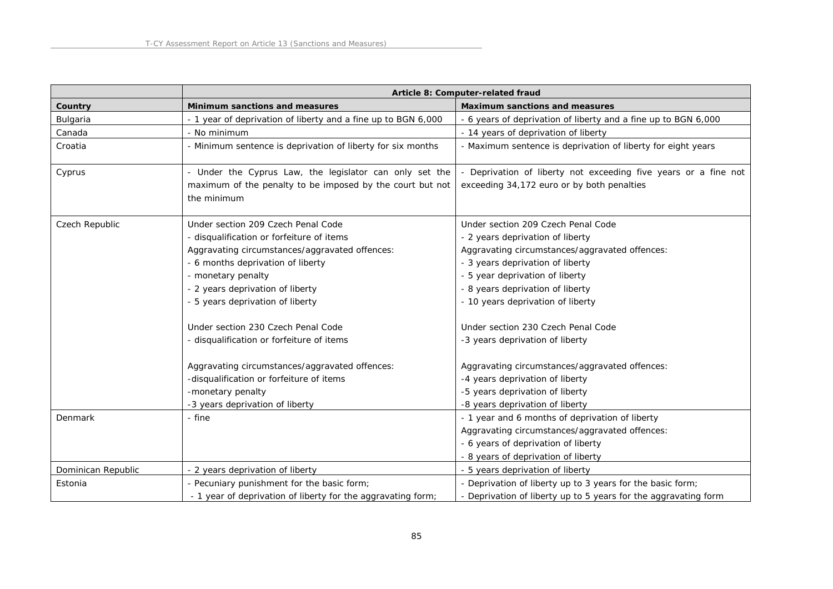|                    | Article 8: Computer-related fraud                                                                                                   |                                                                                                               |
|--------------------|-------------------------------------------------------------------------------------------------------------------------------------|---------------------------------------------------------------------------------------------------------------|
| Country            | Minimum sanctions and measures                                                                                                      | Maximum sanctions and measures                                                                                |
| Bulgaria           | - 1 year of deprivation of liberty and a fine up to BGN 6,000                                                                       | - 6 years of deprivation of liberty and a fine up to BGN 6,000                                                |
| Canada             | - No minimum                                                                                                                        | - 14 years of deprivation of liberty                                                                          |
| Croatia            | - Minimum sentence is deprivation of liberty for six months                                                                         | - Maximum sentence is deprivation of liberty for eight years                                                  |
| Cyprus             | - Under the Cyprus Law, the legislator can only set the<br>maximum of the penalty to be imposed by the court but not<br>the minimum | - Deprivation of liberty not exceeding five years or a fine not<br>exceeding 34,172 euro or by both penalties |
| Czech Republic     | Under section 209 Czech Penal Code                                                                                                  | Under section 209 Czech Penal Code                                                                            |
|                    | - disqualification or forfeiture of items                                                                                           | - 2 years deprivation of liberty                                                                              |
|                    | Aggravating circumstances/aggravated offences:                                                                                      | Aggravating circumstances/aggravated offences:                                                                |
|                    | - 6 months deprivation of liberty                                                                                                   | - 3 years deprivation of liberty                                                                              |
|                    | - monetary penalty                                                                                                                  | - 5 year deprivation of liberty                                                                               |
|                    | - 2 years deprivation of liberty                                                                                                    | - 8 years deprivation of liberty                                                                              |
|                    | - 5 years deprivation of liberty                                                                                                    | - 10 years deprivation of liberty                                                                             |
|                    | Under section 230 Czech Penal Code                                                                                                  | Under section 230 Czech Penal Code                                                                            |
|                    | - disqualification or forfeiture of items                                                                                           | -3 years deprivation of liberty                                                                               |
|                    | Aggravating circumstances/aggravated offences:                                                                                      | Aggravating circumstances/aggravated offences:                                                                |
|                    | -disqualification or forfeiture of items                                                                                            | -4 years deprivation of liberty                                                                               |
|                    | -monetary penalty                                                                                                                   | -5 years deprivation of liberty                                                                               |
|                    | -3 years deprivation of liberty                                                                                                     | -8 years deprivation of liberty                                                                               |
| Denmark            | - fine                                                                                                                              | - 1 year and 6 months of deprivation of liberty                                                               |
|                    |                                                                                                                                     | Aggravating circumstances/aggravated offences:                                                                |
|                    |                                                                                                                                     | - 6 years of deprivation of liberty                                                                           |
|                    |                                                                                                                                     | - 8 years of deprivation of liberty                                                                           |
| Dominican Republic | - 2 years deprivation of liberty                                                                                                    | - 5 years deprivation of liberty                                                                              |
| Estonia            | - Pecuniary punishment for the basic form;                                                                                          | - Deprivation of liberty up to 3 years for the basic form;                                                    |
|                    | - 1 year of deprivation of liberty for the aggravating form;                                                                        | - Deprivation of liberty up to 5 years for the aggravating form                                               |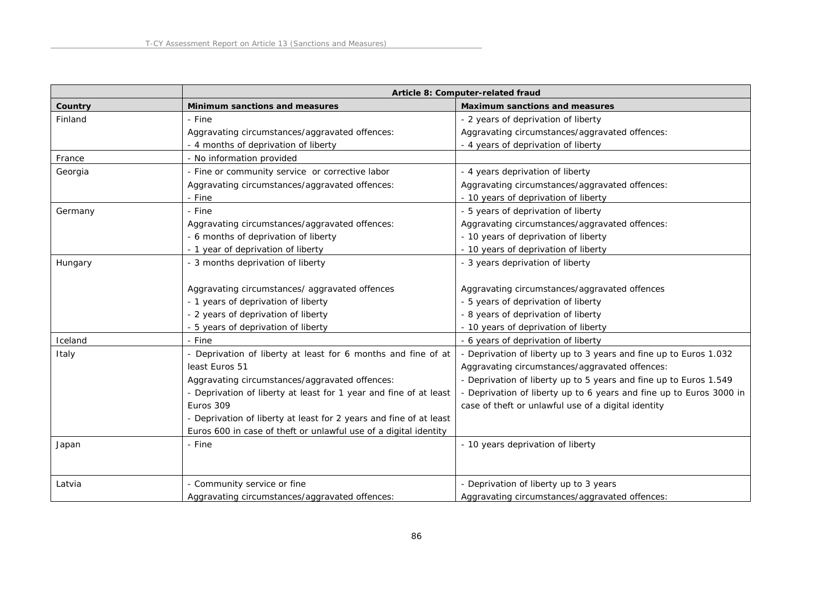|         | Article 8: Computer-related fraud                                  |                                                                     |
|---------|--------------------------------------------------------------------|---------------------------------------------------------------------|
| Country | Minimum sanctions and measures                                     | Maximum sanctions and measures                                      |
| Finland | - Fine                                                             | - 2 years of deprivation of liberty                                 |
|         | Aggravating circumstances/aggravated offences:                     | Aggravating circumstances/aggravated offences:                      |
|         | - 4 months of deprivation of liberty                               | - 4 years of deprivation of liberty                                 |
| France  | - No information provided                                          |                                                                     |
| Georgia | - Fine or community service or corrective labor                    | - 4 years deprivation of liberty                                    |
|         | Aggravating circumstances/aggravated offences:                     | Aggravating circumstances/aggravated offences:                      |
|         | - Fine                                                             | - 10 years of deprivation of liberty                                |
| Germany | - Fine                                                             | - 5 years of deprivation of liberty                                 |
|         | Aggravating circumstances/aggravated offences:                     | Aggravating circumstances/aggravated offences:                      |
|         | - 6 months of deprivation of liberty                               | - 10 years of deprivation of liberty                                |
|         | - 1 year of deprivation of liberty                                 | - 10 years of deprivation of liberty                                |
| Hungary | - 3 months deprivation of liberty                                  | - 3 years deprivation of liberty                                    |
|         |                                                                    |                                                                     |
|         | Aggravating circumstances/ aggravated offences                     | Aggravating circumstances/aggravated offences                       |
|         | - 1 years of deprivation of liberty                                | - 5 years of deprivation of liberty                                 |
|         | - 2 years of deprivation of liberty                                | - 8 years of deprivation of liberty                                 |
|         | - 5 years of deprivation of liberty                                | - 10 years of deprivation of liberty                                |
| Iceland | - Fine                                                             | - 6 years of deprivation of liberty                                 |
| Italy   | - Deprivation of liberty at least for 6 months and fine of at      | - Deprivation of liberty up to 3 years and fine up to Euros 1.032   |
|         | least Euros 51                                                     | Aggravating circumstances/aggravated offences:                      |
|         | Aggravating circumstances/aggravated offences:                     | - Deprivation of liberty up to 5 years and fine up to Euros 1.549   |
|         | - Deprivation of liberty at least for 1 year and fine of at least  | - Deprivation of liberty up to 6 years and fine up to Euros 3000 in |
|         | Euros 309                                                          | case of theft or unlawful use of a digital identity                 |
|         | - Deprivation of liberty at least for 2 years and fine of at least |                                                                     |
|         | Euros 600 in case of theft or unlawful use of a digital identity   |                                                                     |
| Japan   | - Fine                                                             | - 10 years deprivation of liberty                                   |
|         |                                                                    |                                                                     |
|         |                                                                    |                                                                     |
| Latvia  | - Community service or fine                                        | - Deprivation of liberty up to 3 years                              |
|         | Aggravating circumstances/aggravated offences:                     | Aggravating circumstances/aggravated offences:                      |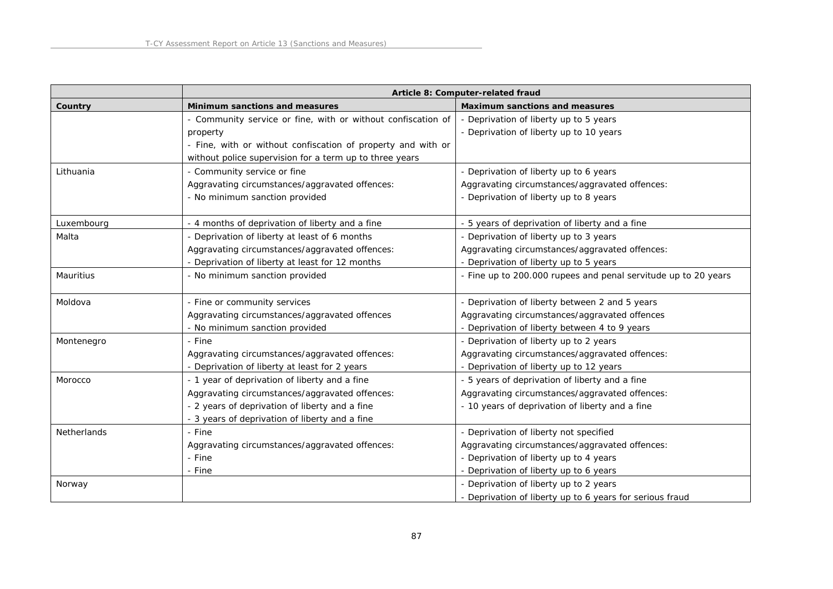|                    | Article 8: Computer-related fraud                            |                                                                |
|--------------------|--------------------------------------------------------------|----------------------------------------------------------------|
| Country            | Minimum sanctions and measures                               | Maximum sanctions and measures                                 |
|                    | - Community service or fine, with or without confiscation of | - Deprivation of liberty up to 5 years                         |
|                    | property                                                     | - Deprivation of liberty up to 10 years                        |
|                    | - Fine, with or without confiscation of property and with or |                                                                |
|                    | without police supervision for a term up to three years      |                                                                |
| Lithuania          | - Community service or fine                                  | - Deprivation of liberty up to 6 years                         |
|                    | Aggravating circumstances/aggravated offences:               | Aggravating circumstances/aggravated offences:                 |
|                    | - No minimum sanction provided                               | - Deprivation of liberty up to 8 years                         |
| Luxembourg         | - 4 months of deprivation of liberty and a fine              | 5 years of deprivation of liberty and a fine                   |
| Malta              | - Deprivation of liberty at least of 6 months                | - Deprivation of liberty up to 3 years                         |
|                    | Aggravating circumstances/aggravated offences:               | Aggravating circumstances/aggravated offences:                 |
|                    | - Deprivation of liberty at least for 12 months              | - Deprivation of liberty up to 5 years                         |
| Mauritius          | - No minimum sanction provided                               | - Fine up to 200.000 rupees and penal servitude up to 20 years |
| Moldova            | - Fine or community services                                 | - Deprivation of liberty between 2 and 5 years                 |
|                    | Aggravating circumstances/aggravated offences                | Aggravating circumstances/aggravated offences                  |
|                    | - No minimum sanction provided                               | - Deprivation of liberty between 4 to 9 years                  |
| Montenegro         | - Fine                                                       | - Deprivation of liberty up to 2 years                         |
|                    | Aggravating circumstances/aggravated offences:               | Aggravating circumstances/aggravated offences:                 |
|                    | - Deprivation of liberty at least for 2 years                | - Deprivation of liberty up to 12 years                        |
| Morocco            | - 1 year of deprivation of liberty and a fine                | - 5 years of deprivation of liberty and a fine                 |
|                    | Aggravating circumstances/aggravated offences:               | Aggravating circumstances/aggravated offences:                 |
|                    | - 2 years of deprivation of liberty and a fine               | - 10 years of deprivation of liberty and a fine                |
|                    | - 3 years of deprivation of liberty and a fine               |                                                                |
| <b>Netherlands</b> | - Fine                                                       | - Deprivation of liberty not specified                         |
|                    | Aggravating circumstances/aggravated offences:               | Aggravating circumstances/aggravated offences:                 |
|                    | - Fine                                                       | - Deprivation of liberty up to 4 years                         |
|                    | - Fine                                                       | - Deprivation of liberty up to 6 years                         |
| Norway             |                                                              | - Deprivation of liberty up to 2 years                         |
|                    |                                                              | - Deprivation of liberty up to 6 years for serious fraud       |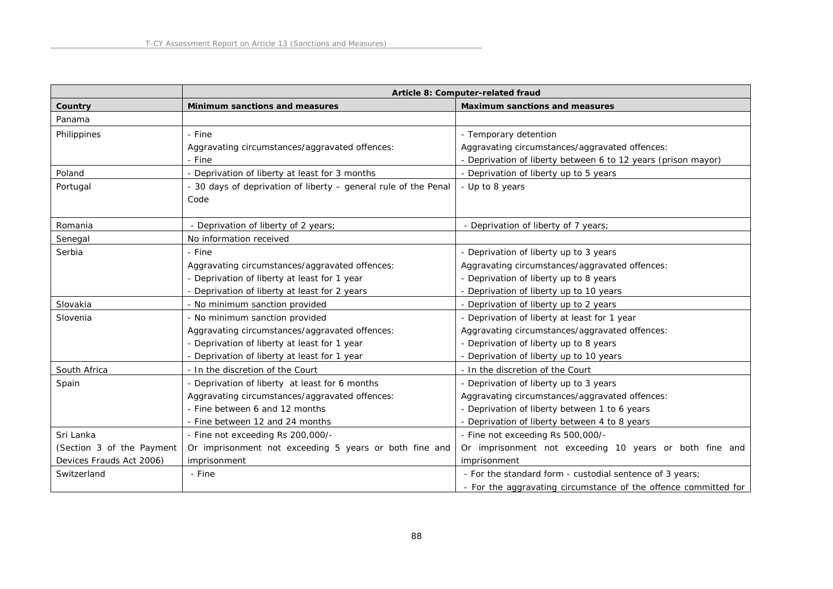|                           |                                                                 | Article 8: Computer-related fraud                               |
|---------------------------|-----------------------------------------------------------------|-----------------------------------------------------------------|
| Country                   | Minimum sanctions and measures                                  | Maximum sanctions and measures                                  |
| Panama                    |                                                                 |                                                                 |
| Philippines               | - Fine                                                          | - Temporary detention                                           |
|                           | Aggravating circumstances/aggravated offences:                  | Aggravating circumstances/aggravated offences:                  |
|                           | - Fine                                                          | - Deprivation of liberty between 6 to 12 years (prison mayor)   |
| Poland                    | - Deprivation of liberty at least for 3 months                  | - Deprivation of liberty up to 5 years                          |
| Portugal                  | - 30 days of deprivation of liberty - general rule of the Penal | - Up to 8 years                                                 |
|                           | Code                                                            |                                                                 |
|                           |                                                                 |                                                                 |
| Romania                   | - Deprivation of liberty of 2 years;                            | - Deprivation of liberty of 7 years;                            |
| Senegal                   | No information received                                         |                                                                 |
| Serbia                    | - Fine                                                          | - Deprivation of liberty up to 3 years                          |
|                           | Aggravating circumstances/aggravated offences:                  | Aggravating circumstances/aggravated offences:                  |
|                           | - Deprivation of liberty at least for 1 year                    | - Deprivation of liberty up to 8 years                          |
|                           | - Deprivation of liberty at least for 2 years                   | - Deprivation of liberty up to 10 years                         |
| Slovakia                  | - No minimum sanction provided                                  | - Deprivation of liberty up to 2 years                          |
| Slovenia                  | - No minimum sanction provided                                  | - Deprivation of liberty at least for 1 year                    |
|                           | Aggravating circumstances/aggravated offences:                  | Aggravating circumstances/aggravated offences:                  |
|                           | - Deprivation of liberty at least for 1 year                    | - Deprivation of liberty up to 8 years                          |
|                           | - Deprivation of liberty at least for 1 year                    | - Deprivation of liberty up to 10 years                         |
| South Africa              | - In the discretion of the Court                                | - In the discretion of the Court                                |
| Spain                     | - Deprivation of liberty at least for 6 months                  | - Deprivation of liberty up to 3 years                          |
|                           | Aggravating circumstances/aggravated offences:                  | Aggravating circumstances/aggravated offences:                  |
|                           | - Fine between 6 and 12 months                                  | - Deprivation of liberty between 1 to 6 years                   |
|                           | - Fine between 12 and 24 months                                 | - Deprivation of liberty between 4 to 8 years                   |
| Sri Lanka                 | - Fine not exceeding Rs 200,000/-                               | - Fine not exceeding Rs 500,000/-                               |
| (Section 3 of the Payment | Or imprisonment not exceeding 5 years or both fine and          | Or imprisonment not exceeding 10 years or both fine and         |
| Devices Frauds Act 2006)  | imprisonment                                                    | imprisonment                                                    |
| Switzerland               | - Fine                                                          | - For the standard form - custodial sentence of 3 years;        |
|                           |                                                                 | - For the aggravating circumstance of the offence committed for |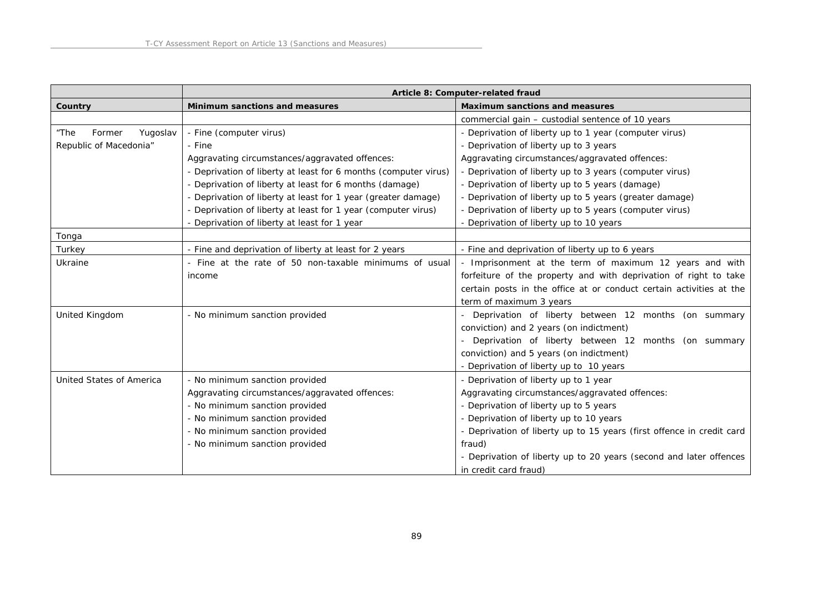|                            |                                                                 | Article 8: Computer-related fraud                                     |
|----------------------------|-----------------------------------------------------------------|-----------------------------------------------------------------------|
| Country                    | Minimum sanctions and measures                                  | Maximum sanctions and measures                                        |
|                            |                                                                 | commercial gain - custodial sentence of 10 years                      |
| "The<br>Former<br>Yugoslav | - Fine (computer virus)                                         | - Deprivation of liberty up to 1 year (computer virus)                |
| Republic of Macedonia"     | - Fine                                                          | - Deprivation of liberty up to 3 years                                |
|                            | Aggravating circumstances/aggravated offences:                  | Aggravating circumstances/aggravated offences:                        |
|                            | - Deprivation of liberty at least for 6 months (computer virus) | - Deprivation of liberty up to 3 years (computer virus)               |
|                            | - Deprivation of liberty at least for 6 months (damage)         | - Deprivation of liberty up to 5 years (damage)                       |
|                            | - Deprivation of liberty at least for 1 year (greater damage)   | - Deprivation of liberty up to 5 years (greater damage)               |
|                            | - Deprivation of liberty at least for 1 year (computer virus)   | - Deprivation of liberty up to 5 years (computer virus)               |
|                            | - Deprivation of liberty at least for 1 year                    | - Deprivation of liberty up to 10 years                               |
| Tonga                      |                                                                 |                                                                       |
| Turkey                     | - Fine and deprivation of liberty at least for 2 years          | - Fine and deprivation of liberty up to 6 years                       |
| Ukraine                    | - Fine at the rate of 50 non-taxable minimums of usual          | - Imprisonment at the term of maximum 12 years and with               |
|                            | income                                                          | forfeiture of the property and with deprivation of right to take      |
|                            |                                                                 | certain posts in the office at or conduct certain activities at the   |
|                            |                                                                 | term of maximum 3 years                                               |
| United Kingdom             | - No minimum sanction provided                                  | - Deprivation of liberty between 12 months (on summary                |
|                            |                                                                 | conviction) and 2 years (on indictment)                               |
|                            |                                                                 | - Deprivation of liberty between 12 months (on summary                |
|                            |                                                                 | conviction) and 5 years (on indictment)                               |
|                            |                                                                 | - Deprivation of liberty up to 10 years                               |
| United States of America   | - No minimum sanction provided                                  | - Deprivation of liberty up to 1 year                                 |
|                            | Aggravating circumstances/aggravated offences:                  | Aggravating circumstances/aggravated offences:                        |
|                            | - No minimum sanction provided                                  | - Deprivation of liberty up to 5 years                                |
|                            | - No minimum sanction provided                                  | - Deprivation of liberty up to 10 years                               |
|                            | - No minimum sanction provided                                  | - Deprivation of liberty up to 15 years (first offence in credit card |
|                            | - No minimum sanction provided                                  | fraud)                                                                |
|                            |                                                                 | - Deprivation of liberty up to 20 years (second and later offences    |
|                            |                                                                 | in credit card fraud)                                                 |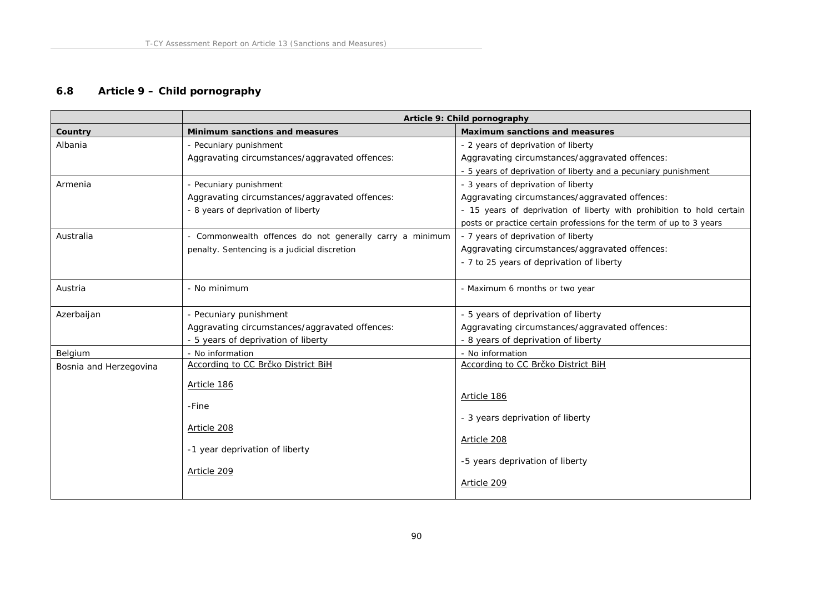# **6.8 Article 9 – Child pornography**

|                        | Article 9: Child pornography                             |                                                                       |
|------------------------|----------------------------------------------------------|-----------------------------------------------------------------------|
| Country                | Minimum sanctions and measures                           | Maximum sanctions and measures                                        |
| Albania                | - Pecuniary punishment                                   | - 2 years of deprivation of liberty                                   |
|                        | Aggravating circumstances/aggravated offences:           | Aggravating circumstances/aggravated offences:                        |
|                        |                                                          | - 5 years of deprivation of liberty and a pecuniary punishment        |
| Armenia                | - Pecuniary punishment                                   | - 3 years of deprivation of liberty                                   |
|                        | Aggravating circumstances/aggravated offences:           | Aggravating circumstances/aggravated offences:                        |
|                        | - 8 years of deprivation of liberty                      | - 15 years of deprivation of liberty with prohibition to hold certain |
|                        |                                                          | posts or practice certain professions for the term of up to 3 years   |
| Australia              | - Commonwealth offences do not generally carry a minimum | - 7 years of deprivation of liberty                                   |
|                        | penalty. Sentencing is a judicial discretion             | Aggravating circumstances/aggravated offences:                        |
|                        |                                                          | - 7 to 25 years of deprivation of liberty                             |
|                        |                                                          |                                                                       |
| Austria                | - No minimum                                             | - Maximum 6 months or two year                                        |
|                        |                                                          |                                                                       |
| Azerbaijan             | - Pecuniary punishment                                   | - 5 years of deprivation of liberty                                   |
|                        | Aggravating circumstances/aggravated offences:           | Aggravating circumstances/aggravated offences:                        |
|                        | - 5 years of deprivation of liberty                      | - 8 years of deprivation of liberty                                   |
| Belgium                | - No information                                         | - No information                                                      |
| Bosnia and Herzegovina | According to CC Brčko District BiH                       | According to CC Brčko District BiH                                    |
|                        | Article 186                                              |                                                                       |
|                        |                                                          | Article 186                                                           |
|                        | -Fine                                                    |                                                                       |
|                        |                                                          | - 3 years deprivation of liberty                                      |
|                        | Article 208                                              | Article 208                                                           |
|                        | -1 year deprivation of liberty                           |                                                                       |
|                        |                                                          | -5 years deprivation of liberty                                       |
|                        | Article 209                                              |                                                                       |
|                        |                                                          | Article 209                                                           |
|                        |                                                          |                                                                       |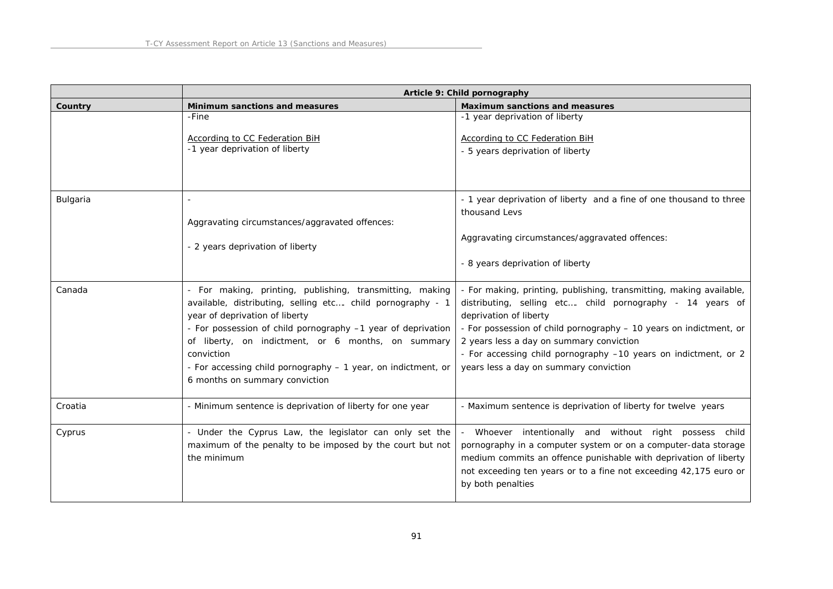|          | Article 9: Child pornography                                     |                                                                           |
|----------|------------------------------------------------------------------|---------------------------------------------------------------------------|
| Country  | Minimum sanctions and measures                                   | Maximum sanctions and measures                                            |
|          | -Fine                                                            | -1 year deprivation of liberty                                            |
|          |                                                                  |                                                                           |
|          | According to CC Federation BiH<br>-1 year deprivation of liberty | <b>According to CC Federation BiH</b><br>- 5 years deprivation of liberty |
|          |                                                                  |                                                                           |
|          |                                                                  |                                                                           |
|          |                                                                  |                                                                           |
| Bulgaria |                                                                  | - 1 year deprivation of liberty and a fine of one thousand to three       |
|          |                                                                  | thousand Levs                                                             |
|          | Aggravating circumstances/aggravated offences:                   |                                                                           |
|          |                                                                  | Aggravating circumstances/aggravated offences:                            |
|          | - 2 years deprivation of liberty                                 |                                                                           |
|          |                                                                  | - 8 years deprivation of liberty                                          |
|          |                                                                  |                                                                           |
| Canada   | - For making, printing, publishing, transmitting, making         | - For making, printing, publishing, transmitting, making available,       |
|          | available, distributing, selling etc child pornography - 1       | distributing, selling etc child pornography - 14 years of                 |
|          | year of deprivation of liberty                                   | deprivation of liberty                                                    |
|          | - For possession of child pornography -1 year of deprivation     | - For possession of child pornography - 10 years on indictment, or        |
|          | of liberty, on indictment, or 6 months, on summary               | 2 years less a day on summary conviction                                  |
|          | conviction                                                       | - For accessing child pornography -10 years on indictment, or 2           |
|          | - For accessing child pornography - 1 year, on indictment, or    | years less a day on summary conviction                                    |
|          | 6 months on summary conviction                                   |                                                                           |
|          |                                                                  |                                                                           |
| Croatia  | - Minimum sentence is deprivation of liberty for one year        | - Maximum sentence is deprivation of liberty for twelve years             |
| Cyprus   | - Under the Cyprus Law, the legislator can only set the          | - Whoever intentionally and without right possess child                   |
|          | maximum of the penalty to be imposed by the court but not        | pornography in a computer system or on a computer-data storage            |
|          | the minimum                                                      | medium commits an offence punishable with deprivation of liberty          |
|          |                                                                  | not exceeding ten years or to a fine not exceeding 42,175 euro or         |
|          |                                                                  | by both penalties                                                         |
|          |                                                                  |                                                                           |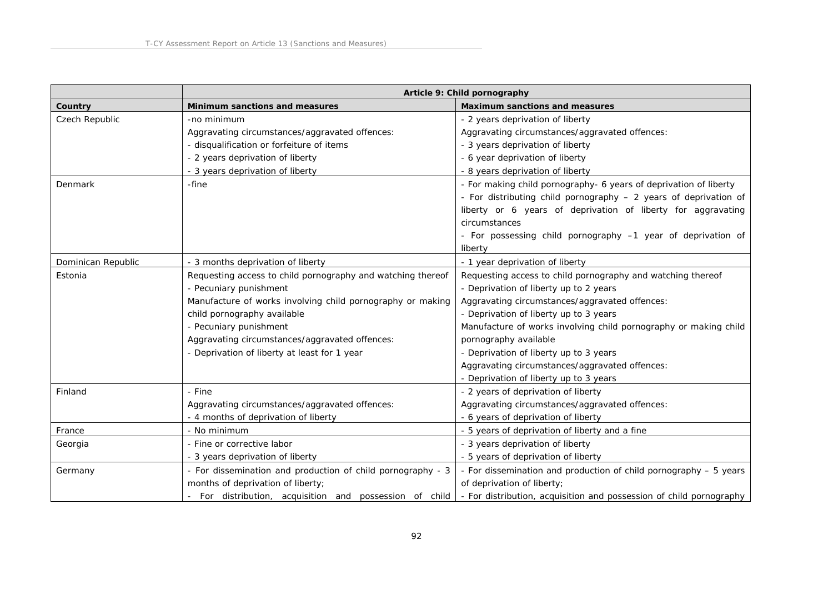|                    | Article 9: Child pornography                                |                                                                     |
|--------------------|-------------------------------------------------------------|---------------------------------------------------------------------|
| Country            | Minimum sanctions and measures                              | Maximum sanctions and measures                                      |
| Czech Republic     | -no minimum                                                 | - 2 years deprivation of liberty                                    |
|                    | Aggravating circumstances/aggravated offences:              | Aggravating circumstances/aggravated offences:                      |
|                    | - disqualification or forfeiture of items                   | - 3 years deprivation of liberty                                    |
|                    | - 2 years deprivation of liberty                            | - 6 year deprivation of liberty                                     |
|                    | - 3 years deprivation of liberty                            | - 8 years deprivation of liberty                                    |
| Denmark            | -fine                                                       | - For making child pornography- 6 years of deprivation of liberty   |
|                    |                                                             | - For distributing child pornography - 2 years of deprivation of    |
|                    |                                                             | liberty or 6 years of deprivation of liberty for aggravating        |
|                    |                                                             | circumstances                                                       |
|                    |                                                             | - For possessing child pornography -1 year of deprivation of        |
|                    |                                                             | liberty                                                             |
| Dominican Republic | - 3 months deprivation of liberty                           | - 1 year deprivation of liberty                                     |
| Estonia            | Requesting access to child pornography and watching thereof | Requesting access to child pornography and watching thereof         |
|                    | - Pecuniary punishment                                      | - Deprivation of liberty up to 2 years                              |
|                    | Manufacture of works involving child pornography or making  | Aggravating circumstances/aggravated offences:                      |
|                    | child pornography available                                 | - Deprivation of liberty up to 3 years                              |
|                    | - Pecuniary punishment                                      | Manufacture of works involving child pornography or making child    |
|                    | Aggravating circumstances/aggravated offences:              | pornography available                                               |
|                    | - Deprivation of liberty at least for 1 year                | - Deprivation of liberty up to 3 years                              |
|                    |                                                             | Aggravating circumstances/aggravated offences:                      |
|                    |                                                             | - Deprivation of liberty up to 3 years                              |
| Finland            | - Fine                                                      | - 2 years of deprivation of liberty                                 |
|                    | Aggravating circumstances/aggravated offences:              | Aggravating circumstances/aggravated offences:                      |
|                    | - 4 months of deprivation of liberty                        | - 6 years of deprivation of liberty                                 |
| France             | - No minimum                                                | - 5 years of deprivation of liberty and a fine                      |
| Georgia            | - Fine or corrective labor                                  | - 3 years deprivation of liberty                                    |
|                    | - 3 years deprivation of liberty                            | - 5 years of deprivation of liberty                                 |
| Germany            | - For dissemination and production of child pornography - 3 | - For dissemination and production of child pornography - 5 years   |
|                    | months of deprivation of liberty;                           | of deprivation of liberty;                                          |
|                    | - For distribution, acquisition and possession of child     | - For distribution, acquisition and possession of child pornography |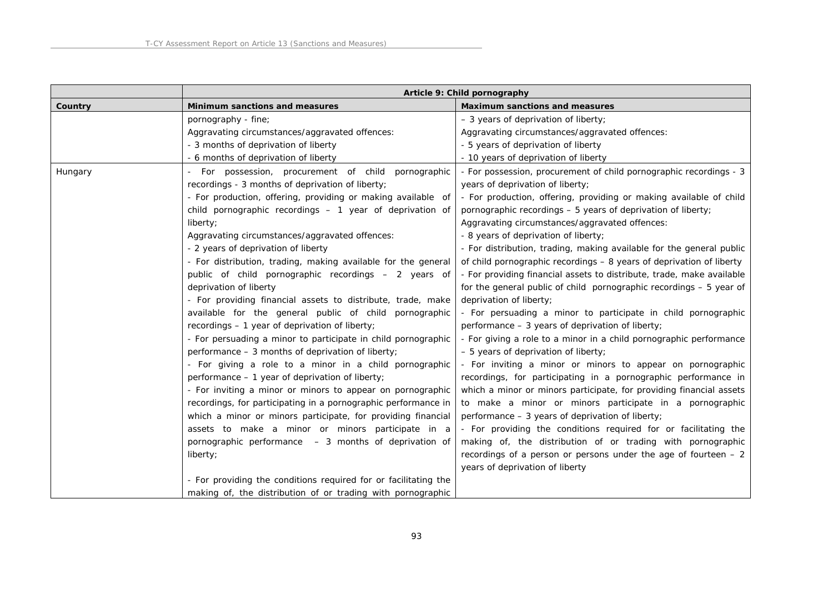|         | Article 9: Child pornography                                    |                                                                       |
|---------|-----------------------------------------------------------------|-----------------------------------------------------------------------|
| Country | Minimum sanctions and measures                                  | Maximum sanctions and measures                                        |
|         | pornography - fine;                                             | $-$ 3 years of deprivation of liberty;                                |
|         | Aggravating circumstances/aggravated offences:                  | Aggravating circumstances/aggravated offences:                        |
|         | - 3 months of deprivation of liberty                            | - 5 years of deprivation of liberty                                   |
|         | - 6 months of deprivation of liberty                            | - 10 years of deprivation of liberty                                  |
| Hungary | For possession, procurement of child pornographic               | - For possession, procurement of child pornographic recordings - 3    |
|         | recordings - 3 months of deprivation of liberty;                | years of deprivation of liberty;                                      |
|         | - For production, offering, providing or making available of    | - For production, offering, providing or making available of child    |
|         | child pornographic recordings - 1 year of deprivation of        | pornographic recordings – 5 years of deprivation of liberty;          |
|         | liberty;                                                        | Aggravating circumstances/aggravated offences:                        |
|         | Aggravating circumstances/aggravated offences:                  | - 8 years of deprivation of liberty;                                  |
|         | - 2 years of deprivation of liberty                             | - For distribution, trading, making available for the general public  |
|         | - For distribution, trading, making available for the general   | of child pornographic recordings - 8 years of deprivation of liberty  |
|         | public of child pornographic recordings - 2 years of            | - For providing financial assets to distribute, trade, make available |
|         | deprivation of liberty                                          | for the general public of child pornographic recordings - 5 year of   |
|         | - For providing financial assets to distribute, trade, make     | deprivation of liberty;                                               |
|         | available for the general public of child pornographic          | - For persuading a minor to participate in child pornographic         |
|         | recordings - 1 year of deprivation of liberty;                  | performance - 3 years of deprivation of liberty;                      |
|         | - For persuading a minor to participate in child pornographic   | - For giving a role to a minor in a child pornographic performance    |
|         | performance - 3 months of deprivation of liberty;               | $-5$ years of deprivation of liberty;                                 |
|         | - For giving a role to a minor in a child pornographic          | - For inviting a minor or minors to appear on pornographic            |
|         | performance - 1 year of deprivation of liberty;                 | recordings, for participating in a pornographic performance in        |
|         | - For inviting a minor or minors to appear on pornographic      | which a minor or minors participate, for providing financial assets   |
|         | recordings, for participating in a pornographic performance in  | to make a minor or minors participate in a pornographic               |
|         | which a minor or minors participate, for providing financial    | performance $-3$ years of deprivation of liberty;                     |
|         | assets to make a minor or minors participate in a               | - For providing the conditions required for or facilitating the       |
|         | pornographic performance - 3 months of deprivation of           | making of, the distribution of or trading with pornographic           |
|         | liberty;                                                        | recordings of a person or persons under the age of fourteen $-2$      |
|         |                                                                 | years of deprivation of liberty                                       |
|         | - For providing the conditions required for or facilitating the |                                                                       |
|         | making of, the distribution of or trading with pornographic     |                                                                       |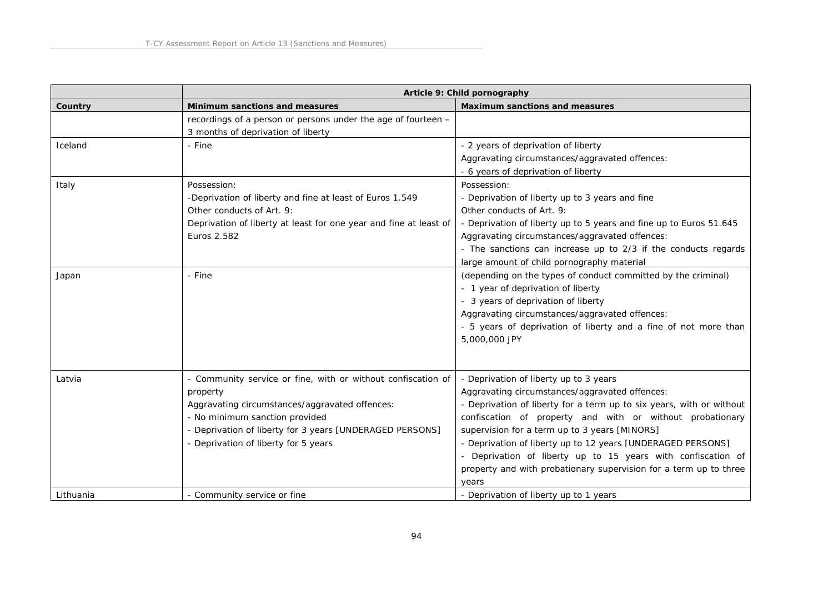|           | Article 9: Child pornography                                                                                                                                                                                                                                     |                                                                                                                                                                                                                                                                                                                                                                                                                                                                                             |
|-----------|------------------------------------------------------------------------------------------------------------------------------------------------------------------------------------------------------------------------------------------------------------------|---------------------------------------------------------------------------------------------------------------------------------------------------------------------------------------------------------------------------------------------------------------------------------------------------------------------------------------------------------------------------------------------------------------------------------------------------------------------------------------------|
| Country   | Minimum sanctions and measures                                                                                                                                                                                                                                   | Maximum sanctions and measures                                                                                                                                                                                                                                                                                                                                                                                                                                                              |
|           | recordings of a person or persons under the age of fourteen -<br>3 months of deprivation of liberty                                                                                                                                                              |                                                                                                                                                                                                                                                                                                                                                                                                                                                                                             |
| Iceland   | - Fine                                                                                                                                                                                                                                                           | - 2 years of deprivation of liberty<br>Aggravating circumstances/aggravated offences:<br>- 6 years of deprivation of liberty                                                                                                                                                                                                                                                                                                                                                                |
| Italy     | Possession:<br>-Deprivation of liberty and fine at least of Euros 1.549<br>Other conducts of Art. 9:<br>Deprivation of liberty at least for one year and fine at least of<br>Euros 2.582                                                                         | Possession:<br>- Deprivation of liberty up to 3 years and fine<br>Other conducts of Art. 9:<br>- Deprivation of liberty up to 5 years and fine up to Euros 51.645<br>Aggravating circumstances/aggravated offences:<br>- The sanctions can increase up to 2/3 if the conducts regards<br>large amount of child pornography material                                                                                                                                                         |
| Japan     | - Fine                                                                                                                                                                                                                                                           | (depending on the types of conduct committed by the criminal)<br>- 1 year of deprivation of liberty<br>- 3 years of deprivation of liberty<br>Aggravating circumstances/aggravated offences:<br>- 5 years of deprivation of liberty and a fine of not more than<br>5,000,000 JPY                                                                                                                                                                                                            |
| Latvia    | - Community service or fine, with or without confiscation of<br>property<br>Aggravating circumstances/aggravated offences:<br>- No minimum sanction provided<br>- Deprivation of liberty for 3 years [UNDERAGED PERSONS]<br>- Deprivation of liberty for 5 years | - Deprivation of liberty up to 3 years<br>Aggravating circumstances/aggravated offences:<br>- Deprivation of liberty for a term up to six years, with or without<br>confiscation of property and with or without probationary<br>supervision for a term up to 3 years [MINORS]<br>- Deprivation of liberty up to 12 years [UNDERAGED PERSONS]<br>- Deprivation of liberty up to 15 years with confiscation of<br>property and with probationary supervision for a term up to three<br>years |
| Lithuania | - Community service or fine                                                                                                                                                                                                                                      | - Deprivation of liberty up to 1 years                                                                                                                                                                                                                                                                                                                                                                                                                                                      |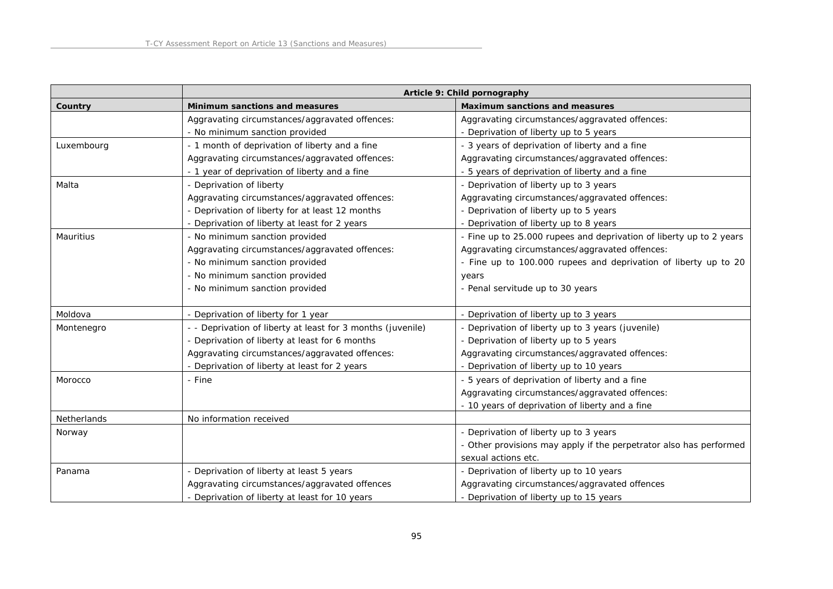|             |                                                             | Article 9: Child pornography                                        |
|-------------|-------------------------------------------------------------|---------------------------------------------------------------------|
| Country     | Minimum sanctions and measures                              | Maximum sanctions and measures                                      |
|             | Aggravating circumstances/aggravated offences:              | Aggravating circumstances/aggravated offences:                      |
|             | - No minimum sanction provided                              | - Deprivation of liberty up to 5 years                              |
| Luxembourg  | - 1 month of deprivation of liberty and a fine              | - 3 years of deprivation of liberty and a fine                      |
|             | Aggravating circumstances/aggravated offences:              | Aggravating circumstances/aggravated offences:                      |
|             | - 1 year of deprivation of liberty and a fine               | - 5 years of deprivation of liberty and a fine                      |
| Malta       | - Deprivation of liberty                                    | - Deprivation of liberty up to 3 years                              |
|             | Aggravating circumstances/aggravated offences:              | Aggravating circumstances/aggravated offences:                      |
|             | - Deprivation of liberty for at least 12 months             | - Deprivation of liberty up to 5 years                              |
|             | - Deprivation of liberty at least for 2 years               | - Deprivation of liberty up to 8 years                              |
| Mauritius   | - No minimum sanction provided                              | - Fine up to 25.000 rupees and deprivation of liberty up to 2 years |
|             | Aggravating circumstances/aggravated offences:              | Aggravating circumstances/aggravated offences:                      |
|             | - No minimum sanction provided                              | - Fine up to 100.000 rupees and deprivation of liberty up to 20     |
|             | - No minimum sanction provided                              | years                                                               |
|             | - No minimum sanction provided                              | - Penal servitude up to 30 years                                    |
|             |                                                             |                                                                     |
| Moldova     | - Deprivation of liberty for 1 year                         | - Deprivation of liberty up to 3 years                              |
| Montenegro  | - - Deprivation of liberty at least for 3 months (juvenile) | - Deprivation of liberty up to 3 years (juvenile)                   |
|             | - Deprivation of liberty at least for 6 months              | - Deprivation of liberty up to 5 years                              |
|             | Aggravating circumstances/aggravated offences:              | Aggravating circumstances/aggravated offences:                      |
|             | - Deprivation of liberty at least for 2 years               | - Deprivation of liberty up to 10 years                             |
| Morocco     | - Fine                                                      | - 5 years of deprivation of liberty and a fine                      |
|             |                                                             | Aggravating circumstances/aggravated offences:                      |
|             |                                                             | - 10 years of deprivation of liberty and a fine                     |
| Netherlands | No information received                                     |                                                                     |
| Norway      |                                                             | - Deprivation of liberty up to 3 years                              |
|             |                                                             | - Other provisions may apply if the perpetrator also has performed  |
|             |                                                             | sexual actions etc.                                                 |
| Panama      | - Deprivation of liberty at least 5 years                   | - Deprivation of liberty up to 10 years                             |
|             | Aggravating circumstances/aggravated offences               | Aggravating circumstances/aggravated offences                       |
|             | - Deprivation of liberty at least for 10 years              | - Deprivation of liberty up to 15 years                             |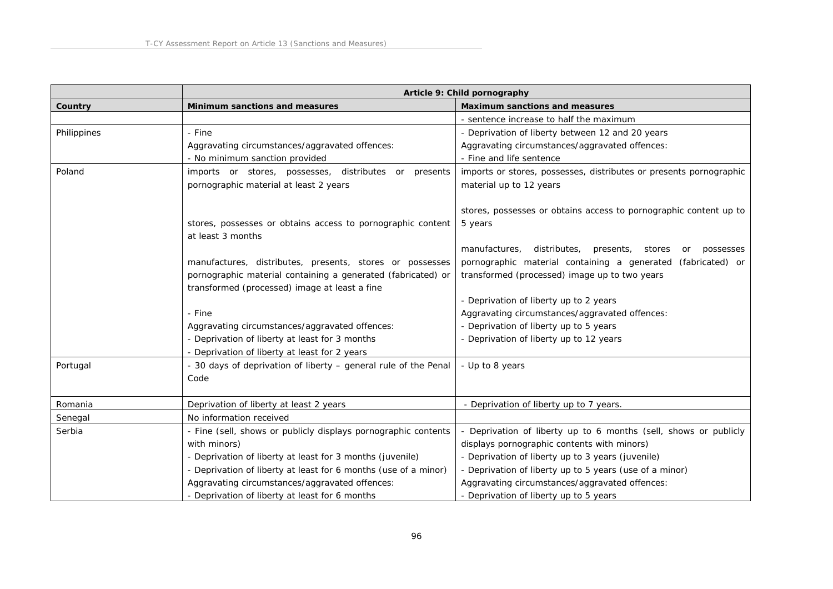|             |                                                                 | Article 9: Child pornography                                            |
|-------------|-----------------------------------------------------------------|-------------------------------------------------------------------------|
| Country     | Minimum sanctions and measures                                  | Maximum sanctions and measures                                          |
|             |                                                                 | - sentence increase to half the maximum                                 |
| Philippines | - Fine                                                          | - Deprivation of liberty between 12 and 20 years                        |
|             | Aggravating circumstances/aggravated offences:                  | Aggravating circumstances/aggravated offences:                          |
|             | - No minimum sanction provided                                  | - Fine and life sentence                                                |
| Poland      | imports or stores, possesses, distributes or presents           | imports or stores, possesses, distributes or presents pornographic      |
|             | pornographic material at least 2 years                          | material up to 12 years                                                 |
|             |                                                                 |                                                                         |
|             |                                                                 | stores, possesses or obtains access to pornographic content up to       |
|             | stores, possesses or obtains access to pornographic content     | 5 years                                                                 |
|             | at least 3 months                                               |                                                                         |
|             |                                                                 | distributes,<br>manufactures,<br>presents,<br>stores<br>possesses<br>or |
|             | manufactures, distributes, presents, stores or possesses        | pornographic material containing a generated (fabricated) or            |
|             | pornographic material containing a generated (fabricated) or    | transformed (processed) image up to two years                           |
|             | transformed (processed) image at least a fine                   |                                                                         |
|             |                                                                 | - Deprivation of liberty up to 2 years                                  |
|             | - Fine                                                          | Aggravating circumstances/aggravated offences:                          |
|             | Aggravating circumstances/aggravated offences:                  | - Deprivation of liberty up to 5 years                                  |
|             | - Deprivation of liberty at least for 3 months                  | - Deprivation of liberty up to 12 years                                 |
|             | - Deprivation of liberty at least for 2 years                   |                                                                         |
| Portugal    | - 30 days of deprivation of liberty - general rule of the Penal | - Up to 8 years                                                         |
|             | Code                                                            |                                                                         |
|             |                                                                 |                                                                         |
| Romania     | Deprivation of liberty at least 2 years                         | - Deprivation of liberty up to 7 years.                                 |
| Senegal     | No information received                                         |                                                                         |
| Serbia      | - Fine (sell, shows or publicly displays pornographic contents  | - Deprivation of liberty up to 6 months (sell, shows or publicly        |
|             | with minors)                                                    | displays pornographic contents with minors)                             |
|             | - Deprivation of liberty at least for 3 months (juvenile)       | - Deprivation of liberty up to 3 years (juvenile)                       |
|             | - Deprivation of liberty at least for 6 months (use of a minor) | - Deprivation of liberty up to 5 years (use of a minor)                 |
|             | Aggravating circumstances/aggravated offences:                  | Aggravating circumstances/aggravated offences:                          |
|             | - Deprivation of liberty at least for 6 months                  | - Deprivation of liberty up to 5 years                                  |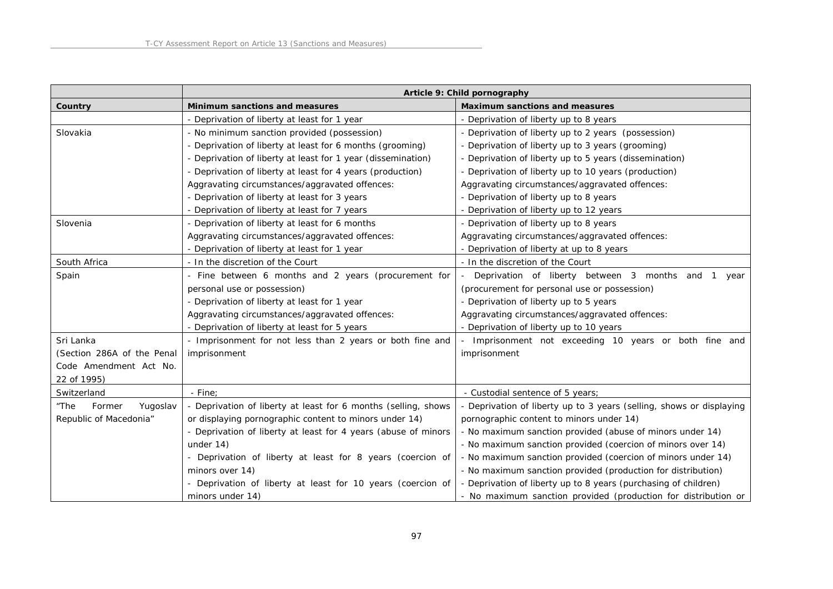|                            |                                                                | Article 9: Child pornography                                       |
|----------------------------|----------------------------------------------------------------|--------------------------------------------------------------------|
| Country                    | Minimum sanctions and measures                                 | Maximum sanctions and measures                                     |
|                            | - Deprivation of liberty at least for 1 year                   | - Deprivation of liberty up to 8 years                             |
| Slovakia                   | - No minimum sanction provided (possession)                    | - Deprivation of liberty up to 2 years (possession)                |
|                            | - Deprivation of liberty at least for 6 months (grooming)      | - Deprivation of liberty up to 3 years (grooming)                  |
|                            | - Deprivation of liberty at least for 1 year (dissemination)   | - Deprivation of liberty up to 5 years (dissemination)             |
|                            | - Deprivation of liberty at least for 4 years (production)     | - Deprivation of liberty up to 10 years (production)               |
|                            | Aggravating circumstances/aggravated offences:                 | Aggravating circumstances/aggravated offences:                     |
|                            | - Deprivation of liberty at least for 3 years                  | - Deprivation of liberty up to 8 years                             |
|                            | - Deprivation of liberty at least for 7 years                  | - Deprivation of liberty up to 12 years                            |
| Slovenia                   | - Deprivation of liberty at least for 6 months                 | - Deprivation of liberty up to 8 years                             |
|                            | Aggravating circumstances/aggravated offences:                 | Aggravating circumstances/aggravated offences:                     |
|                            | - Deprivation of liberty at least for 1 year                   | - Deprivation of liberty at up to 8 years                          |
| South Africa               | - In the discretion of the Court                               | - In the discretion of the Court                                   |
| Spain                      | - Fine between 6 months and 2 years (procurement for           | Deprivation of liberty between 3 months and<br>year                |
|                            | personal use or possession)                                    | (procurement for personal use or possession)                       |
|                            | - Deprivation of liberty at least for 1 year                   | - Deprivation of liberty up to 5 years                             |
|                            | Aggravating circumstances/aggravated offences:                 | Aggravating circumstances/aggravated offences:                     |
|                            | - Deprivation of liberty at least for 5 years                  | - Deprivation of liberty up to 10 years                            |
| Sri Lanka                  | - Imprisonment for not less than 2 years or both fine and      | Imprisonment not exceeding 10 years or both fine and               |
| (Section 286A of the Penal | imprisonment                                                   | imprisonment                                                       |
| Code Amendment Act No.     |                                                                |                                                                    |
| 22 of 1995)                |                                                                |                                                                    |
| Switzerland                | $-$ Fine:                                                      | - Custodial sentence of 5 years;                                   |
| "The<br>Yugoslav<br>Former | - Deprivation of liberty at least for 6 months (selling, shows | Deprivation of liberty up to 3 years (selling, shows or displaying |
| Republic of Macedonia"     | or displaying pornographic content to minors under 14)         | pornographic content to minors under 14)                           |
|                            | - Deprivation of liberty at least for 4 years (abuse of minors | - No maximum sanction provided (abuse of minors under 14)          |
|                            | under 14)                                                      | - No maximum sanction provided (coercion of minors over 14)        |
|                            | - Deprivation of liberty at least for 8 years (coercion of     | - No maximum sanction provided (coercion of minors under 14)       |
|                            | minors over 14)                                                | - No maximum sanction provided (production for distribution)       |
|                            | - Deprivation of liberty at least for 10 years (coercion of    | - Deprivation of liberty up to 8 years (purchasing of children)    |
|                            | minors under 14)                                               | - No maximum sanction provided (production for distribution or     |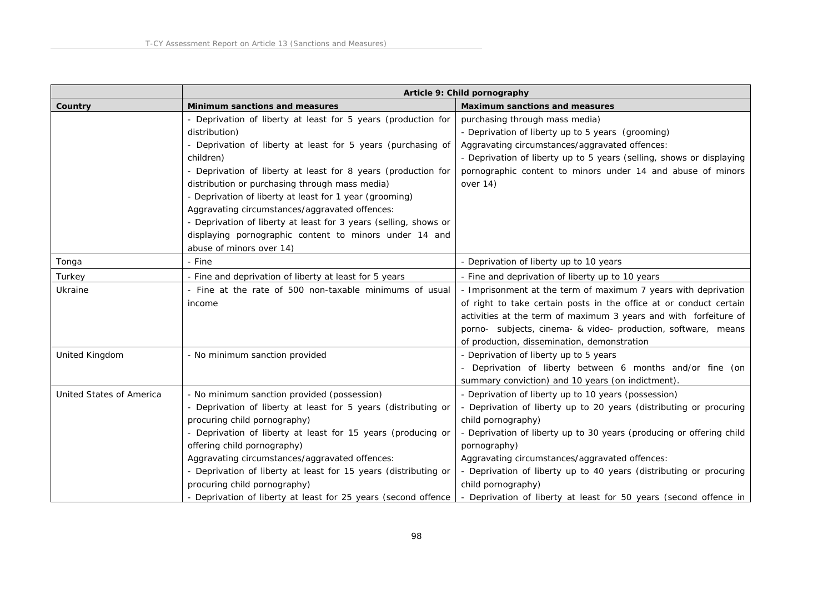|                          |                                                                                                                                                                                                                                                                                                                                                                                                                                                                                                                                                       | Article 9: Child pornography                                                                                                                                                                                                                                                                                                                                                                                                                            |
|--------------------------|-------------------------------------------------------------------------------------------------------------------------------------------------------------------------------------------------------------------------------------------------------------------------------------------------------------------------------------------------------------------------------------------------------------------------------------------------------------------------------------------------------------------------------------------------------|---------------------------------------------------------------------------------------------------------------------------------------------------------------------------------------------------------------------------------------------------------------------------------------------------------------------------------------------------------------------------------------------------------------------------------------------------------|
| Country                  | Minimum sanctions and measures                                                                                                                                                                                                                                                                                                                                                                                                                                                                                                                        | Maximum sanctions and measures                                                                                                                                                                                                                                                                                                                                                                                                                          |
|                          | - Deprivation of liberty at least for 5 years (production for<br>distribution)<br>- Deprivation of liberty at least for 5 years (purchasing of<br>children)<br>- Deprivation of liberty at least for 8 years (production for<br>distribution or purchasing through mass media)<br>- Deprivation of liberty at least for 1 year (grooming)<br>Aggravating circumstances/aggravated offences:<br>- Deprivation of liberty at least for 3 years (selling, shows or<br>displaying pornographic content to minors under 14 and<br>abuse of minors over 14) | purchasing through mass media)<br>- Deprivation of liberty up to 5 years (grooming)<br>Aggravating circumstances/aggravated offences:<br>- Deprivation of liberty up to 5 years (selling, shows or displaying<br>pornographic content to minors under 14 and abuse of minors<br>over $14)$                                                                                                                                                              |
| Tonga                    | - Fine                                                                                                                                                                                                                                                                                                                                                                                                                                                                                                                                                | - Deprivation of liberty up to 10 years                                                                                                                                                                                                                                                                                                                                                                                                                 |
| Turkey                   | - Fine and deprivation of liberty at least for 5 years                                                                                                                                                                                                                                                                                                                                                                                                                                                                                                | - Fine and deprivation of liberty up to 10 years                                                                                                                                                                                                                                                                                                                                                                                                        |
| Ukraine                  | - Fine at the rate of 500 non-taxable minimums of usual<br>income                                                                                                                                                                                                                                                                                                                                                                                                                                                                                     | - Imprisonment at the term of maximum 7 years with deprivation<br>of right to take certain posts in the office at or conduct certain<br>activities at the term of maximum 3 years and with forfeiture of<br>porno- subjects, cinema- & video- production, software, means<br>of production, dissemination, demonstration                                                                                                                                |
| United Kingdom           | - No minimum sanction provided                                                                                                                                                                                                                                                                                                                                                                                                                                                                                                                        | - Deprivation of liberty up to 5 years<br>- Deprivation of liberty between 6 months and/or fine (on<br>summary conviction) and 10 years (on indictment).                                                                                                                                                                                                                                                                                                |
| United States of America | - No minimum sanction provided (possession)<br>- Deprivation of liberty at least for 5 years (distributing or<br>procuring child pornography)<br>- Deprivation of liberty at least for 15 years (producing or<br>offering child pornography)<br>Aggravating circumstances/aggravated offences:<br>- Deprivation of liberty at least for 15 years (distributing or<br>procuring child pornography)<br>- Deprivation of liberty at least for 25 years (second offence                                                                                   | - Deprivation of liberty up to 10 years (possession)<br>Deprivation of liberty up to 20 years (distributing or procuring<br>child pornography)<br>- Deprivation of liberty up to 30 years (producing or offering child<br>pornography)<br>Aggravating circumstances/aggravated offences:<br>- Deprivation of liberty up to 40 years (distributing or procuring<br>child pornography)<br>Deprivation of liberty at least for 50 years (second offence in |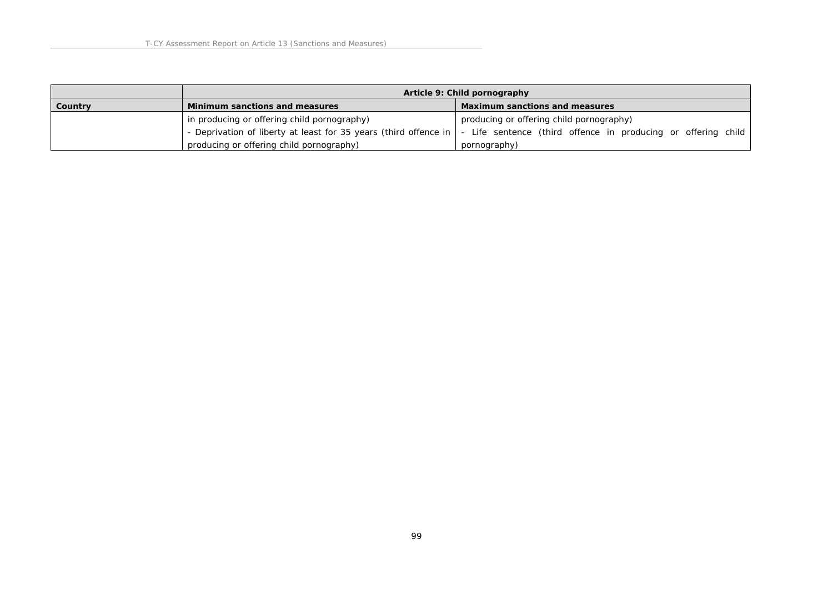|         |                                             | Article 9: Child pornography                                                                                                     |
|---------|---------------------------------------------|----------------------------------------------------------------------------------------------------------------------------------|
| Country | Minimum sanctions and measures              | Maximum sanctions and measures                                                                                                   |
|         | in producing or offering child pornography) | producing or offering child pornography)                                                                                         |
|         |                                             | - Deprivation of liberty at least for 35 years (third offence in   - Life sentence (third offence in producing or offering child |
|         | producing or offering child pornography)    | pornography)                                                                                                                     |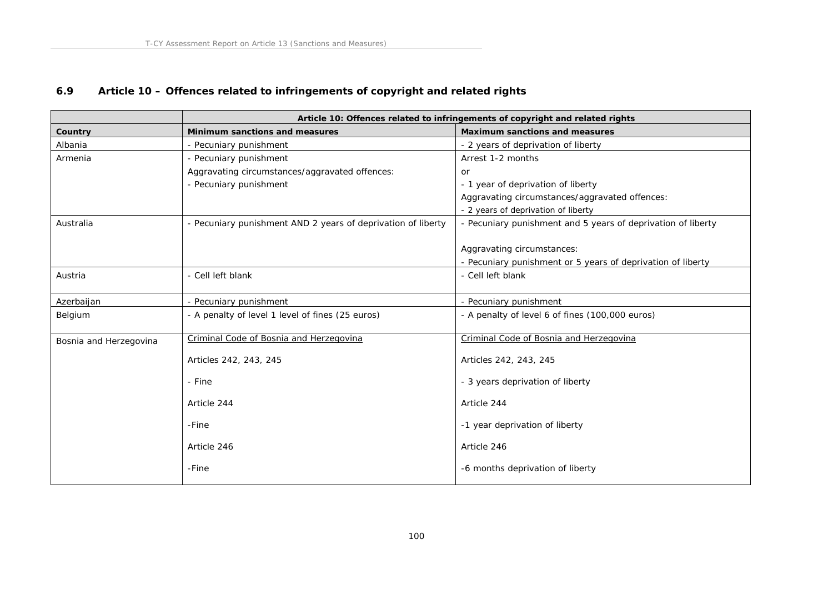# **6.9 Article 10 – Offences related to infringements of copyright and related rights**

|                        |                                                              | Article 10: Offences related to infringements of copyright and related rights |
|------------------------|--------------------------------------------------------------|-------------------------------------------------------------------------------|
| Country                | Minimum sanctions and measures                               | Maximum sanctions and measures                                                |
| Albania                | - Pecuniary punishment                                       | - 2 years of deprivation of liberty                                           |
| Armenia                | - Pecuniary punishment                                       | Arrest 1-2 months                                                             |
|                        | Aggravating circumstances/aggravated offences:               | or                                                                            |
|                        | - Pecuniary punishment                                       | - 1 year of deprivation of liberty                                            |
|                        |                                                              | Aggravating circumstances/aggravated offences:                                |
|                        |                                                              | - 2 years of deprivation of liberty                                           |
| Australia              | - Pecuniary punishment AND 2 years of deprivation of liberty | - Pecuniary punishment and 5 years of deprivation of liberty                  |
|                        |                                                              |                                                                               |
|                        |                                                              | Aggravating circumstances:                                                    |
|                        |                                                              | - Pecuniary punishment or 5 years of deprivation of liberty                   |
| Austria                | - Cell left blank                                            | - Cell left blank                                                             |
|                        |                                                              |                                                                               |
| Azerbaijan             | - Pecuniary punishment                                       | - Pecuniary punishment                                                        |
| Belgium                | - A penalty of level 1 level of fines (25 euros)             | - A penalty of level 6 of fines (100,000 euros)                               |
| Bosnia and Herzegovina | Criminal Code of Bosnia and Herzegovina                      | Criminal Code of Bosnia and Herzegovina                                       |
|                        | Articles 242, 243, 245                                       | Articles 242, 243, 245                                                        |
|                        | - Fine                                                       | - 3 years deprivation of liberty                                              |
|                        | Article 244                                                  | Article 244                                                                   |
|                        | -Fine                                                        | -1 year deprivation of liberty                                                |
|                        | Article 246                                                  | Article 246                                                                   |
|                        | -Fine                                                        | -6 months deprivation of liberty                                              |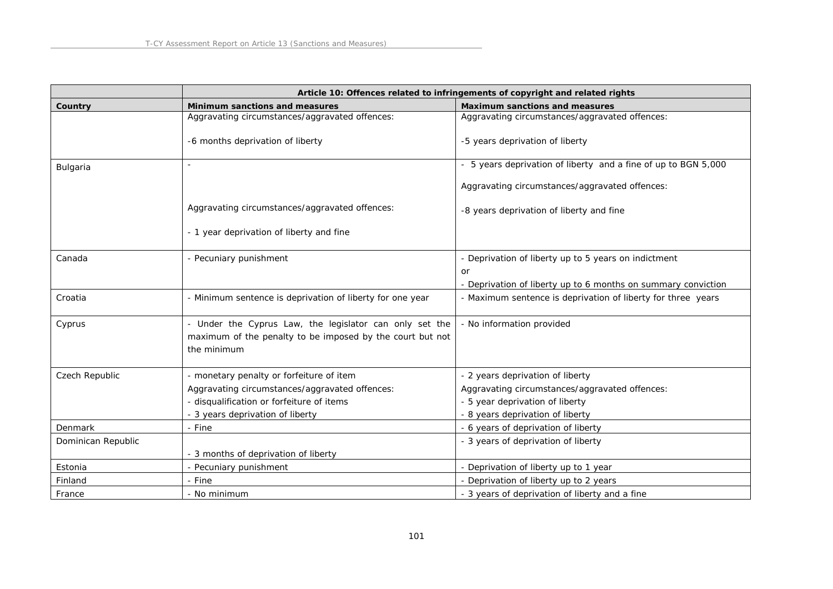|                    |                                                                                                                                     | Article 10: Offences related to infringements of copyright and related rights |
|--------------------|-------------------------------------------------------------------------------------------------------------------------------------|-------------------------------------------------------------------------------|
| Country            | Minimum sanctions and measures                                                                                                      | Maximum sanctions and measures                                                |
|                    | Aggravating circumstances/aggravated offences:                                                                                      | Aggravating circumstances/aggravated offences:                                |
|                    | -6 months deprivation of liberty                                                                                                    | -5 years deprivation of liberty                                               |
| Bulgaria           |                                                                                                                                     | - 5 years deprivation of liberty and a fine of up to BGN 5,000                |
|                    |                                                                                                                                     | Aggravating circumstances/aggravated offences:                                |
|                    | Aggravating circumstances/aggravated offences:                                                                                      | -8 years deprivation of liberty and fine                                      |
|                    | - 1 year deprivation of liberty and fine                                                                                            |                                                                               |
| Canada             | - Pecuniary punishment                                                                                                              | - Deprivation of liberty up to 5 years on indictment                          |
|                    |                                                                                                                                     | or                                                                            |
|                    |                                                                                                                                     | - Deprivation of liberty up to 6 months on summary conviction                 |
| Croatia            | - Minimum sentence is deprivation of liberty for one year                                                                           | - Maximum sentence is deprivation of liberty for three years                  |
| Cyprus             | - Under the Cyprus Law, the legislator can only set the<br>maximum of the penalty to be imposed by the court but not<br>the minimum | - No information provided                                                     |
| Czech Republic     | - monetary penalty or forfeiture of item                                                                                            | - 2 years deprivation of liberty                                              |
|                    | Aggravating circumstances/aggravated offences:                                                                                      | Aggravating circumstances/aggravated offences:                                |
|                    | - disqualification or forfeiture of items                                                                                           | - 5 year deprivation of liberty                                               |
|                    | - 3 years deprivation of liberty                                                                                                    | - 8 years deprivation of liberty                                              |
| Denmark            | - Fine                                                                                                                              | - 6 years of deprivation of liberty                                           |
| Dominican Republic |                                                                                                                                     | - 3 years of deprivation of liberty                                           |
|                    | - 3 months of deprivation of liberty                                                                                                |                                                                               |
| Estonia            | - Pecuniary punishment                                                                                                              | - Deprivation of liberty up to 1 year                                         |
| Finland            | - Fine                                                                                                                              | - Deprivation of liberty up to 2 years                                        |
| France             | - No minimum                                                                                                                        | - 3 years of deprivation of liberty and a fine                                |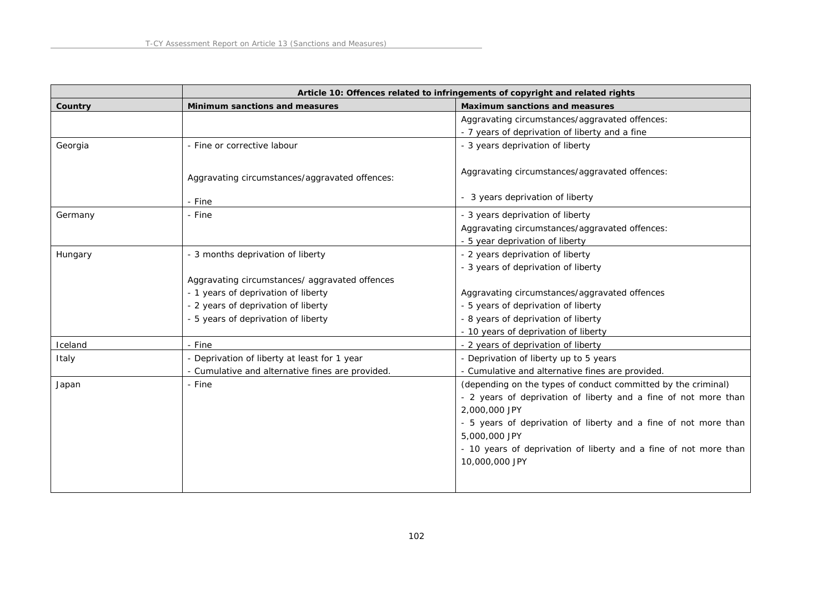|         | Article 10: Offences related to infringements of copyright and related rights |                                                                  |
|---------|-------------------------------------------------------------------------------|------------------------------------------------------------------|
| Country | Minimum sanctions and measures                                                | Maximum sanctions and measures                                   |
|         |                                                                               | Aggravating circumstances/aggravated offences:                   |
|         |                                                                               | - 7 years of deprivation of liberty and a fine                   |
| Georgia | - Fine or corrective labour                                                   | - 3 years deprivation of liberty                                 |
|         | Aggravating circumstances/aggravated offences:                                | Aggravating circumstances/aggravated offences:                   |
|         | - Fine                                                                        | - 3 years deprivation of liberty                                 |
| Germany | - Fine                                                                        | - 3 years deprivation of liberty                                 |
|         |                                                                               | Aggravating circumstances/aggravated offences:                   |
|         |                                                                               | - 5 year deprivation of liberty                                  |
| Hungary | - 3 months deprivation of liberty                                             | - 2 years deprivation of liberty                                 |
|         |                                                                               | - 3 years of deprivation of liberty                              |
|         | Aggravating circumstances/ aggravated offences                                |                                                                  |
|         | - 1 years of deprivation of liberty                                           | Aggravating circumstances/aggravated offences                    |
|         | - 2 years of deprivation of liberty                                           | - 5 years of deprivation of liberty                              |
|         | - 5 years of deprivation of liberty                                           | - 8 years of deprivation of liberty                              |
|         |                                                                               | - 10 years of deprivation of liberty                             |
| Iceland | - Fine                                                                        | - 2 years of deprivation of liberty                              |
| Italy   | - Deprivation of liberty at least for 1 year                                  | - Deprivation of liberty up to 5 years                           |
|         | - Cumulative and alternative fines are provided.                              | - Cumulative and alternative fines are provided.                 |
| Japan   | - Fine                                                                        | (depending on the types of conduct committed by the criminal)    |
|         |                                                                               | - 2 years of deprivation of liberty and a fine of not more than  |
|         |                                                                               | 2,000,000 JPY                                                    |
|         |                                                                               | - 5 years of deprivation of liberty and a fine of not more than  |
|         |                                                                               | 5,000,000 JPY                                                    |
|         |                                                                               | - 10 years of deprivation of liberty and a fine of not more than |
|         |                                                                               | 10,000,000 JPY                                                   |
|         |                                                                               |                                                                  |
|         |                                                                               |                                                                  |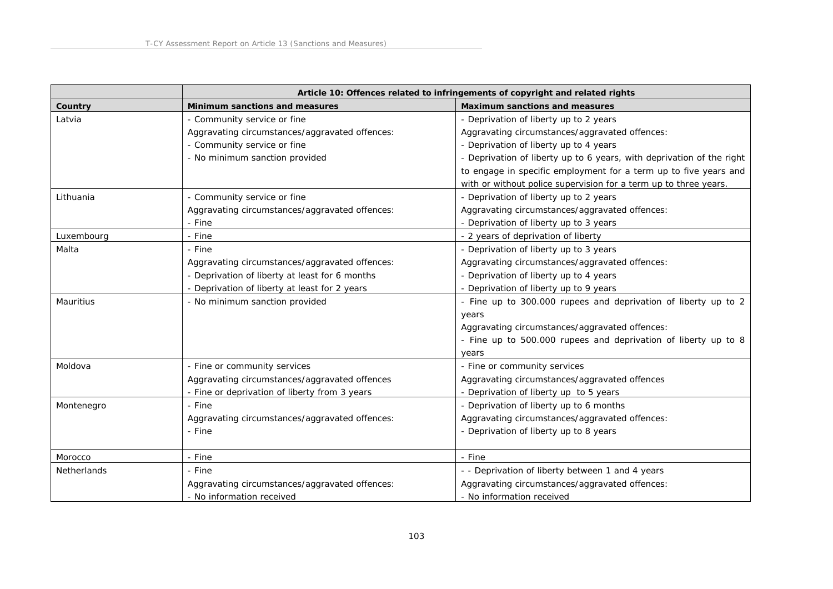|                    |                                                | Article 10: Offences related to infringements of copyright and related rights |
|--------------------|------------------------------------------------|-------------------------------------------------------------------------------|
| Country            | Minimum sanctions and measures                 | Maximum sanctions and measures                                                |
| Latvia             | - Community service or fine                    | - Deprivation of liberty up to 2 years                                        |
|                    | Aggravating circumstances/aggravated offences: | Aggravating circumstances/aggravated offences:                                |
|                    | - Community service or fine                    | - Deprivation of liberty up to 4 years                                        |
|                    | - No minimum sanction provided                 | - Deprivation of liberty up to 6 years, with deprivation of the right         |
|                    |                                                | to engage in specific employment for a term up to five years and              |
|                    |                                                | with or without police supervision for a term up to three years.              |
| Lithuania          | - Community service or fine                    | - Deprivation of liberty up to 2 years                                        |
|                    | Aggravating circumstances/aggravated offences: | Aggravating circumstances/aggravated offences:                                |
|                    | - Fine                                         | - Deprivation of liberty up to 3 years                                        |
| Luxembourg         | - Fine                                         | - 2 years of deprivation of liberty                                           |
| Malta              | - Fine                                         | - Deprivation of liberty up to 3 years                                        |
|                    | Aggravating circumstances/aggravated offences: | Aggravating circumstances/aggravated offences:                                |
|                    | - Deprivation of liberty at least for 6 months | - Deprivation of liberty up to 4 years                                        |
|                    | - Deprivation of liberty at least for 2 years  | - Deprivation of liberty up to 9 years                                        |
| <b>Mauritius</b>   | - No minimum sanction provided                 | - Fine up to 300.000 rupees and deprivation of liberty up to 2                |
|                    |                                                | years                                                                         |
|                    |                                                | Aggravating circumstances/aggravated offences:                                |
|                    |                                                | - Fine up to 500.000 rupees and deprivation of liberty up to 8                |
|                    |                                                | years                                                                         |
| Moldova            | - Fine or community services                   | - Fine or community services                                                  |
|                    | Aggravating circumstances/aggravated offences  | Aggravating circumstances/aggravated offences                                 |
|                    | - Fine or deprivation of liberty from 3 years  | - Deprivation of liberty up to 5 years                                        |
| Montenegro         | - Fine                                         | - Deprivation of liberty up to 6 months                                       |
|                    | Aggravating circumstances/aggravated offences: | Aggravating circumstances/aggravated offences:                                |
|                    | - Fine                                         | - Deprivation of liberty up to 8 years                                        |
|                    |                                                |                                                                               |
| Morocco            | - Fine                                         | - Fine                                                                        |
| <b>Netherlands</b> | - Fine                                         | - - Deprivation of liberty between 1 and 4 years                              |
|                    | Aggravating circumstances/aggravated offences: | Aggravating circumstances/aggravated offences:                                |
|                    | - No information received                      | - No information received                                                     |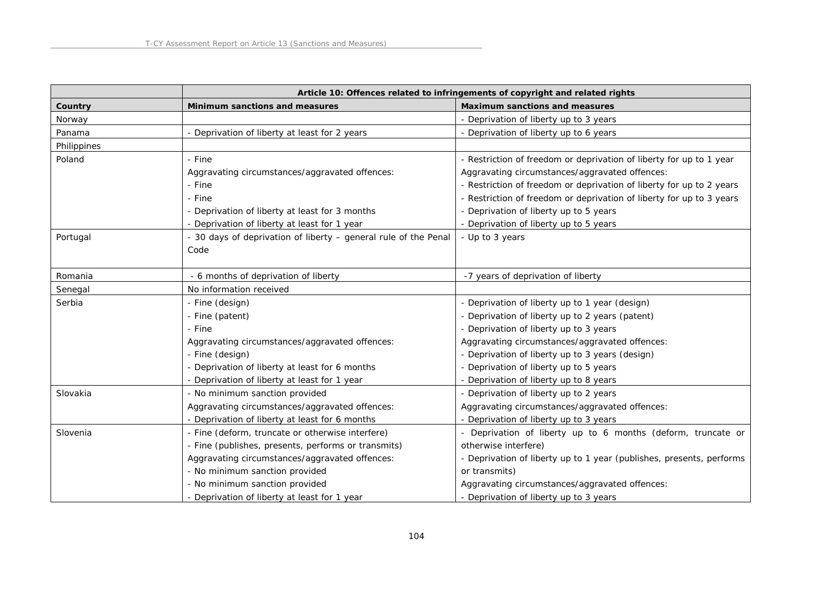|             |                                                                 | Article 10: Offences related to infringements of copyright and related rights |
|-------------|-----------------------------------------------------------------|-------------------------------------------------------------------------------|
| Country     | Minimum sanctions and measures                                  | Maximum sanctions and measures                                                |
| Norway      |                                                                 | - Deprivation of liberty up to 3 years                                        |
| Panama      | - Deprivation of liberty at least for 2 years                   | - Deprivation of liberty up to 6 years                                        |
| Philippines |                                                                 |                                                                               |
| Poland      | - Fine                                                          | - Restriction of freedom or deprivation of liberty for up to 1 year           |
|             | Aggravating circumstances/aggravated offences:                  | Aggravating circumstances/aggravated offences:                                |
|             | - Fine                                                          | - Restriction of freedom or deprivation of liberty for up to 2 years          |
|             | - Fine                                                          | - Restriction of freedom or deprivation of liberty for up to 3 years          |
|             | - Deprivation of liberty at least for 3 months                  | - Deprivation of liberty up to 5 years                                        |
|             | - Deprivation of liberty at least for 1 year                    | - Deprivation of liberty up to 5 years                                        |
| Portugal    | - 30 days of deprivation of liberty - general rule of the Penal | - Up to 3 years                                                               |
|             | Code                                                            |                                                                               |
|             |                                                                 |                                                                               |
| Romania     | - 6 months of deprivation of liberty                            | -7 years of deprivation of liberty                                            |
| Senegal     | No information received                                         |                                                                               |
| Serbia      | - Fine (design)                                                 | - Deprivation of liberty up to 1 year (design)                                |
|             | - Fine (patent)                                                 | - Deprivation of liberty up to 2 years (patent)                               |
|             | - Fine                                                          | - Deprivation of liberty up to 3 years                                        |
|             | Aggravating circumstances/aggravated offences:                  | Aggravating circumstances/aggravated offences:                                |
|             | - Fine (design)                                                 | - Deprivation of liberty up to 3 years (design)                               |
|             | - Deprivation of liberty at least for 6 months                  | - Deprivation of liberty up to 5 years                                        |
|             | - Deprivation of liberty at least for 1 year                    | - Deprivation of liberty up to 8 years                                        |
| Slovakia    | - No minimum sanction provided                                  | - Deprivation of liberty up to 2 years                                        |
|             | Aggravating circumstances/aggravated offences:                  | Aggravating circumstances/aggravated offences:                                |
|             | - Deprivation of liberty at least for 6 months                  | - Deprivation of liberty up to 3 years                                        |
| Slovenia    | - Fine (deform, truncate or otherwise interfere)                | - Deprivation of liberty up to 6 months (deform, truncate or                  |
|             | - Fine (publishes, presents, performs or transmits)             | otherwise interfere)                                                          |
|             | Aggravating circumstances/aggravated offences:                  | - Deprivation of liberty up to 1 year (publishes, presents, performs          |
|             | - No minimum sanction provided                                  | or transmits)                                                                 |
|             | - No minimum sanction provided                                  | Aggravating circumstances/aggravated offences:                                |
|             | - Deprivation of liberty at least for 1 year                    | - Deprivation of liberty up to 3 years                                        |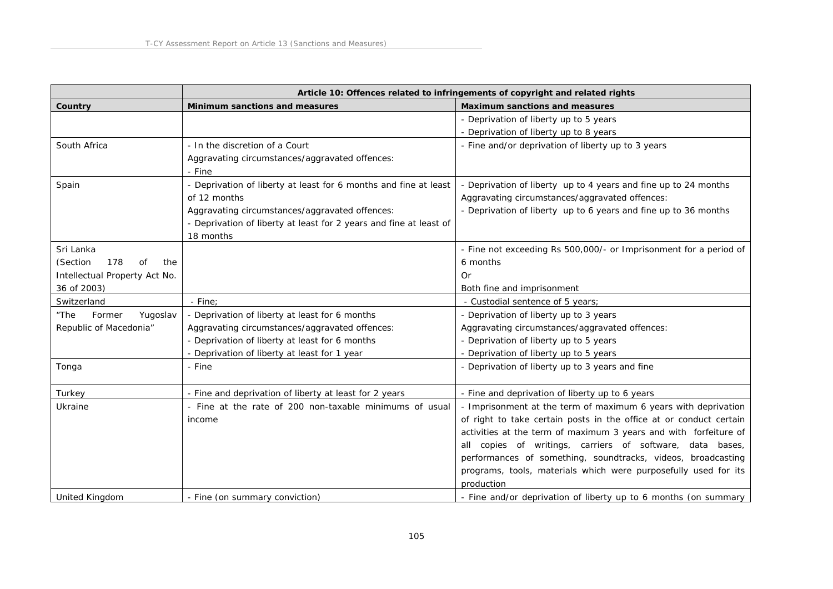|                               |                                                                    | Article 10: Offences related to infringements of copyright and related rights |
|-------------------------------|--------------------------------------------------------------------|-------------------------------------------------------------------------------|
| Country                       | Minimum sanctions and measures                                     | Maximum sanctions and measures                                                |
|                               |                                                                    | - Deprivation of liberty up to 5 years                                        |
|                               |                                                                    | - Deprivation of liberty up to 8 years                                        |
| South Africa                  | - In the discretion of a Court                                     | - Fine and/or deprivation of liberty up to 3 years                            |
|                               | Aggravating circumstances/aggravated offences:                     |                                                                               |
|                               | - Fine                                                             |                                                                               |
| Spain                         | - Deprivation of liberty at least for 6 months and fine at least   | - Deprivation of liberty up to 4 years and fine up to 24 months               |
|                               | of 12 months                                                       | Aggravating circumstances/aggravated offences:                                |
|                               | Aggravating circumstances/aggravated offences:                     | - Deprivation of liberty up to 6 years and fine up to 36 months               |
|                               | - Deprivation of liberty at least for 2 years and fine at least of |                                                                               |
|                               | 18 months                                                          |                                                                               |
| Sri Lanka                     |                                                                    | - Fine not exceeding Rs 500,000/- or Imprisonment for a period of             |
| 178<br>(Section<br>Ωf<br>the  |                                                                    | 6 months                                                                      |
| Intellectual Property Act No. |                                                                    | Or                                                                            |
| 36 of 2003)                   |                                                                    | Both fine and imprisonment                                                    |
| Switzerland                   | - Fine;                                                            | - Custodial sentence of 5 years;                                              |
| "The<br>Former<br>Yugoslav    | - Deprivation of liberty at least for 6 months                     | - Deprivation of liberty up to 3 years                                        |
| Republic of Macedonia"        | Aggravating circumstances/aggravated offences:                     | Aggravating circumstances/aggravated offences:                                |
|                               | - Deprivation of liberty at least for 6 months                     | - Deprivation of liberty up to 5 years                                        |
|                               | - Deprivation of liberty at least for 1 year                       | - Deprivation of liberty up to 5 years                                        |
| Tonga                         | - Fine                                                             | - Deprivation of liberty up to 3 years and fine                               |
|                               |                                                                    |                                                                               |
| Turkey                        | - Fine and deprivation of liberty at least for 2 years             | - Fine and deprivation of liberty up to 6 years                               |
| Ukraine                       | - Fine at the rate of 200 non-taxable minimums of usual            | - Imprisonment at the term of maximum 6 years with deprivation                |
|                               | income                                                             | of right to take certain posts in the office at or conduct certain            |
|                               |                                                                    | activities at the term of maximum 3 years and with forfeiture of              |
|                               |                                                                    | all copies of writings, carriers of software, data bases,                     |
|                               |                                                                    | performances of something, soundtracks, videos, broadcasting                  |
|                               |                                                                    | programs, tools, materials which were purposefully used for its               |
|                               |                                                                    | production                                                                    |
| <b>United Kingdom</b>         | - Fine (on summary conviction)                                     | - Fine and/or deprivation of liberty up to 6 months (on summary               |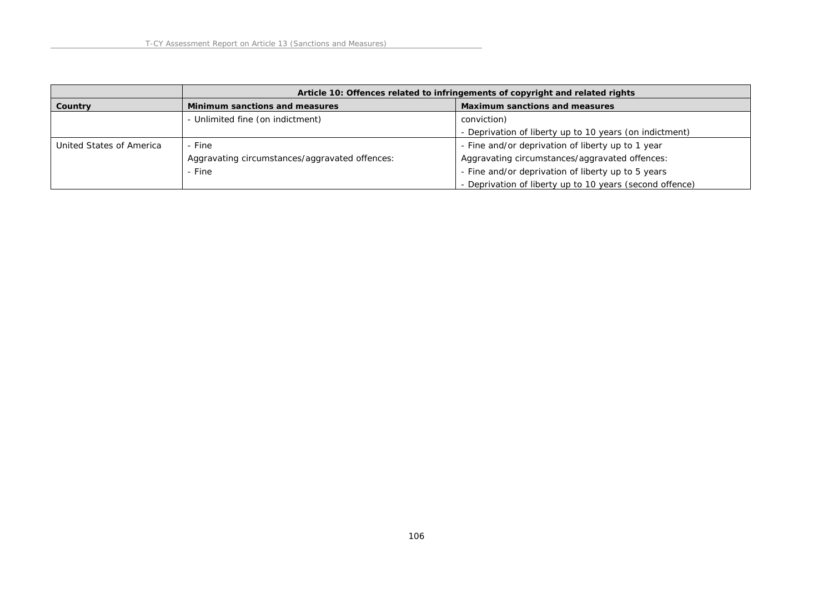|                          | Article 10: Offences related to infringements of copyright and related rights |                                                          |
|--------------------------|-------------------------------------------------------------------------------|----------------------------------------------------------|
| Country                  | Minimum sanctions and measures                                                | Maximum sanctions and measures                           |
|                          | - Unlimited fine (on indictment)                                              | conviction)                                              |
|                          |                                                                               | - Deprivation of liberty up to 10 years (on indictment)  |
| United States of America | - Fine                                                                        | - Fine and/or deprivation of liberty up to 1 year        |
|                          | Aggravating circumstances/aggravated offences:                                | Aggravating circumstances/aggravated offences:           |
|                          | - Fine                                                                        | - Fine and/or deprivation of liberty up to 5 years       |
|                          |                                                                               | - Deprivation of liberty up to 10 years (second offence) |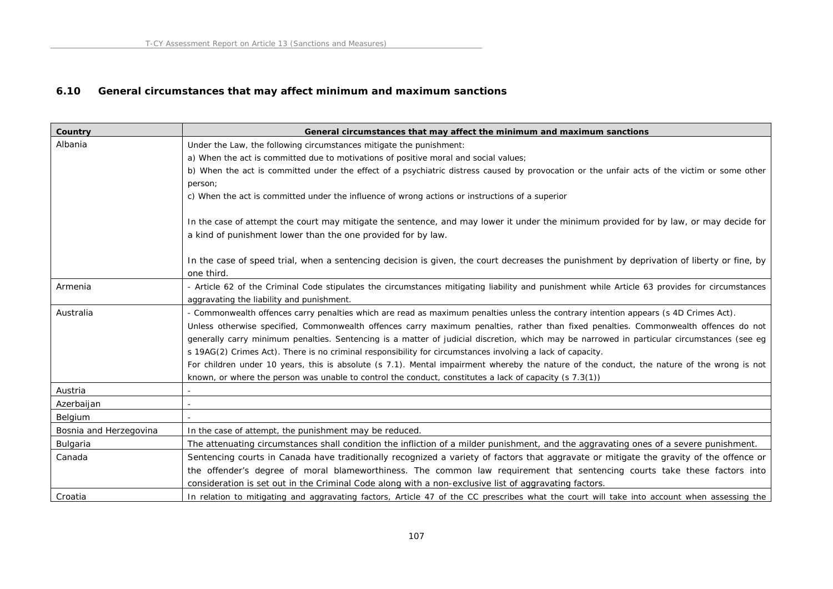# **6.10 General circumstances that may affect minimum and maximum sanctions**

| Country                | General circumstances that may affect the minimum and maximum sanctions                                                                        |
|------------------------|------------------------------------------------------------------------------------------------------------------------------------------------|
| Albania                | Under the Law, the following circumstances mitigate the punishment:                                                                            |
|                        | a) When the act is committed due to motivations of positive moral and social values;                                                           |
|                        | b) When the act is committed under the effect of a psychiatric distress caused by provocation or the unfair acts of the victim or some other   |
|                        | person;                                                                                                                                        |
|                        | c) When the act is committed under the influence of wrong actions or instructions of a superior                                                |
|                        | In the case of attempt the court may mitigate the sentence, and may lower it under the minimum provided for by law, or may decide for          |
|                        | a kind of punishment lower than the one provided for by law.                                                                                   |
|                        | In the case of speed trial, when a sentencing decision is given, the court decreases the punishment by deprivation of liberty or fine, by      |
|                        | one third.                                                                                                                                     |
| Armenia                | - Article 62 of the Criminal Code stipulates the circumstances mitigating liability and punishment while Article 63 provides for circumstances |
|                        | aggravating the liability and punishment.                                                                                                      |
| Australia              | - Commonwealth offences carry penalties which are read as maximum penalties unless the contrary intention appears (s 4D Crimes Act).           |
|                        | Unless otherwise specified, Commonwealth offences carry maximum penalties, rather than fixed penalties. Commonwealth offences do not           |
|                        | generally carry minimum penalties. Sentencing is a matter of judicial discretion, which may be narrowed in particular circumstances (see eg    |
|                        | s 19AG(2) Crimes Act). There is no criminal responsibility for circumstances involving a lack of capacity.                                     |
|                        | For children under 10 years, this is absolute (s 7.1). Mental impairment whereby the nature of the conduct, the nature of the wrong is not     |
|                        | known, or where the person was unable to control the conduct, constitutes a lack of capacity (s $7.3(1)$ )                                     |
| Austria                |                                                                                                                                                |
| Azerbaijan             |                                                                                                                                                |
| Belgium                |                                                                                                                                                |
| Bosnia and Herzegovina | In the case of attempt, the punishment may be reduced.                                                                                         |
| Bulgaria               | The attenuating circumstances shall condition the infliction of a milder punishment, and the aggravating ones of a severe punishment.          |
| Canada                 | Sentencing courts in Canada have traditionally recognized a variety of factors that aggravate or mitigate the gravity of the offence or        |
|                        | the offender's degree of moral blameworthiness. The common law requirement that sentencing courts take these factors into                      |
|                        | consideration is set out in the Criminal Code along with a non-exclusive list of aggravating factors.                                          |
| Croatia                | In relation to mitigating and aggravating factors, Article 47 of the CC prescribes what the court will take into account when assessing the    |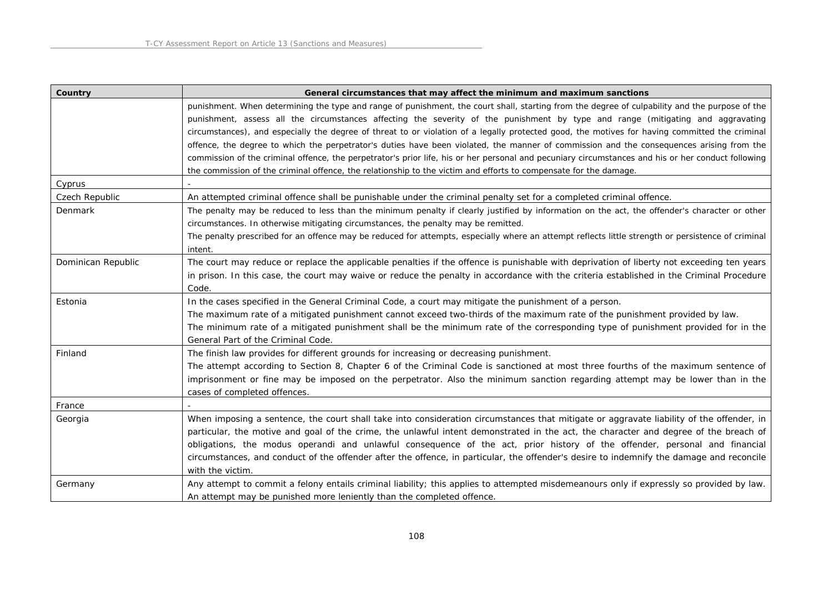| Country            | General circumstances that may affect the minimum and maximum sanctions                                                                            |
|--------------------|----------------------------------------------------------------------------------------------------------------------------------------------------|
|                    | punishment. When determining the type and range of punishment, the court shall, starting from the degree of culpability and the purpose of the     |
|                    | punishment, assess all the circumstances affecting the severity of the punishment by type and range (mitigating and aggravating                    |
|                    | circumstances), and especially the degree of threat to or violation of a legally protected good, the motives for having committed the criminal     |
|                    | offence, the degree to which the perpetrator's duties have been violated, the manner of commission and the consequences arising from the           |
|                    | commission of the criminal offence, the perpetrator's prior life, his or her personal and pecuniary circumstances and his or her conduct following |
|                    | the commission of the criminal offence, the relationship to the victim and efforts to compensate for the damage.                                   |
| Cyprus             |                                                                                                                                                    |
| Czech Republic     | An attempted criminal offence shall be punishable under the criminal penalty set for a completed criminal offence.                                 |
| Denmark            | The penalty may be reduced to less than the minimum penalty if clearly justified by information on the act, the offender's character or other      |
|                    | circumstances. In otherwise mitigating circumstances, the penalty may be remitted.                                                                 |
|                    | The penalty prescribed for an offence may be reduced for attempts, especially where an attempt reflects little strength or persistence of criminal |
|                    | intent.                                                                                                                                            |
| Dominican Republic | The court may reduce or replace the applicable penalties if the offence is punishable with deprivation of liberty not exceeding ten years          |
|                    | in prison. In this case, the court may waive or reduce the penalty in accordance with the criteria established in the Criminal Procedure           |
|                    | Code.                                                                                                                                              |
| Estonia            | In the cases specified in the General Criminal Code, a court may mitigate the punishment of a person.                                              |
|                    | The maximum rate of a mitigated punishment cannot exceed two-thirds of the maximum rate of the punishment provided by law.                         |
|                    | The minimum rate of a mitigated punishment shall be the minimum rate of the corresponding type of punishment provided for in the                   |
|                    | General Part of the Criminal Code.                                                                                                                 |
| Finland            | The finish law provides for different grounds for increasing or decreasing punishment.                                                             |
|                    | The attempt according to Section 8, Chapter 6 of the Criminal Code is sanctioned at most three fourths of the maximum sentence of                  |
|                    | imprisonment or fine may be imposed on the perpetrator. Also the minimum sanction regarding attempt may be lower than in the                       |
|                    | cases of completed offences.                                                                                                                       |
| France             |                                                                                                                                                    |
| Georgia            | When imposing a sentence, the court shall take into consideration circumstances that mitigate or aggravate liability of the offender, in           |
|                    | particular, the motive and goal of the crime, the unlawful intent demonstrated in the act, the character and degree of the breach of               |
|                    | obligations, the modus operandi and unlawful consequence of the act, prior history of the offender, personal and financial                         |
|                    | circumstances, and conduct of the offender after the offence, in particular, the offender's desire to indemnify the damage and reconcile           |
|                    | with the victim.                                                                                                                                   |
| Germany            | Any attempt to commit a felony entails criminal liability; this applies to attempted misdemeanours only if expressly so provided by law.           |
|                    | An attempt may be punished more leniently than the completed offence.                                                                              |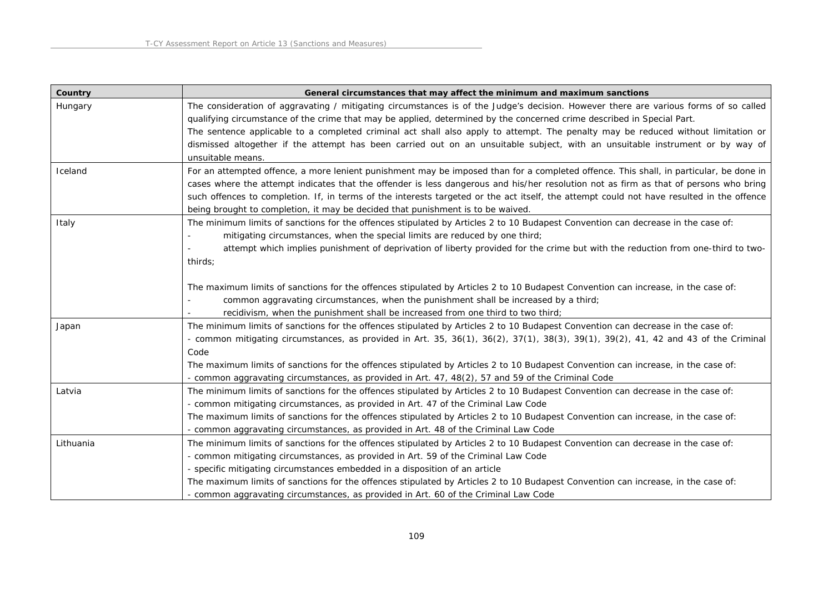| Country   | General circumstances that may affect the minimum and maximum sanctions                                                                   |
|-----------|-------------------------------------------------------------------------------------------------------------------------------------------|
| Hungary   | The consideration of aggravating / mitigating circumstances is of the Judge's decision. However there are various forms of so called      |
|           | qualifying circumstance of the crime that may be applied, determined by the concerned crime described in Special Part.                    |
|           | The sentence applicable to a completed criminal act shall also apply to attempt. The penalty may be reduced without limitation or         |
|           | dismissed altogether if the attempt has been carried out on an unsuitable subject, with an unsuitable instrument or by way of             |
|           | unsuitable means.                                                                                                                         |
| Iceland   | For an attempted offence, a more lenient punishment may be imposed than for a completed offence. This shall, in particular, be done in    |
|           | cases where the attempt indicates that the offender is less dangerous and his/her resolution not as firm as that of persons who bring     |
|           | such offences to completion. If, in terms of the interests targeted or the act itself, the attempt could not have resulted in the offence |
|           | being brought to completion, it may be decided that punishment is to be waived.                                                           |
| Italy     | The minimum limits of sanctions for the offences stipulated by Articles 2 to 10 Budapest Convention can decrease in the case of:          |
|           | mitigating circumstances, when the special limits are reduced by one third;                                                               |
|           | attempt which implies punishment of deprivation of liberty provided for the crime but with the reduction from one-third to two-           |
|           | thirds;                                                                                                                                   |
|           |                                                                                                                                           |
|           | The maximum limits of sanctions for the offences stipulated by Articles 2 to 10 Budapest Convention can increase, in the case of:         |
|           | common aggravating circumstances, when the punishment shall be increased by a third;                                                      |
|           | recidivism, when the punishment shall be increased from one third to two third;                                                           |
| Japan     | The minimum limits of sanctions for the offences stipulated by Articles 2 to 10 Budapest Convention can decrease in the case of:          |
|           | - common mitigating circumstances, as provided in Art. 35, 36(1), 36(2), 37(1), 38(3), 39(1), 39(2), 41, 42 and 43 of the Criminal        |
|           | Code                                                                                                                                      |
|           | The maximum limits of sanctions for the offences stipulated by Articles 2 to 10 Budapest Convention can increase, in the case of:         |
|           | - common aggravating circumstances, as provided in Art. 47, 48(2), 57 and 59 of the Criminal Code                                         |
| Latvia    | The minimum limits of sanctions for the offences stipulated by Articles 2 to 10 Budapest Convention can decrease in the case of:          |
|           | - common mitigating circumstances, as provided in Art. 47 of the Criminal Law Code                                                        |
|           | The maximum limits of sanctions for the offences stipulated by Articles 2 to 10 Budapest Convention can increase, in the case of:         |
|           | - common aggravating circumstances, as provided in Art. 48 of the Criminal Law Code                                                       |
| Lithuania | The minimum limits of sanctions for the offences stipulated by Articles 2 to 10 Budapest Convention can decrease in the case of:          |
|           | - common mitigating circumstances, as provided in Art. 59 of the Criminal Law Code                                                        |
|           | - specific mitigating circumstances embedded in a disposition of an article                                                               |
|           | The maximum limits of sanctions for the offences stipulated by Articles 2 to 10 Budapest Convention can increase, in the case of:         |
|           | - common aggravating circumstances, as provided in Art. 60 of the Criminal Law Code                                                       |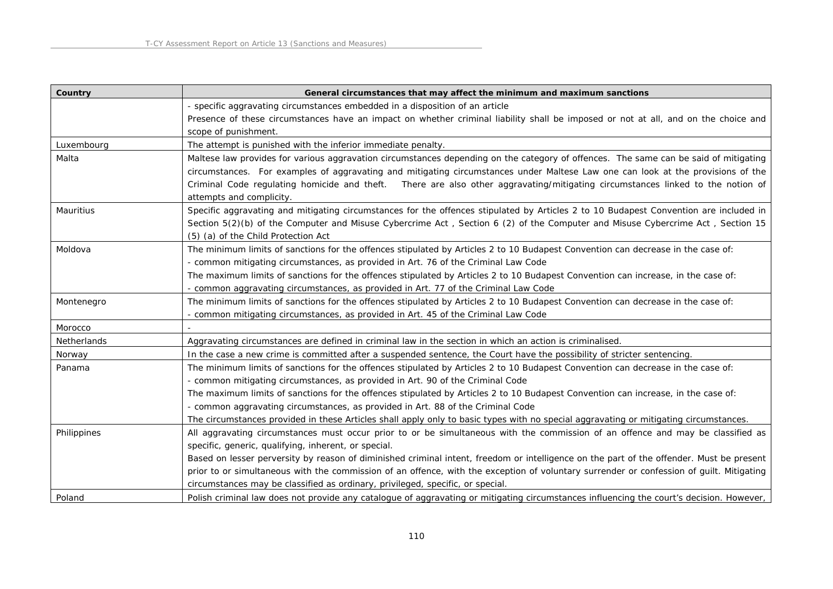| Country          | General circumstances that may affect the minimum and maximum sanctions                                                                                                                                                                                                                                                                                                                                                                                                                                                                                                             |
|------------------|-------------------------------------------------------------------------------------------------------------------------------------------------------------------------------------------------------------------------------------------------------------------------------------------------------------------------------------------------------------------------------------------------------------------------------------------------------------------------------------------------------------------------------------------------------------------------------------|
|                  | - specific aggravating circumstances embedded in a disposition of an article                                                                                                                                                                                                                                                                                                                                                                                                                                                                                                        |
|                  | Presence of these circumstances have an impact on whether criminal liability shall be imposed or not at all, and on the choice and<br>scope of punishment.                                                                                                                                                                                                                                                                                                                                                                                                                          |
| Luxembourg       | The attempt is punished with the inferior immediate penalty.                                                                                                                                                                                                                                                                                                                                                                                                                                                                                                                        |
| Malta            | Maltese law provides for various aggravation circumstances depending on the category of offences. The same can be said of mitigating<br>circumstances. For examples of aggravating and mitigating circumstances under Maltese Law one can look at the provisions of the<br>Criminal Code regulating homicide and theft.  There are also other aggravating/mitigating circumstances linked to the notion of<br>attempts and complicity.                                                                                                                                              |
| <b>Mauritius</b> | Specific aggravating and mitigating circumstances for the offences stipulated by Articles 2 to 10 Budapest Convention are included in<br>Section 5(2)(b) of the Computer and Misuse Cybercrime Act, Section 6 (2) of the Computer and Misuse Cybercrime Act, Section 15<br>(5) (a) of the Child Protection Act                                                                                                                                                                                                                                                                      |
| Moldova          | The minimum limits of sanctions for the offences stipulated by Articles 2 to 10 Budapest Convention can decrease in the case of:<br>- common mitigating circumstances, as provided in Art. 76 of the Criminal Law Code<br>The maximum limits of sanctions for the offences stipulated by Articles 2 to 10 Budapest Convention can increase, in the case of:<br>- common aggravating circumstances, as provided in Art. 77 of the Criminal Law Code                                                                                                                                  |
| Montenegro       | The minimum limits of sanctions for the offences stipulated by Articles 2 to 10 Budapest Convention can decrease in the case of:<br>- common mitigating circumstances, as provided in Art. 45 of the Criminal Law Code                                                                                                                                                                                                                                                                                                                                                              |
| Morocco          |                                                                                                                                                                                                                                                                                                                                                                                                                                                                                                                                                                                     |
| Netherlands      | Aggravating circumstances are defined in criminal law in the section in which an action is criminalised.                                                                                                                                                                                                                                                                                                                                                                                                                                                                            |
| Norway           | In the case a new crime is committed after a suspended sentence, the Court have the possibility of stricter sentencing.                                                                                                                                                                                                                                                                                                                                                                                                                                                             |
| Panama           | The minimum limits of sanctions for the offences stipulated by Articles 2 to 10 Budapest Convention can decrease in the case of:<br>- common mitigating circumstances, as provided in Art. 90 of the Criminal Code<br>The maximum limits of sanctions for the offences stipulated by Articles 2 to 10 Budapest Convention can increase, in the case of:<br>- common aggravating circumstances, as provided in Art. 88 of the Criminal Code<br>The circumstances provided in these Articles shall apply only to basic types with no special aggravating or mitigating circumstances. |
| Philippines      | All aggravating circumstances must occur prior to or be simultaneous with the commission of an offence and may be classified as<br>specific, generic, qualifying, inherent, or special.<br>Based on lesser perversity by reason of diminished criminal intent, freedom or intelligence on the part of the offender. Must be present<br>prior to or simultaneous with the commission of an offence, with the exception of voluntary surrender or confession of guilt. Mitigating<br>circumstances may be classified as ordinary, privileged, specific, or special.                   |
| Poland           | Polish criminal law does not provide any catalogue of aggravating or mitigating circumstances influencing the court's decision. However,                                                                                                                                                                                                                                                                                                                                                                                                                                            |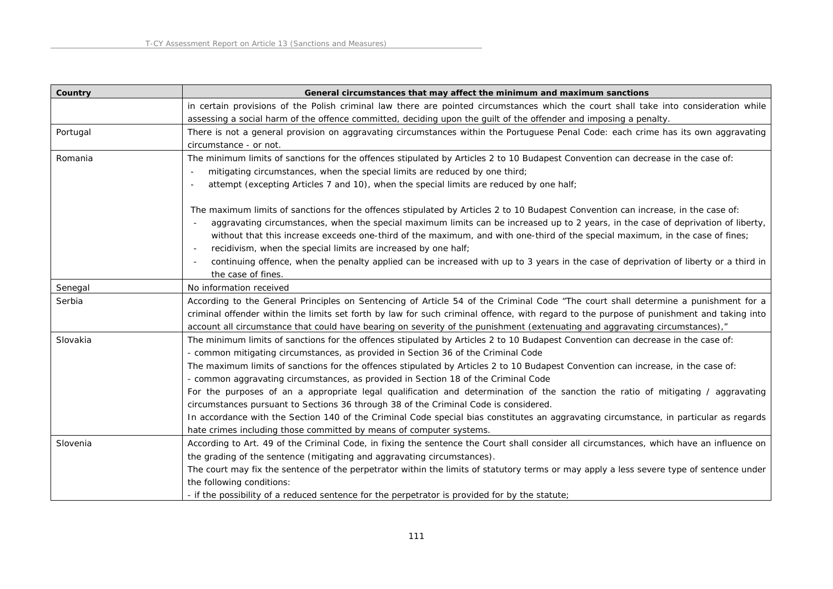| Country  | General circumstances that may affect the minimum and maximum sanctions                                                                  |
|----------|------------------------------------------------------------------------------------------------------------------------------------------|
|          | in certain provisions of the Polish criminal law there are pointed circumstances which the court shall take into consideration while     |
|          | assessing a social harm of the offence committed, deciding upon the guilt of the offender and imposing a penalty.                        |
| Portugal | There is not a general provision on aggravating circumstances within the Portuguese Penal Code: each crime has its own aggravating       |
|          | circumstance - or not.                                                                                                                   |
| Romania  | The minimum limits of sanctions for the offences stipulated by Articles 2 to 10 Budapest Convention can decrease in the case of:         |
|          | mitigating circumstances, when the special limits are reduced by one third;                                                              |
|          | attempt (excepting Articles 7 and 10), when the special limits are reduced by one half;                                                  |
|          | The maximum limits of sanctions for the offences stipulated by Articles 2 to 10 Budapest Convention can increase, in the case of:        |
|          | aggravating circumstances, when the special maximum limits can be increased up to 2 years, in the case of deprivation of liberty,        |
|          | without that this increase exceeds one-third of the maximum, and with one-third of the special maximum, in the case of fines;            |
|          | recidivism, when the special limits are increased by one half;                                                                           |
|          | continuing offence, when the penalty applied can be increased with up to 3 years in the case of deprivation of liberty or a third in     |
|          | the case of fines.                                                                                                                       |
| Senegal  | No information received                                                                                                                  |
| Serbia   | According to the General Principles on Sentencing of Article 54 of the Criminal Code "The court shall determine a punishment for a       |
|          | criminal offender within the limits set forth by law for such criminal offence, with regard to the purpose of punishment and taking into |
|          | account all circumstance that could have bearing on severity of the punishment (extenuating and aggravating circumstances),"             |
| Slovakia | The minimum limits of sanctions for the offences stipulated by Articles 2 to 10 Budapest Convention can decrease in the case of:         |
|          | - common mitigating circumstances, as provided in Section 36 of the Criminal Code                                                        |
|          | The maximum limits of sanctions for the offences stipulated by Articles 2 to 10 Budapest Convention can increase, in the case of:        |
|          | - common aggravating circumstances, as provided in Section 18 of the Criminal Code                                                       |
|          | For the purposes of an a appropriate legal qualification and determination of the sanction the ratio of mitigating / aggravating         |
|          | circumstances pursuant to Sections 36 through 38 of the Criminal Code is considered.                                                     |
|          | In accordance with the Section 140 of the Criminal Code special bias constitutes an aggravating circumstance, in particular as regards   |
|          | hate crimes including those committed by means of computer systems.                                                                      |
| Slovenia | According to Art. 49 of the Criminal Code, in fixing the sentence the Court shall consider all circumstances, which have an influence on |
|          | the grading of the sentence (mitigating and aggravating circumstances).                                                                  |
|          | The court may fix the sentence of the perpetrator within the limits of statutory terms or may apply a less severe type of sentence under |
|          | the following conditions:                                                                                                                |
|          | - if the possibility of a reduced sentence for the perpetrator is provided for by the statute;                                           |